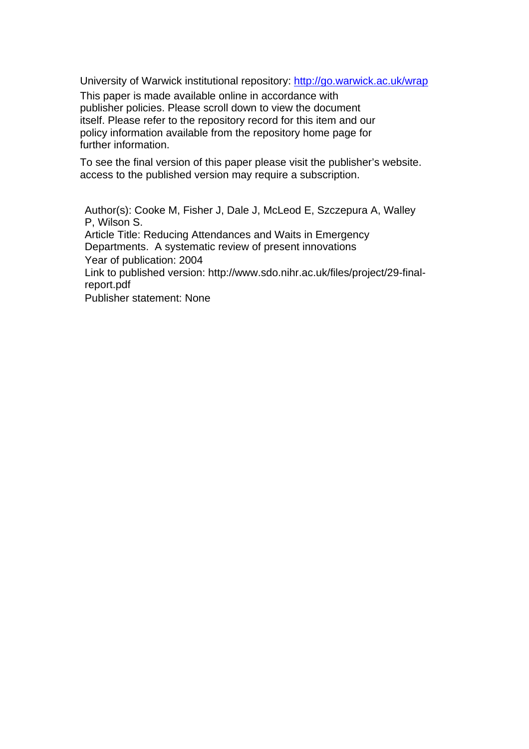University of Warwick institutional repository: <http://go.warwick.ac.uk/wrap>

This paper is made available online in accordance with publisher policies. Please scroll down to view the document itself. Please refer to the repository record for this item and our policy information available from the repository home page for further information.

To see the final version of this paper please visit the publisher's website. access to the published version may require a subscription.

Author(s): Cooke M, Fisher J, Dale J, McLeod E, Szczepura A, Walley P, Wilson S. Article Title: Reducing Attendances and Waits in Emergency Departments. A systematic review of present innovations Year of publication: 2004 Link to published version: http://www.sdo.nihr.ac.uk/files/project/29-finalreport.pdf

Publisher statement: None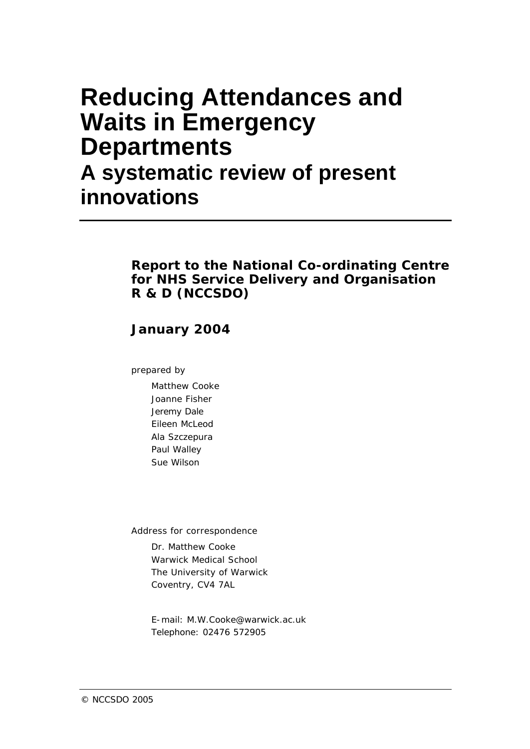# **Reducing Attendances and Waits in Emergency Departments A systematic review of present innovations**

### *Report to the National Co-ordinating Centre for NHS Service Delivery and Organisation R & D (NCCSDO)*

## *January 2004*

*prepared by* 

Matthew Cooke Joanne Fisher Jeremy Dale Eileen McLeod Ala Szczepura Paul Walley Sue Wilson

*Address for correspondence*

Dr. Matthew Cooke Warwick Medical School The University of Warwick Coventry, CV4 7AL

E-mail: M.W.Cooke@warwick.ac.uk Telephone: 02476 572905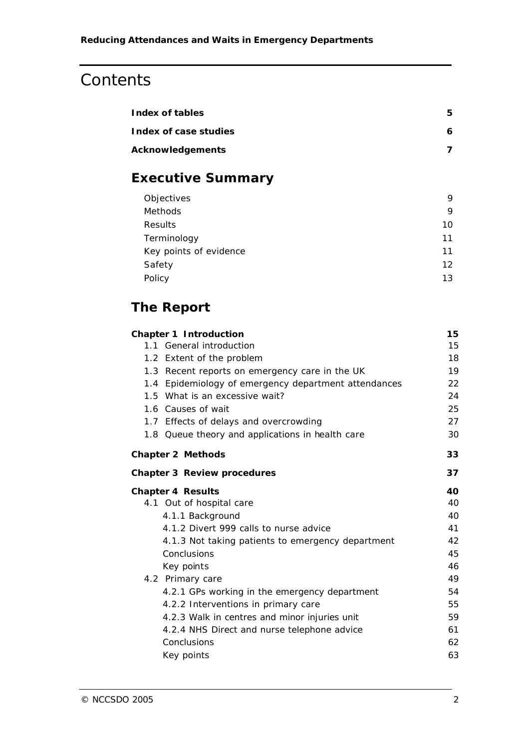# **Contents**

| Index of tables              | 5. |
|------------------------------|----|
| <b>Index of case studies</b> | 6  |
| Acknowledgements             |    |

## *Executive Summary*

| Objectives             | 9  |
|------------------------|----|
| Methods                | 9  |
| Results                | 10 |
| Terminology            | 11 |
| Key points of evidence | 11 |
| Safety                 | 12 |
| Policy                 | 13 |

## *The Report*

| <b>Chapter 1 Introduction</b>                        | 15 |
|------------------------------------------------------|----|
| 1.1 General introduction                             | 15 |
| 1.2 Extent of the problem                            | 18 |
| 1.3 Recent reports on emergency care in the UK       | 19 |
| 1.4 Epidemiology of emergency department attendances | 22 |
| 1.5 What is an excessive wait?                       | 24 |
| 1.6 Causes of wait                                   | 25 |
| 1.7 Effects of delays and overcrowding               | 27 |
| 1.8 Queue theory and applications in health care     | 30 |
| <b>Chapter 2 Methods</b>                             | 33 |
| <b>Chapter 3 Review procedures</b>                   | 37 |
| <b>Chapter 4 Results</b>                             | 40 |
| 4.1 Out of hospital care                             | 40 |
| 4.1.1 Background                                     | 40 |
| 4.1.2 Divert 999 calls to nurse advice               | 41 |
| 4.1.3 Not taking patients to emergency department    | 42 |
| Conclusions                                          | 45 |
| Key points                                           | 46 |
| 4.2 Primary care                                     | 49 |
| 4.2.1 GPs working in the emergency department        | 54 |
| 4.2.2 Interventions in primary care                  | 55 |
| 4.2.3 Walk in centres and minor injuries unit        | 59 |
| 4.2.4 NHS Direct and nurse telephone advice          | 61 |
| Conclusions                                          | 62 |
| Key points                                           | 63 |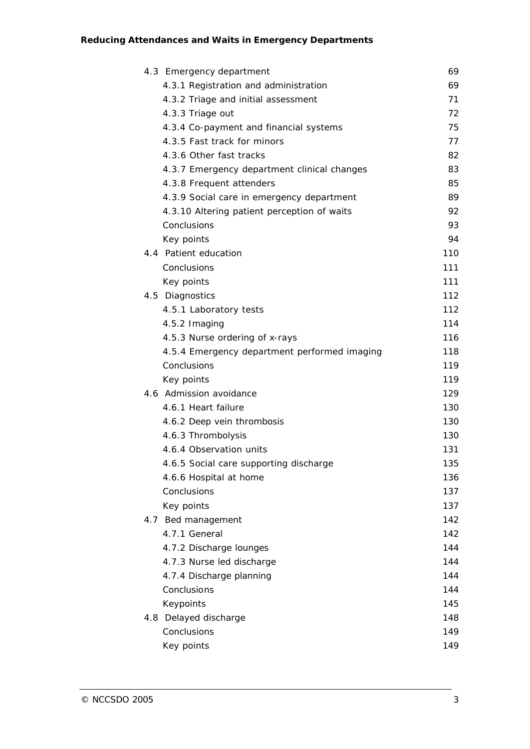|     | 4.3 Emergency department                     | 69  |
|-----|----------------------------------------------|-----|
|     | 4.3.1 Registration and administration        | 69  |
|     | 4.3.2 Triage and initial assessment          | 71  |
|     | 4.3.3 Triage out                             | 72  |
|     | 4.3.4 Co-payment and financial systems       | 75  |
|     | 4.3.5 Fast track for minors                  | 77  |
|     | 4.3.6 Other fast tracks                      | 82  |
|     | 4.3.7 Emergency department clinical changes  | 83  |
|     | 4.3.8 Frequent attenders                     | 85  |
|     | 4.3.9 Social care in emergency department    | 89  |
|     | 4.3.10 Altering patient perception of waits  | 92  |
|     | Conclusions                                  | 93  |
|     | Key points                                   | 94  |
|     | 4.4 Patient education                        | 110 |
|     | Conclusions                                  | 111 |
|     | Key points                                   | 111 |
|     | 4.5 Diagnostics                              | 112 |
|     | 4.5.1 Laboratory tests                       | 112 |
|     | 4.5.2 Imaging                                | 114 |
|     | 4.5.3 Nurse ordering of x-rays               | 116 |
|     | 4.5.4 Emergency department performed imaging | 118 |
|     | Conclusions                                  | 119 |
|     | Key points                                   | 119 |
|     | 4.6 Admission avoidance                      | 129 |
|     | 4.6.1 Heart failure                          | 130 |
|     | 4.6.2 Deep vein thrombosis                   | 130 |
|     | 4.6.3 Thrombolysis                           | 130 |
|     | 4.6.4 Observation units                      | 131 |
|     | 4.6.5 Social care supporting discharge       | 135 |
|     | 4.6.6 Hospital at home                       | 136 |
|     | Conclusions                                  | 137 |
|     | Key points                                   | 137 |
|     | 4.7 Bed management                           | 142 |
|     | 4.7.1 General                                | 142 |
|     | 4.7.2 Discharge lounges                      | 144 |
|     | 4.7.3 Nurse led discharge                    | 144 |
|     | 4.7.4 Discharge planning                     | 144 |
|     | Conclusions                                  | 144 |
|     | Keypoints                                    | 145 |
| 4.8 | Delayed discharge                            | 148 |
|     | Conclusions                                  | 149 |
|     | Key points                                   | 149 |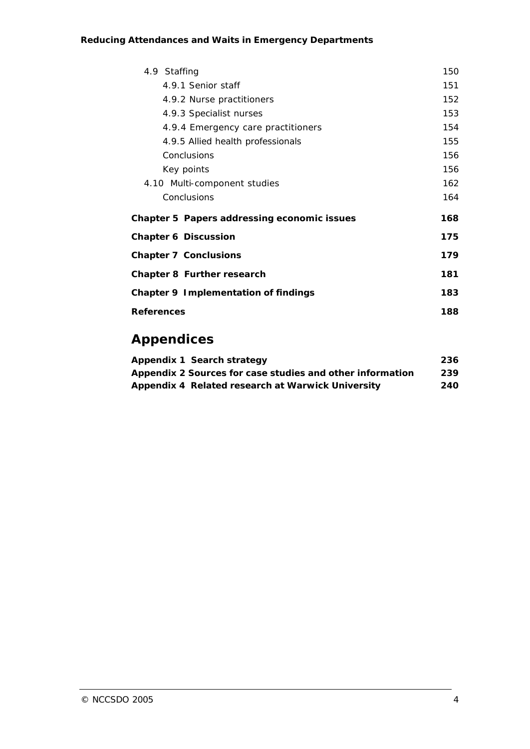| 4.9 Staffing                                | 150 |
|---------------------------------------------|-----|
| 4.9.1 Senior staff                          | 151 |
| 4.9.2 Nurse practitioners                   | 152 |
| 4.9.3 Specialist nurses                     | 153 |
| 4.9.4 Emergency care practitioners          | 154 |
| 4.9.5 Allied health professionals           | 155 |
| Conclusions                                 | 156 |
| Key points                                  |     |
| 4.10 Multi-component studies                |     |
| Conclusions                                 |     |
| Chapter 5 Papers addressing economic issues | 168 |
| <b>Chapter 6 Discussion</b>                 | 175 |
| <b>Chapter 7 Conclusions</b>                | 179 |
| Chapter 8 Further research                  | 181 |
| <b>Chapter 9 Implementation of findings</b> | 183 |
| <b>References</b>                           | 188 |

# *Appendices*

| Appendix 1 Search strategy                                | 236 |
|-----------------------------------------------------------|-----|
| Appendix 2 Sources for case studies and other information | 239 |
| Appendix 4 Related research at Warwick University         | 240 |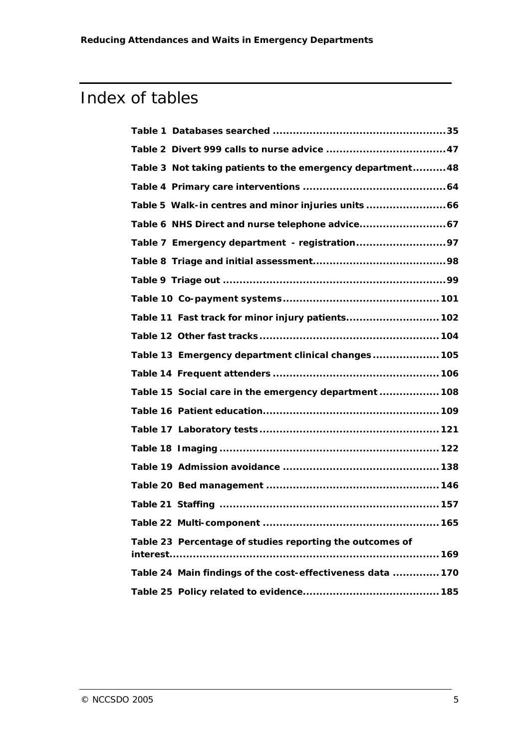# Index of tables

| Table 3 Not taking patients to the emergency department 48 |
|------------------------------------------------------------|
|                                                            |
|                                                            |
| Table 6 NHS Direct and nurse telephone advice 67           |
|                                                            |
|                                                            |
|                                                            |
|                                                            |
| Table 11 Fast track for minor injury patients 102          |
|                                                            |
| Table 13 Emergency department clinical changes 105         |
|                                                            |
| Table 15 Social care in the emergency department  108      |
|                                                            |
|                                                            |
|                                                            |
|                                                            |
|                                                            |
|                                                            |
| . 165                                                      |
| Table 23 Percentage of studies reporting the outcomes of   |
| Table 24 Main findings of the cost-effectiveness data  170 |
|                                                            |
|                                                            |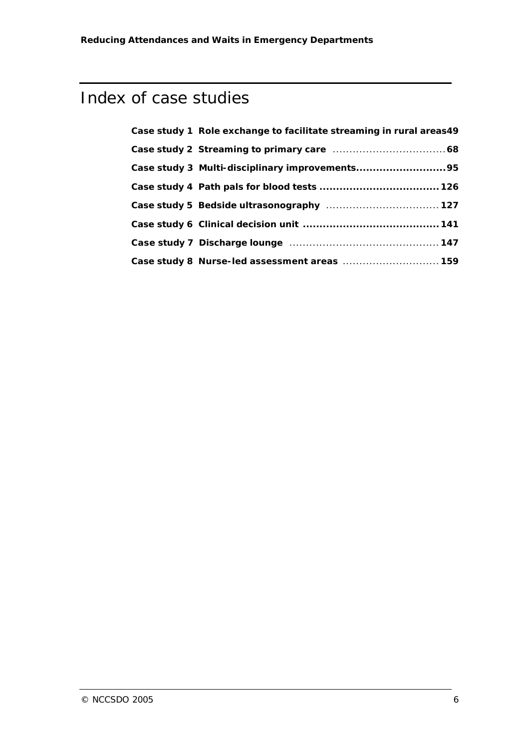# Index of case studies

| Case study 1 Role exchange to facilitate streaming in rural areas49 |
|---------------------------------------------------------------------|
|                                                                     |
|                                                                     |
|                                                                     |
|                                                                     |
|                                                                     |
|                                                                     |
| Case study 8 Nurse-led assessment areas  159                        |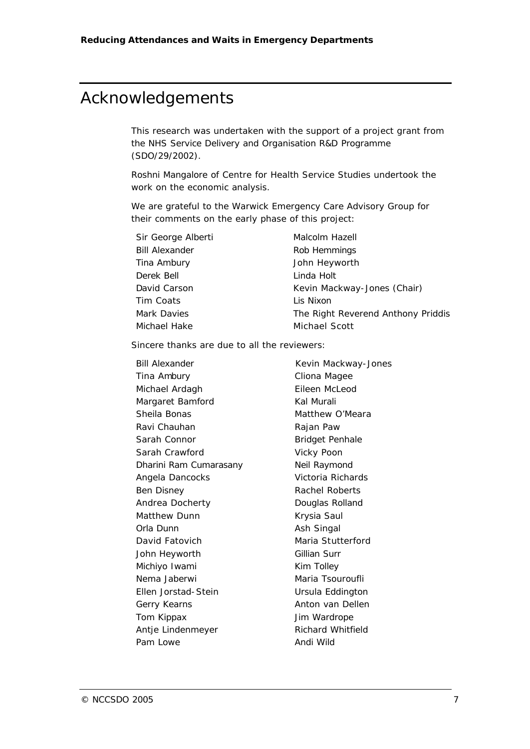# Acknowledgements

This research was undertaken with the support of a project grant from the NHS Service Delivery and Organisation R&D Programme (SDO/29/2002).

Roshni Mangalore of Centre for Health Service Studies undertook the work on the economic analysis.

We are grateful to the Warwick Emergency Care Advisory Group for their comments on the early phase of this project:

| Sir George Alberti    | Malcolm Hazell                     |
|-----------------------|------------------------------------|
| <b>Bill Alexander</b> | Rob Hemmings                       |
| Tina Ambury           | John Heyworth                      |
| Derek Bell            | Linda Holt                         |
| David Carson          | Kevin Mackway-Jones (Chair)        |
| Tim Coats             | Lis Nixon                          |
| Mark Davies           | The Right Reverend Anthony Priddis |
| Michael Hake          | Michael Scott                      |

Sincere thanks are due to all the reviewers:

Bill Alexander Tina Ambury Michael Ardagh Margaret Bamford Sheila Bonas Ravi Chauhan Sarah Connor Sarah Crawford Dharini Ram Cumarasany Angela Dancocks Ben Disney Andrea Docherty Matthew Dunn Orla Dunn David Fatovich John Heyworth Michiyo Iwami Nema Jaberwi Ellen Jorstad-Stein Gerry Kearns Tom Kippax Antje Lindenmeyer Pam Lowe Kal Murali Andi Wild

Kevin Mackway-Jones Cliona Magee Eileen McLeod Matthew O'Meara Rajan Paw Bridget Penhale Vicky Poon Neil Raymond Victoria Richards Rachel Roberts Douglas Rolland Krysia Saul Ash Singal Maria Stutterford Gillian Surr Kim Tolley Maria Tsouroufli Ursula Eddington Anton van Dellen Jim Wardrope Richard Whitfield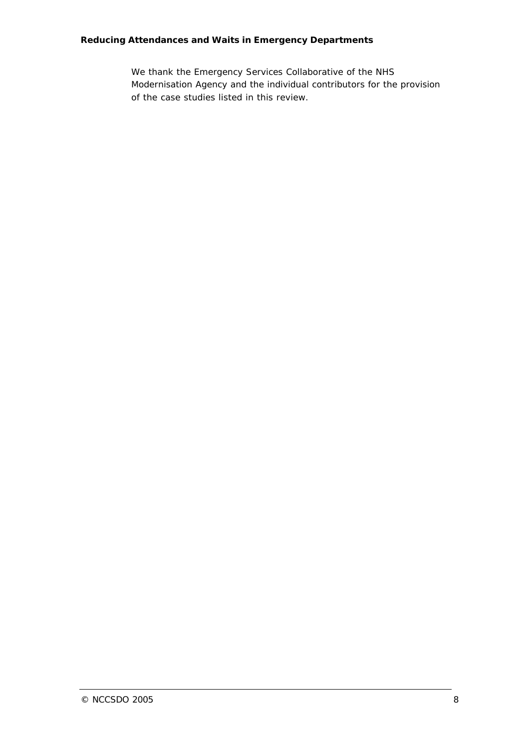#### *Reducing Attendances and Waits in Emergency Departments*

We thank the Emergency Services Collaborative of the NHS Modernisation Agency and the individual contributors for the provision of the case studies listed in this review.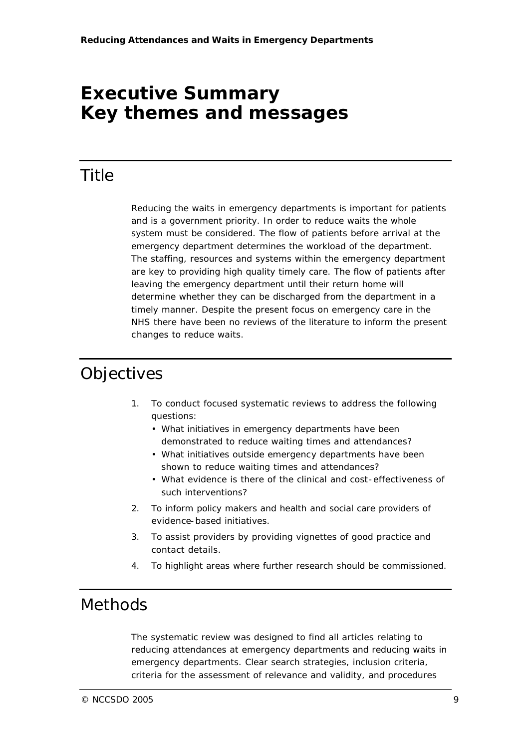# *Executive Summary Key themes and messages*

## **Title**

Reducing the waits in emergency departments is important for patients and is a government priority. In order to reduce waits the whole system must be considered. The flow of patients before arrival at the emergency department determines the workload of the department. The staffing, resources and systems within the emergency department are key to providing high quality timely care. The flow of patients after leaving the emergency department until their return home will determine whether they can be discharged from the department in a timely manner. Despite the present focus on emergency care in the NHS there have been no reviews of the literature to inform the present changes to reduce waits.

## **Objectives**

- 1. To conduct focused systematic reviews to address the following questions:
	- What initiatives in emergency departments have been demonstrated to reduce waiting times and attendances?
	- What initiatives outside emergency departments have been shown to reduce waiting times and attendances?
	- What evidence is there of the clinical and cost-effectiveness of such interventions?
- 2. To inform policy makers and health and social care providers of evidence-based initiatives.
- 3. To assist providers by providing vignettes of good practice and contact details.
- 4. To highlight areas where further research should be commissioned.

# **Methods**

The systematic review was designed to find all articles relating to reducing attendances at emergency departments and reducing waits in emergency departments. Clear search strategies, inclusion criteria, criteria for the assessment of relevance and validity, and procedures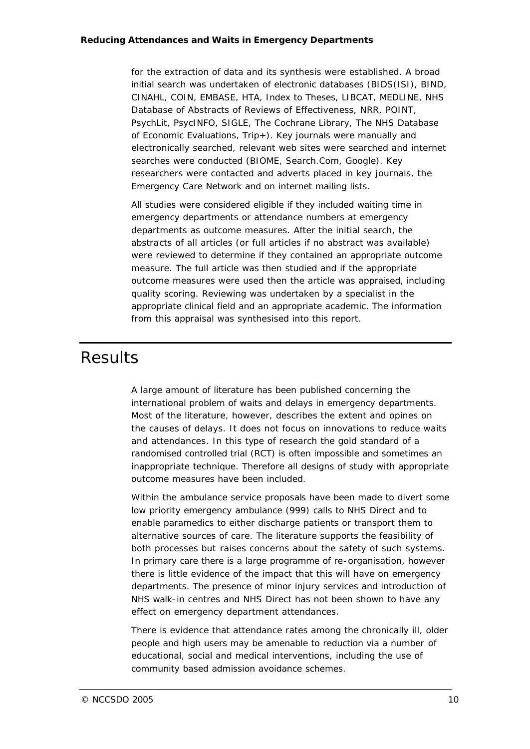for the extraction of data and its synthesis were established. A broad initial search was undertaken of electronic databases (BIDS(ISI), BIND, CINAHL, COIN, EMBASE, HTA, Index to Theses, LIBCAT, MEDLINE, NHS Database of Abstracts of Reviews of Effectiveness, NRR, POINT, PsychLit, PsycINFO, SIGLE, The Cochrane Library, The NHS Database of Economic Evaluations, Trip+). Key journals were manually and electronically searched, relevant web sites were searched and internet searches were conducted (BIOME, Search.Com, Google). Key researchers were contacted and adverts placed in key journals, the Emergency Care Network and on internet mailing lists.

All studies were considered eligible if they included waiting time in emergency departments or attendance numbers at emergency departments as outcome measures. After the initial search, the abstracts of all articles (or full articles if no abstract was available) were reviewed to determine if they contained an appropriate outcome measure. The full article was then studied and if the appropriate outcome measures were used then the article was appraised, including quality scoring. Reviewing was undertaken by a specialist in the appropriate clinical field and an appropriate academic. The information from this appraisal was synthesised into this report.

## Results

A large amount of literature has been published concerning the international problem of waits and delays in emergency departments. Most of the literature, however, describes the extent and opines on the causes of delays. It does not focus on innovations to reduce waits and attendances. In this type of research the gold standard of a randomised controlled trial (RCT) is often impossible and sometimes an inappropriate technique. Therefore all designs of study with appropriate outcome measures have been included.

Within the ambulance service proposals have been made to divert some low priority emergency ambulance (999) calls to NHS Direct and to enable paramedics to either discharge patients or transport them to alternative sources of care. The literature supports the feasibility of both processes but raises concerns about the safety of such systems. In primary care there is a large programme of re-organisation, however there is little evidence of the impact that this will have on emergency departments. The presence of minor injury services and introduction of NHS walk-in centres and NHS Direct has not been shown to have any effect on emergency department attendances.

There is evidence that attendance rates among the chronically ill, older people and high users may be amenable to reduction via a number of educational, social and medical interventions, including the use of community based admission avoidance schemes.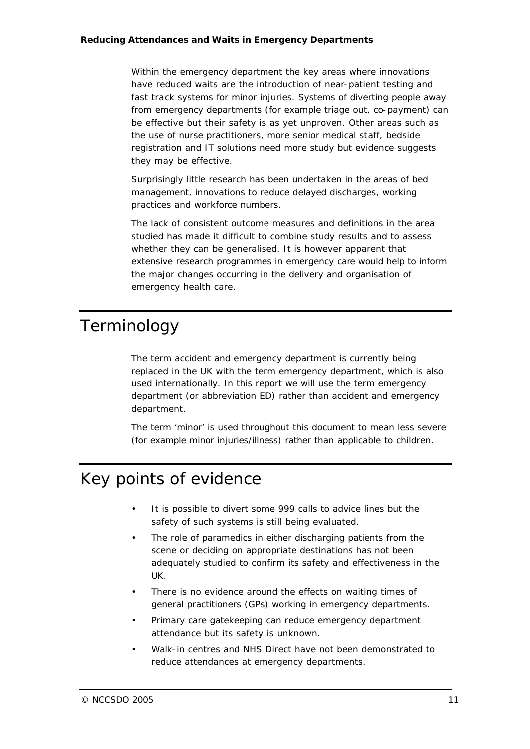#### *Reducing Attendances and Waits in Emergency Departments*

Within the emergency department the key areas where innovations have reduced waits are the introduction of near-patient testing and fast track systems for minor injuries. Systems of diverting people away from emergency departments (for example triage out, co-payment) can be effective but their safety is as yet unproven. Other areas such as the use of nurse practitioners, more senior medical staff, bedside registration and IT solutions need more study but evidence suggests they may be effective.

Surprisingly little research has been undertaken in the areas of bed management, innovations to reduce delayed discharges, working practices and workforce numbers.

The lack of consistent outcome measures and definitions in the area studied has made it difficult to combine study results and to assess whether they can be generalised. It is however apparent that extensive research programmes in emergency care would help to inform the major changes occurring in the delivery and organisation of emergency health care.

# Terminology

The term accident and emergency department is currently being replaced in the UK with the term emergency department, which is also used internationally. In this report we will use the term emergency department (or abbreviation ED) rather than accident and emergency department.

The term 'minor' is used throughout this document to mean less severe (for example minor injuries/illness) rather than applicable to children.

# Key points of evidence

- It is possible to divert some 999 calls to advice lines but the safety of such systems is still being evaluated.
- The role of paramedics in either discharging patients from the scene or deciding on appropriate destinations has not been adequately studied to confirm its safety and effectiveness in the UK.
- There is no evidence around the effects on waiting times of general practitioners (GPs) working in emergency departments.
- Primary care gatekeeping can reduce emergency department attendance but its safety is unknown.
- Walk-in centres and NHS Direct have not been demonstrated to reduce attendances at emergency departments.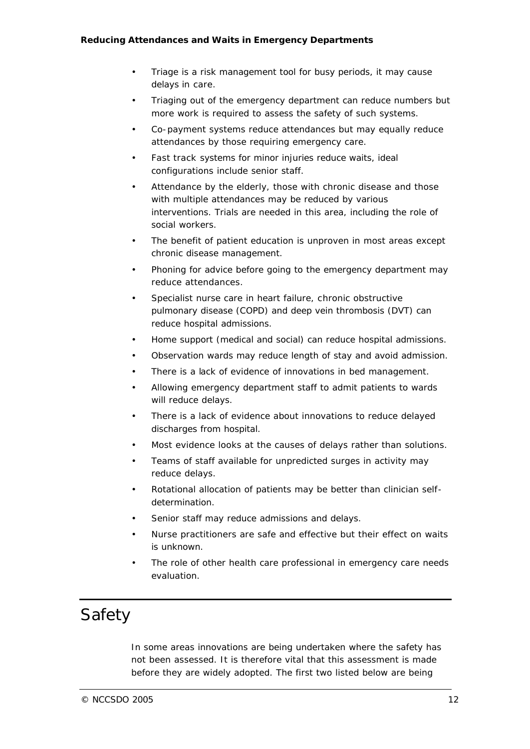- Triage is a risk management tool for busy periods, it may cause delays in care.
- Triaging out of the emergency department can reduce numbers but more work is required to assess the safety of such systems.
- Co-payment systems reduce attendances but may equally reduce attendances by those requiring emergency care.
- Fast track systems for minor injuries reduce waits, ideal configurations include senior staff.
- Attendance by the elderly, those with chronic disease and those with multiple attendances may be reduced by various interventions. Trials are needed in this area, including the role of social workers.
- The benefit of patient education is unproven in most areas except chronic disease management.
- Phoning for advice before going to the emergency department may reduce attendances.
- Specialist nurse care in heart failure, chronic obstructive pulmonary disease (COPD) and deep vein thrombosis (DVT) can reduce hospital admissions.
- Home support (medical and social) can reduce hospital admissions.
- Observation wards may reduce length of stay and avoid admission.
- There is a lack of evidence of innovations in bed management.
- Allowing emergency department staff to admit patients to wards will reduce delays.
- There is a lack of evidence about innovations to reduce delayed discharges from hospital.
- Most evidence looks at the causes of delays rather than solutions.
- Teams of staff available for unpredicted surges in activity may reduce delays.
- Rotational allocation of patients may be better than clinician selfdetermination.
- Senior staff may reduce admissions and delays.
- Nurse practitioners are safe and effective but their effect on waits is unknown.
- The role of other health care professional in emergency care needs evaluation.

# Safety

In some areas innovations are being undertaken where the safety has not been assessed. It is therefore vital that this assessment is made before they are widely adopted. The first two listed below are being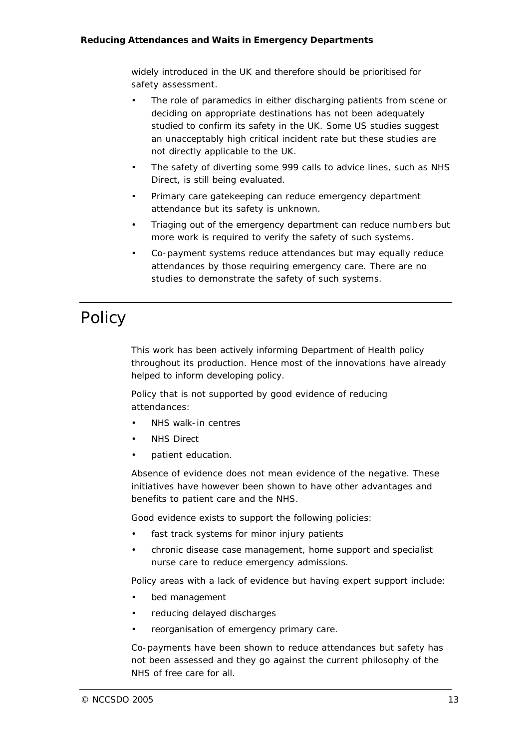#### *Reducing Attendances and Waits in Emergency Departments*

widely introduced in the UK and therefore should be prioritised for safety assessment.

- The role of paramedics in either discharging patients from scene or deciding on appropriate destinations has not been adequately studied to confirm its safety in the UK. Some US studies suggest an unacceptably high critical incident rate but these studies are not directly applicable to the UK.
- The safety of diverting some 999 calls to advice lines, such as NHS Direct, is still being evaluated.
- Primary care gatekeeping can reduce emergency department attendance but its safety is unknown.
- Triaging out of the emergency department can reduce numbers but more work is required to verify the safety of such systems.
- Co-payment systems reduce attendances but may equally reduce attendances by those requiring emergency care. There are no studies to demonstrate the safety of such systems.

# Policy

This work has been actively informing Department of Health policy throughout its production. Hence most of the innovations have already helped to inform developing policy.

Policy that is not supported by good evidence of reducing attendances:

- NHS walk-in centres
- **NHS Direct**
- patient education.

Absence of evidence does not mean evidence of the negative. These initiatives have however been shown to have other advantages and benefits to patient care and the NHS.

Good evidence exists to support the following policies:

- fast track systems for minor injury patients
- chronic disease case management, home support and specialist nurse care to reduce emergency admissions.

Policy areas with a lack of evidence but having expert support include:

- bed management
- reducing delayed discharges
- reorganisation of emergency primary care.

Co-payments have been shown to reduce attendances but safety has not been assessed and they go against the current philosophy of the NHS of free care for all.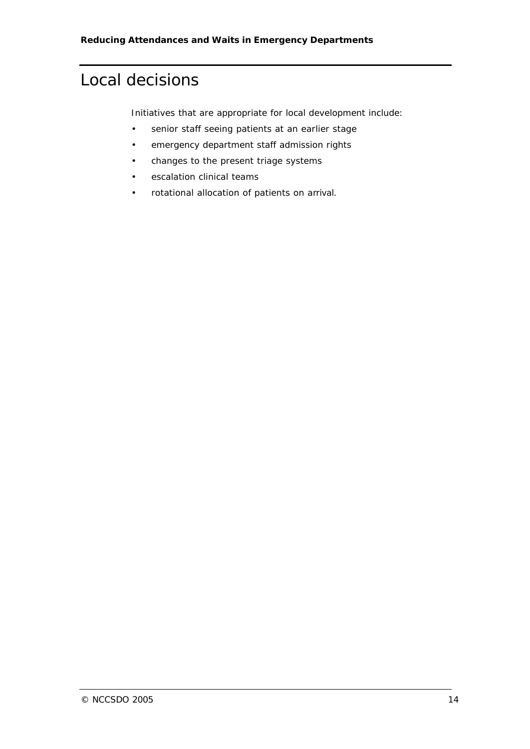# Local decisions

Initiatives that are appropriate for local development include:

- senior staff seeing patients at an earlier stage
- emergency department staff admission rights
- changes to the present triage systems
- escalation clinical teams
- rotational allocation of patients on arrival.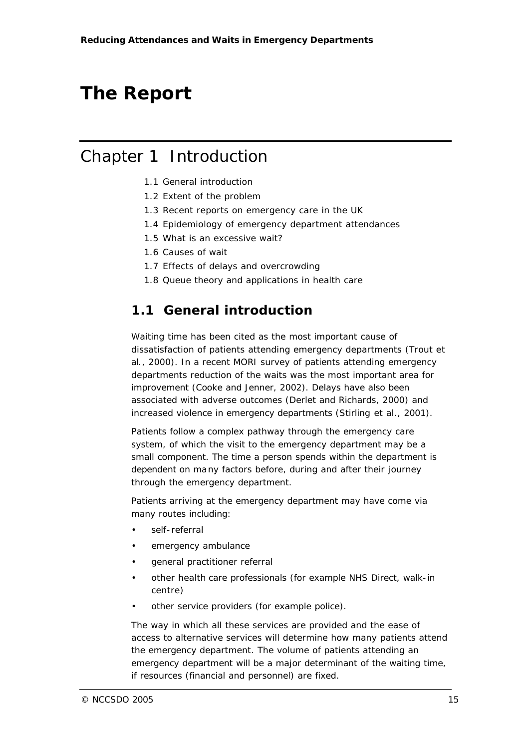# *The Report*

## Chapter 1 Introduction

- *1.1 General introduction*
- *1.2 Extent of the problem*
- *1.3 Recent reports on emergency care in the UK*
- *1.4 Epidemiology of emergency department attendances*
- *1.5 What is an excessive wait?*
- *1.6 Causes of wait*
- *1.7 Effects of delays and overcrowding*
- *1.8 Queue theory and applications in health care*

## *1.1 General introduction*

Waiting time has been cited as the most important cause of dissatisfaction of patients attending emergency departments (Trout *et al.*, 2000). In a recent MORI survey of patients attending emergency departments reduction of the waits was the most important area for improvement (Cooke and Jenner, 2002). Delays have also been associated with adverse outcomes (Derlet and Richards, 2000) and increased violence in emergency departments (Stirling *et al.,* 2001).

Patients follow a complex pathway through the emergency care system, of which the visit to the emergency department may be a small component. The time a person spends within the department is dependent on many factors before, during and after their journey through the emergency department.

Patients arriving at the emergency department may have come via many routes including:

- self-referral
- emergency ambulance
- general practitioner referral
- other health care professionals (for example NHS Direct, walk-in centre)
- other service providers (for example police).

The way in which all these services are provided and the ease of access to alternative services will determine how many patients attend the emergency department. The volume of patients attending an emergency department will be a major determinant of the waiting time, if resources (financial and personnel) are fixed.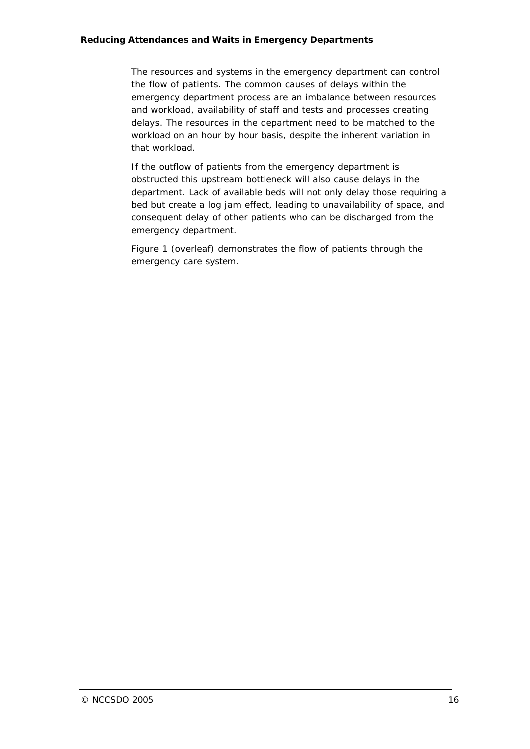#### *Reducing Attendances and Waits in Emergency Departments*

The resources and systems in the emergency department can control the flow of patients. The common causes of delays within the emergency department process are an imbalance between resources and workload, availability of staff and tests and processes creating delays. The resources in the department need to be matched to the workload on an hour by hour basis, despite the inherent variation in that workload.

If the outflow of patients from the emergency department is obstructed this upstream bottleneck will also cause delays in the department. Lack of available beds will not only delay those requiring a bed but create a log jam effect, leading to unavailability of space, and consequent delay of other patients who can be discharged from the emergency department.

Figure 1 (overleaf) demonstrates the flow of patients through the emergency care system.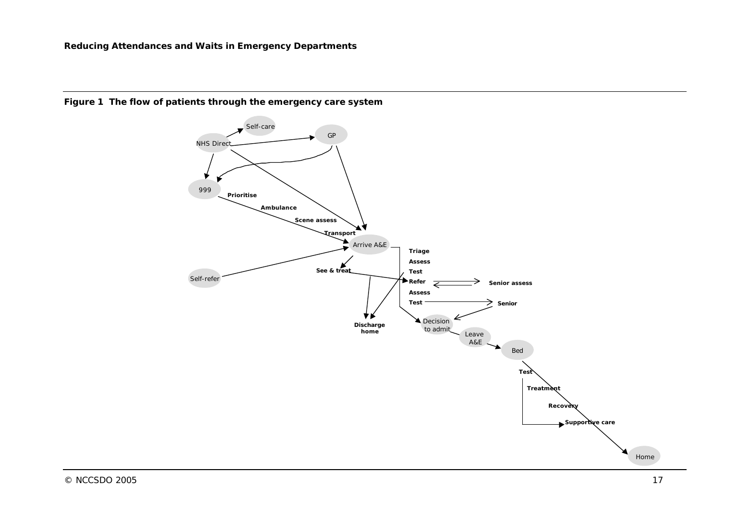

**Figure 1 The flow of patients through the emergency care system**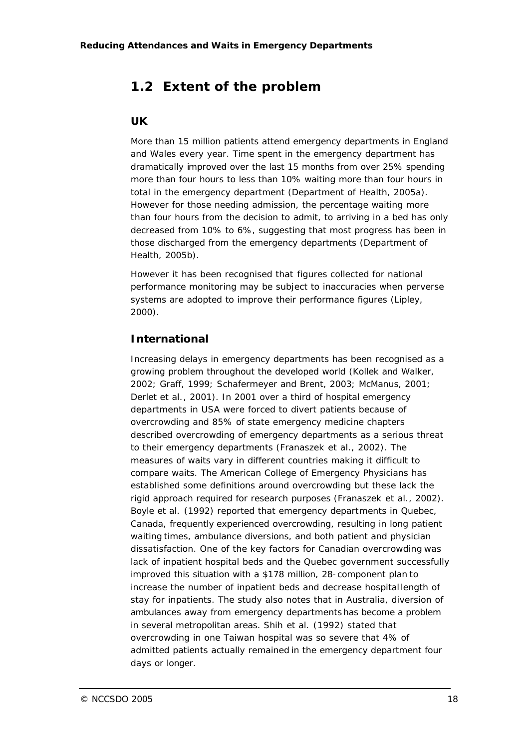## *1.2 Extent of the problem*

#### **UK**

More than 15 million patients attend emergency departments in England and Wales every year. Time spent in the emergency department has dramatically improved over the last 15 months from over 25% spending more than four hours to less than 10% waiting more than four hours in total in the emergency department (Department of Health, 2005a). However for those needing admission, the percentage waiting more than four hours from the decision to admit, to arriving in a bed has only decreased from 10% to 6%, suggesting that most progress has been in those discharged from the emergency departments (Department of Health, 2005b).

However it has been recognised that figures collected for national performance monitoring may be subject to inaccuracies when perverse systems are adopted to improve their performance figures (Lipley, 2000).

### **International**

Increasing delays in emergency departments has been recognised as a growing problem throughout the developed world (Kollek and Walker, 2002; Graff, 1999; Schafermeyer and Brent, 2003; McManus, 2001; Derlet *et al.*, 2001). In 2001 over a third of hospital emergency departments in USA were forced to divert patients because of overcrowding and 85% of state emergency medicine chapters described overcrowding of emergency departments as a serious threat to their emergency departments (Franaszek *et al.,* 2002). The measures of waits vary in different countries making it difficult to compare waits. The American College of Emergency Physicians has established some definitions around overcrowding but these lack the rigid approach required for research purposes (Franaszek *et al.,* 2002). Boyle *et al.* (1992) reported that emergency departments in Quebec, Canada, frequently experienced overcrowding, resulting in long patient waiting times, ambulance diversions, and both patient and physician dissatisfaction. One of the key factors for Canadian overcrowding was lack of inpatient hospital beds and the Quebec government successfully improved this situation with a \$178 million, 28-component plan to increase the number of inpatient beds and decrease hospital length of stay for inpatients. The study also notes that in Australia, diversion of ambulances away from emergency departmentshas become a problem in several metropolitan areas. Shih *et al.* (1992) stated that overcrowding in one Taiwan hospital was so severe that 4% of admitted patients actually remained in the emergency department four days or longer.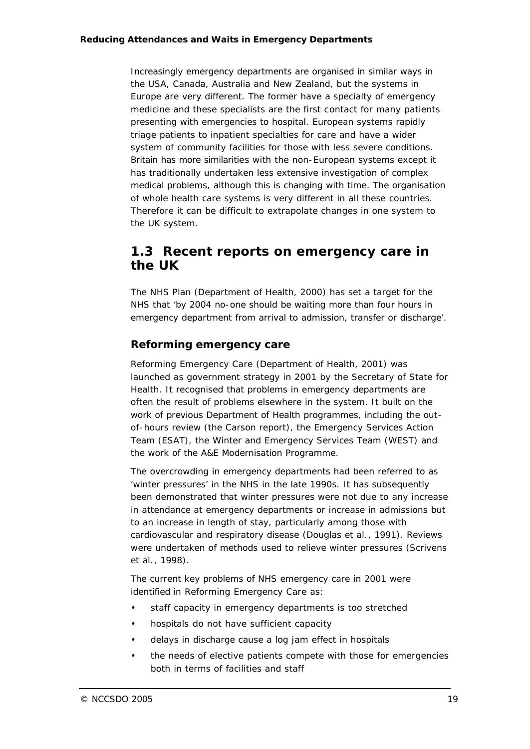Increasingly emergency departments are organised in similar ways in the USA, Canada, Australia and New Zealand, but the systems in Europe are very different. The former have a specialty of emergency medicine and these specialists are the first contact for many patients presenting with emergencies to hospital. European systems rapidly triage patients to inpatient specialties for care and have a wider system of community facilities for those with less severe conditions. Britain has more similarities with the non-European systems except it has traditionally undertaken less extensive investigation of complex medical problems, although this is changing with time. The organisation of whole health care systems is very different in all these countries. Therefore it can be difficult to extrapolate changes in one system to the UK system.

### *1.3 Recent reports on emergency care in the UK*

The NHS Plan (Department of Health, 2000) has set a target for the NHS that 'by 2004 no-one should be waiting more than four hours in emergency department from arrival to admission, transfer or discharge'.

#### **Reforming emergency care**

*Reforming Emergency Care* (Department of Health, 2001) was launched as government strategy in 2001 by the Secretary of State for Health. It recognised that problems in emergency departments are often the result of problems elsewhere in the system. It built on the work of previous Department of Health programmes, including the outof-hours review (the Carson report), the Emergency Services Action Team (ESAT), the Winter and Emergency Services Team (WEST) and the work of the A&E Modernisation Programme.

The overcrowding in emergency departments had been referred to as 'winter pressures' in the NHS in the late 1990s. It has subsequently been demonstrated that winter pressures were not due to any increase in attendance at emergency departments or increase in admissions but to an increase in length of stay, particularly among those with cardiovascular and respiratory disease (Douglas *et al.*, 1991). Reviews were undertaken of methods used to relieve winter pressures (Scrivens *et al.*, 1998).

The current key problems of NHS emergency care in 2001 were identified in *Reforming Emergency Care* as:

- staff capacity in emergency departments is too stretched
- hospitals do not have sufficient capacity
- delays in discharge cause a log jam effect in hospitals
- the needs of elective patients compete with those for emergencies both in terms of facilities and staff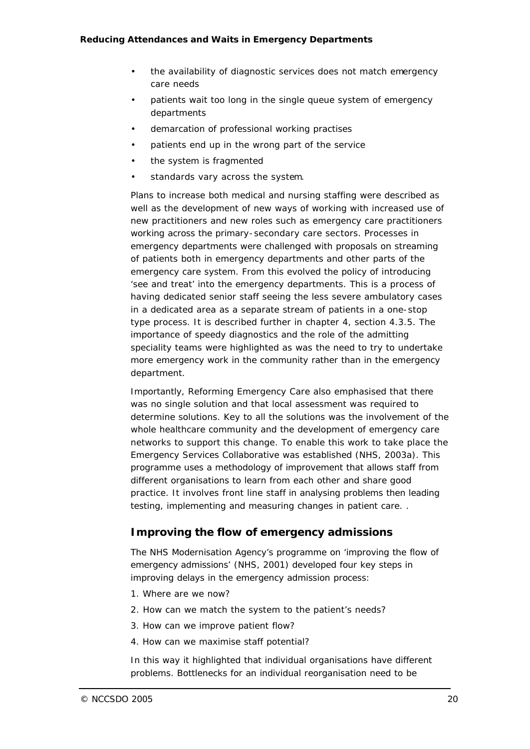- the availability of diagnostic services does not match emergency care needs
- patients wait too long in the single queue system of emergency departments
- demarcation of professional working practises
- patients end up in the wrong part of the service
- the system is fragmented
- standards vary across the system.

Plans to increase both medical and nursing staffing were described as well as the development of new ways of working with increased use of new practitioners and new roles such as emergency care practitioners working across the primary-secondary care sectors. Processes in emergency departments were challenged with proposals on streaming of patients both in emergency departments and other parts of the emergency care system. From this evolved the policy of introducing 'see and treat' into the emergency departments. This is a process of having dedicated senior staff seeing the less severe ambulatory cases in a dedicated area as a separate stream of patients in a one-stop type process. It is described further in chapter 4, section 4.3.5. The importance of speedy diagnostics and the role of the admitting speciality teams were highlighted as was the need to try to undertake more emergency work in the community rather than in the emergency department.

Importantly, *Reforming Emergency Care* also emphasised that there was no single solution and that local assessment was required to determine solutions. Key to all the solutions was the involvement of the whole healthcare community and the development of emergency care networks to support this change. To enable this work to take place the Emergency Services Collaborative was established (NHS, 2003a). This programme uses a methodology of improvement that allows staff from different organisations to learn from each other and share good practice. It involves front line staff in analysing problems then leading testing, implementing and measuring changes in patient care. .

#### **Improving the flow of emergency admissions**

The NHS Modernisation Agency's programme on 'improving the flow of emergency admissions' (NHS, 2001) developed four key steps in improving delays in the emergency admission process:

- 1. Where are we now?
- 2. How can we match the system to the patient's needs?
- 3. How can we improve patient flow?
- 4. How can we maximise staff potential?

In this way it highlighted that individual organisations have different problems. Bottlenecks for an individual reorganisation need to be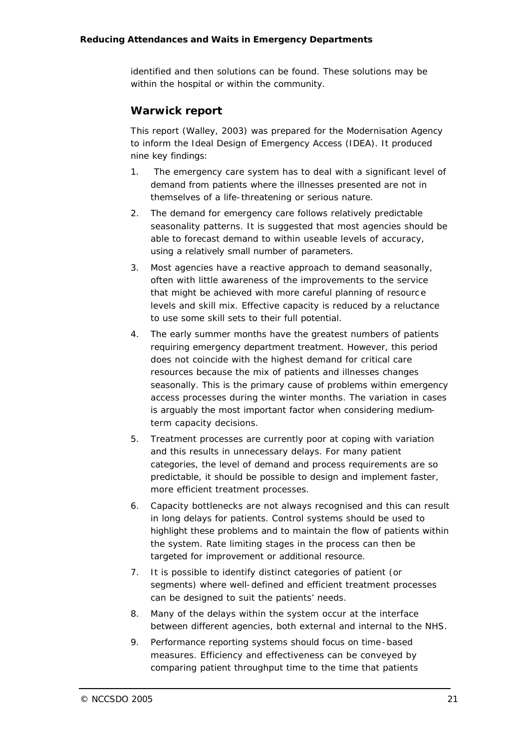identified and then solutions can be found. These solutions may be within the hospital or within the community.

#### **Warwick report**

This report (Walley, 2003) was prepared for the Modernisation Agency to inform the Ideal Design of Emergency Access (IDEA). It produced nine key findings:

- 1. The emergency care system has to deal with a significant level of demand from patients where the illnesses presented are not in themselves of a life-threatening or serious nature.
- 2. The demand for emergency care follows relatively predictable seasonality patterns. It is suggested that most agencies should be able to forecast demand to within useable levels of accuracy, using a relatively small number of parameters.
- 3. Most agencies have a reactive approach to demand seasonally, often with little awareness of the improvements to the service that might be achieved with more careful planning of resourc e levels and skill mix. Effective capacity is reduced by a reluctance to use some skill sets to their full potential.
- 4. The early summer months have the greatest numbers of patients requiring emergency department treatment. However, this period does not coincide with the highest demand for critical care resources because the mix of patients and illnesses changes seasonally. This is the primary cause of problems within emergency access processes during the winter months. The variation in cases is arguably the most important factor when considering mediumterm capacity decisions.
- 5. Treatment processes are currently poor at coping with variation and this results in unnecessary delays. For many patient categories, the level of demand and process requirements are so predictable, it should be possible to design and implement faster, more efficient treatment processes.
- 6. Capacity bottlenecks are not always recognised and this can result in long delays for patients. Control systems should be used to highlight these problems and to maintain the flow of patients within the system. Rate limiting stages in the process can then be targeted for improvement or additional resource.
- 7. It is possible to identify distinct categories of patient (or segments) where well-defined and efficient treatment processes can be designed to suit the patients' needs.
- 8. Many of the delays within the system occur at the interface between different agencies, both external and internal to the NHS.
- 9. Performance reporting systems should focus on time-based measures. Efficiency and effectiveness can be conveyed by comparing patient throughput time to the time that patients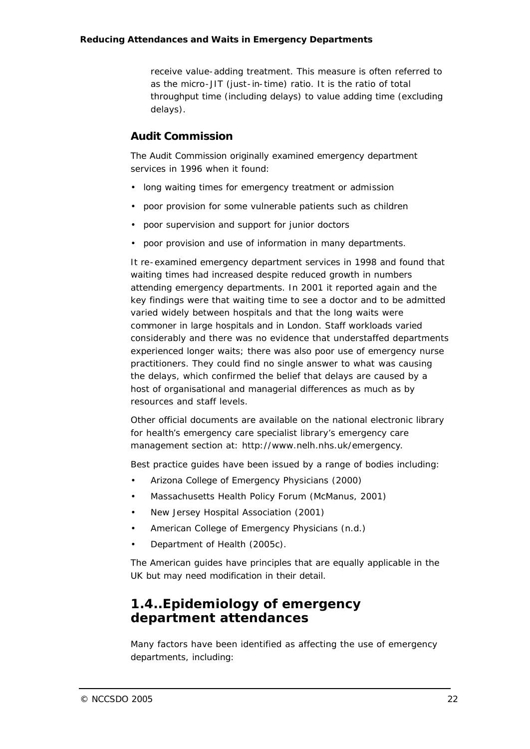receive value-adding treatment. This measure is often referred to as the micro-JIT (just-in-time) ratio. It is the ratio of total throughput time (including delays) to value adding time (excluding delays).

#### **Audit Commission**

The Audit Commission originally examined emergency department services in 1996 when it found:

- long waiting times for emergency treatment or admission
- poor provision for some vulnerable patients such as children
- poor supervision and support for junior doctors
- poor provision and use of information in many departments.

It re-examined emergency department services in 1998 and found that waiting times had increased despite reduced growth in numbers attending emergency departments. In 2001 it reported again and the key findings were that waiting time to see a doctor and to be admitted varied widely between hospitals and that the long waits were commoner in large hospitals and in London. Staff workloads varied considerably and there was no evidence that understaffed departments experienced longer waits; there was also poor use of emergency nurse practitioners. They could find no single answer to what was causing the delays, which confirmed the belief that delays are caused by a host of organisational and managerial differences as much as by resources and staff levels.

Other official documents are available on the national electronic library for health's emergency care specialist library's emergency care management section at: http://www.nelh.nhs.uk/emergency.

Best practice guides have been issued by a range of bodies including:

- Arizona College of Emergency Physicians (2000)
- Massachusetts Health Policy Forum (McManus, 2001)
- New Jersey Hospital Association (2001)
- American College of Emergency Physicians (n.d.)
- Department of Health (2005c).

The American guides have principles that are equally applicable in the UK but may need modification in their detail.

## *1.4..Epidemiology of emergency department attendances*

Many factors have been identified as affecting the use of emergency departments, including: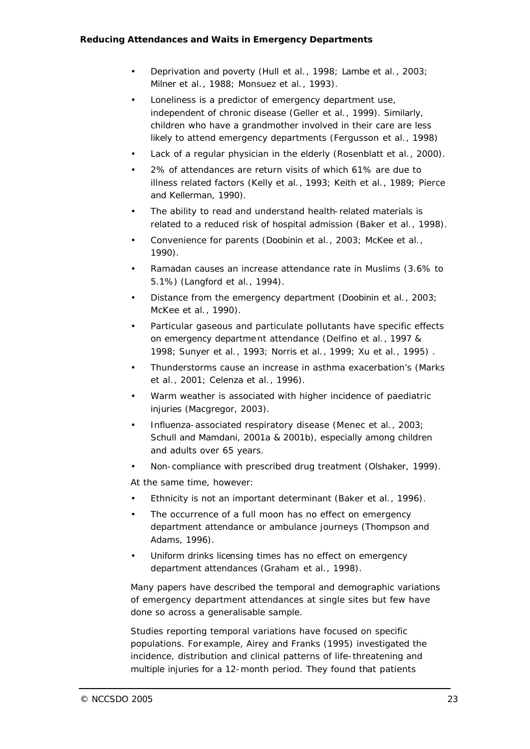- Deprivation and poverty (Hull *et al.*, 1998; Lambe *et al.*, 2003; Milner *et al.*, 1988; Monsuez *et al.*, 1993).
- Loneliness is a predictor of emergency department use, independent of chronic disease (Geller *et al.*, 1999). Similarly, children who have a grandmother involved in their care are less likely to attend emergency departments (Fergusson *et al.*, 1998)
- Lack of a regular physician in the elderly (Rosenblatt *et al.*, 2000).
- 2% of attendances are return visits of which 61% are due to illness related factors (Kelly *et al.*, 1993; Keith *et al.*, 1989; Pierce and Kellerman, 1990).
- The ability to read and understand health-related materials is related to a reduced risk of hospital admission (Baker *et al.*, 1998).
- Convenience for parents (Doobinin *et al.*, 2003; McKee *et al.*, 1990).
- Ramadan causes an increase attendance rate in Muslims (3.6% to 5.1%) (Langford *et al.*, 1994).
- Distance from the emergency department (Doobinin *et al.*, 2003; McKee *et al.*, 1990).
- Particular gaseous and particulate pollutants have specific effects on emergency department attendance (Delfino *et al.*, 1997 & 1998; Sunyer *et al.*, 1993; Norris *et al.*, 1999; Xu *et al.*, 1995) .
- Thunderstorms cause an increase in asthma exacerbation's (Marks *et al.*, 2001; Celenza *et al.*, 1996).
- Warm weather is associated with higher incidence of paediatric injuries (Macgregor, 2003).
- Influenza-associated respiratory disease (Menec *et al.*, 2003; Schull and Mamdani, 2001a & 2001b), especially among children and adults over 65 years.
- Non-compliance with prescribed drug treatment (Olshaker, 1999).
- At the same time, however:
- Ethnicity is not an important determinant (Baker *et al.*, 1996).
- The occurrence of a full moon has no effect on emergency department attendance or ambulance journeys (Thompson and Adams, 1996).
- Uniform drinks licensing times has no effect on emergency department attendances (Graham *et al.*, 1998).

Many papers have described the temporal and demographic variations of emergency department attendances at single sites but few have done so across a generalisable sample.

Studies reporting temporal variations have focused on specific populations. For example, Airey and Franks (1995) investigated the incidence, distribution and clinical patterns of life-threatening and multiple injuries for a 12-month period. They found that patients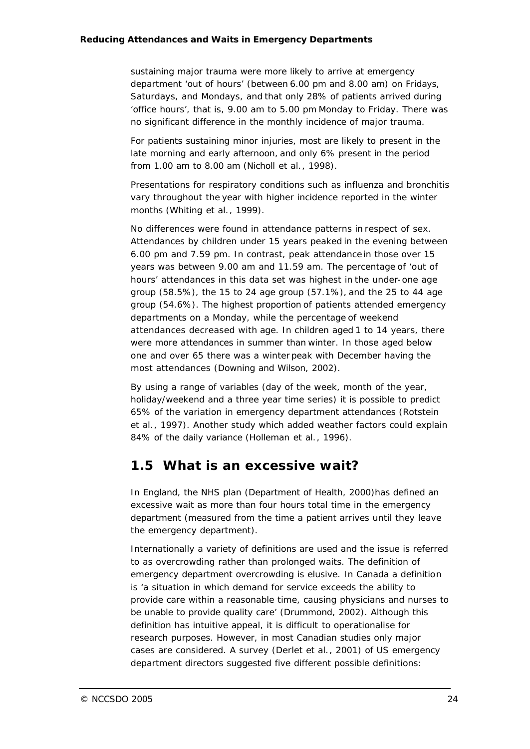#### *Reducing Attendances and Waits in Emergency Departments*

sustaining major trauma were more likely to arrive at emergency department 'out of hours' (between 6.00 pm and 8.00 am) on Fridays, Saturdays, and Mondays, and that only 28% of patients arrived during 'office hours', that is, 9.00 am to 5.00 pm Monday to Friday. There was no significant difference in the monthly incidence of major trauma.

For patients sustaining minor injuries, most are likely to present in the late morning and early afternoon, and only 6% present in the period from 1.00 am to 8.00 am (Nicholl *et al.*, 1998).

Presentations for respiratory conditions such as influenza and bronchitis vary throughout the year with higher incidence reported in the winter months (Whiting *et al.*, 1999).

No differences were found in attendance patterns in respect of sex. Attendances by children under 15 years peaked in the evening between 6.00 pm and 7.59 pm. In contrast, peak attendance in those over 15 years was between 9.00 am and 11.59 am. The percentage of 'out of hours' attendances in this data set was highest in the under-one age group (58.5%), the 15 to 24 age group (57.1%), and the 25 to 44 age group (54.6%). The highest proportion of patients attended emergency departments on a Monday, while the percentage of weekend attendances decreased with age. In children aged 1 to 14 years, there were more attendances in summer than winter. In those aged below one and over 65 there was a winter peak with December having the most attendances (Downing and Wilson, 2002).

By using a range of variables (day of the week, month of the year, holiday/weekend and a three year time series) it is possible to predict 65% of the variation in emergency department attendances (Rotstein *et al.*, 1997). Another study which added weather factors could explain 84% of the daily variance (Holleman *et al.*, 1996).

### *1.5 What is an excessive wait?*

In England, the NHS plan (Department of Health, 2000)has defined an excessive wait as more than four hours total time in the emergency department (measured from the time a patient arrives until they leave the emergency department).

Internationally a variety of definitions are used and the issue is referred to as overcrowding rather than prolonged waits. The definition of emergency department overcrowding is elusive. In Canada a definition is 'a situation in which demand for service exceeds the ability to provide care within a reasonable time, causing physicians and nurses to be unable to provide quality care' (Drummond, 2002). Although this definition has intuitive appeal, it is difficult to operationalise for research purposes. However, in most Canadian studies only major cases are considered. A survey (Derlet *et al.*, 2001) of US emergency department directors suggested five different possible definitions: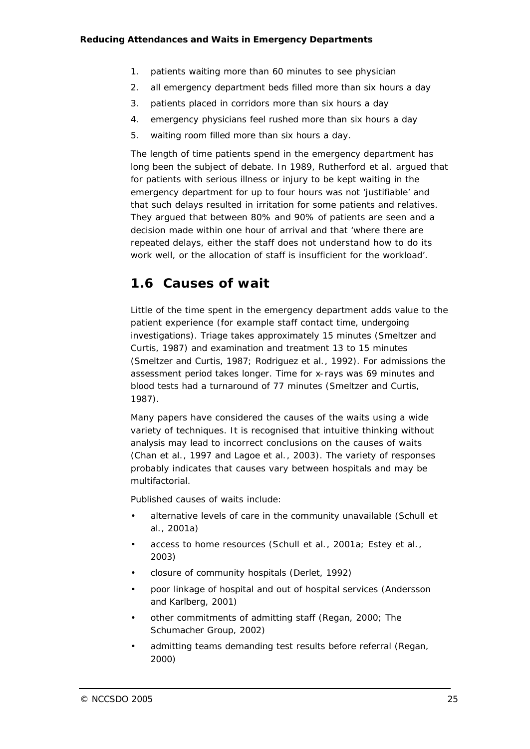- 1. patients waiting more than 60 minutes to see physician
- 2. all emergency department beds filled more than six hours a day
- 3. patients placed in corridors more than six hours a day
- 4. emergency physicians feel rushed more than six hours a day
- 5. waiting room filled more than six hours a day.

The length of time patients spend in the emergency department has long been the subject of debate. In 1989, Rutherford *et al.* argued that for patients with serious illness or injury to be kept waiting in the emergency department for up to four hours was not 'justifiable' and that such delays resulted in irritation for some patients and relatives. They argued that between 80% and 90% of patients are seen and a decision made within one hour of arrival and that 'where there are repeated delays, either the staff does not understand how to do its work well, or the allocation of staff is insufficient for the workload'.

## *1.6 Causes of wait*

Little of the time spent in the emergency department adds value to the patient experience (for example staff contact time, undergoing investigations). Triage takes approximately 15 minutes (Smeltzer and Curtis, 1987) and examination and treatment 13 to 15 minutes (Smeltzer and Curtis, 1987; Rodriguez *et al.*, 1992). For admissions the assessment period takes longer. Time for x-rays was 69 minutes and blood tests had a turnaround of 77 minutes (Smeltzer and Curtis, 1987).

Many papers have considered the causes of the waits using a wide variety of techniques. It is recognised that intuitive thinking without analysis may lead to incorrect conclusions on the causes of waits (Chan *et al.*, 1997 and Lagoe *et al.*, 2003). The variety of responses probably indicates that causes vary between hospitals and may be multifactorial.

Published causes of waits include:

- alternative levels of care in the community unavailable (Schull *et al.*, 2001a)
- access to home resources (Schull *et al.*, 2001a; Estey *et al.*, 2003)
- closure of community hospitals (Derlet, 1992)
- poor linkage of hospital and out of hospital services (Andersson and Karlberg, 2001)
- other commitments of admitting staff (Regan, 2000; The Schumacher Group, 2002)
- admitting teams demanding test results before referral (Regan, 2000)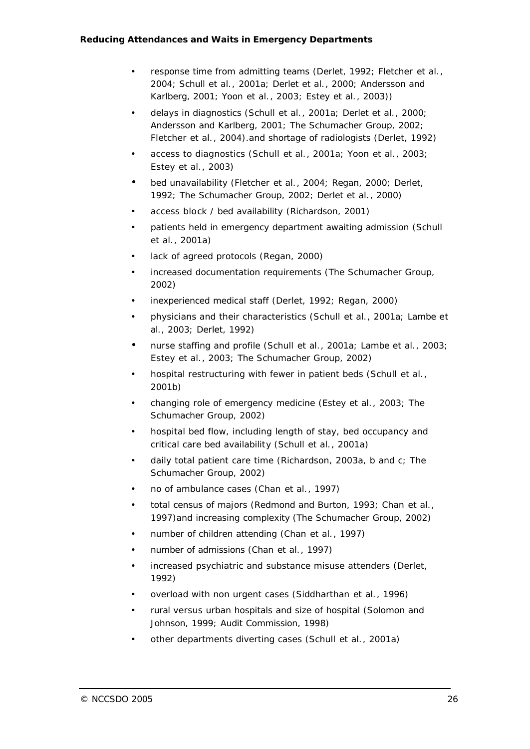- response time from admitting teams (Derlet, 1992; Fletcher *et al.*, 2004; Schull *et al.*, 2001a; Derlet *et al.*, 2000; Andersson and Karlberg, 2001; Yoon *et al.*, 2003; Estey *et al.*, 2003))
- delays in diagnostics (Schull *et al.*, 2001a; Derlet *et al.*, 2000; Andersson and Karlberg, 2001; The Schumacher Group, 2002; Fletcher *et al.*, 2004).and shortage of radiologists (Derlet, 1992)
- access to diagnostics (Schull *et al.*, 2001a; Yoon *et al.*, 2003; Estey *et al.*, 2003)
- bed unavailability (Fletcher *et al.*, 2004; Regan, 2000; Derlet, 1992; The Schumacher Group, 2002; Derlet *et al.*, 2000)
- access block / bed availability (Richardson, 2001)
- patients held in emergency department awaiting admission (Schull *et al.*, 2001a)
- lack of agreed protocols (Regan, 2000)
- increased documentation requirements (The Schumacher Group, 2002)
- inexperienced medical staff (Derlet, 1992; Regan, 2000)
- physicians and their characteristics (Schull *et al.*, 2001a; Lambe *et al.*, 2003; Derlet, 1992)
- nurse staffing and profile (Schull *et al.*, 2001a; Lambe *et al.*, 2003; Estey *et al.*, 2003; The Schumacher Group, 2002)
- hospital restructuring with fewer in patient beds (Schull *et al.*, 2001b)
- changing role of emergency medicine (Estey *et al.*, 2003; The Schumacher Group, 2002)
- hospital bed flow, including length of stay, bed occupancy and critical care bed availability (Schull *et al.*, 2001a)
- daily total patient care time (Richardson, 2003a, b and c; The Schumacher Group, 2002)
- no of ambulance cases (Chan *et al.*, 1997)
- total census of majors (Redmond and Burton, 1993; Chan *et al.*, 1997)and increasing complexity (The Schumacher Group, 2002)
- number of children attending (Chan *et al.*, 1997)
- number of admissions (Chan *et al.*, 1997)
- increased psychiatric and substance misuse attenders (Derlet, 1992)
- overload with non urgent cases (Siddharthan *et al.*, 1996)
- rural *versus* urban hospitals and size of hospital (Solomon and Johnson, 1999; Audit Commission, 1998)
- other departments diverting cases (Schull *et al.*, 2001a)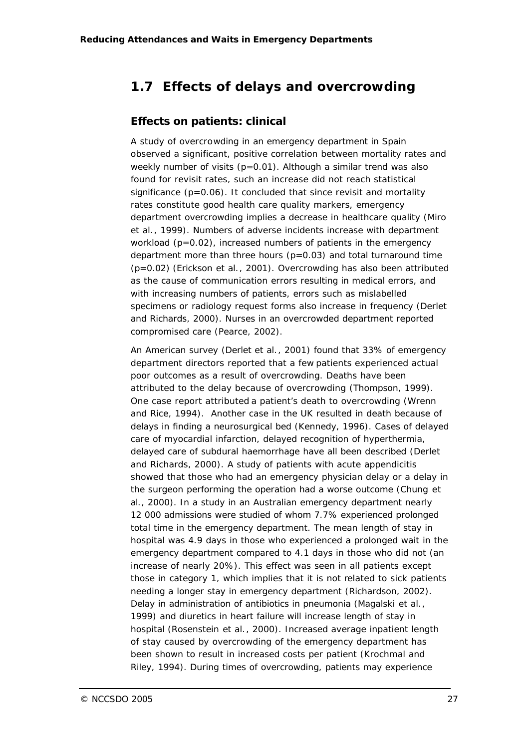## *1.7 Effects of delays and overcrowding*

#### **Effects on patients: clinical**

A study of overcrowding in an emergency department in Spain observed a significant, positive correlation between mortality rates and weekly number of visits  $(p=0.01)$ . Although a similar trend was also found for revisit rates, such an increase did not reach statistical significance  $(p=0.06)$ . It concluded that since revisit and mortality rates constitute good health care quality markers, emergency department overcrowding implies a decrease in healthcare quality (Miro *et al.*, 1999). Numbers of adverse incidents increase with department workload  $(p=0.02)$ , increased numbers of patients in the emergency department more than three hours  $(p=0.03)$  and total turnaround time (p=0.02) (Erickson *et al.*, 2001). Overcrowding has also been attributed as the cause of communication errors resulting in medical errors, and with increasing numbers of patients, errors such as mislabelled specimens or radiology request forms also increase in frequency (Derlet and Richards, 2000). Nurses in an overcrowded department reported compromised care (Pearce, 2002).

An American survey (Derlet *et al.*, 2001) found that 33% of emergency department directors reported that a few patients experienced actual poor outcomes as a result of overcrowding. Deaths have been attributed to the delay because of overcrowding (Thompson, 1999). One case report attributed a patient's death to overcrowding (Wrenn and Rice, 1994). Another case in the UK resulted in death because of delays in finding a neurosurgical bed (Kennedy, 1996). Cases of delayed care of myocardial infarction, delayed recognition of hyperthermia, delayed care of subdural haemorrhage have all been described (Derlet and Richards, 2000). A study of patients with acute appendicitis showed that those who had an emergency physician delay or a delay in the surgeon performing the operation had a worse outcome (Chung *et al.*, 2000). In a study in an Australian emergency department nearly 12 000 admissions were studied of whom 7.7% experienced prolonged total time in the emergency department. The mean length of stay in hospital was 4.9 days in those who experienced a prolonged wait in the emergency department compared to 4.1 days in those who did not (an increase of nearly 20%). This effect was seen in all patients except those in category 1, which implies that it is not related to sick patients needing a longer stay in emergency department (Richardson, 2002). Delay in administration of antibiotics in pneumonia (Magalski *et al.*, 1999) and diuretics in heart failure will increase length of stay in hospital (Rosenstein *et al.*, 2000). Increased average inpatient length of stay caused by overcrowding of the emergency department has been shown to result in increased costs per patient (Krochmal and Riley, 1994). During times of overcrowding, patients may experience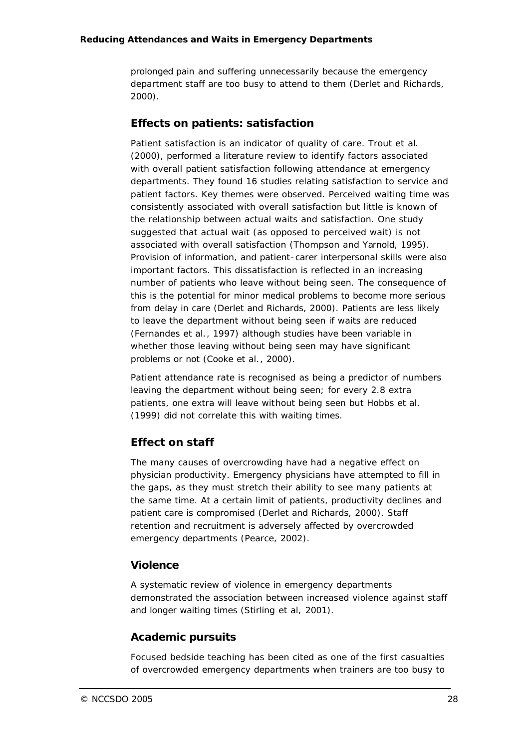prolonged pain and suffering unnecessarily because the emergency department staff are too busy to attend to them (Derlet and Richards, 2000).

#### **Effects on patients: satisfaction**

Patient satisfaction is an indicator of quality of care. Trout *et al*. (2000), performed a literature review to identify factors associated with overall patient satisfaction following attendance at emergency departments. They found 16 studies relating satisfaction to service and patient factors. Key themes were observed. Perceived waiting time was consistently associated with overall satisfaction but little is known of the relationship between actual waits and satisfaction. One study suggested that actual wait (as opposed to perceived wait) is not associated with overall satisfaction (Thompson and Yarnold, 1995). Provision of information, and patient-carer interpersonal skills were also important factors. This dissatisfaction is reflected in an increasing number of patients who leave without being seen. The consequence of this is the potential for minor medical problems to become more serious from delay in care (Derlet and Richards, 2000). Patients are less likely to leave the department without being seen if waits are reduced (Fernandes *et al.*, 1997) although studies have been variable in whether those leaving without being seen may have significant problems or not (Cooke *et al.*, 2000).

Patient attendance rate is recognised as being a predictor of numbers leaving the department without being seen; for every 2.8 extra patients, one extra will leave without being seen but Hobbs *et al.* (1999) did not correlate this with waiting times.

### **Effect on staff**

The many causes of overcrowding have had a negative effect on physician productivity. Emergency physicians have attempted to fill in the gaps, as they must stretch their ability to see many patients at the same time. At a certain limit of patients, productivity declines and patient care is compromised (Derlet and Richards, 2000). Staff retention and recruitment is adversely affected by overcrowded emergency departments (Pearce, 2002).

#### **Violence**

A systematic review of violence in emergency departments demonstrated the association between increased violence against staff and longer waiting times (Stirling *et al,* 2001).

#### **Academic pursuits**

Focused bedside teaching has been cited as one of the first casualties of overcrowded emergency departments when trainers are too busy to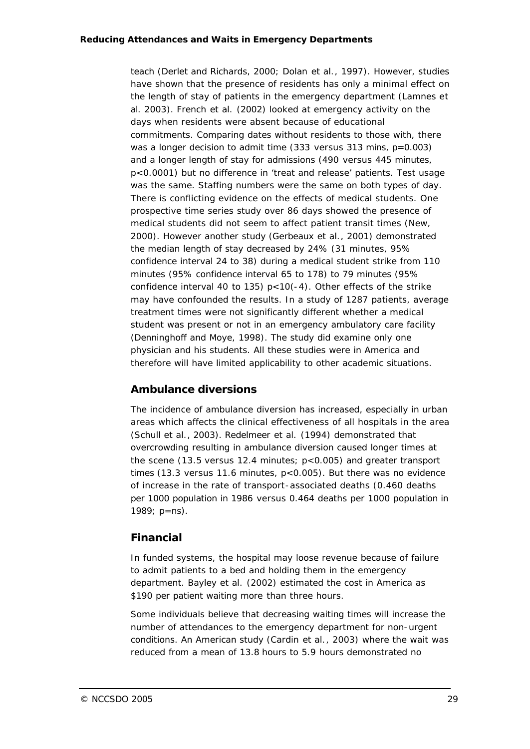teach (Derlet and Richards, 2000; Dolan *et al.*, 1997). However, studies have shown that the presence of residents has only a minimal effect on the length of stay of patients in the emergency department (Lamnes *et al.* 2003). French *et al.* (2002) looked at emergency activity on the days when residents were absent because of educational commitments. Comparing dates without residents to those with, there was a longer decision to admit time (333 *versus* 313 mins, p=0.003) and a longer length of stay for admissions (490 *versus* 445 minutes, p<0.0001) but no difference in 'treat and release' patients. Test usage was the same. Staffing numbers were the same on both types of day. There is conflicting evidence on the effects of medical students. One prospective time series study over 86 days showed the presence of medical students did not seem to affect patient transit times (New, 2000). However another study (Gerbeaux *et al.*, 2001) demonstrated the median length of stay decreased by 24% (31 minutes, 95% confidence interval 24 to 38) during a medical student strike from 110 minutes (95% confidence interval 65 to 178) to 79 minutes (95% confidence interval 40 to 135) p<10(-4). Other effects of the strike may have confounded the results. In a study of 1287 patients, average treatment times were not significantly different whether a medical student was present or not in an emergency ambulatory care facility (Denninghoff and Moye, 1998). The study did examine only one physician and his students. All these studies were in America and therefore will have limited applicability to other academic situations.

#### **Ambulance diversions**

The incidence of ambulance diversion has increased, especially in urban areas which affects the clinical effectiveness of all hospitals in the area (Schull *et al.*, 2003). Redelmeer *et al.* (1994) demonstrated that overcrowding resulting in ambulance diversion caused longer times at the scene (13.5 *versus* 12.4 minutes; p<0.005) and greater transport times (13.3 *versus* 11.6 minutes, p<0.005). But there was no evidence of increase in the rate of transport-associated deaths (0.460 deaths per 1000 population in 1986 *versus* 0.464 deaths per 1000 population in 1989; p=ns).

#### **Financial**

In funded systems, the hospital may loose revenue because of failure to admit patients to a bed and holding them in the emergency department. Bayley *et al.* (2002) estimated the cost in America as \$190 per patient waiting more than three hours.

Some individuals believe that decreasing waiting times will increase the number of attendances to the emergency department for non-urgent conditions. An American study (Cardin *et al.*, 2003) where the wait was reduced from a mean of 13.8 hours to 5.9 hours demonstrated no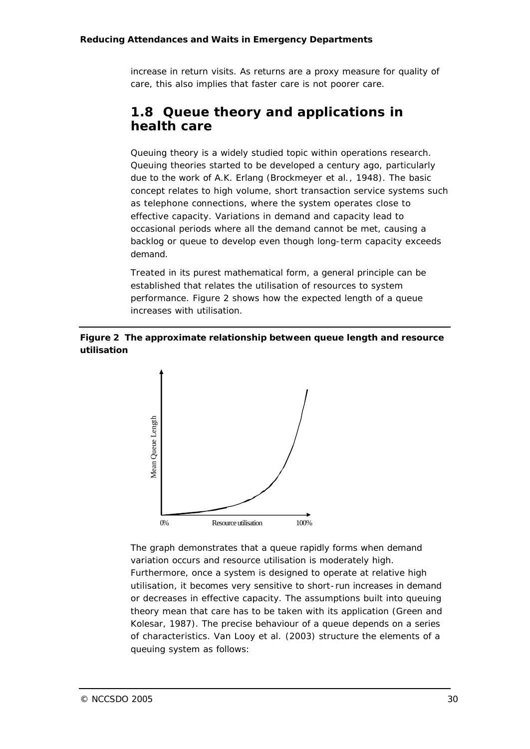increase in return visits. As returns are a proxy measure for quality of care, this also implies that faster care is not poorer care.

## *1.8 Queue theory and applications in health care*

Queuing theory is a widely studied topic within operations research. Queuing theories started to be developed a century ago, particularly due to the work of A.K. Erlang (Brockmeyer *et al.*, 1948). The basic concept relates to high volume, short transaction service systems such as telephone connections, where the system operates close to effective capacity. Variations in demand and capacity lead to occasional periods where all the demand cannot be met, causing a backlog or queue to develop even though long-term capacity exceeds demand.

Treated in its purest mathematical form, a general principle can be established that relates the utilisation of resources to system performance. Figure 2 shows how the expected length of a queue increases with utilisation.

#### **Figure 2 The approximate relationship between queue length and resource utilisation**



The graph demonstrates that a queue rapidly forms when demand variation occurs and resource utilisation is moderately high.

Furthermore, once a system is designed to operate at relative high utilisation, it becomes very sensitive to short-run increases in demand or decreases in effective capacity. The assumptions built into queuing theory mean that care has to be taken with its application (Green and Kolesar, 1987). The precise behaviour of a queue depends on a series of characteristics. Van Looy *et al.* (2003) structure the elements of a queuing system as follows: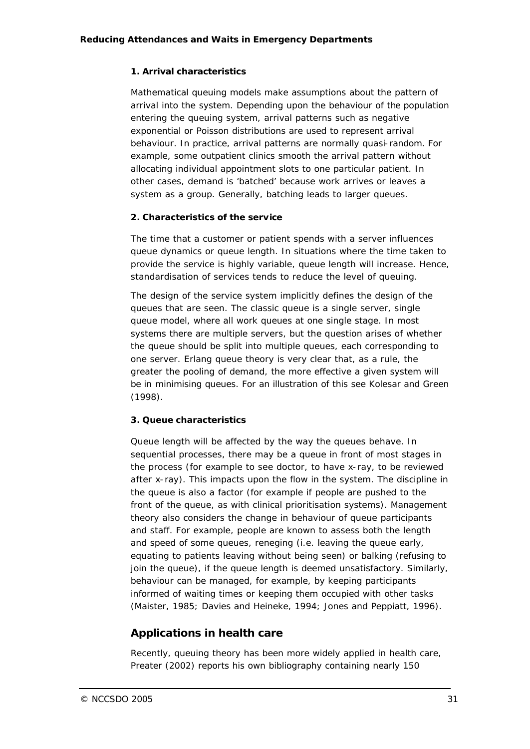#### *1. Arrival characteristics*

Mathematical queuing models make assumptions about the pattern of arrival into the system. Depending upon the behaviour of the population entering the queuing system, arrival patterns such as negative exponential or Poisson distributions are used to represent arrival behaviour. In practice, arrival patterns are normally quasi-random. For example, some outpatient clinics smooth the arrival pattern without allocating individual appointment slots to one particular patient. In other cases, demand is 'batched' because work arrives or leaves a system as a group. Generally, batching leads to larger queues.

#### *2. Characteristics of the service*

The time that a customer or patient spends with a server influences queue dynamics or queue length. In situations where the time taken to provide the service is highly variable, queue length will increase. Hence, standardisation of services tends to reduce the level of queuing.

The design of the service system implicitly defines the design of the queues that are seen. The classic queue is a single server, single queue model, where all work queues at one single stage. In most systems there are multiple servers, but the question arises of whether the queue should be split into multiple queues, each corresponding to one server. Erlang queue theory is very clear that, as a rule, the greater the pooling of demand, the more effective a given system will be in minimising queues. For an illustration of this see Kolesar and Green (1998).

#### *3. Queue characteristics*

Queue length will be affected by the way the queues behave. In sequential processes, there may be a queue in front of most stages in the process (for example to see doctor, to have x-ray, to be reviewed after x-ray). This impacts upon the flow in the system. The discipline in the queue is also a factor (for example if people are pushed to the front of the queue, as with clinical prioritisation systems). Management theory also considers the change in behaviour of queue participants and staff. For example, people are known to assess both the length and speed of some queues, reneging (i.e. leaving the queue early, equating to patients leaving without being seen) or balking (refusing to join the queue), if the queue length is deemed unsatisfactory. Similarly, behaviour can be managed, for example, by keeping participants informed of waiting times or keeping them occupied with other tasks (Maister, 1985; Davies and Heineke, 1994; Jones and Peppiatt, 1996).

#### **Applications in health care**

Recently, queuing theory has been more widely applied in health care, Preater (2002) reports his own bibliography containing nearly 150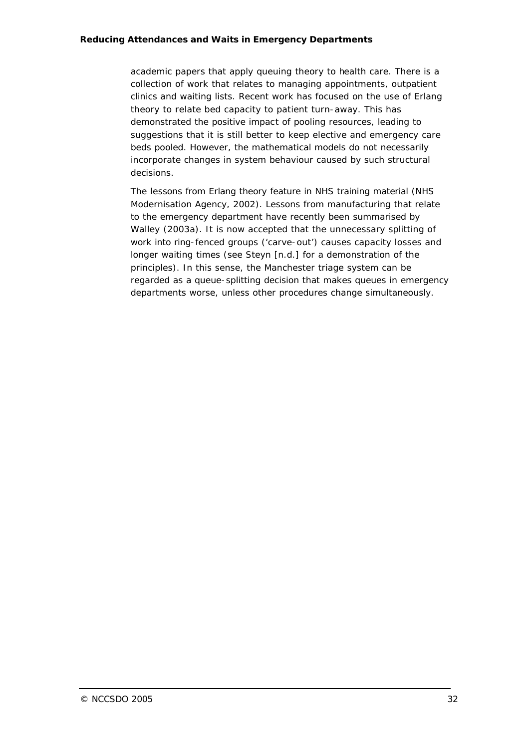#### *Reducing Attendances and Waits in Emergency Departments*

academic papers that apply queuing theory to health care. There is a collection of work that relates to managing appointments, outpatient clinics and waiting lists. Recent work has focused on the use of Erlang theory to relate bed capacity to patient turn-away. This has demonstrated the positive impact of pooling resources, leading to suggestions that it is still better to keep elective and emergency care beds pooled. However, the mathematical models do not necessarily incorporate changes in system behaviour caused by such structural decisions.

The lessons from Erlang theory feature in NHS training material (NHS Modernisation Agency, 2002). Lessons from manufacturing that relate to the emergency department have recently been summarised by Walley (2003a). It is now accepted that the unnecessary splitting of work into ring-fenced groups ('carve-out') causes capacity losses and longer waiting times (see Steyn [n.d.] for a demonstration of the principles). In this sense, the Manchester triage system can be regarded as a queue-splitting decision that makes queues in emergency departments worse, unless other procedures change simultaneously.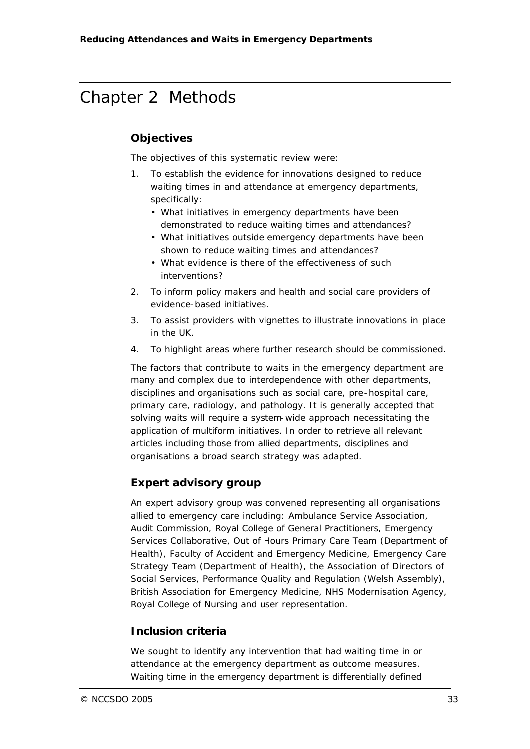# Chapter 2 Methods

### **Objectives**

The objectives of this systematic review were:

- 1. To establish the evidence for innovations designed to reduce waiting times in and attendance at emergency departments, specifically:
	- What initiatives in emergency departments have been demonstrated to reduce waiting times and attendances?
	- What initiatives outside emergency departments have been shown to reduce waiting times and attendances?
	- What evidence is there of the effectiveness of such interventions?
- 2. To inform policy makers and health and social care providers of evidence-based initiatives.
- 3. To assist providers with vignettes to illustrate innovations in place in the UK.
- 4. To highlight areas where further research should be commissioned.

The factors that contribute to waits in the emergency department are many and complex due to interdependence with other departments, disciplines and organisations such as social care, pre-hospital care, primary care, radiology, and pathology. It is generally accepted that solving waits will require a system-wide approach necessitating the application of multiform initiatives. In order to retrieve all relevant articles including those from allied departments, disciplines and organisations a broad search strategy was adapted.

### **Expert advisory group**

An expert advisory group was convened representing all organisations allied to emergency care including: Ambulance Service Association, Audit Commission, Royal College of General Practitioners, Emergency Services Collaborative, Out of Hours Primary Care Team (Department of Health), Faculty of Accident and Emergency Medicine, Emergency Care Strategy Team (Department of Health), the Association of Directors of Social Services, Performance Quality and Regulation (Welsh Assembly), British Association for Emergency Medicine, NHS Modernisation Agency, Royal College of Nursing and user representation.

#### **Inclusion criteria**

We sought to identify any intervention that had waiting time in or attendance at the emergency department as outcome measures. Waiting time in the emergency department is differentially defined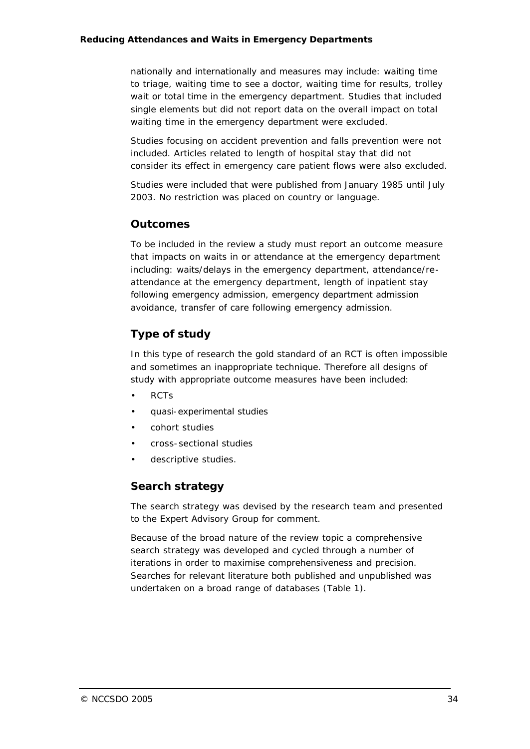nationally and internationally and measures may include: waiting time to triage, waiting time to see a doctor, waiting time for results, trolley wait or total time in the emergency department. Studies that included single elements but did not report data on the overall impact on total waiting time in the emergency department were excluded.

Studies focusing on accident prevention and falls prevention were not included. Articles related to length of hospital stay that did not consider its effect in emergency care patient flows were also excluded.

Studies were included that were published from January 1985 until July 2003. No restriction was placed on country or language.

#### **Outcomes**

To be included in the review a study must report an outcome measure that impacts on waits in or attendance at the emergency department including: waits/delays in the emergency department, attendance/reattendance at the emergency department, length of inpatient stay following emergency admission, emergency department admission avoidance, transfer of care following emergency admission.

### **Type of study**

In this type of research the gold standard of an RCT is often impossible and sometimes an inappropriate technique. Therefore all designs of study with appropriate outcome measures have been included:

- RCTs
- quasi-experimental studies
- cohort studies
- cross-sectional studies
- descriptive studies.

### **Search strategy**

The search strategy was devised by the research team and presented to the Expert Advisory Group for comment.

Because of the broad nature of the review topic a comprehensive search strategy was developed and cycled through a number of iterations in order to maximise comprehensiveness and precision. Searches for relevant literature both published and unpublished was undertaken on a broad range of databases (Table 1).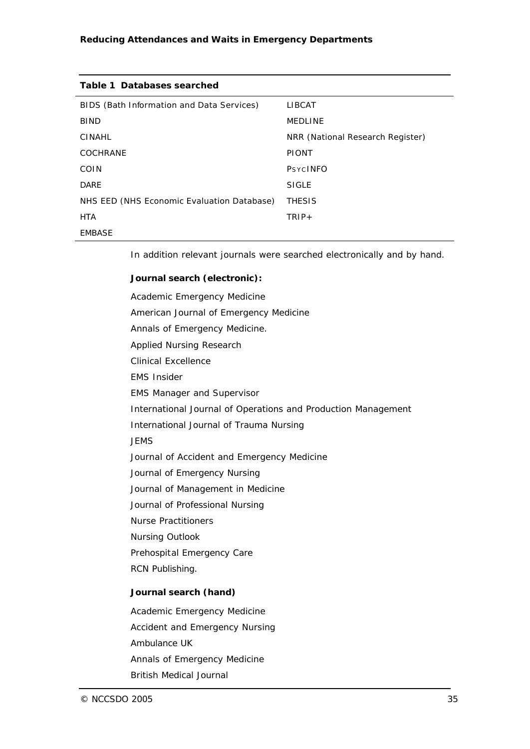| Table 1 Databases searched                 |                                  |
|--------------------------------------------|----------------------------------|
| BIDS (Bath Information and Data Services)  | <b>LIBCAT</b>                    |
| <b>BIND</b>                                | <b>MEDLINE</b>                   |
| CINAHL                                     | NRR (National Research Register) |
| COCHRANE                                   | <b>PIONT</b>                     |
| COIN                                       | PSYCINEO                         |
| <b>DARE</b>                                | <b>SIGLE</b>                     |
| NHS EED (NHS Economic Evaluation Database) | <b>THESIS</b>                    |
| <b>HTA</b>                                 | $TRIP+$                          |
| <b>EMBASE</b>                              |                                  |

In addition relevant journals were searched electronically and by hand.

#### *Journal search (electronic):*

| Academic Emergency Medicine                                   |
|---------------------------------------------------------------|
| American Journal of Emergency Medicine                        |
| Annals of Emergency Medicine.                                 |
| Applied Nursing Research                                      |
| <b>Clinical Excellence</b>                                    |
| <b>EMS Insider</b>                                            |
| <b>EMS Manager and Supervisor</b>                             |
| International Journal of Operations and Production Management |
| International Journal of Trauma Nursing                       |
| <b>JEMS</b>                                                   |
| Journal of Accident and Emergency Medicine                    |
| Journal of Emergency Nursing                                  |
| Journal of Management in Medicine                             |
| Journal of Professional Nursing                               |
| <b>Nurse Practitioners</b>                                    |
| <b>Nursing Outlook</b>                                        |
| Prehospital Emergency Care                                    |
| RCN Publishing.                                               |
| Journal search (hand)                                         |
| Academic Emergency Medicine                                   |
| Accident and Emergency Nursing                                |
| Ambulance UK                                                  |
| Annals of Emergency Medicine                                  |

British Medical Journal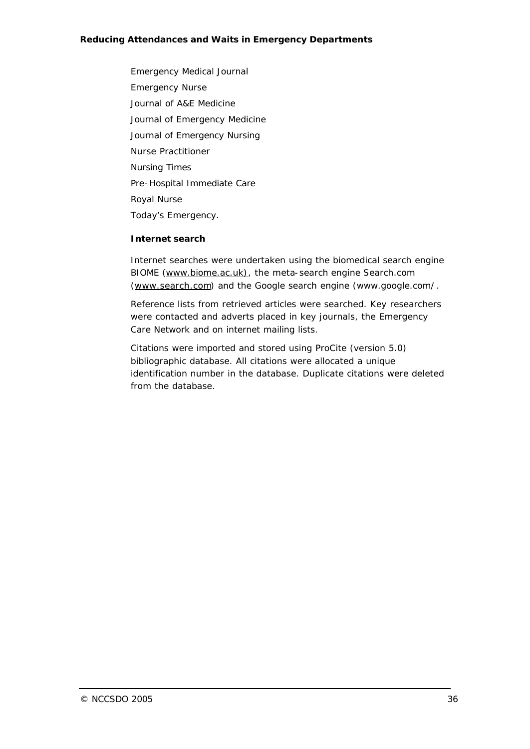Emergency Medical Journal Emergency Nurse Journal of A&E Medicine Journal of Emergency Medicine Journal of Emergency Nursing Nurse Practitioner Nursing Times Pre-Hospital Immediate Care Royal Nurse Today's Emergency.

### *Internet search*

Internet searches were undertaken using the biomedical search engine BIOME (www.biome.ac.uk), the meta-search engine Search.com (www.search.com) and the Google search engine (www.google.com/ .

Reference lists from retrieved articles were searched. Key researchers were contacted and adverts placed in key journals, the Emergency Care Network and on internet mailing lists.

Citations were imported and stored using ProCite (version 5.0) bibliographic database. All citations were allocated a unique identification number in the database. Duplicate citations were deleted from the database.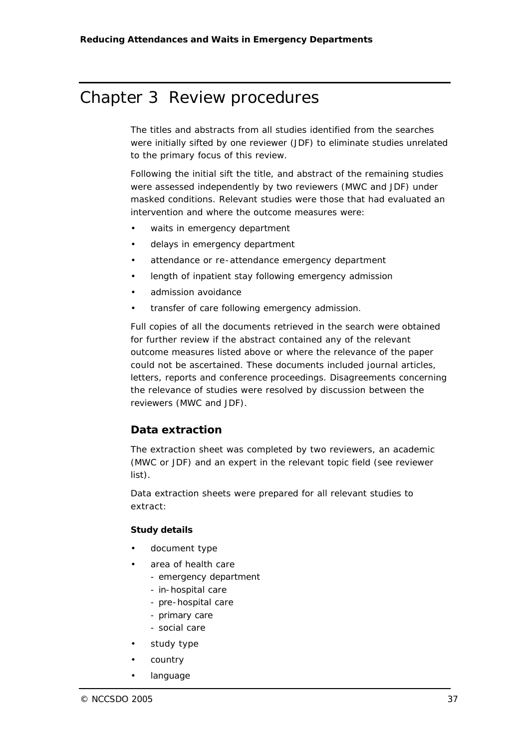# Chapter 3 Review procedures

The titles and abstracts from all studies identified from the searches were initially sifted by one reviewer (JDF) to eliminate studies unrelated to the primary focus of this review.

Following the initial sift the title, and abstract of the remaining studies were assessed independently by two reviewers (MWC and JDF) under masked conditions. Relevant studies were those that had evaluated an intervention and where the outcome measures were:

- waits in emergency department
- delays in emergency department
- attendance or re-attendance emergency department
- length of inpatient stay following emergency admission
- admission avoidance
- transfer of care following emergency admission.

Full copies of all the documents retrieved in the search were obtained for further review if the abstract contained any of the relevant outcome measures listed above or where the relevance of the paper could not be ascertained. These documents included journal articles, letters, reports and conference proceedings. Disagreements concerning the relevance of studies were resolved by discussion between the reviewers (MWC and JDF).

# **Data extraction**

The extraction sheet was completed by two reviewers, an academic (MWC or JDF) and an expert in the relevant topic field (see reviewer list).

Data extraction sheets were prepared for all relevant studies to extract:

### *Study details*

- document type
- area of health care
	- emergency department
	- in-hospital care
	- pre-hospital care
	- primary care
	- social care
- study type
- country
- language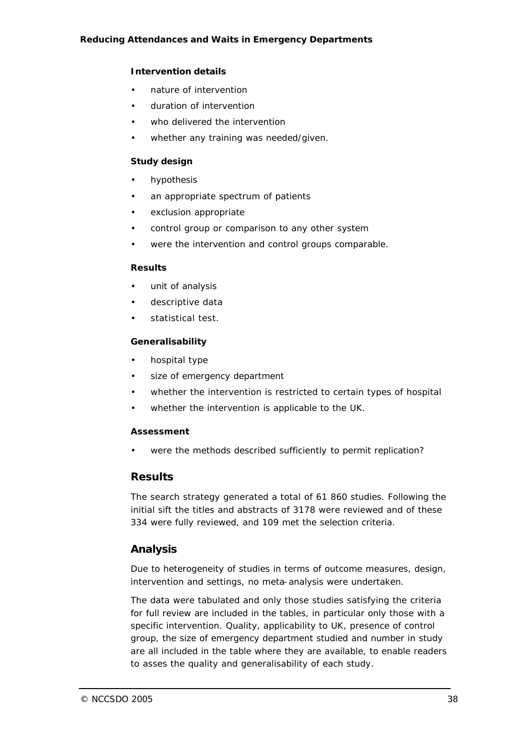### *Intervention details*

- nature of intervention
- duration of intervention
- who delivered the intervention
- whether any training was needed/given.

### *Study design*

- hypothesis
- an appropriate spectrum of patients
- exclusion appropriate
- control group or comparison to any other system
- were the intervention and control groups comparable.

### *Results*

- unit of analysis
- descriptive data
- statistical test.

### *Generalisability*

- hospital type
- size of emergency department
- whether the intervention is restricted to certain types of hospital
- whether the intervention is applicable to the UK.

### *Assessment*

were the methods described sufficiently to permit replication?

# **Results**

The search strategy generated a total of 61 860 studies. Following the initial sift the titles and abstracts of 3178 were reviewed and of these 334 were fully reviewed, and 109 met the selection criteria.

# **Analysis**

Due to heterogeneity of studies in terms of outcome measures, design, intervention and settings, no meta-analysis were undertaken.

The data were tabulated and only those studies satisfying the criteria for full review are included in the tables, in particular only those with a specific intervention. Quality, applicability to UK, presence of control group, the size of emergency department studied and number in study are all included in the table where they are available, to enable readers to asses the quality and generalisability of each study.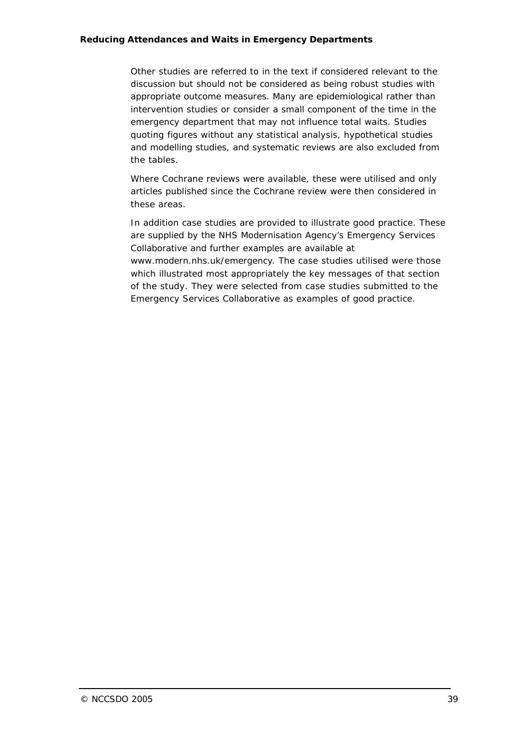Other studies are referred to in the text if considered relevant to the discussion but should not be considered as being robust studies with appropriate outcome measures. Many are epidemiological rather than intervention studies or consider a small component of the time in the emergency department that may not influence total waits. Studies quoting figures without any statistical analysis, hypothetical studies and modelling studies, and systematic reviews are also excluded from the tables.

Where Cochrane reviews were available, these were utilised and only articles published since the Cochrane review were then considered in these areas.

In addition case studies are provided to illustrate good practice. These are supplied by the NHS Modernisation Agency's Emergency Services Collaborative and further examples are available at www.modern.nhs.uk/emergency. The case studies utilised were those which illustrated most appropriately the key messages of that section of the study. They were selected from case studies submitted to the Emergency Services Collaborative as examples of good practice.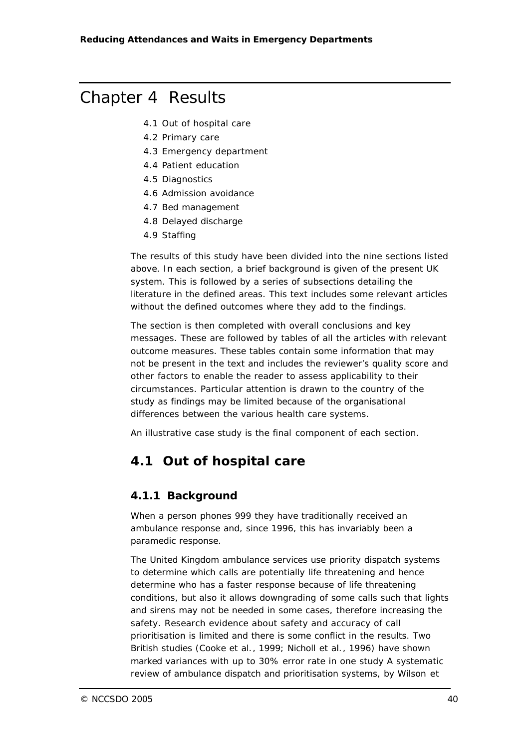# Chapter 4 Results

- *4.1 Out of hospital care*
- *4.2 Primary care*
- *4.3 Emergency department*
- *4.4 Patient education*
- *4.5 Diagnostics*
- *4.6 Admission avoidance*
- *4.7 Bed management*
- *4.8 Delayed discharge*
- *4.9 Staffing*

The results of this study have been divided into the nine sections listed above. In each section, a brief background is given of the present UK system. This is followed by a series of subsections detailing the literature in the defined areas. This text includes some relevant articles without the defined outcomes where they add to the findings.

The section is then completed with overall conclusions and key messages. These are followed by tables of all the articles with relevant outcome measures. These tables contain some information that may not be present in the text and includes the reviewer's quality score and other factors to enable the reader to assess applicability to their circumstances. Particular attention is drawn to the country of the study as findings may be limited because of the organisational differences between the various health care systems.

An illustrative case study is the final component of each section.

# *4.1 Out of hospital care*

# **4.1.1 Background**

When a person phones 999 they have traditionally received an ambulance response and, since 1996, this has invariably been a paramedic response.

The United Kingdom ambulance services use priority dispatch systems to determine which calls are potentially life threatening and hence determine who has a faster response because of life threatening conditions, but also it allows downgrading of some calls such that lights and sirens may not be needed in some cases, therefore increasing the safety. Research evidence about safety and accuracy of call prioritisation is limited and there is some conflict in the results. Two British studies (Cooke *et al.*, 1999; Nicholl *et al.*, 1996) have shown marked variances with up to 30% error rate in one study A systematic review of ambulance dispatch and prioritisation systems, by Wilson *et*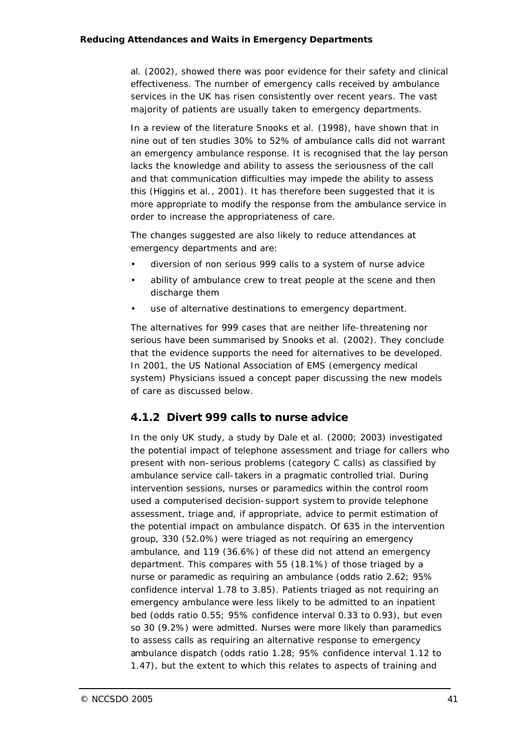*al.* (2002), showed there was poor evidence for their safety and clinical effectiveness. The number of emergency calls received by ambulance services in the UK has risen consistently over recent years. The vast majority of patients are usually taken to emergency departments.

In a review of the literature Snooks *et al.* (1998), have shown that in nine out of ten studies 30% to 52% of ambulance calls did not warrant an emergency ambulance response. It is recognised that the lay person lacks the knowledge and ability to assess the seriousness of the call and that communication difficulties may impede the ability to assess this (Higgins *et al.*, 2001). It has therefore been suggested that it is more appropriate to modify the response from the ambulance service in order to increase the appropriateness of care.

The changes suggested are also likely to reduce attendances at emergency departments and are:

- diversion of non serious 999 calls to a system of nurse advice
- ability of ambulance crew to treat people at the scene and then discharge them
- use of alternative destinations to emergency department.

The alternatives for 999 cases that are neither life-threatening nor serious have been summarised by Snooks *et al.* (2002). They conclude that the evidence supports the need for alternatives to be developed. In 2001, the US National Association of EMS (emergency medical system) Physicians issued a concept paper discussing the new models of care as discussed below.

# **4.1.2 Divert 999 calls to nurse advice**

In the only UK study, a study by Dale *et al.* (2000; 2003) investigated the potential impact of telephone assessment and triage for callers who present with non-serious problems (category C calls) as classified by ambulance service call-takers in a pragmatic controlled trial. During intervention sessions, nurses or paramedics within the control room used a computerised decision-support system to provide telephone assessment, triage and, if appropriate, advice to permit estimation of the potential impact on ambulance dispatch. Of 635 in the intervention group, 330 (52.0%) were triaged as not requiring an emergency ambulance, and 119 (36.6%) of these did not attend an emergency department. This compares with 55 (18.1%) of those triaged by a nurse or paramedic as requiring an ambulance (odds ratio 2.62; 95% confidence interval 1.78 to 3.85). Patients triaged as not requiring an emergency ambulance were less likely to be admitted to an inpatient bed (odds ratio 0.55; 95% confidence interval 0.33 to 0.93), but even so 30 (9.2%) were admitted. Nurses were more likely than paramedics to assess calls as requiring an alternative response to emergency ambulance dispatch (odds ratio 1.28; 95% confidence interval 1.12 to 1.47), but the extent to which this relates to aspects of training and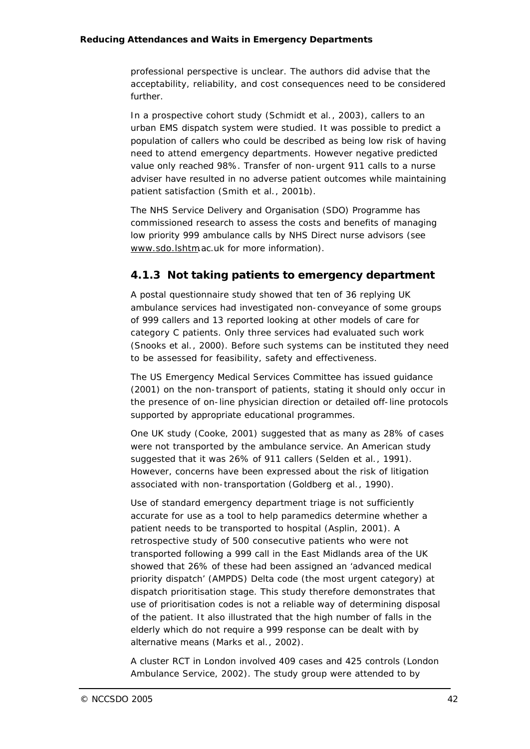professional perspective is unclear. The authors did advise that the acceptability, reliability, and cost consequences need to be considered further.

In a prospective cohort study (Schmidt *et al.*, 2003), callers to an urban EMS dispatch system were studied. It was possible to predict a population of callers who could be described as being low risk of having need to attend emergency departments. However negative predicted value only reached 98%. Transfer of non-urgent 911 calls to a nurse adviser have resulted in no adverse patient outcomes while maintaining patient satisfaction (Smith *et al.*, 2001b).

The NHS Service Delivery and Organisation (SDO) Programme has commissioned research to assess the costs and benefits of managing low priority 999 ambulance calls by NHS Direct nurse advisors (see www.sdo.lshtm.ac.uk for more information).

# **4.1.3 Not taking patients to emergency department**

A postal questionnaire study showed that ten of 36 replying UK ambulance services had investigated non-conveyance of some groups of 999 callers and 13 reported looking at other models of care for category C patients. Only three services had evaluated such work (Snooks *et al.*, 2000). Before such systems can be instituted they need to be assessed for feasibility, safety and effectiveness.

The US Emergency Medical Services Committee has issued guidance (2001) on the non-transport of patients, stating it should only occur in the presence of on-line physician direction or detailed off-line protocols supported by appropriate educational programmes.

One UK study (Cooke, 2001) suggested that as many as 28% of cases were not transported by the ambulance service. An American study suggested that it was 26% of 911 callers (Selden *et al.*, 1991). However, concerns have been expressed about the risk of litigation associated with non-transportation (Goldberg *et al.*, 1990).

Use of standard emergency department triage is not sufficiently accurate for use as a tool to help paramedics determine whether a patient needs to be transported to hospital (Asplin, 2001). A retrospective study of 500 consecutive patients who were not transported following a 999 call in the East Midlands area of the UK showed that 26% of these had been assigned an 'advanced medical priority dispatch' (AMPDS) Delta code (the most urgent category) at dispatch prioritisation stage. This study therefore demonstrates that use of prioritisation codes is not a reliable way of determining disposal of the patient. It also illustrated that the high number of falls in the elderly which do not require a 999 response can be dealt with by alternative means (Marks *et al.*, 2002).

A cluster RCT in London involved 409 cases and 425 controls (London Ambulance Service, 2002). The study group were attended to by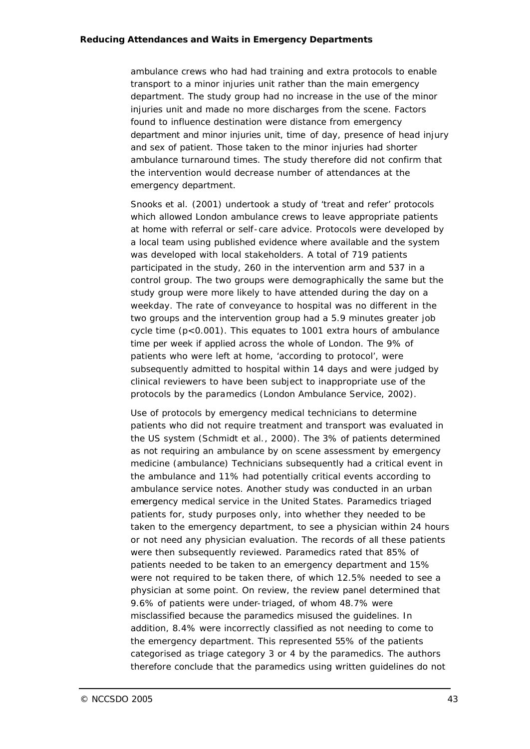ambulance crews who had had training and extra protocols to enable transport to a minor injuries unit rather than the main emergency department. The study group had no increase in the use of the minor injuries unit and made no more discharges from the scene. Factors found to influence destination were distance from emergency department and minor injuries unit, time of day, presence of head injury and sex of patient. Those taken to the minor injuries had shorter ambulance turnaround times. The study therefore did not confirm that the intervention would decrease number of attendances at the emergency department.

Snooks *et al.* (2001) undertook a study of 'treat and refer' protocols which allowed London ambulance crews to leave appropriate patients at home with referral or self-care advice. Protocols were developed by a local team using published evidence where available and the system was developed with local stakeholders. A total of 719 patients participated in the study, 260 in the intervention arm and 537 in a control group. The two groups were demographically the same but the study group were more likely to have attended during the day on a weekday. The rate of conveyance to hospital was no different in the two groups and the intervention group had a 5.9 minutes greater job cycle time (p<0.001). This equates to 1001 extra hours of ambulance time per week if applied across the whole of London. The 9% of patients who were left at home, 'according to protocol', were subsequently admitted to hospital within 14 days and were judged by clinical reviewers to have been subject to inappropriate use of the protocols by the paramedics (London Ambulance Service, 2002).

Use of protocols by emergency medical technicians to determine patients who did not require treatment and transport was evaluated in the US system (Schmidt *et al.*, 2000). The 3% of patients determined as not requiring an ambulance by on scene assessment by emergency medicine (ambulance) Technicians subsequently had a critical event in the ambulance and 11% had potentially critical events according to ambulance service notes. Another study was conducted in an urban emergency medical service in the United States. Paramedics triaged patients for, study purposes only, into whether they needed to be taken to the emergency department, to see a physician within 24 hours or not need any physician evaluation. The records of all these patients were then subsequently reviewed. Paramedics rated that 85% of patients needed to be taken to an emergency department and 15% were not required to be taken there, of which 12.5% needed to see a physician at some point. On review, the review panel determined that 9.6% of patients were under-triaged, of whom 48.7% were misclassified because the paramedics misused the guidelines. In addition, 8.4% were incorrectly classified as not needing to come to the emergency department. This represented 55% of the patients categorised as triage category 3 or 4 by the paramedics. The authors therefore conclude that the paramedics using written guidelines do not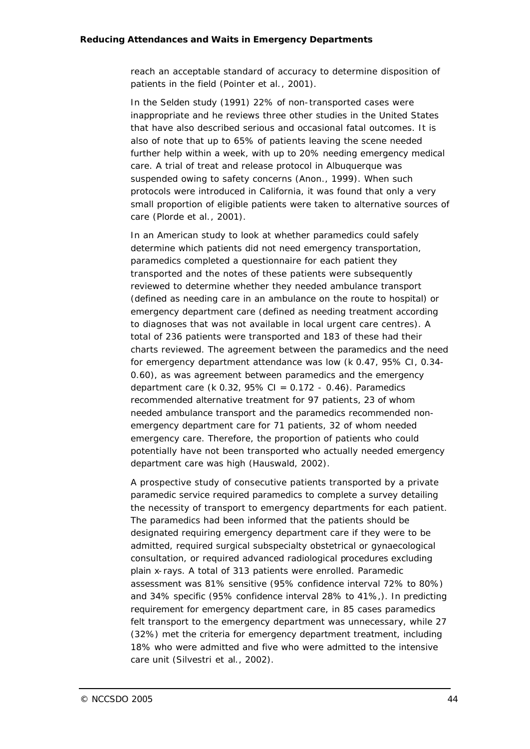reach an acceptable standard of accuracy to determine disposition of patients in the field (Pointer *et al.*, 2001).

In the Selden study (1991) 22% of non-transported cases were inappropriate and he reviews three other studies in the United States that have also described serious and occasional fatal outcomes. It is also of note that up to 65% of patients leaving the scene needed further help within a week, with up to 20% needing emergency medical care. A trial of treat and release protocol in Albuquerque was suspended owing to safety concerns (Anon., 1999). When such protocols were introduced in California, it was found that only a very small proportion of eligible patients were taken to alternative sources of care (Plorde *et al.*, 2001).

In an American study to look at whether paramedics could safely determine which patients did not need emergency transportation, paramedics completed a questionnaire for each patient they transported and the notes of these patients were subsequently reviewed to determine whether they needed ambulance transport (defined as needing care in an ambulance on the route to hospital) or emergency department care (defined as needing treatment according to diagnoses that was not available in local urgent care centres). A total of 236 patients were transported and 183 of these had their charts reviewed. The agreement between the paramedics and the need for emergency department attendance was low (*k* 0.47, 95% CI, 0.34- 0.60), as was agreement between paramedics and the emergency department care (*k* 0.32, 95% CI = 0.172 - 0.46). Paramedics recommended alternative treatment for 97 patients, 23 of whom needed ambulance transport and the paramedics recommended nonemergency department care for 71 patients, 32 of whom needed emergency care. Therefore, the proportion of patients who could potentially have not been transported who actually needed emergency department care was high (Hauswald, 2002).

A prospective study of consecutive patients transported by a private paramedic service required paramedics to complete a survey detailing the necessity of transport to emergency departments for each patient. The paramedics had been informed that the patients should be designated requiring emergency department care if they were to be admitted, required surgical subspecialty obstetrical or gynaecological consultation, or required advanced radiological procedures excluding plain x-rays. A total of 313 patients were enrolled. Paramedic assessment was 81% sensitive (95% confidence interval 72% to 80%) and 34% specific (95% confidence interval 28% to 41%,). In predicting requirement for emergency department care, in 85 cases paramedics felt transport to the emergency department was unnecessary, while 27 (32%) met the criteria for emergency department treatment, including 18% who were admitted and five who were admitted to the intensive care unit (Silvestri *et al.*, 2002).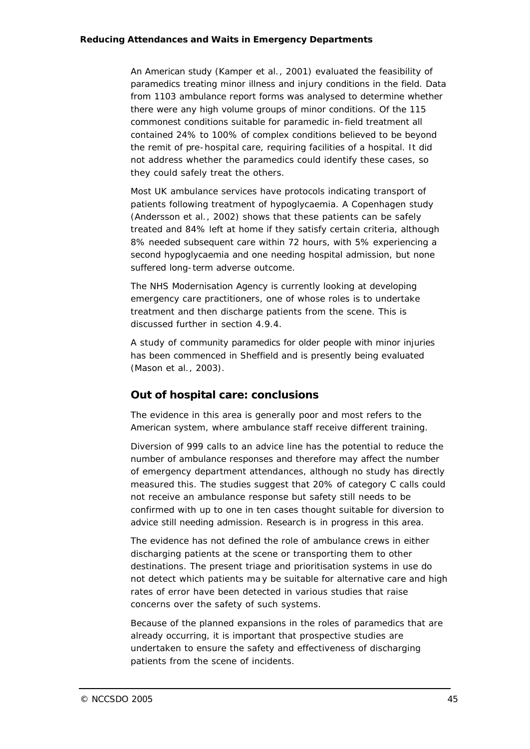An American study (Kamper *et al.*, 2001) evaluated the feasibility of paramedics treating minor illness and injury conditions in the field. Data from 1103 ambulance report forms was analysed to determine whether there were any high volume groups of minor conditions. Of the 115 commonest conditions suitable for paramedic in-field treatment all contained 24% to 100% of complex conditions believed to be beyond the remit of pre-hospital care, requiring facilities of a hospital. It did not address whether the paramedics could identify these cases, so they could safely treat the others.

Most UK ambulance services have protocols indicating transport of patients following treatment of hypoglycaemia. A Copenhagen study (Andersson *et al.*, 2002) shows that these patients can be safely treated and 84% left at home if they satisfy certain criteria, although 8% needed subsequent care within 72 hours, with 5% experiencing a second hypoglycaemia and one needing hospital admission, but none suffered long-term adverse outcome.

The NHS Modernisation Agency is currently looking at developing emergency care practitioners, one of whose roles is to undertake treatment and then discharge patients from the scene. This is discussed further in section 4.9.4.

A study of community paramedics for older people with minor injuries has been commenced in Sheffield and is presently being evaluated (Mason *et al.*, 2003).

# **Out of hospital care: conclusions**

The evidence in this area is generally poor and most refers to the American system, where ambulance staff receive different training.

Diversion of 999 calls to an advice line has the potential to reduce the number of ambulance responses and therefore may affect the number of emergency department attendances, although no study has directly measured this. The studies suggest that 20% of category C calls could not receive an ambulance response but safety still needs to be confirmed with up to one in ten cases thought suitable for diversion to advice still needing admission. Research is in progress in this area.

The evidence has not defined the role of ambulance crews in either discharging patients at the scene or transporting them to other destinations. The present triage and prioritisation systems in use do not detect which patients ma y be suitable for alternative care and high rates of error have been detected in various studies that raise concerns over the safety of such systems.

Because of the planned expansions in the roles of paramedics that are already occurring, it is important that prospective studies are undertaken to ensure the safety and effectiveness of discharging patients from the scene of incidents.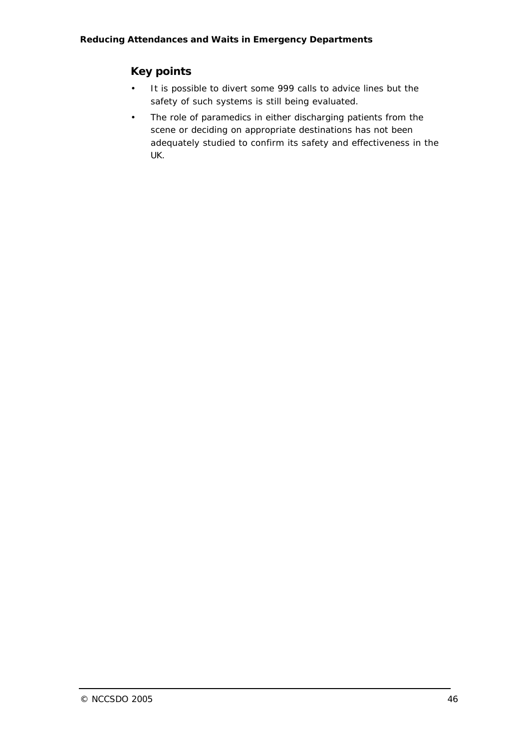# **Key points**

- It is possible to divert some 999 calls to advice lines but the safety of such systems is still being evaluated.
- The role of paramedics in either discharging patients from the scene or deciding on appropriate destinations has not been adequately studied to confirm its safety and effectiveness in the UK.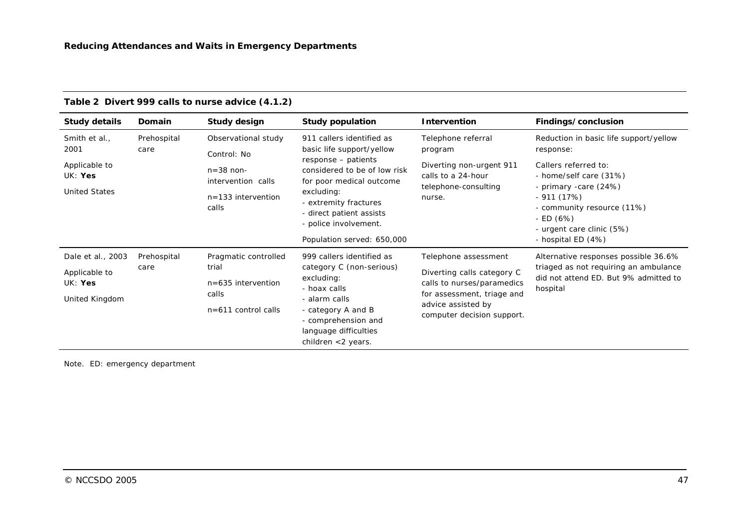| <b>Study details</b>                             | Domain                 | Study design                                  | <b>Study population</b>                                                                                                                                                                                                               | Intervention                                                                                                                               | Findings/conclusion                                                                                                                                              |
|--------------------------------------------------|------------------------|-----------------------------------------------|---------------------------------------------------------------------------------------------------------------------------------------------------------------------------------------------------------------------------------------|--------------------------------------------------------------------------------------------------------------------------------------------|------------------------------------------------------------------------------------------------------------------------------------------------------------------|
| Smith et al.,<br>2001                            | Prehospital<br>care    | Observational study<br>Control: No            | 911 callers identified as<br>basic life support/yellow<br>response - patients<br>considered to be of low risk<br>for poor medical outcome<br>excluding:<br>- extremity fractures<br>- direct patient assists<br>- police involvement. | Telephone referral<br>program                                                                                                              | Reduction in basic life support/yellow<br>response:                                                                                                              |
| Applicable to<br>UK: Yes<br><b>United States</b> | $n = 38$ non-<br>calls | intervention calls<br>$n = 133$ intervention  |                                                                                                                                                                                                                                       | Diverting non-urgent 911<br>calls to a 24-hour<br>telephone-consulting<br>nurse.                                                           | Callers referred to:<br>- home/self care (31%)<br>- primary -care (24%)<br>$-911(17%)$<br>- community resource (11%)<br>$-$ ED (6%)<br>- urgent care clinic (5%) |
|                                                  |                        |                                               | Population served: 650,000                                                                                                                                                                                                            |                                                                                                                                            | - hospital ED (4%)                                                                                                                                               |
| Dale et al., 2003                                | Prehospital            | Pragmatic controlled                          | 999 callers identified as                                                                                                                                                                                                             | Telephone assessment                                                                                                                       | Alternative responses possible 36.6%                                                                                                                             |
| Applicable to                                    | care                   | trial                                         | category C (non-serious)<br>excluding:                                                                                                                                                                                                | Diverting calls category C<br>calls to nurses/paramedics<br>for assessment, triage and<br>advice assisted by<br>computer decision support. | triaged as not requiring an ambulance<br>did not attend ED. But 9% admitted to<br>hospital                                                                       |
| UK: Yes                                          |                        | $n=635$ intervention<br>- hoax calls<br>calls |                                                                                                                                                                                                                                       |                                                                                                                                            |                                                                                                                                                                  |
| United Kingdom                                   |                        | $n = 611$ control calls                       | - alarm calls<br>- category A and B<br>- comprehension and<br>language difficulties<br>children $<$ 2 years.                                                                                                                          |                                                                                                                                            |                                                                                                                                                                  |

### **Table 2 Divert 999 calls to nurse advice (4.1.2)**

Note. ED: emergency department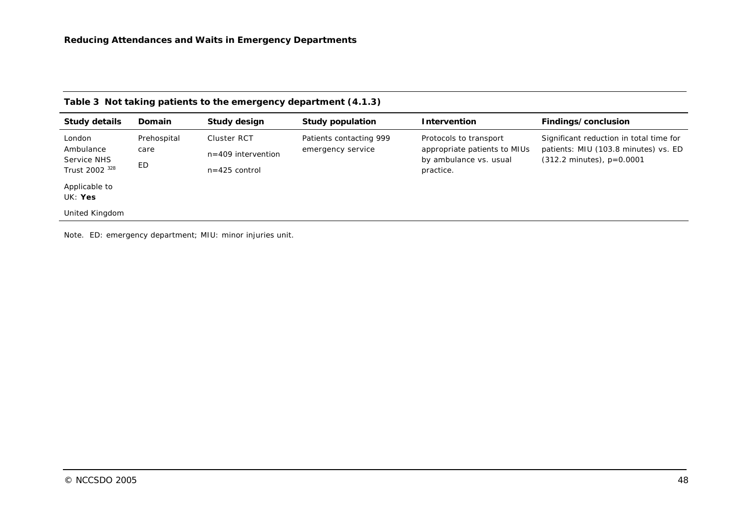| <b>Study details</b>                                            | <b>Domain</b>             | Study design                                                      | <b>Study population</b>                      | <b>Intervention</b>                                                                           | Findings/conclusion                                                                                                     |
|-----------------------------------------------------------------|---------------------------|-------------------------------------------------------------------|----------------------------------------------|-----------------------------------------------------------------------------------------------|-------------------------------------------------------------------------------------------------------------------------|
| London<br>Ambulance<br>Service NHS<br>Trust 2002 <sup>328</sup> | Prehospital<br>care<br>ED | <b>Cluster RCT</b><br>$n = 409$ intervention<br>$n = 425$ control | Patients contacting 999<br>emergency service | Protocols to transport<br>appropriate patients to MIUs<br>by ambulance vs. usual<br>practice. | Significant reduction in total time for<br>patients: MIU (103.8 minutes) vs. ED<br>$(312.2 \text{ minutes})$ , p=0.0001 |
| Applicable to<br>UK: Yes                                        |                           |                                                                   |                                              |                                                                                               |                                                                                                                         |
| United Kingdom                                                  |                           |                                                                   |                                              |                                                                                               |                                                                                                                         |

|  | Table 3 Not taking patients to the emergency department (4.1.3) |  |  |  |  |  |
|--|-----------------------------------------------------------------|--|--|--|--|--|
|--|-----------------------------------------------------------------|--|--|--|--|--|

Note. ED: emergency department; MIU: minor injuries unit.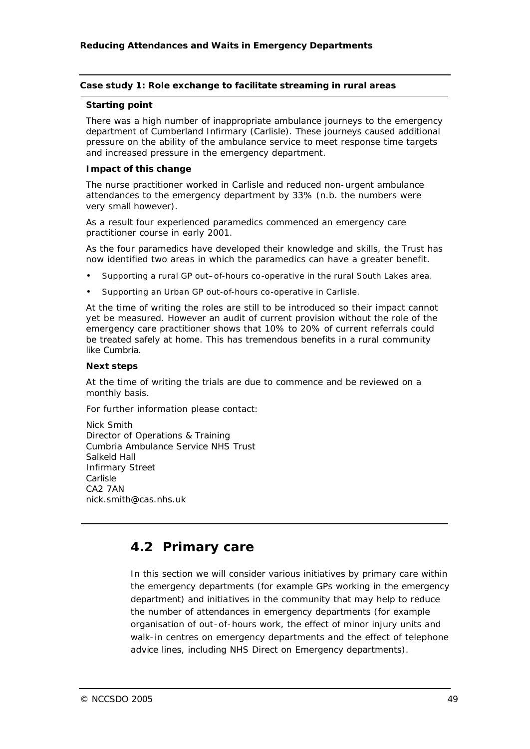### **Case study 1: Role exchange to facilitate streaming in rural areas**

#### **Starting point**

There was a high number of inappropriate ambulance journeys to the emergency department of Cumberland Infirmary (Carlisle). These journeys caused additional pressure on the ability of the ambulance service to meet response time targets and increased pressure in the emergency department.

### **Impact of this change**

The nurse practitioner worked in Carlisle and reduced non-urgent ambulance attendances to the emergency department by 33% (n.b. the numbers were very small however).

As a result four experienced paramedics commenced an emergency care practitioner course in early 2001.

As the four paramedics have developed their knowledge and skills, the Trust has now identified two areas in which the paramedics can have a greater benefit.

- Supporting a rural GP out–of-hours co-operative in the rural South Lakes area.
- Supporting an Urban GP out-of-hours co-operative in Carlisle.

At the time of writing the roles are still to be introduced so their impact cannot yet be measured. However an audit of current provision without the role of the emergency care practitioner shows that 10% to 20% of current referrals could be treated safely at home. This has tremendous benefits in a rural community like Cumbria.

### **Next steps**

At the time of writing the trials are due to commence and be reviewed on a monthly basis.

For further information please contact:

Nick Smith Director of Operations & Training Cumbria Ambulance Service NHS Trust Salkeld Hall Infirmary Street Carlisle CA2 7AN nick.smith@cas.nhs.uk

# *4.2 Primary care*

In this section we will consider various initiatives by primary care within the emergency departments (for example GPs working in the emergency department) and initiatives in the community that may help to reduce the number of attendances in emergency departments (for example organisation of out-of-hours work, the effect of minor injury units and walk-in centres on emergency departments and the effect of telephone advice lines, including NHS Direct on Emergency departments).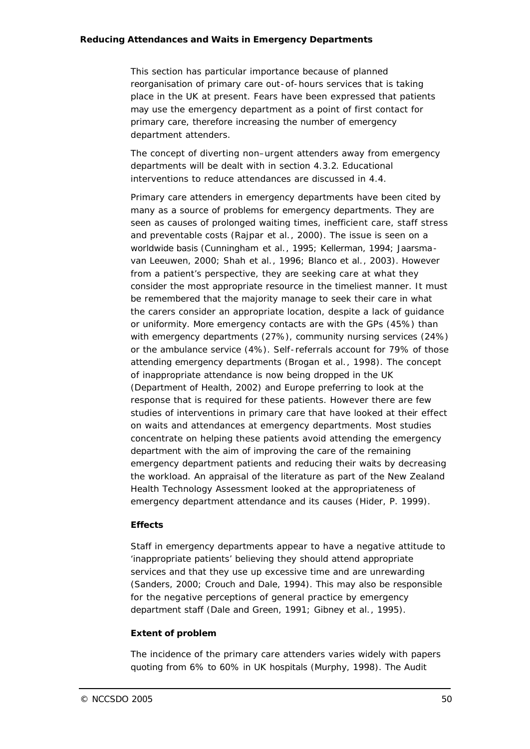This section has particular importance because of planned reorganisation of primary care out-of-hours services that is taking place in the UK at present. Fears have been expressed that patients may use the emergency department as a point of first contact for primary care, therefore increasing the number of emergency department attenders.

The concept of diverting non–urgent attenders away from emergency departments will be dealt with in section 4.3.2. Educational interventions to reduce attendances are discussed in 4.4.

Primary care attenders in emergency departments have been cited by many as a source of problems for emergency departments. They are seen as causes of prolonged waiting times, inefficient care, staff stress and preventable costs (Rajpar *et al.*, 2000). The issue is seen on a worldwide basis (Cunningham *et al.*, 1995; Kellerman, 1994; Jaarsmavan Leeuwen, 2000; Shah *et al.*, 1996; Blanco *et al.*, 2003). However from a patient's perspective, they are seeking care at what they consider the most appropriate resource in the timeliest manner. It must be remembered that the majority manage to seek their care in what the carers consider an appropriate location, despite a lack of guidance or uniformity. More emergency contacts are with the GPs (45%) than with emergency departments (27%), community nursing services (24%) or the ambulance service (4%). Self-referrals account for 79% of those attending emergency departments (Brogan *et al.*, 1998). The concept of inappropriate attendance is now being dropped in the UK (Department of Health, 2002) and Europe preferring to look at the response that is required for these patients. However there are few studies of interventions in primary care that have looked at their effect on waits and attendances at emergency departments. Most studies concentrate on helping these patients avoid attending the emergency department with the aim of improving the care of the remaining emergency department patients and reducing their waits by decreasing the workload. An appraisal of the literature as part of the New Zealand Health Technology Assessment looked at the appropriateness of emergency department attendance and its causes (Hider, P. 1999).

### *Effects*

Staff in emergency departments appear to have a negative attitude to 'inappropriate patients' believing they should attend appropriate services and that they use up excessive time and are unrewarding (Sanders, 2000; Crouch and Dale, 1994). This may also be responsible for the negative perceptions of general practice by emergency department staff (Dale and Green, 1991; Gibney *et al.*, 1995).

# *Extent of problem*

The incidence of the primary care attenders varies widely with papers quoting from 6% to 60% in UK hospitals (Murphy, 1998). The Audit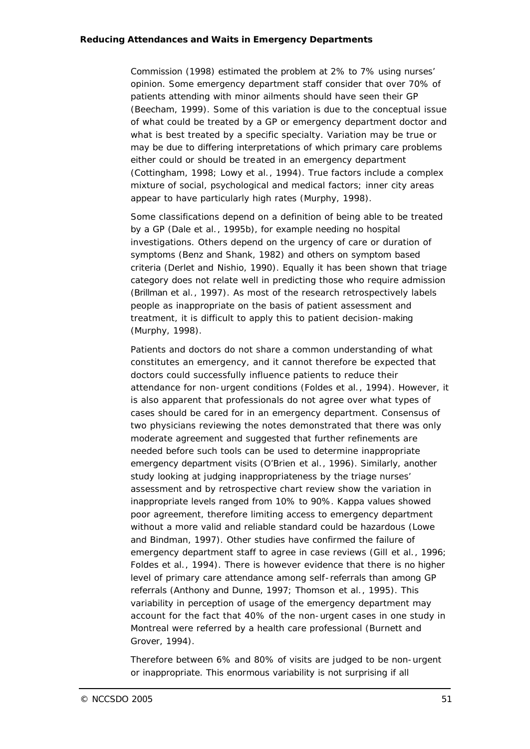Commission (1998) estimated the problem at 2% to 7% using nurses' opinion. Some emergency department staff consider that over 70% of patients attending with minor ailments should have seen their GP (Beecham, 1999). Some of this variation is due to the conceptual issue of what could be treated by a GP or emergency department doctor and what is best treated by a specific specialty. Variation may be true or may be due to differing interpretations of which primary care problems either could or should be treated in an emergency department (Cottingham, 1998; Lowy *et al.*, 1994). True factors include a complex mixture of social, psychological and medical factors; inner city areas appear to have particularly high rates (Murphy, 1998).

Some classifications depend on a definition of being able to be treated by a GP (Dale *et al.*, 1995b), for example needing no hospital investigations. Others depend on the urgency of care or duration of symptoms (Benz and Shank, 1982) and others on symptom based criteria (Derlet and Nishio, 1990). Equally it has been shown that triage category does not relate well in predicting those who require admission (Brillman *et al.*, 1997). As most of the research retrospectively labels people as inappropriate on the basis of patient assessment and treatment, it is difficult to apply this to patient decision-making (Murphy, 1998).

Patients and doctors do not share a common understanding of what constitutes an emergency, and it cannot therefore be expected that doctors could successfully influence patients to reduce their attendance for non-urgent conditions (Foldes *et al.*, 1994). However, it is also apparent that professionals do not agree over what types of cases should be cared for in an emergency department. Consensus of two physicians reviewing the notes demonstrated that there was only moderate agreement and suggested that further refinements are needed before such tools can be used to determine inappropriate emergency department visits (O'Brien *et al.*, 1996). Similarly, another study looking at judging inappropriateness by the triage nurses' assessment and by retrospective chart review show the variation in inappropriate levels ranged from 10% to 90%. Kappa values showed poor agreement, therefore limiting access to emergency department without a more valid and reliable standard could be hazardous (Lowe and Bindman, 1997). Other studies have confirmed the failure of emergency department staff to agree in case reviews (Gill *et al.*, 1996; Foldes *et al.*, 1994). There is however evidence that there is no higher level of primary care attendance among self-referrals than among GP referrals (Anthony and Dunne, 1997; Thomson *et al.*, 1995). This variability in perception of usage of the emergency department may account for the fact that 40% of the non-urgent cases in one study in Montreal were referred by a health care professional (Burnett and Grover, 1994).

Therefore between 6% and 80% of visits are judged to be non-urgent or inappropriate. This enormous variability is not surprising if all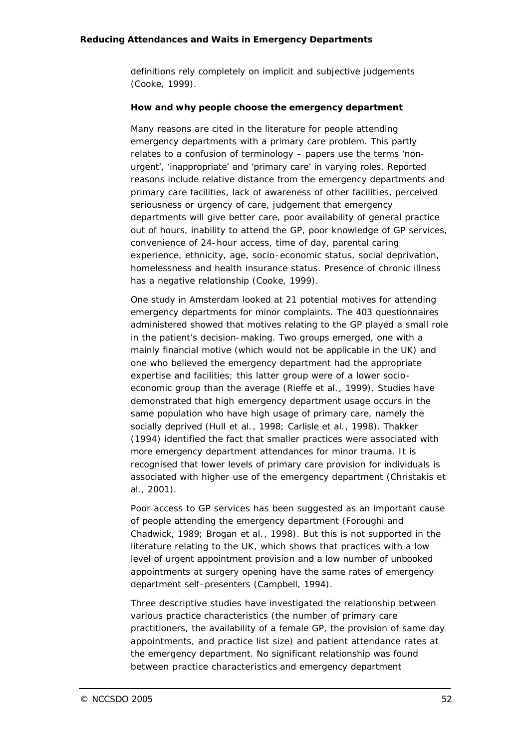definitions rely completely on implicit and subjective judgements (Cooke, 1999).

### *How and why people choose the emergency department*

Many reasons are cited in the literature for people attending emergency departments with a primary care problem. This partly relates to a confusion of terminology – papers use the terms 'nonurgent', 'inappropriate' and 'primary care' in varying roles. Reported reasons include relative distance from the emergency departments and primary care facilities, lack of awareness of other facilities, perceived seriousness or urgency of care, judgement that emergency departments will give better care, poor availability of general practice out of hours, inability to attend the GP, poor knowledge of GP services, convenience of 24-hour access, time of day, parental caring experience, ethnicity, age, socio-economic status, social deprivation, homelessness and health insurance status. Presence of chronic illness has a negative relationship (Cooke, 1999).

One study in Amsterdam looked at 21 potential motives for attending emergency departments for minor complaints. The 403 questionnaires administered showed that motives relating to the GP played a small role in the patient's decision-making. Two groups emerged, one with a mainly financial motive (which would not be applicable in the UK) and one who believed the emergency department had the appropriate expertise and facilities; this latter group were of a lower socioeconomic group than the average (Rieffe *et al.*, 1999). Studies have demonstrated that high emergency department usage occurs in the same population who have high usage of primary care, namely the socially deprived (Hull *et al.*, 1998; Carlisle *et al.*, 1998). Thakker (1994) identified the fact that smaller practices were associated with more emergency department attendances for minor trauma. It is recognised that lower levels of primary care provision for individuals is associated with higher use of the emergency department (Christakis *et al.*, 2001).

Poor access to GP services has been suggested as an important cause of people attending the emergency department (Foroughi and Chadwick, 1989; Brogan *et al.*, 1998). But this is not supported in the literature relating to the UK, which shows that practices with a low level of urgent appointment provision and a low number of unbooked appointments at surgery opening have the same rates of emergency department self-presenters (Campbell, 1994).

Three descriptive studies have investigated the relationship between various practice characteristics (the number of primary care practitioners, the availability of a female GP, the provision of same day appointments, and practice list size) and patient attendance rates at the emergency department. No significant relationship was found between practice characteristics and emergency department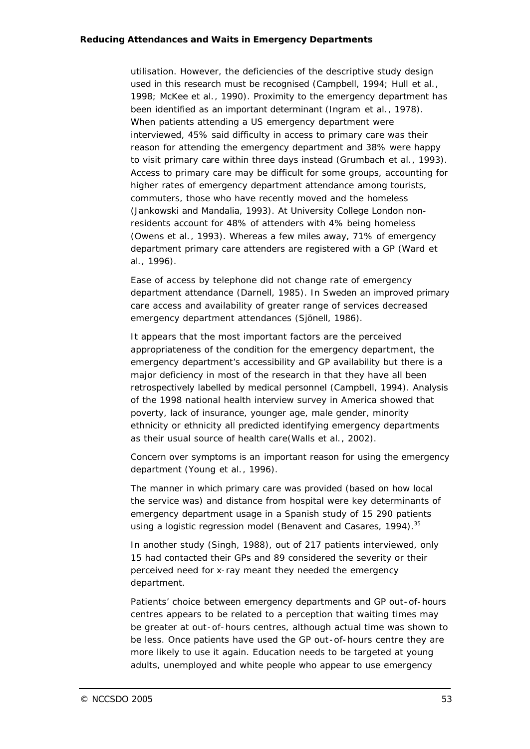utilisation. However, the deficiencies of the descriptive study design used in this research must be recognised (Campbell, 1994; Hull *et al.*, 1998; McKee *et al.*, 1990). Proximity to the emergency department has been identified as an important determinant (Ingram *et al.*, 1978). When patients attending a US emergency department were interviewed, 45% said difficulty in access to primary care was their reason for attending the emergency department and 38% were happy to visit primary care within three days instead (Grumbach *et al.*, 1993). Access to primary care may be difficult for some groups, accounting for higher rates of emergency department attendance among tourists, commuters, those who have recently moved and the homeless (Jankowski and Mandalia, 1993). At University College London nonresidents account for 48% of attenders with 4% being homeless (Owens *et al.*, 1993). Whereas a few miles away, 71% of emergency department primary care attenders are registered with a GP (Ward *et al.*, 1996).

Ease of access by telephone did not change rate of emergency department attendance (Darnell, 1985). In Sweden an improved primary care access and availability of greater range of services decreased emergency department attendances (Sjönell, 1986).

It appears that the most important factors are the perceived appropriateness of the condition for the emergency department, the emergency department's accessibility and GP availability but there is a major deficiency in most of the research in that they have all been retrospectively labelled by medical personnel (Campbell, 1994). Analysis of the 1998 national health interview survey in America showed that poverty, lack of insurance, younger age, male gender, minority ethnicity or ethnicity all predicted identifying emergency departments as their usual source of health care(Walls *et al.*, 2002).

Concern over symptoms is an important reason for using the emergency department (Young *et al.*, 1996).

The manner in which primary care was provided (based on how local the service was) and distance from hospital were key determinants of emergency department usage in a Spanish study of 15 290 patients using a logistic regression model (Benavent and Casares, 1994).<sup>35</sup>

In another study (Singh, 1988), out of 217 patients interviewed, only 15 had contacted their GPs and 89 considered the severity or their perceived need for x-ray meant they needed the emergency department.

Patients' choice between emergency departments and GP out-of-hours centres appears to be related to a perception that waiting times may be greater at out-of-hours centres, although actual time was shown to be less. Once patients have used the GP out-of-hours centre they are more likely to use it again. Education needs to be targeted at young adults, unemployed and white people who appear to use emergency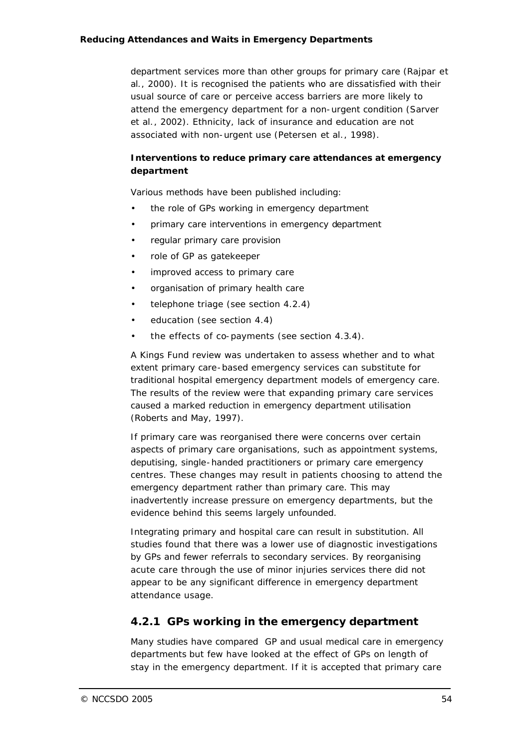department services more than other groups for primary care (Rajpar *et al.*, 2000). It is recognised the patients who are dissatisfied with their usual source of care or perceive access barriers are more likely to attend the emergency department for a non-urgent condition (Sarver *et al.*, 2002). Ethnicity, lack of insurance and education are not associated with non-urgent use (Petersen *et al.*, 1998).

### *Interventions to reduce primary care attendances at emergency department*

Various methods have been published including:

- the role of GPs working in emergency department
- primary care interventions in emergency department
- regular primary care provision
- role of GP as gatekeeper
- improved access to primary care
- organisation of primary health care
- telephone triage (see section 4.2.4)
- education (see section 4.4)
- the effects of co-payments (see section 4.3.4).

A Kings Fund review was undertaken to assess whether and to what extent primary care-based emergency services can substitute for traditional hospital emergency department models of emergency care. The results of the review were that expanding primary care services caused a marked reduction in emergency department utilisation (Roberts and May, 1997).

If primary care was reorganised there were concerns over certain aspects of primary care organisations, such as appointment systems, deputising, single-handed practitioners or primary care emergency centres. These changes may result in patients choosing to attend the emergency department rather than primary care. This may inadvertently increase pressure on emergency departments, but the evidence behind this seems largely unfounded.

Integrating primary and hospital care can result in substitution. All studies found that there was a lower use of diagnostic investigations by GPs and fewer referrals to secondary services. By reorganising acute care through the use of minor injuries services there did not appear to be any significant difference in emergency department attendance usage.

# **4.2.1 GPs working in the emergency department**

Many studies have compared GP and usual medical care in emergency departments but few have looked at the effect of GPs on length of stay in the emergency department. If it is accepted that primary care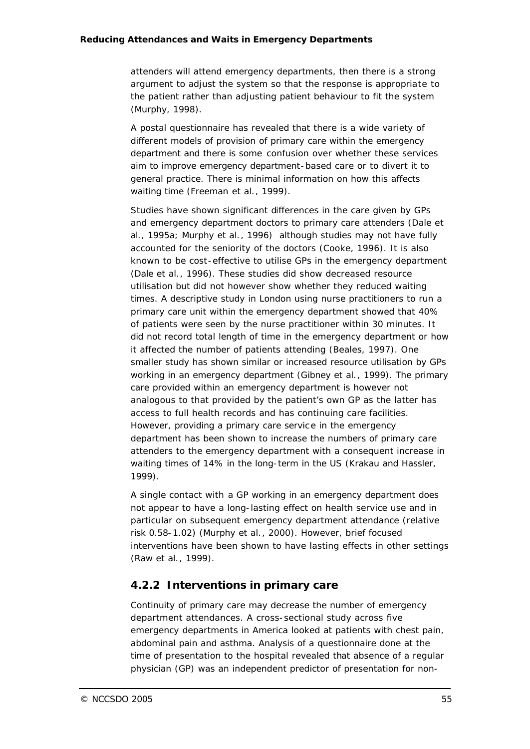attenders will attend emergency departments, then there is a strong argument to adjust the system so that the response is appropriate to the patient rather than adjusting patient behaviour to fit the system (Murphy, 1998).

A postal questionnaire has revealed that there is a wide variety of different models of provision of primary care within the emergency department and there is some confusion over whether these services aim to improve emergency department-based care or to divert it to general practice. There is minimal information on how this affects waiting time (Freeman *et al.*, 1999).

Studies have shown significant differences in the care given by GPs and emergency department doctors to primary care attenders (Dale *et al.*, 1995a; Murphy *et al.*, 1996) although studies may not have fully accounted for the seniority of the doctors (Cooke, 1996). It is also known to be cost-effective to utilise GPs in the emergency department (Dale *et al.*, 1996). These studies did show decreased resource utilisation but did not however show whether they reduced waiting times. A descriptive study in London using nurse practitioners to run a primary care unit within the emergency department showed that 40% of patients were seen by the nurse practitioner within 30 minutes. It did not record total length of time in the emergency department or how it affected the number of patients attending (Beales, 1997). One smaller study has shown similar or increased resource utilisation by GPs working in an emergency department (Gibney *et al.*, 1999). The primary care provided within an emergency department is however not analogous to that provided by the patient's own GP as the latter has access to full health records and has continuing care facilities. However, providing a primary care service in the emergency department has been shown to increase the numbers of primary care attenders to the emergency department with a consequent increase in waiting times of 14% in the long-term in the US (Krakau and Hassler, 1999).

A single contact with a GP working in an emergency department does not appear to have a long-lasting effect on health service use and in particular on subsequent emergency department attendance (relative risk 0.58-1.02) (Murphy *et al.*, 2000). However, brief focused interventions have been shown to have lasting effects in other settings (Raw *et al.*, 1999).

# **4.2.2 Interventions in primary care**

Continuity of primary care may decrease the number of emergency department attendances. A cross-sectional study across five emergency departments in America looked at patients with chest pain, abdominal pain and asthma. Analysis of a questionnaire done at the time of presentation to the hospital revealed that absence of a regular physician (GP) was an independent predictor of presentation for non-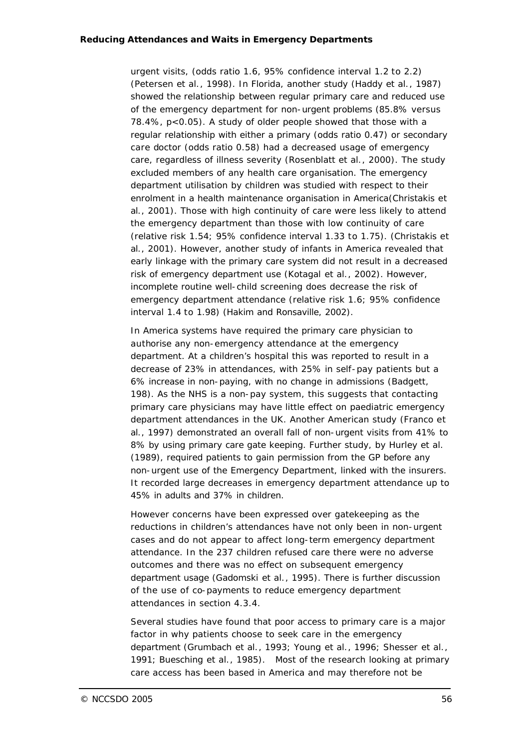urgent visits, (odds ratio 1.6, 95% confidence interval 1.2 to 2.2) (Petersen *et al.*, 1998). In Florida, another study (Haddy *et al.*, 1987) showed the relationship between regular primary care and reduced use of the emergency department for non-urgent problems (85.8% *versus* 78.4%, p<0.05). A study of older people showed that those with a regular relationship with either a primary (odds ratio 0.47) or secondary care doctor (odds ratio 0.58) had a decreased usage of emergency care, regardless of illness severity (Rosenblatt *et al.*, 2000). The study excluded members of any health care organisation. The emergency department utilisation by children was studied with respect to their enrolment in a health maintenance organisation in America(Christakis *et al.*, 2001). Those with high continuity of care were less likely to attend the emergency department than those with low continuity of care (relative risk 1.54; 95% confidence interval 1.33 to 1.75). (Christakis *et al.*, 2001). However, another study of infants in America revealed that early linkage with the primary care system did not result in a decreased risk of emergency department use (Kotagal *et al.*, 2002). However, incomplete routine well-child screening does decrease the risk of emergency department attendance (relative risk 1.6; 95% confidence interval 1.4 to 1.98) (Hakim and Ronsaville, 2002).

In America systems have required the primary care physician to authorise any non-emergency attendance at the emergency department. At a children's hospital this was reported to result in a decrease of 23% in attendances, with 25% in self-pay patients but a 6% increase in non-paying, with no change in admissions (Badgett, 198). As the NHS is a non-pay system, this suggests that contacting primary care physicians may have little effect on paediatric emergency department attendances in the UK. Another American study (Franco *et al.*, 1997) demonstrated an overall fall of non-urgent visits from 41% to 8% by using primary care gate keeping. Further study, by Hurley *et al.* (1989), required patients to gain permission from the GP before any non-urgent use of the Emergency Department, linked with the insurers. It recorded large decreases in emergency department attendance up to 45% in adults and 37% in children.

However concerns have been expressed over gatekeeping as the reductions in children's attendances have not only been in non-urgent cases and do not appear to affect long-term emergency department attendance. In the 237 children refused care there were no adverse outcomes and there was no effect on subsequent emergency department usage (Gadomski *et al.*, 1995). There is further discussion of the use of co-payments to reduce emergency department attendances in section 4.3.4.

Several studies have found that poor access to primary care is a major factor in why patients choose to seek care in the emergency department (Grumbach *et al.*, 1993; Young *et al.*, 1996; Shesser *et al.*, 1991; Buesching *et al.*, 1985). Most of the research looking at primary care access has been based in America and may therefore not be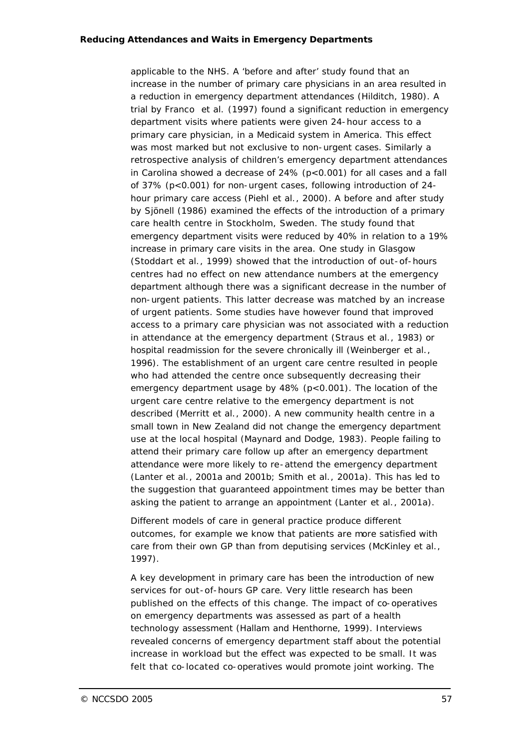applicable to the NHS. A 'before and after' study found that an increase in the number of primary care physicians in an area resulted in a reduction in emergency department attendances (Hilditch, 1980). A trial by Franco *et al.* (1997) found a significant reduction in emergency department visits where patients were given 24-hour access to a primary care physician, in a Medicaid system in America. This effect was most marked but not exclusive to non-urgent cases. Similarly a retrospective analysis of children's emergency department attendances in Carolina showed a decrease of 24% (p<0.001) for all cases and a fall of 37% (p<0.001) for non-urgent cases, following introduction of 24 hour primary care access (Piehl *et al.*, 2000). A before and after study by Sjönell (1986) examined the effects of the introduction of a primary care health centre in Stockholm, Sweden. The study found that emergency department visits were reduced by 40% in relation to a 19% increase in primary care visits in the area. One study in Glasgow (Stoddart *et al.*, 1999) showed that the introduction of out-of-hours centres had no effect on new attendance numbers at the emergency department although there was a significant decrease in the number of non-urgent patients. This latter decrease was matched by an increase of urgent patients. Some studies have however found that improved access to a primary care physician was not associated with a reduction in attendance at the emergency department (Straus *et al.*, 1983) or hospital readmission for the severe chronically ill (Weinberger *et al.*, 1996). The establishment of an urgent care centre resulted in people who had attended the centre once subsequently decreasing their emergency department usage by 48% (p<0.001). The location of the urgent care centre relative to the emergency department is not described (Merritt *et al.*, 2000). A new community health centre in a small town in New Zealand did not change the emergency department use at the local hospital (Maynard and Dodge, 1983). People failing to attend their primary care follow up after an emergency department attendance were more likely to re-attend the emergency department (Lanter *et al.*, 2001a and 2001b; Smith *et al.*, 2001a). This has led to the suggestion that guaranteed appointment times may be better than asking the patient to arrange an appointment (Lanter *et al.*, 2001a).

Different models of care in general practice produce different outcomes, for example we know that patients are more satisfied with care from their own GP than from deputising services (McKinley *et al.*, 1997).

A key development in primary care has been the introduction of new services for out-of-hours GP care. Very little research has been published on the effects of this change. The impact of co-operatives on emergency departments was assessed as part of a health technology assessment (Hallam and Henthorne, 1999). Interviews revealed concerns of emergency department staff about the potential increase in workload but the effect was expected to be small. It was felt that co-located co-operatives would promote joint working. The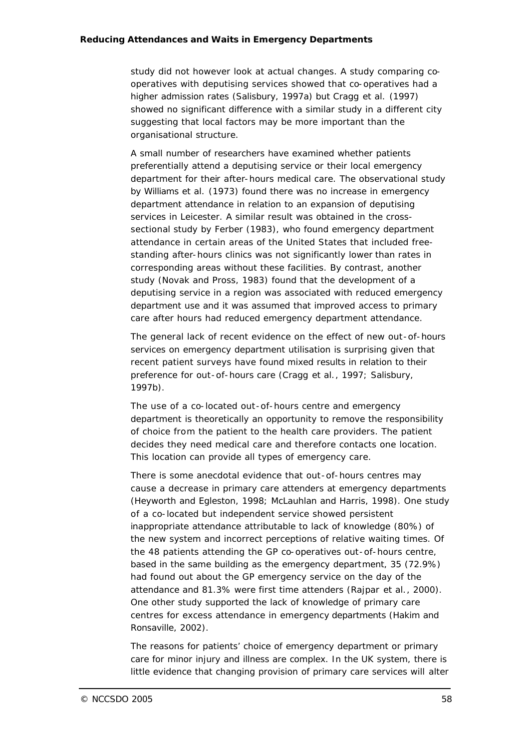study did not however look at actual changes. A study comparing cooperatives with deputising services showed that co-operatives had a higher admission rates (Salisbury, 1997a) but Cragg *et al.* (1997) showed no significant difference with a similar study in a different city suggesting that local factors may be more important than the organisational structure.

A small number of researchers have examined whether patients preferentially attend a deputising service or their local emergency department for their after-hours medical care. The observational study by Williams *et al.* (1973) found there was no increase in emergency department attendance in relation to an expansion of deputising services in Leicester. A similar result was obtained in the crosssectional study by Ferber (1983), who found emergency department attendance in certain areas of the United States that included freestanding after-hours clinics was not significantly lower than rates in corresponding areas without these facilities. By contrast, another study (Novak and Pross, 1983) found that the development of a deputising service in a region was associated with reduced emergency department use and it was assumed that improved access to primary care after hours had reduced emergency department attendance.

The general lack of recent evidence on the effect of new out-of-hours services on emergency department utilisation is surprising given that recent patient surveys have found mixed results in relation to their preference for out-of-hours care (Cragg *et al.*, 1997; Salisbury, 1997b).

The use of a co-located out-of-hours centre and emergency department is theoretically an opportunity to remove the responsibility of choice from the patient to the health care providers. The patient decides they need medical care and therefore contacts one location. This location can provide all types of emergency care.

There is some anecdotal evidence that out-of-hours centres may cause a decrease in primary care attenders at emergency departments (Heyworth and Egleston, 1998; McLauhlan and Harris, 1998). One study of a co-located but independent service showed persistent inappropriate attendance attributable to lack of knowledge (80%) of the new system and incorrect perceptions of relative waiting times. Of the 48 patients attending the GP co-operatives out-of-hours centre, based in the same building as the emergency department, 35 (72.9%) had found out about the GP emergency service on the day of the attendance and 81.3% were first time attenders (Rajpar *et al.*, 2000). One other study supported the lack of knowledge of primary care centres for excess attendance in emergency departments (Hakim and Ronsaville, 2002).

The reasons for patients' choice of emergency department or primary care for minor injury and illness are complex. In the UK system, there is little evidence that changing provision of primary care services will alter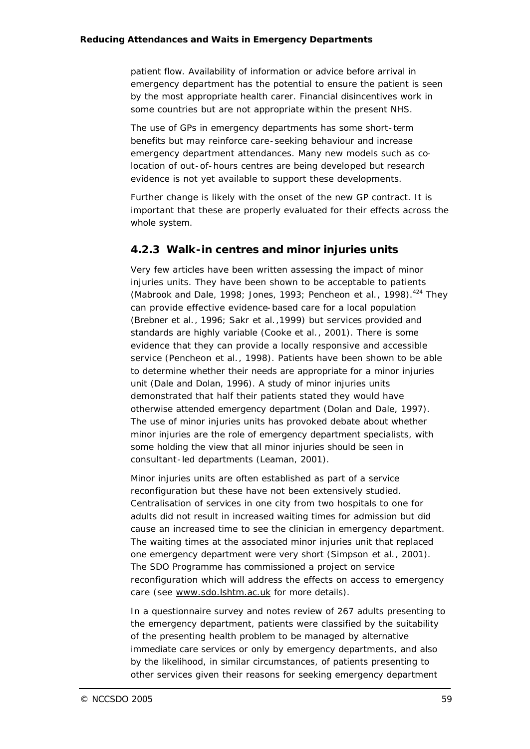patient flow. Availability of information or advice before arrival in emergency department has the potential to ensure the patient is seen by the most appropriate health carer. Financial disincentives work in some countries but are not appropriate within the present NHS.

The use of GPs in emergency departments has some short-term benefits but may reinforce care-seeking behaviour and increase emergency department attendances. Many new models such as colocation of out-of-hours centres are being developed but research evidence is not yet available to support these developments.

Further change is likely with the onset of the new GP contract. It is important that these are properly evaluated for their effects across the whole system.

# **4.2.3 Walk-in centres and minor injuries units**

Very few articles have been written assessing the impact of minor injuries units. They have been shown to be acceptable to patients (Mabrook and Dale, 1998; Jones, 1993; Pencheon *et al.*, 1998).<sup>424</sup> They can provide effective evidence-based care for a local population (Brebner *et al.*, 1996; Sakr *et al.*,1999) but services provided and standards are highly variable (Cooke *et al.*, 2001). There is some evidence that they can provide a locally responsive and accessible service (Pencheon *et al.*, 1998). Patients have been shown to be able to determine whether their needs are appropriate for a minor injuries unit (Dale and Dolan, 1996). A study of minor injuries units demonstrated that half their patients stated they would have otherwise attended emergency department (Dolan and Dale, 1997). The use of minor injuries units has provoked debate about whether minor injuries are the role of emergency department specialists, with some holding the view that all minor injuries should be seen in consultant-led departments (Leaman, 2001).

Minor injuries units are often established as part of a service reconfiguration but these have not been extensively studied. Centralisation of services in one city from two hospitals to one for adults did not result in increased waiting times for admission but did cause an increased time to see the clinician in emergency department. The waiting times at the associated minor injuries unit that replaced one emergency department were very short (Simpson *et al.*, 2001). The SDO Programme has commissioned a project on service reconfiguration which will address the effects on access to emergency care (see www.sdo.lshtm.ac.uk for more details).

In a questionnaire survey and notes review of 267 adults presenting to the emergency department, patients were classified by the suitability of the presenting health problem to be managed by alternative immediate care services or only by emergency departments, and also by the likelihood, in similar circumstances, of patients presenting to other services given their reasons for seeking emergency department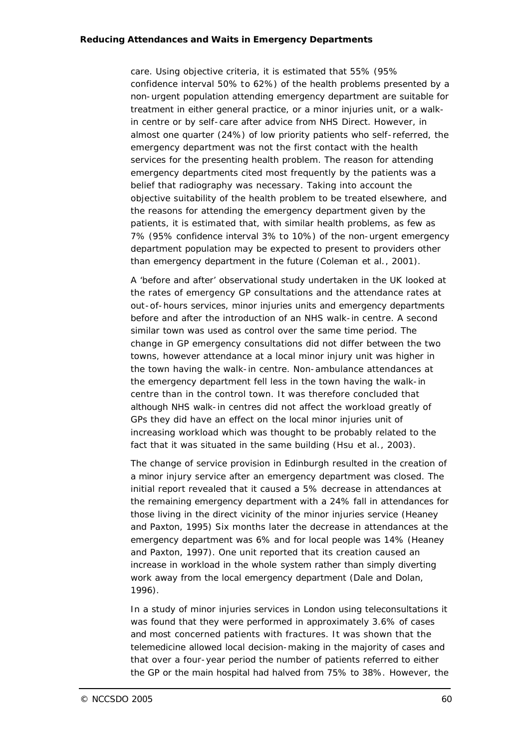care. Using objective criteria, it is estimated that 55% (95% confidence interval 50% to 62%) of the health problems presented by a non-urgent population attending emergency department are suitable for treatment in either general practice, or a minor injuries unit, or a walkin centre or by self-care after advice from NHS Direct. However, in almost one quarter (24%) of low priority patients who self-referred, the emergency department was not the first contact with the health services for the presenting health problem. The reason for attending emergency departments cited most frequently by the patients was a belief that radiography was necessary. Taking into account the objective suitability of the health problem to be treated elsewhere, and the reasons for attending the emergency department given by the patients, it is estimated that, with similar health problems, as few as 7% (95% confidence interval 3% to 10%) of the non-urgent emergency department population may be expected to present to providers other than emergency department in the future (Coleman *et al.*, 2001).

A 'before and after' observational study undertaken in the UK looked at the rates of emergency GP consultations and the attendance rates at out-of-hours services, minor injuries units and emergency departments before and after the introduction of an NHS walk-in centre. A second similar town was used as control over the same time period. The change in GP emergency consultations did not differ between the two towns, however attendance at a local minor injury unit was higher in the town having the walk-in centre. Non-ambulance attendances at the emergency department fell less in the town having the walk-in centre than in the control town. It was therefore concluded that although NHS walk-in centres did not affect the workload greatly of GPs they did have an effect on the local minor injuries unit of increasing workload which was thought to be probably related to the fact that it was situated in the same building (Hsu *et al.*, 2003).

The change of service provision in Edinburgh resulted in the creation of a minor injury service after an emergency department was closed. The initial report revealed that it caused a 5% decrease in attendances at the remaining emergency department with a 24% fall in attendances for those living in the direct vicinity of the minor injuries service (Heaney and Paxton, 1995) Six months later the decrease in attendances at the emergency department was 6% and for local people was 14% (Heaney and Paxton, 1997). One unit reported that its creation caused an increase in workload in the whole system rather than simply diverting work away from the local emergency department (Dale and Dolan, 1996).

In a study of minor injuries services in London using teleconsultations it was found that they were performed in approximately 3.6% of cases and most concerned patients with fractures. It was shown that the telemedicine allowed local decision-making in the majority of cases and that over a four-year period the number of patients referred to either the GP or the main hospital had halved from 75% to 38%. However, the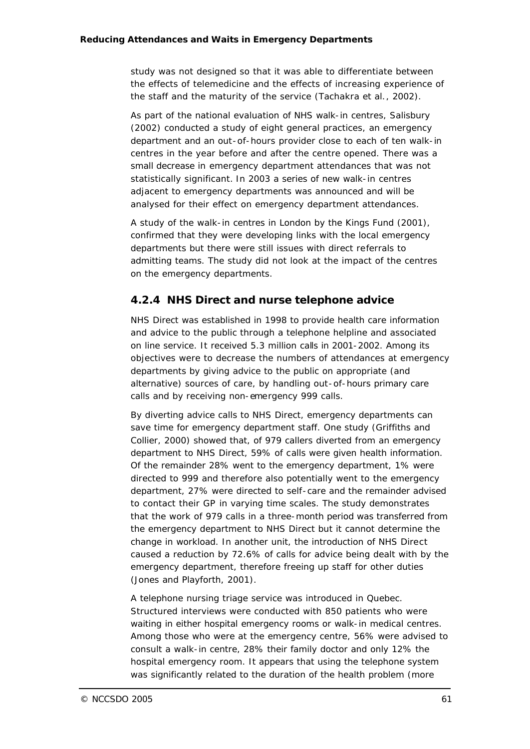study was not designed so that it was able to differentiate between the effects of telemedicine and the effects of increasing experience of the staff and the maturity of the service (Tachakra *et al.*, 2002).

As part of the national evaluation of NHS walk-in centres, Salisbury (2002) conducted a study of eight general practices, an emergency department and an out-of-hours provider close to each of ten walk-in centres in the year before and after the centre opened. There was a small decrease in emergency department attendances that was not statistically significant. In 2003 a series of new walk-in centres adjacent to emergency departments was announced and will be analysed for their effect on emergency department attendances.

A study of the walk-in centres in London by the Kings Fund (2001), confirmed that they were developing links with the local emergency departments but there were still issues with direct referrals to admitting teams. The study did not look at the impact of the centres on the emergency departments.

# **4.2.4 NHS Direct and nurse telephone advice**

NHS Direct was established in 1998 to provide health care information and advice to the public through a telephone helpline and associated on line service. It received 5.3 million calls in 2001-2002. Among its objectives were to decrease the numbers of attendances at emergency departments by giving advice to the public on appropriate (and alternative) sources of care, by handling out-of-hours primary care calls and by receiving non-emergency 999 calls.

By diverting advice calls to NHS Direct, emergency departments can save time for emergency department staff. One study (Griffiths and Collier, 2000) showed that, of 979 callers diverted from an emergency department to NHS Direct, 59% of calls were given health information. Of the remainder 28% went to the emergency department, 1% were directed to 999 and therefore also potentially went to the emergency department, 27% were directed to self-care and the remainder advised to contact their GP in varying time scales. The study demonstrates that the work of 979 calls in a three-month period was transferred from the emergency department to NHS Direct but it cannot determine the change in workload. In another unit, the introduction of NHS Direct caused a reduction by 72.6% of calls for advice being dealt with by the emergency department, therefore freeing up staff for other duties (Jones and Playforth, 2001).

A telephone nursing triage service was introduced in Quebec. Structured interviews were conducted with 850 patients who were waiting in either hospital emergency rooms or walk-in medical centres. Among those who were at the emergency centre, 56% were advised to consult a walk-in centre, 28% their family doctor and only 12% the hospital emergency room. It appears that using the telephone system was significantly related to the duration of the health problem (more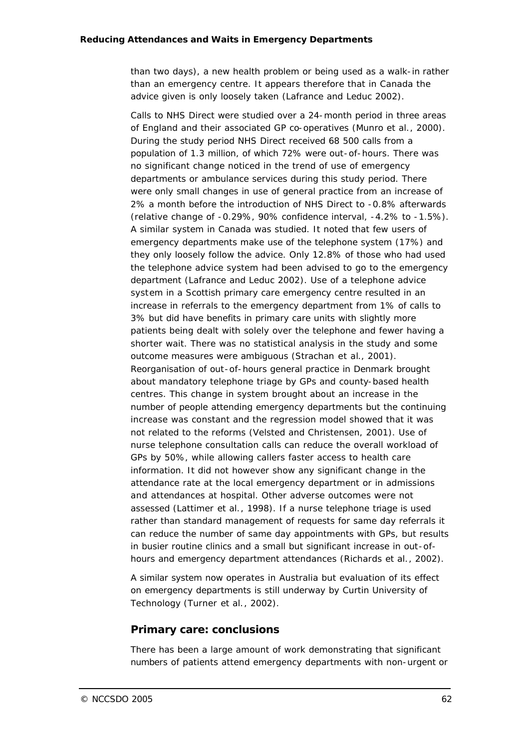than two days), a new health problem or being used as a walk-in rather than an emergency centre. It appears therefore that in Canada the advice given is only loosely taken (Lafrance and Leduc 2002).

Calls to NHS Direct were studied over a 24-month period in three areas of England and their associated GP co-operatives (Munro *et al.*, 2000). During the study period NHS Direct received 68 500 calls from a population of 1.3 million, of which 72% were out-of-hours. There was no significant change noticed in the trend of use of emergency departments or ambulance services during this study period. There were only small changes in use of general practice from an increase of 2% a month before the introduction of NHS Direct to -0.8% afterwards (relative change of -0.29%, 90% confidence interval, -4.2% to -1.5%). A similar system in Canada was studied. It noted that few users of emergency departments make use of the telephone system (17%) and they only loosely follow the advice. Only 12.8% of those who had used the telephone advice system had been advised to go to the emergency department (Lafrance and Leduc 2002). Use of a telephone advice system in a Scottish primary care emergency centre resulted in an increase in referrals to the emergency department from 1% of calls to 3% but did have benefits in primary care units with slightly more patients being dealt with solely over the telephone and fewer having a shorter wait. There was no statistical analysis in the study and some outcome measures were ambiguous (Strachan *et al*., 2001). Reorganisation of out-of-hours general practice in Denmark brought about mandatory telephone triage by GPs and county-based health centres. This change in system brought about an increase in the number of people attending emergency departments but the continuing increase was constant and the regression model showed that it was not related to the reforms (Velsted and Christensen, 2001). Use of nurse telephone consultation calls can reduce the overall workload of GPs by 50%, while allowing callers faster access to health care information. It did not however show any significant change in the attendance rate at the local emergency department or in admissions and attendances at hospital. Other adverse outcomes were not assessed (Lattimer *et al.*, 1998). If a nurse telephone triage is used rather than standard management of requests for same day referrals it can reduce the number of same day appointments with GPs, but results in busier routine clinics and a small but significant increase in out-ofhours and emergency department attendances (Richards *et al.*, 2002).

A similar system now operates in Australia but evaluation of its effect on emergency departments is still underway by Curtin University of Technology (Turner *et al.*, 2002).

# **Primary care: conclusions**

There has been a large amount of work demonstrating that significant numbers of patients attend emergency departments with non-urgent or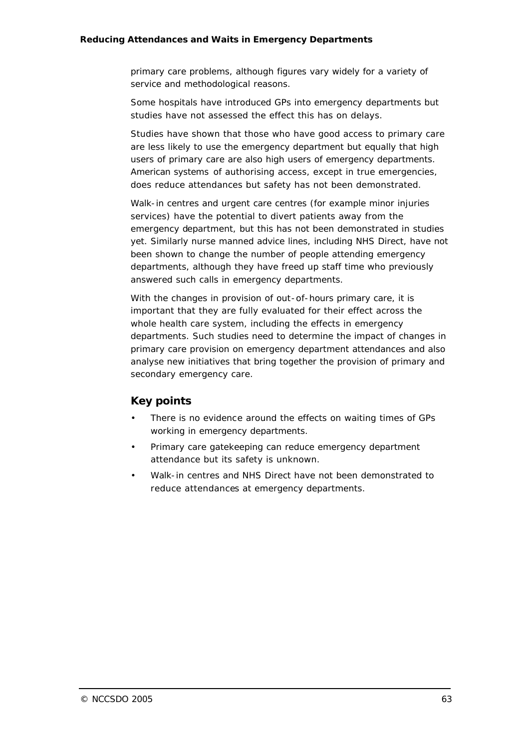primary care problems, although figures vary widely for a variety of service and methodological reasons.

Some hospitals have introduced GPs into emergency departments but studies have not assessed the effect this has on delays.

Studies have shown that those who have good access to primary care are less likely to use the emergency department but equally that high users of primary care are also high users of emergency departments. American systems of authorising access, except in true emergencies, does reduce attendances but safety has not been demonstrated.

Walk-in centres and urgent care centres (for example minor injuries services) have the potential to divert patients away from the emergency department, but this has not been demonstrated in studies yet. Similarly nurse manned advice lines, including NHS Direct, have not been shown to change the number of people attending emergency departments, although they have freed up staff time who previously answered such calls in emergency departments.

With the changes in provision of out-of-hours primary care, it is important that they are fully evaluated for their effect across the whole health care system, including the effects in emergency departments. Such studies need to determine the impact of changes in primary care provision on emergency department attendances and also analyse new initiatives that bring together the provision of primary and secondary emergency care.

# **Key points**

- There is no evidence around the effects on waiting times of GPs working in emergency departments.
- Primary care gatekeeping can reduce emergency department attendance but its safety is unknown.
- Walk-in centres and NHS Direct have not been demonstrated to reduce attendances at emergency departments.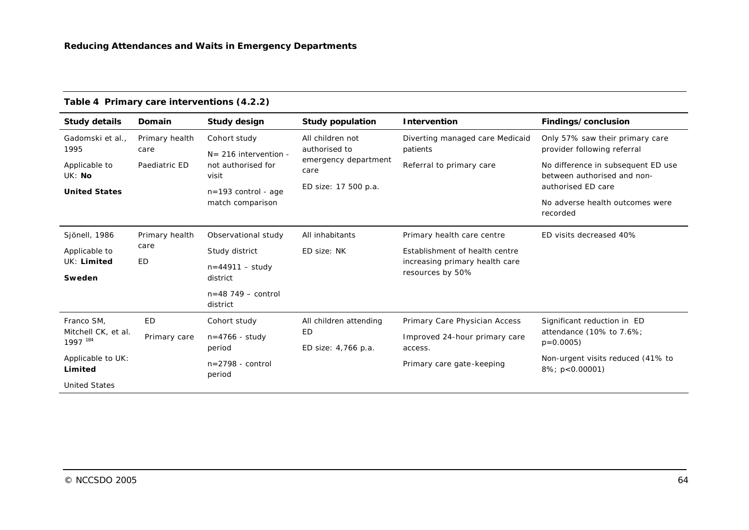| <b>Study details</b>         | <b>Domain</b>  | Study design                       | <b>Study population</b>      | <b>Intervention</b>             | Findings/conclusion                                               |
|------------------------------|----------------|------------------------------------|------------------------------|---------------------------------|-------------------------------------------------------------------|
| Gadomski et al.,             | Primary health | Cohort study                       | All children not             | Diverting managed care Medicaid | Only 57% saw their primary care                                   |
| 1995                         | care           | $N = 216$ intervention -           | authorised to                | patients                        | provider following referral                                       |
| Applicable to<br>UK: No      | Paediatric ED  | not authorised for<br>visit        | emergency department<br>care | Referral to primary care        | No difference in subsequent ED use<br>between authorised and non- |
| <b>United States</b>         |                | $n=193$ control - age              | ED size: 17 500 p.a.         |                                 | authorised ED care                                                |
|                              |                | match comparison                   |                              |                                 | No adverse health outcomes were<br>recorded                       |
| Sjönell, 1986                | Primary health | Observational study                | All inhabitants              | Primary health care centre      | ED visits decreased 40%                                           |
| Applicable to                | care           | Study district                     | ED size: NK                  | Establishment of health centre  |                                                                   |
| UK: Limited                  | ED             | $n = 44911 -$ study                |                              | increasing primary health care  |                                                                   |
| Sweden                       |                | district                           |                              | resources by 50%                |                                                                   |
|                              |                | $n = 48$ 749 - control<br>district |                              |                                 |                                                                   |
| Franco SM,                   | <b>ED</b>      | Cohort study                       | All children attending       | Primary Care Physician Access   | Significant reduction in ED                                       |
| Mitchell CK, et al.          | Primary care   | $n=4766$ - study                   | ED                           | Improved 24-hour primary care   | attendance (10% to 7.6%;                                          |
| 1997 184                     |                | period                             | ED size: 4,766 p.a.          | access.                         | $p=0.0005$                                                        |
| Applicable to UK:<br>Limited |                | $n=2798$ - control<br>period       |                              | Primary care gate-keeping       | Non-urgent visits reduced (41% to<br>8%; p<0.00001)               |
| <b>United States</b>         |                |                                    |                              |                                 |                                                                   |

### **Table 4 Primary care interventions (4.2.2)**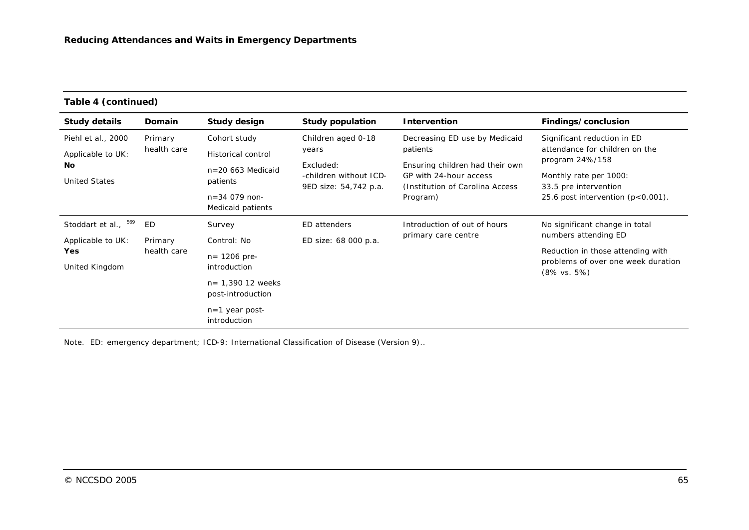| Table 4 (continued)               |                                       |                                           |                                                              |                                                                                               |                                                                |
|-----------------------------------|---------------------------------------|-------------------------------------------|--------------------------------------------------------------|-----------------------------------------------------------------------------------------------|----------------------------------------------------------------|
| <b>Study details</b>              | <b>Domain</b>                         | Study design                              | <b>Study population</b>                                      | <b>Intervention</b>                                                                           | Findings/conclusion                                            |
| Piehl et al., 2000                | Primary                               | Cohort study                              | Children aged 0-18                                           | Decreasing ED use by Medicaid                                                                 | Significant reduction in ED                                    |
| Applicable to UK:                 | health care                           | Historical control                        | years                                                        | patients                                                                                      | attendance for children on the<br>program 24%/158              |
| <b>No</b><br><b>United States</b> |                                       | $n = 20$ 663 Medicaid<br>patients         | Excluded:<br>-children without ICD-<br>9ED size: 54,742 p.a. | Ensuring children had their own<br>GP with 24-hour access<br>(Institution of Carolina Access) | Monthly rate per 1000:<br>33.5 pre intervention                |
|                                   | $n = 34079$ non-<br>Medicaid patients |                                           | Program)                                                     | 25.6 post intervention $(p<0.001)$ .                                                          |                                                                |
| Stoddart et al., 569              | ED                                    | Survey                                    | ED attenders                                                 | Introduction of out of hours                                                                  | No significant change in total                                 |
| Applicable to UK:                 | Primary                               | Control: No                               | ED size: 68 000 p.a.                                         | primary care centre                                                                           | numbers attending ED                                           |
| Yes                               | health care                           | $n = 1206$ pre-                           |                                                              |                                                                                               | Reduction in those attending with                              |
| United Kingdom                    |                                       | introduction                              |                                                              |                                                                                               | problems of over one week duration<br>$(8\% \text{ vs. } 5\%)$ |
|                                   |                                       | $n = 1,390$ 12 weeks<br>post-introduction |                                                              |                                                                                               |                                                                |
|                                   |                                       | $n=1$ year post-<br>introduction          |                                                              |                                                                                               |                                                                |

Note. ED: emergency department; ICD-9: International Classification of Disease (Version 9)..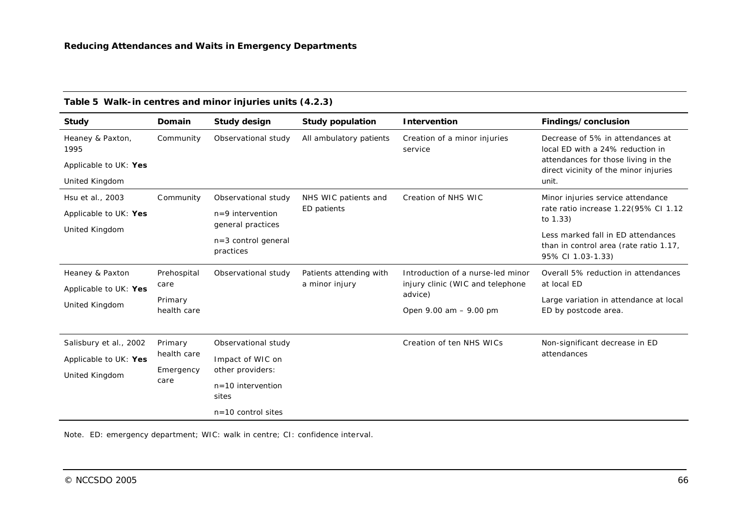### **Table 5 Walk-in centres and minor injuries units (4.2.3)**

| <b>Study</b>             | <b>Domain</b> | Study design                     | <b>Study population</b> | <b>Intervention</b>                         | Findings/conclusion                                                          |  |
|--------------------------|---------------|----------------------------------|-------------------------|---------------------------------------------|------------------------------------------------------------------------------|--|
| Heaney & Paxton,<br>1995 | Community     | Observational study              | All ambulatory patients | Creation of a minor injuries<br>service     | Decrease of 5% in attendances at<br>local ED with a 24% reduction in         |  |
| Applicable to UK: Yes    |               |                                  |                         |                                             | attendances for those living in the<br>direct vicinity of the minor injuries |  |
| United Kingdom           |               |                                  |                         |                                             | unit.                                                                        |  |
| Hsu et al., 2003         | Community     | Observational study              | NHS WIC patients and    | Creation of NHS WIC                         | Minor injuries service attendance                                            |  |
| Applicable to UK: Yes    |               | $n=9$ intervention               | ED patients             |                                             | rate ratio increase 1.22(95% CI 1.12<br>to $1.33$ )                          |  |
| United Kingdom           |               | general practices                |                         |                                             | Less marked fall in ED attendances                                           |  |
|                          |               | n=3 control general<br>practices |                         |                                             | than in control area (rate ratio 1.17,<br>95% CI 1.03-1.33)                  |  |
| Heaney & Paxton          | Prehospital   | Observational study              | Patients attending with | Introduction of a nurse-led minor           | Overall 5% reduction in attendances                                          |  |
| Applicable to UK: Yes    | care          |                                  | a minor injury          | injury clinic (WIC and telephone<br>advice) | at local ED                                                                  |  |
| United Kingdom           | Primary       |                                  |                         |                                             | Large variation in attendance at local                                       |  |
|                          | health care   |                                  |                         | Open 9.00 am - 9.00 pm                      | ED by postcode area.                                                         |  |
| Salisbury et al., 2002   | Primary       | Observational study              |                         | Creation of ten NHS WICs                    | Non-significant decrease in ED                                               |  |
| Applicable to UK: Yes    | health care   | Impact of WIC on                 |                         |                                             | attendances                                                                  |  |
| United Kingdom           | Emergency     | other providers:                 |                         |                                             |                                                                              |  |
|                          | care          | $n = 10$ intervention<br>sites   |                         |                                             |                                                                              |  |
|                          |               | $n = 10$ control sites           |                         |                                             |                                                                              |  |

Note. ED: emergency department; WIC: walk in centre; CI: confidence interval.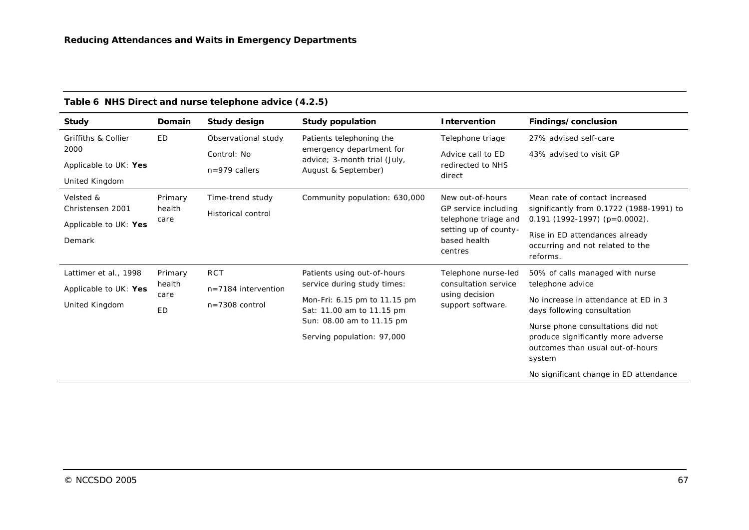| $1.10 \text{ J} \cdot 1.00 \text{ J} \cdot 1.01 \text{ J} \cdot 1.01 \text{ J} \cdot 1.01 \text{ J} \cdot 1.01 \text{ J} \cdot 1.01 \text{ J} \cdot 1.01 \text{ J} \cdot 1.01 \text{ J} \cdot 1.01 \text{ J} \cdot 1.01 \text{ J} \cdot 1.01 \text{ J} \cdot 1.01 \text{ J} \cdot 1.01 \text{ J} \cdot 1.01 \text{ J} \cdot 1.01 \text{ J} \cdot 1.01 \text{ J} \cdot 1.01 \text{ J} \cdot 1.01$ |                       |                            |                                                                                      |                                                                                    |                                                                        |  |
|--------------------------------------------------------------------------------------------------------------------------------------------------------------------------------------------------------------------------------------------------------------------------------------------------------------------------------------------------------------------------------------------------|-----------------------|----------------------------|--------------------------------------------------------------------------------------|------------------------------------------------------------------------------------|------------------------------------------------------------------------|--|
| <b>Study</b>                                                                                                                                                                                                                                                                                                                                                                                     | <b>Domain</b>         | Study design               | <b>Study population</b>                                                              | <b>Intervention</b>                                                                | Findings/conclusion                                                    |  |
| <b>Griffiths &amp; Collier</b>                                                                                                                                                                                                                                                                                                                                                                   | <b>ED</b>             | Observational study        | Patients telephoning the<br>emergency department for<br>advice; 3-month trial (July, | Telephone triage                                                                   | 27% advised self-care                                                  |  |
| 2000                                                                                                                                                                                                                                                                                                                                                                                             |                       | Control: No                |                                                                                      | Advice call to ED                                                                  | 43% advised to visit GP                                                |  |
|                                                                                                                                                                                                                                                                                                                                                                                                  | Applicable to UK: Yes |                            | August & September)                                                                  | redirected to NHS<br>direct                                                        |                                                                        |  |
| United Kingdom                                                                                                                                                                                                                                                                                                                                                                                   |                       |                            |                                                                                      |                                                                                    |                                                                        |  |
| Velsted &                                                                                                                                                                                                                                                                                                                                                                                        | Primary               | Time-trend study           | Community population: 630,000                                                        | New out-of-hours                                                                   | Mean rate of contact increased                                         |  |
| Christensen 2001                                                                                                                                                                                                                                                                                                                                                                                 | health<br>care        | <b>Historical control</b>  | GP service including                                                                 | significantly from 0.1722 (1988-1991) to<br>$0.191(1992-1997)(p=0.0002)$ .         |                                                                        |  |
| Applicable to UK: Yes                                                                                                                                                                                                                                                                                                                                                                            |                       |                            |                                                                                      | telephone triage and<br>setting up of county-                                      |                                                                        |  |
| Demark                                                                                                                                                                                                                                                                                                                                                                                           |                       |                            | based health                                                                         |                                                                                    | Rise in ED attendances already<br>occurring and not related to the     |  |
|                                                                                                                                                                                                                                                                                                                                                                                                  |                       |                            |                                                                                      | centres                                                                            | reforms.                                                               |  |
| Lattimer et al., 1998                                                                                                                                                                                                                                                                                                                                                                            | Primary               | <b>RCT</b>                 | Patients using out-of-hours                                                          | Telephone nurse-led<br>consultation service<br>using decision<br>support software. | 50% of calls managed with nurse                                        |  |
| Applicable to UK: Yes                                                                                                                                                                                                                                                                                                                                                                            | health                | $n = 7184$ intervention    | service during study times:<br>Mon-Fri: 6.15 pm to 11.15 pm                          |                                                                                    | telephone advice                                                       |  |
| United Kingdom                                                                                                                                                                                                                                                                                                                                                                                   |                       | care<br>$n = 7308$ control |                                                                                      |                                                                                    | No increase in attendance at ED in 3                                   |  |
|                                                                                                                                                                                                                                                                                                                                                                                                  | ED                    |                            | Sat: 11.00 am to 11.15 pm<br>Sun: 08.00 am to 11.15 pm                               |                                                                                    | days following consultation                                            |  |
|                                                                                                                                                                                                                                                                                                                                                                                                  |                       |                            |                                                                                      |                                                                                    | Nurse phone consultations did not                                      |  |
|                                                                                                                                                                                                                                                                                                                                                                                                  |                       |                            | Serving population: 97,000                                                           |                                                                                    | produce significantly more adverse<br>outcomes than usual out-of-hours |  |
|                                                                                                                                                                                                                                                                                                                                                                                                  |                       |                            |                                                                                      |                                                                                    | system                                                                 |  |
|                                                                                                                                                                                                                                                                                                                                                                                                  |                       |                            |                                                                                      |                                                                                    | No significant change in ED attendance                                 |  |

#### **Table 6 NHS Direct and nurse telephone advice (4.2.5)**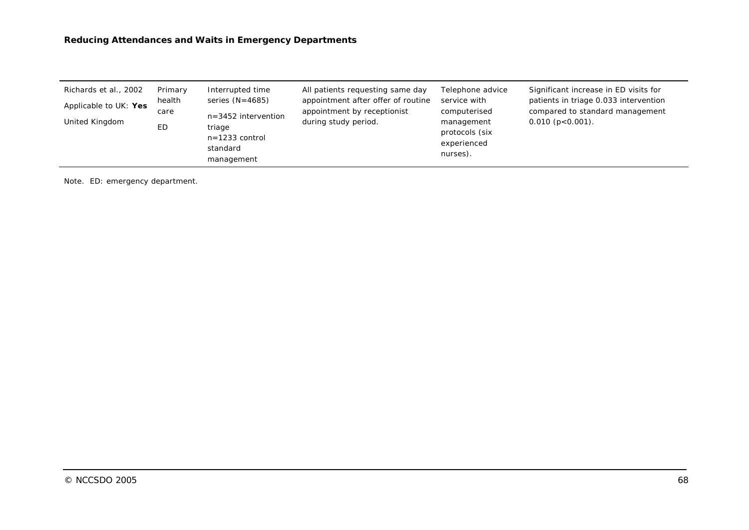| Richards et al., 2002<br>Applicable to UK: Yes<br>United Kingdom | Primary<br>health<br>care<br><b>ED</b> | Interrupted time<br>series $(N=4685)$<br>$n = 3452$ intervention<br>triage<br>$n = 1233$ control<br>standard<br>management | All patients requesting same day<br>appointment after offer of routine<br>appointment by receptionist<br>during study period. | Telephone advice<br>service with<br>computerised<br>management<br>protocols (six<br>experienced<br>nurses). | Significant increase in ED visits for<br>patients in triage 0.033 intervention<br>compared to standard management<br>$0.010$ ( $p < 0.001$ ). |
|------------------------------------------------------------------|----------------------------------------|----------------------------------------------------------------------------------------------------------------------------|-------------------------------------------------------------------------------------------------------------------------------|-------------------------------------------------------------------------------------------------------------|-----------------------------------------------------------------------------------------------------------------------------------------------|
|------------------------------------------------------------------|----------------------------------------|----------------------------------------------------------------------------------------------------------------------------|-------------------------------------------------------------------------------------------------------------------------------|-------------------------------------------------------------------------------------------------------------|-----------------------------------------------------------------------------------------------------------------------------------------------|

Note. ED: emergency department.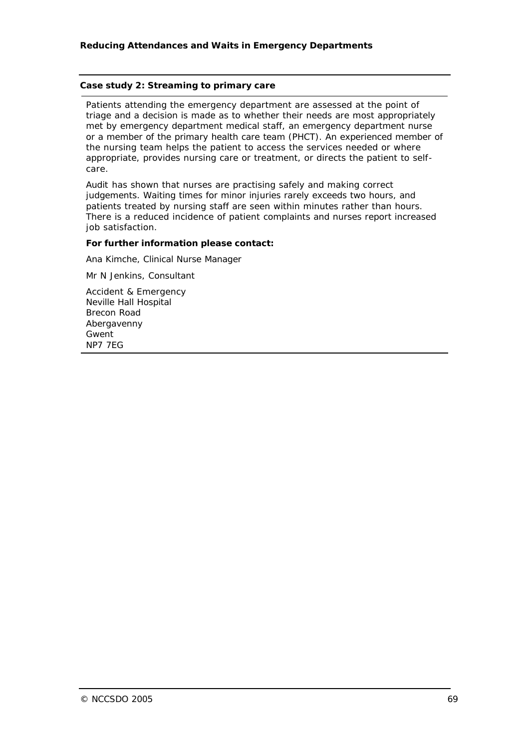#### **Case study 2: Streaming to primary care**

Patients attending the emergency department are assessed at the point of triage and a decision is made as to whether their needs are most appropriately met by emergency department medical staff, an emergency department nurse or a member of the primary health care team (PHCT). An experienced member of the nursing team helps the patient to access the services needed or where appropriate, provides nursing care or treatment, or directs the patient to selfcare.

Audit has shown that nurses are practising safely and making correct judgements. Waiting times for minor injuries rarely exceeds two hours, and patients treated by nursing staff are seen within minutes rather than hours. There is a reduced incidence of patient complaints and nurses report increased job satisfaction.

### **For further information please contact:**

Ana Kimche, Clinical Nurse Manager

Mr N Jenkins, Consultant

Accident & Emergency Neville Hall Hospital Brecon Road Abergavenny Gwent NP7 7EG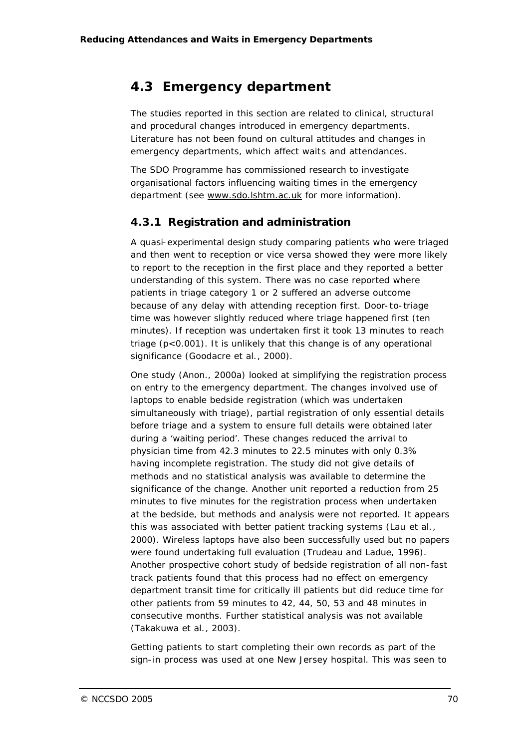# *4.3 Emergency department*

The studies reported in this section are related to clinical, structural and procedural changes introduced in emergency departments. Literature has not been found on cultural attitudes and changes in emergency departments, which affect waits and attendances.

The SDO Programme has commissioned research to investigate organisational factors influencing waiting times in the emergency department (see www.sdo.lshtm.ac.uk for more information).

# **4.3.1 Registration and administration**

A quasi-experimental design study comparing patients who were triaged and then went to reception or vice versa showed they were more likely to report to the reception in the first place and they reported a better understanding of this system. There was no case reported where patients in triage category 1 or 2 suffered an adverse outcome because of any delay with attending reception first. Door-to-triage time was however slightly reduced where triage happened first (ten minutes). If reception was undertaken first it took 13 minutes to reach triage (p<0.001). It is unlikely that this change is of any operational significance (Goodacre *et al.*, 2000).

One study (Anon., 2000a) looked at simplifying the registration process on entry to the emergency department. The changes involved use of laptops to enable bedside registration (which was undertaken simultaneously with triage), partial registration of only essential details before triage and a system to ensure full details were obtained later during a 'waiting period'. These changes reduced the arrival to physician time from 42.3 minutes to 22.5 minutes with only 0.3% having incomplete registration. The study did not give details of methods and no statistical analysis was available to determine the significance of the change. Another unit reported a reduction from 25 minutes to five minutes for the registration process when undertaken at the bedside, but methods and analysis were not reported. It appears this was associated with better patient tracking systems (Lau *et al.*, 2000). Wireless laptops have also been successfully used but no papers were found undertaking full evaluation (Trudeau and Ladue, 1996). Another prospective cohort study of bedside registration of all non-fast track patients found that this process had no effect on emergency department transit time for critically ill patients but did reduce time for other patients from 59 minutes to 42, 44, 50, 53 and 48 minutes in consecutive months. Further statistical analysis was not available (Takakuwa *et al.*, 2003).

Getting patients to start completing their own records as part of the sign-in process was used at one New Jersey hospital. This was seen to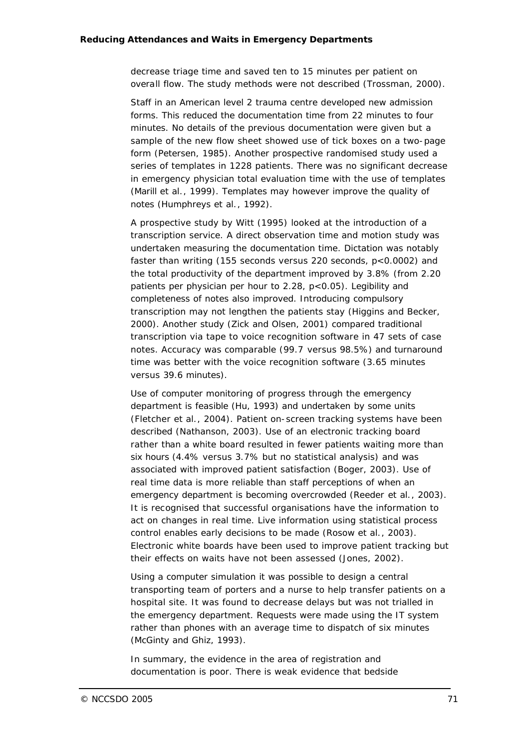decrease triage time and saved ten to 15 minutes per patient on overall flow. The study methods were not described (Trossman, 2000).

Staff in an American level 2 trauma centre developed new admission forms. This reduced the documentation time from 22 minutes to four minutes. No details of the previous documentation were given but a sample of the new flow sheet showed use of tick boxes on a two-page form (Petersen, 1985). Another prospective randomised study used a series of templates in 1228 patients. There was no significant decrease in emergency physician total evaluation time with the use of templates (Marill *et al.*, 1999). Templates may however improve the quality of notes (Humphreys *et al.*, 1992).

A prospective study by Witt (1995) looked at the introduction of a transcription service. A direct observation time and motion study was undertaken measuring the documentation time. Dictation was notably faster than writing (155 seconds *versus* 220 seconds, p<0.0002) and the total productivity of the department improved by 3.8% (from 2.20 patients per physician per hour to 2.28, p<0.05). Legibility and completeness of notes also improved. Introducing compulsory transcription may not lengthen the patients stay (Higgins and Becker, 2000). Another study (Zick and Olsen, 2001) compared traditional transcription via tape to voice recognition software in 47 sets of case notes. Accuracy was comparable (99.7 *versus* 98.5%) and turnaround time was better with the voice recognition software (3.65 minutes *versus* 39.6 minutes).

Use of computer monitoring of progress through the emergency department is feasible (Hu, 1993) and undertaken by some units (Fletcher *et al.*, 2004). Patient on-screen tracking systems have been described (Nathanson, 2003). Use of an electronic tracking board rather than a white board resulted in fewer patients waiting more than six hours (4.4% *versus* 3.7% but no statistical analysis) and was associated with improved patient satisfaction (Boger, 2003). Use of real time data is more reliable than staff perceptions of when an emergency department is becoming overcrowded (Reeder *et al.*, 2003). It is recognised that successful organisations have the information to act on changes in real time. Live information using statistical process control enables early decisions to be made (Rosow *et al.*, 2003). Electronic white boards have been used to improve patient tracking but their effects on waits have not been assessed (Jones, 2002).

Using a computer simulation it was possible to design a central transporting team of porters and a nurse to help transfer patients on a hospital site. It was found to decrease delays but was not trialled in the emergency department. Requests were made using the IT system rather than phones with an average time to dispatch of six minutes (McGinty and Ghiz, 1993).

In summary, the evidence in the area of registration and documentation is poor. There is weak evidence that bedside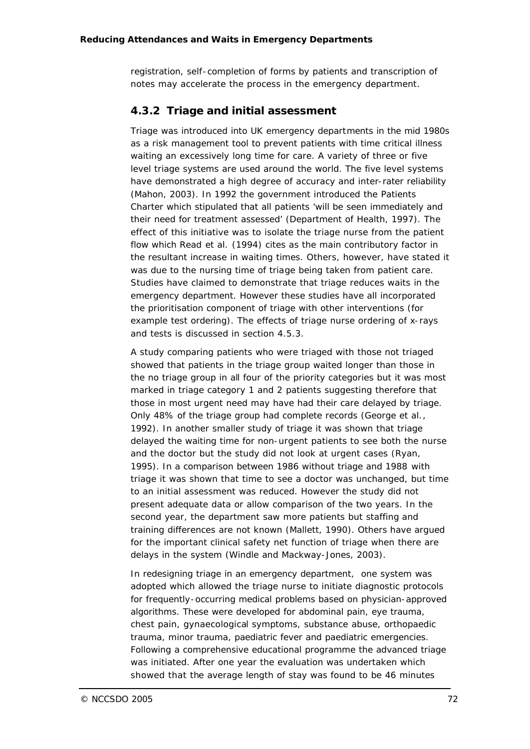registration, self-completion of forms by patients and transcription of notes may accelerate the process in the emergency department.

## **4.3.2 Triage and initial assessment**

Triage was introduced into UK emergency departments in the mid 1980s as a risk management tool to prevent patients with time critical illness waiting an excessively long time for care. A variety of three or five level triage systems are used around the world. The five level systems have demonstrated a high degree of accuracy and inter-rater reliability (Mahon, 2003). In 1992 the government introduced the Patients Charter which stipulated that all patients 'will be seen immediately and their need for treatment assessed' (Department of Health, 1997). The effect of this initiative was to isolate the triage nurse from the patient flow which Read *et al.* (1994) cites as the main contributory factor in the resultant increase in waiting times. Others, however, have stated it was due to the nursing time of triage being taken from patient care. Studies have claimed to demonstrate that triage reduces waits in the emergency department. However these studies have all incorporated the prioritisation component of triage with other interventions (for example test ordering). The effects of triage nurse ordering of x-rays and tests is discussed in section 4.5.3.

A study comparing patients who were triaged with those not triaged showed that patients in the triage group waited longer than those in the no triage group in all four of the priority categories but it was most marked in triage category 1 and 2 patients suggesting therefore that those in most urgent need may have had their care delayed by triage. Only 48% of the triage group had complete records (George *et al.*, 1992). In another smaller study of triage it was shown that triage delayed the waiting time for non-urgent patients to see both the nurse and the doctor but the study did not look at urgent cases (Ryan, 1995). In a comparison between 1986 without triage and 1988 with triage it was shown that time to see a doctor was unchanged, but time to an initial assessment was reduced. However the study did not present adequate data or allow comparison of the two years. In the second year, the department saw more patients but staffing and training differences are not known (Mallett, 1990). Others have argued for the important clinical safety net function of triage when there are delays in the system (Windle and Mackway-Jones, 2003).

In redesigning triage in an emergency department, one system was adopted which allowed the triage nurse to initiate diagnostic protocols for frequently-occurring medical problems based on physician-approved algorithms. These were developed for abdominal pain, eye trauma, chest pain, gynaecological symptoms, substance abuse, orthopaedic trauma, minor trauma, paediatric fever and paediatric emergencies. Following a comprehensive educational programme the advanced triage was initiated. After one year the evaluation was undertaken which showed that the average length of stay was found to be 46 minutes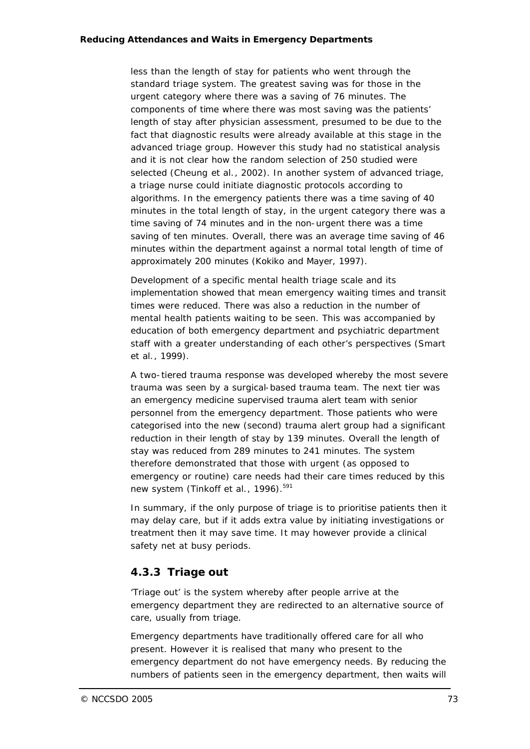less than the length of stay for patients who went through the standard triage system. The greatest saving was for those in the urgent category where there was a saving of 76 minutes. The components of time where there was most saving was the patients' length of stay after physician assessment, presumed to be due to the fact that diagnostic results were already available at this stage in the advanced triage group. However this study had no statistical analysis and it is not clear how the random selection of 250 studied were selected (Cheung *et al.*, 2002). In another system of advanced triage, a triage nurse could initiate diagnostic protocols according to algorithms. In the emergency patients there was a time saving of 40 minutes in the total length of stay, in the urgent category there was a time saving of 74 minutes and in the non-urgent there was a time saving of ten minutes. Overall, there was an average time saving of 46 minutes within the department against a normal total length of time of approximately 200 minutes (Kokiko and Mayer, 1997).

Development of a specific mental health triage scale and its implementation showed that mean emergency waiting times and transit times were reduced. There was also a reduction in the number of mental health patients waiting to be seen. This was accompanied by education of both emergency department and psychiatric department staff with a greater understanding of each other's perspectives (Smart *et al.*, 1999).

A two-tiered trauma response was developed whereby the most severe trauma was seen by a surgical-based trauma team. The next tier was an emergency medicine supervised trauma alert team with senior personnel from the emergency department. Those patients who were categorised into the new (second) trauma alert group had a significant reduction in their length of stay by 139 minutes. Overall the length of stay was reduced from 289 minutes to 241 minutes. The system therefore demonstrated that those with urgent (as opposed to emergency or routine) care needs had their care times reduced by this new system (Tinkoff *et al.*, 1996).<sup>591</sup>

In summary, if the only purpose of triage is to prioritise patients then it may delay care, but if it adds extra value by initiating investigations or treatment then it may save time. It may however provide a clinical safety net at busy periods.

# **4.3.3 Triage out**

'Triage out' is the system whereby after people arrive at the emergency department they are redirected to an alternative source of care, usually from triage.

Emergency departments have traditionally offered care for all who present. However it is realised that many who present to the emergency department do not have emergency needs. By reducing the numbers of patients seen in the emergency department, then waits will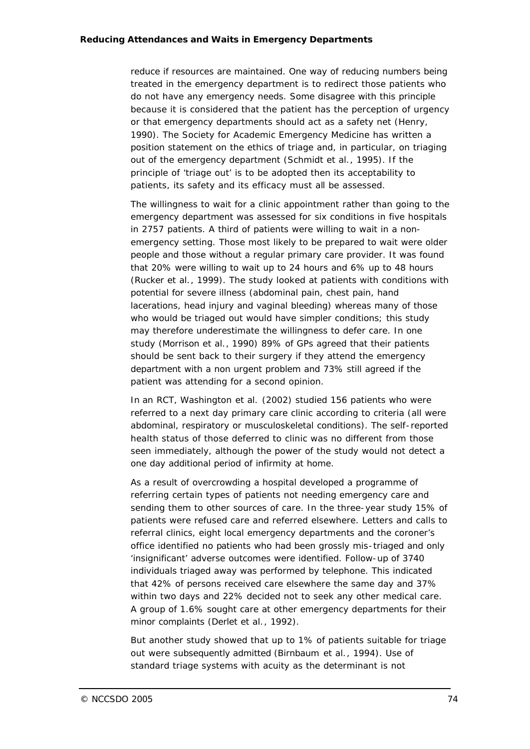reduce if resources are maintained. One way of reducing numbers being treated in the emergency department is to redirect those patients who do not have any emergency needs. Some disagree with this principle because it is considered that the patient has the perception of urgency or that emergency departments should act as a safety net (Henry, 1990). The Society for Academic Emergency Medicine has written a position statement on the ethics of triage and, in particular, on triaging out of the emergency department (Schmidt *et al.*, 1995). If the principle of 'triage out' is to be adopted then its acceptability to patients, its safety and its efficacy must all be assessed.

The willingness to wait for a clinic appointment rather than going to the emergency department was assessed for six conditions in five hospitals in 2757 patients. A third of patients were willing to wait in a nonemergency setting. Those most likely to be prepared to wait were older people and those without a regular primary care provider. It was found that 20% were willing to wait up to 24 hours and 6% up to 48 hours (Rucker *et al.*, 1999). The study looked at patients with conditions with potential for severe illness (abdominal pain, chest pain, hand lacerations, head injury and vaginal bleeding) whereas many of those who would be triaged out would have simpler conditions; this study may therefore underestimate the willingness to defer care. In one study (Morrison *et al.*, 1990) 89% of GPs agreed that their patients should be sent back to their surgery if they attend the emergency department with a non urgent problem and 73% still agreed if the patient was attending for a second opinion.

In an RCT, Washington *et al.* (2002) studied 156 patients who were referred to a next day primary care clinic according to criteria (all were abdominal, respiratory or musculoskeletal conditions). The self-reported health status of those deferred to clinic was no different from those seen immediately, although the power of the study would not detect a one day additional period of infirmity at home.

As a result of overcrowding a hospital developed a programme of referring certain types of patients not needing emergency care and sending them to other sources of care. In the three-year study 15% of patients were refused care and referred elsewhere. Letters and calls to referral clinics, eight local emergency departments and the coroner's office identified no patients who had been grossly mis-triaged and only 'insignificant' adverse outcomes were identified. Follow-up of 3740 individuals triaged away was performed by telephone. This indicated that 42% of persons received care elsewhere the same day and 37% within two days and 22% decided not to seek any other medical care. A group of 1.6% sought care at other emergency departments for their minor complaints (Derlet *et al.*, 1992).

But another study showed that up to 1% of patients suitable for triage out were subsequently admitted (Birnbaum *et al.*, 1994). Use of standard triage systems with acuity as the determinant is not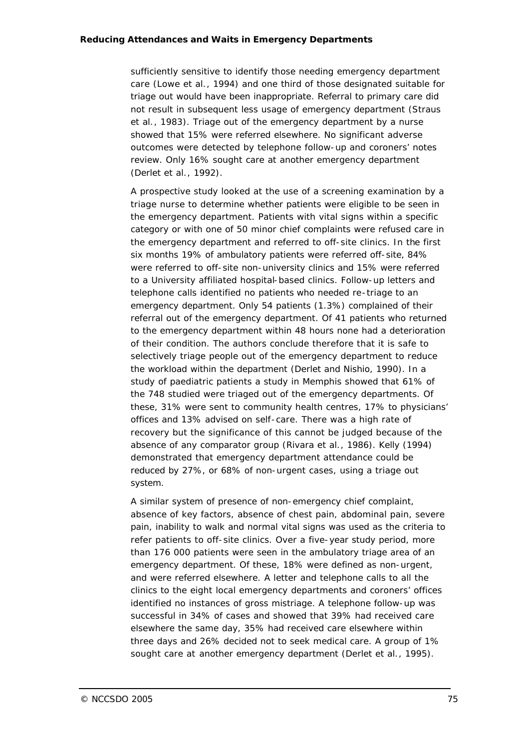sufficiently sensitive to identify those needing emergency department care (Lowe *et al.*, 1994) and one third of those designated suitable for triage out would have been inappropriate. Referral to primary care did not result in subsequent less usage of emergency department (Straus *et al.*, 1983). Triage out of the emergency department by a nurse showed that 15% were referred elsewhere. No significant adverse outcomes were detected by telephone follow-up and coroners' notes review. Only 16% sought care at another emergency department (Derlet *et al.*, 1992).

A prospective study looked at the use of a screening examination by a triage nurse to determine whether patients were eligible to be seen in the emergency department. Patients with vital signs within a specific category or with one of 50 minor chief complaints were refused care in the emergency department and referred to off-site clinics. In the first six months 19% of ambulatory patients were referred off-site, 84% were referred to off-site non-university clinics and 15% were referred to a University affiliated hospital-based clinics. Follow-up letters and telephone calls identified no patients who needed re-triage to an emergency department. Only 54 patients (1.3%) complained of their referral out of the emergency department. Of 41 patients who returned to the emergency department within 48 hours none had a deterioration of their condition. The authors conclude therefore that it is safe to selectively triage people out of the emergency department to reduce the workload within the department (Derlet and Nishio, 1990). In a study of paediatric patients a study in Memphis showed that 61% of the 748 studied were triaged out of the emergency departments. Of these, 31% were sent to community health centres, 17% to physicians' offices and 13% advised on self-care. There was a high rate of recovery but the significance of this cannot be judged because of the absence of any comparator group (Rivara *et al.*, 1986). Kelly (1994) demonstrated that emergency department attendance could be reduced by 27%, or 68% of non-urgent cases, using a triage out system.

A similar system of presence of non-emergency chief complaint, absence of key factors, absence of chest pain, abdominal pain, severe pain, inability to walk and normal vital signs was used as the criteria to refer patients to off-site clinics. Over a five-year study period, more than 176 000 patients were seen in the ambulatory triage area of an emergency department. Of these, 18% were defined as non-urgent, and were referred elsewhere. A letter and telephone calls to all the clinics to the eight local emergency departments and coroners' offices identified no instances of gross mistriage. A telephone follow-up was successful in 34% of cases and showed that 39% had received care elsewhere the same day, 35% had received care elsewhere within three days and 26% decided not to seek medical care. A group of 1% sought care at another emergency department (Derlet *et al.*, 1995).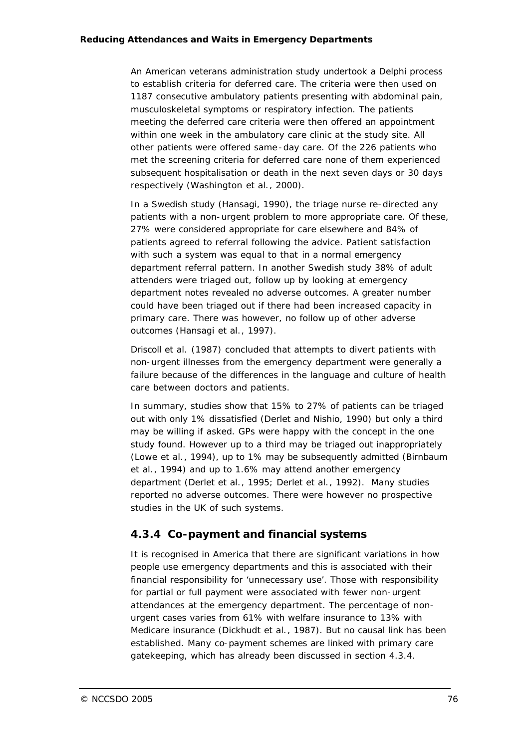An American veterans administration study undertook a Delphi process to establish criteria for deferred care. The criteria were then used on 1187 consecutive ambulatory patients presenting with abdominal pain, musculoskeletal symptoms or respiratory infection. The patients meeting the deferred care criteria were then offered an appointment within one week in the ambulatory care clinic at the study site. All other patients were offered same -day care. Of the 226 patients who met the screening criteria for deferred care none of them experienced subsequent hospitalisation or death in the next seven days or 30 days respectively (Washington *et al.*, 2000).

In a Swedish study (Hansagi, 1990), the triage nurse re-directed any patients with a non-urgent problem to more appropriate care. Of these, 27% were considered appropriate for care elsewhere and 84% of patients agreed to referral following the advice. Patient satisfaction with such a system was equal to that in a normal emergency department referral pattern. In another Swedish study 38% of adult attenders were triaged out, follow up by looking at emergency department notes revealed no adverse outcomes. A greater number could have been triaged out if there had been increased capacity in primary care. There was however, no follow up of other adverse outcomes (Hansagi *et al.*, 1997).

Driscoll *et al.* (1987) concluded that attempts to divert patients with non-urgent illnesses from the emergency department were generally a failure because of the differences in the language and culture of health care between doctors and patients.

In summary, studies show that 15% to 27% of patients can be triaged out with only 1% dissatisfied (Derlet and Nishio, 1990) but only a third may be willing if asked. GPs were happy with the concept in the one study found. However up to a third may be triaged out inappropriately (Lowe *et al.*, 1994), up to 1% may be subsequently admitted (Birnbaum *et al.*, 1994) and up to 1.6% may attend another emergency department (Derlet *et al.*, 1995; Derlet *et al.*, 1992). Many studies reported no adverse outcomes. There were however no prospective studies in the UK of such systems.

# **4.3.4 Co-payment and financial systems**

It is recognised in America that there are significant variations in how people use emergency departments and this is associated with their financial responsibility for 'unnecessary use'. Those with responsibility for partial or full payment were associated with fewer non-urgent attendances at the emergency department. The percentage of nonurgent cases varies from 61% with welfare insurance to 13% with Medicare insurance (Dickhudt *et al.*, 1987). But no causal link has been established. Many co-payment schemes are linked with primary care gatekeeping, which has already been discussed in section 4.3.4.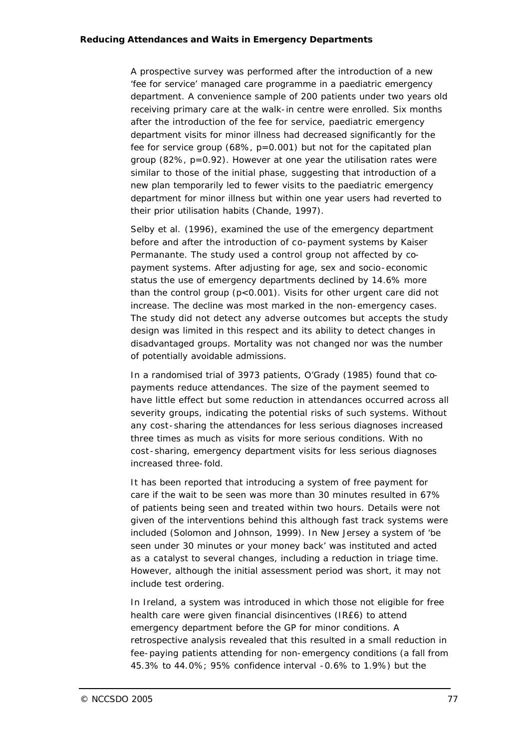#### *Reducing Attendances and Waits in Emergency Departments*

A prospective survey was performed after the introduction of a new 'fee for service' managed care programme in a paediatric emergency department. A convenience sample of 200 patients under two years old receiving primary care at the walk-in centre were enrolled. Six months after the introduction of the fee for service, paediatric emergency department visits for minor illness had decreased significantly for the fee for service group (68%,  $p=0.001$ ) but not for the capitated plan group (82%, p=0.92). However at one year the utilisation rates were similar to those of the initial phase, suggesting that introduction of a new plan temporarily led to fewer visits to the paediatric emergency department for minor illness but within one year users had reverted to their prior utilisation habits (Chande, 1997).

Selby *et al.* (1996), examined the use of the emergency department before and after the introduction of co-payment systems by Kaiser Permanante. The study used a control group not affected by copayment systems. After adjusting for age, sex and socio-economic status the use of emergency departments declined by 14.6% more than the control group (p<0.001). Visits for other urgent care did not increase. The decline was most marked in the non-emergency cases. The study did not detect any adverse outcomes but accepts the study design was limited in this respect and its ability to detect changes in disadvantaged groups. Mortality was not changed nor was the number of potentially avoidable admissions.

In a randomised trial of 3973 patients, O'Grady (1985) found that copayments reduce attendances. The size of the payment seemed to have little effect but some reduction in attendances occurred across all severity groups, indicating the potential risks of such systems. Without any cost-sharing the attendances for less serious diagnoses increased three times as much as visits for more serious conditions. With no cost-sharing, emergency department visits for less serious diagnoses increased three-fold.

It has been reported that introducing a system of free payment for care if the wait to be seen was more than 30 minutes resulted in 67% of patients being seen and treated within two hours. Details were not given of the interventions behind this although fast track systems were included (Solomon and Johnson, 1999). In New Jersey a system of 'be seen under 30 minutes or your money back' was instituted and acted as a catalyst to several changes, including a reduction in triage time. However, although the initial assessment period was short, it may not include test ordering.

In Ireland, a system was introduced in which those not eligible for free health care were given financial disincentives (IR£6) to attend emergency department before the GP for minor conditions. A retrospective analysis revealed that this resulted in a small reduction in fee-paying patients attending for non-emergency conditions (a fall from 45.3% to 44.0%; 95% confidence interval -0.6% to 1.9%) but the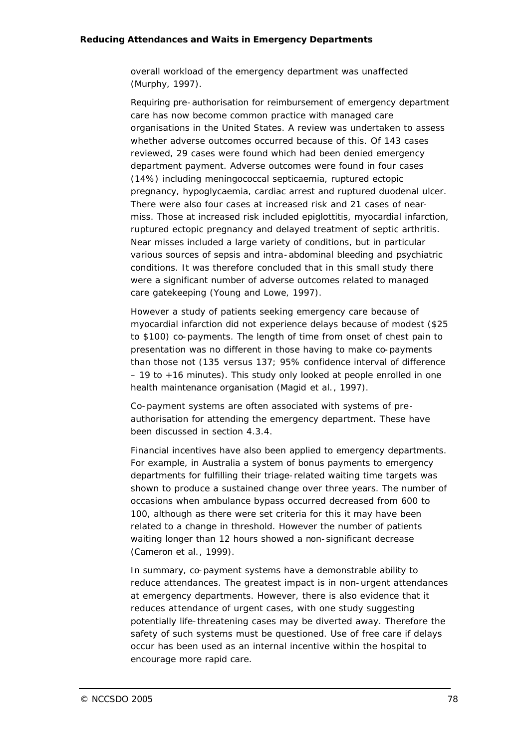#### *Reducing Attendances and Waits in Emergency Departments*

overall workload of the emergency department was unaffected (Murphy, 1997).

Requiring pre-authorisation for reimbursement of emergency department care has now become common practice with managed care organisations in the United States. A review was undertaken to assess whether adverse outcomes occurred because of this. Of 143 cases reviewed, 29 cases were found which had been denied emergency department payment. Adverse outcomes were found in four cases (14%) including meningococcal septicaemia, ruptured ectopic pregnancy, hypoglycaemia, cardiac arrest and ruptured duodenal ulcer. There were also four cases at increased risk and 21 cases of nearmiss. Those at increased risk included epiglottitis, myocardial infarction, ruptured ectopic pregnancy and delayed treatment of septic arthritis. Near misses included a large variety of conditions, but in particular various sources of sepsis and intra-abdominal bleeding and psychiatric conditions. It was therefore concluded that in this small study there were a significant number of adverse outcomes related to managed care gatekeeping (Young and Lowe, 1997).

However a study of patients seeking emergency care because of myocardial infarction did not experience delays because of modest (\$25 to \$100) co-payments. The length of time from onset of chest pain to presentation was no different in those having to make co-payments than those not (135 *versus* 137; 95% confidence interval of difference  $-19$  to  $+16$  minutes). This study only looked at people enrolled in one health maintenance organisation (Magid *et al.*, 1997).

Co-payment systems are often associated with systems of preauthorisation for attending the emergency department. These have been discussed in section 4.3.4.

Financial incentives have also been applied to emergency departments. For example, in Australia a system of bonus payments to emergency departments for fulfilling their triage-related waiting time targets was shown to produce a sustained change over three years. The number of occasions when ambulance bypass occurred decreased from 600 to 100, although as there were set criteria for this it may have been related to a change in threshold. However the number of patients waiting longer than 12 hours showed a non-significant decrease (Cameron *et al.*, 1999).

In summary, co-payment systems have a demonstrable ability to reduce attendances. The greatest impact is in non-urgent attendances at emergency departments. However, there is also evidence that it reduces attendance of urgent cases, with one study suggesting potentially life-threatening cases may be diverted away. Therefore the safety of such systems must be questioned. Use of free care if delays occur has been used as an internal incentive within the hospital to encourage more rapid care.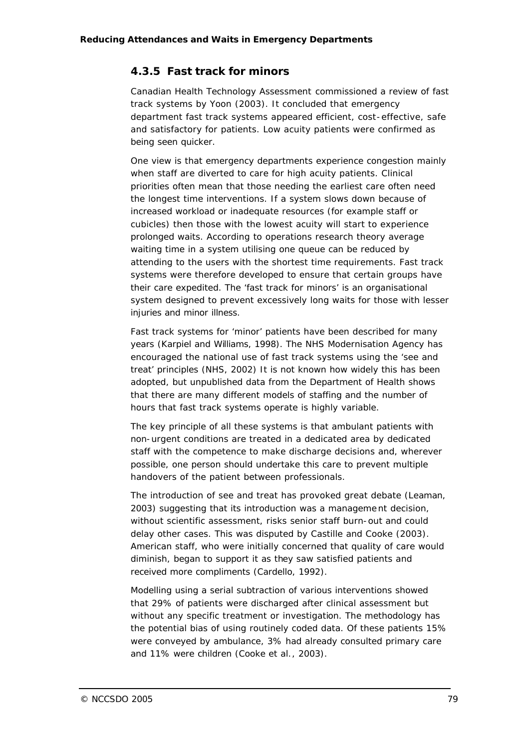# **4.3.5 Fast track for minors**

*Canadian Health Technology Assessment* commissioned a review of fast track systems by Yoon (2003). It concluded that emergency department fast track systems appeared efficient, cost-effective, safe and satisfactory for patients. Low acuity patients were confirmed as being seen quicker.

One view is that emergency departments experience congestion mainly when staff are diverted to care for high acuity patients. Clinical priorities often mean that those needing the earliest care often need the longest time interventions. If a system slows down because of increased workload or inadequate resources (for example staff or cubicles) then those with the lowest acuity will start to experience prolonged waits. According to operations research theory average waiting time in a system utilising one queue can be reduced by attending to the users with the shortest time requirements. Fast track systems were therefore developed to ensure that certain groups have their care expedited. The 'fast track for minors' is an organisational system designed to prevent excessively long waits for those with lesser injuries and minor illness.

Fast track systems for 'minor' patients have been described for many years (Karpiel and Williams, 1998). The NHS Modernisation Agency has encouraged the national use of fast track systems using the 'see and treat' principles (NHS, 2002) It is not known how widely this has been adopted, but unpublished data from the Department of Health shows that there are many different models of staffing and the number of hours that fast track systems operate is highly variable.

The key principle of all these systems is that ambulant patients with non-urgent conditions are treated in a dedicated area by dedicated staff with the competence to make discharge decisions and, wherever possible, one person should undertake this care to prevent multiple handovers of the patient between professionals.

The introduction of see and treat has provoked great debate (Leaman, 2003) suggesting that its introduction was a management decision, without scientific assessment, risks senior staff burn-out and could delay other cases. This was disputed by Castille and Cooke (2003). American staff, who were initially concerned that quality of care would diminish, began to support it as they saw satisfied patients and received more compliments (Cardello, 1992).

Modelling using a serial subtraction of various interventions showed that 29% of patients were discharged after clinical assessment but without any specific treatment or investigation. The methodology has the potential bias of using routinely coded data. Of these patients 15% were conveyed by ambulance, 3% had already consulted primary care and 11% were children (Cooke *et al.*, 2003).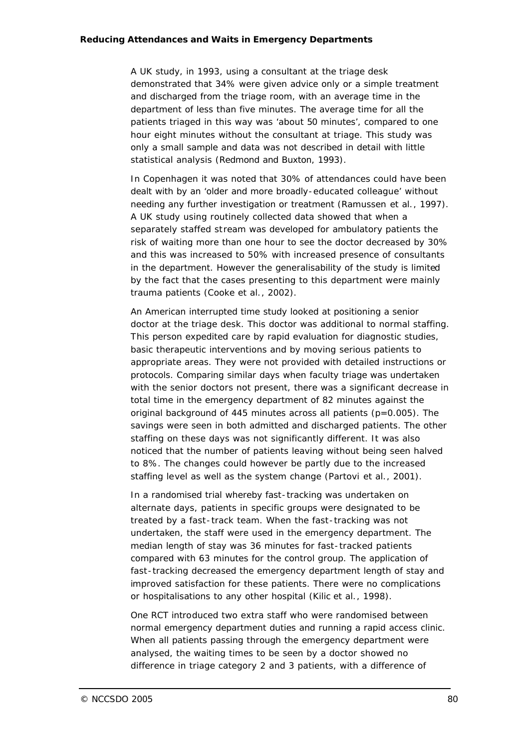A UK study, in 1993, using a consultant at the triage desk demonstrated that 34% were given advice only or a simple treatment and discharged from the triage room, with an average time in the department of less than five minutes. The average time for all the patients triaged in this way was 'about 50 minutes', compared to one hour eight minutes without the consultant at triage. This study was only a small sample and data was not described in detail with little statistical analysis (Redmond and Buxton, 1993).

In Copenhagen it was noted that 30% of attendances could have been dealt with by an 'older and more broadly-educated colleague' without needing any further investigation or treatment (Ramussen *et al.*, 1997). A UK study using routinely collected data showed that when a separately staffed stream was developed for ambulatory patients the risk of waiting more than one hour to see the doctor decreased by 30% and this was increased to 50% with increased presence of consultants in the department. However the generalisability of the study is limited by the fact that the cases presenting to this department were mainly trauma patients (Cooke *et al.*, 2002).

An American interrupted time study looked at positioning a senior doctor at the triage desk. This doctor was additional to normal staffing. This person expedited care by rapid evaluation for diagnostic studies, basic therapeutic interventions and by moving serious patients to appropriate areas. They were not provided with detailed instructions or protocols. Comparing similar days when faculty triage was undertaken with the senior doctors not present, there was a significant decrease in total time in the emergency department of 82 minutes against the original background of 445 minutes across all patients (p=0.005). The savings were seen in both admitted and discharged patients. The other staffing on these days was not significantly different. It was also noticed that the number of patients leaving without being seen halved to 8%. The changes could however be partly due to the increased staffing level as well as the system change (Partovi *et al.*, 2001).

In a randomised trial whereby fast-tracking was undertaken on alternate days, patients in specific groups were designated to be treated by a fast-track team. When the fast-tracking was not undertaken, the staff were used in the emergency department. The median length of stay was 36 minutes for fast-tracked patients compared with 63 minutes for the control group. The application of fast-tracking decreased the emergency department length of stay and improved satisfaction for these patients. There were no complications or hospitalisations to any other hospital (Kilic *et al.*, 1998).

One RCT introduced two extra staff who were randomised between normal emergency department duties and running a rapid access clinic. When all patients passing through the emergency department were analysed, the waiting times to be seen by a doctor showed no difference in triage category 2 and 3 patients, with a difference of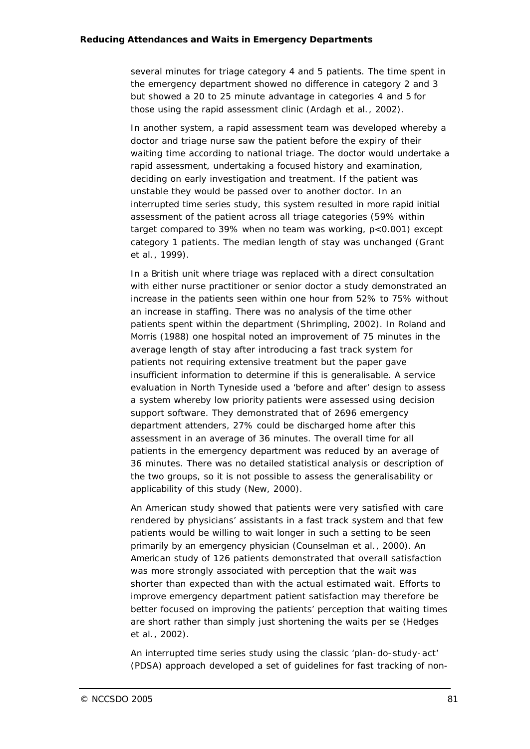several minutes for triage category 4 and 5 patients. The time spent in the emergency department showed no difference in category 2 and 3 but showed a 20 to 25 minute advantage in categories 4 and 5 for those using the rapid assessment clinic (Ardagh *et al.*, 2002).

In another system, a rapid assessment team was developed whereby a doctor and triage nurse saw the patient before the expiry of their waiting time according to national triage. The doctor would undertake a rapid assessment, undertaking a focused history and examination, deciding on early investigation and treatment. If the patient was unstable they would be passed over to another doctor. In an interrupted time series study, this system resulted in more rapid initial assessment of the patient across all triage categories (59% within target compared to 39% when no team was working, p<0.001) except category 1 patients. The median length of stay was unchanged (Grant *et al.*, 1999).

In a British unit where triage was replaced with a direct consultation with either nurse practitioner or senior doctor a study demonstrated an increase in the patients seen within one hour from 52% to 75% without an increase in staffing. There was no analysis of the time other patients spent within the department (Shrimpling, 2002). In Roland and Morris (1988) one hospital noted an improvement of 75 minutes in the average length of stay after introducing a fast track system for patients not requiring extensive treatment but the paper gave insufficient information to determine if this is generalisable. A service evaluation in North Tyneside used a 'before and after' design to assess a system whereby low priority patients were assessed using decision support software. They demonstrated that of 2696 emergency department attenders, 27% could be discharged home after this assessment in an average of 36 minutes. The overall time for all patients in the emergency department was reduced by an average of 36 minutes. There was no detailed statistical analysis or description of the two groups, so it is not possible to assess the generalisability or applicability of this study (New, 2000).

An American study showed that patients were very satisfied with care rendered by physicians' assistants in a fast track system and that few patients would be willing to wait longer in such a setting to be seen primarily by an emergency physician (Counselman *et al.*, 2000). An American study of 126 patients demonstrated that overall satisfaction was more strongly associated with perception that the wait was shorter than expected than with the actual estimated wait. Efforts to improve emergency department patient satisfaction may therefore be better focused on improving the patients' perception that waiting times are short rather than simply just shortening the waits *per se* (Hedges *et al.*, 2002).

An interrupted time series study using the classic 'plan-do-study-act' (PDSA) approach developed a set of guidelines for fast tracking of non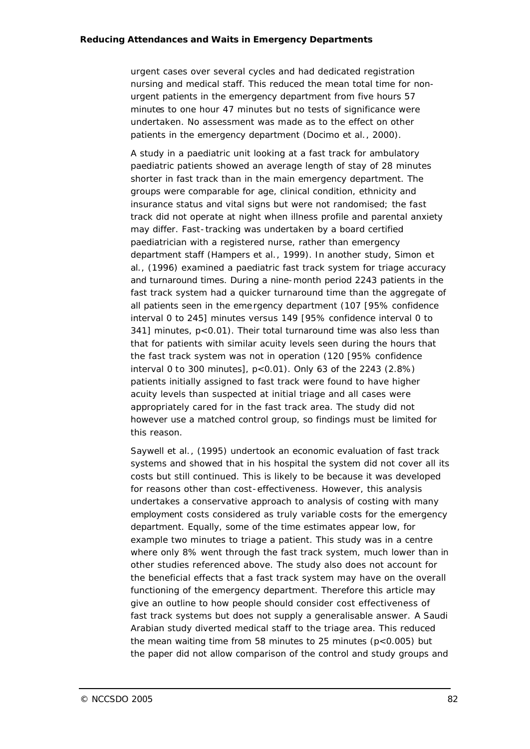urgent cases over several cycles and had dedicated registration nursing and medical staff. This reduced the mean total time for nonurgent patients in the emergency department from five hours 57 minutes to one hour 47 minutes but no tests of significance were undertaken. No assessment was made as to the effect on other patients in the emergency department (Docimo *et al.*, 2000).

A study in a paediatric unit looking at a fast track for ambulatory paediatric patients showed an average length of stay of 28 minutes shorter in fast track than in the main emergency department. The groups were comparable for age, clinical condition, ethnicity and insurance status and vital signs but were not randomised; the fast track did not operate at night when illness profile and parental anxiety may differ. Fast-tracking was undertaken by a board certified paediatrician with a registered nurse, rather than emergency department staff (Hampers *et al.*, 1999). In another study, Simon *et al.*, (1996) examined a paediatric fast track system for triage accuracy and turnaround times. During a nine-month period 2243 patients in the fast track system had a quicker turnaround time than the aggregate of all patients seen in the emergency department (107 [95% confidence interval 0 to 245] minutes *versus* 149 [95% confidence interval 0 to 341] minutes, p<0.01). Their total turnaround time was also less than that for patients with similar acuity levels seen during the hours that the fast track system was not in operation (120 [95% confidence interval 0 to 300 minutes], p<0.01). Only 63 of the 2243 (2.8%) patients initially assigned to fast track were found to have higher acuity levels than suspected at initial triage and all cases were appropriately cared for in the fast track area. The study did not however use a matched control group, so findings must be limited for this reason.

Saywell *et al.*, (1995) undertook an economic evaluation of fast track systems and showed that in his hospital the system did not cover all its costs but still continued. This is likely to be because it was developed for reasons other than cost-effectiveness. However, this analysis undertakes a conservative approach to analysis of costing with many employment costs considered as truly variable costs for the emergency department. Equally, some of the time estimates appear low, for example two minutes to triage a patient. This study was in a centre where only 8% went through the fast track system, much lower than in other studies referenced above. The study also does not account for the beneficial effects that a fast track system may have on the overall functioning of the emergency department. Therefore this article may give an outline to how people should consider cost effectiveness of fast track systems but does not supply a generalisable answer. A Saudi Arabian study diverted medical staff to the triage area. This reduced the mean waiting time from 58 minutes to 25 minutes ( $p < 0.005$ ) but the paper did not allow comparison of the control and study groups and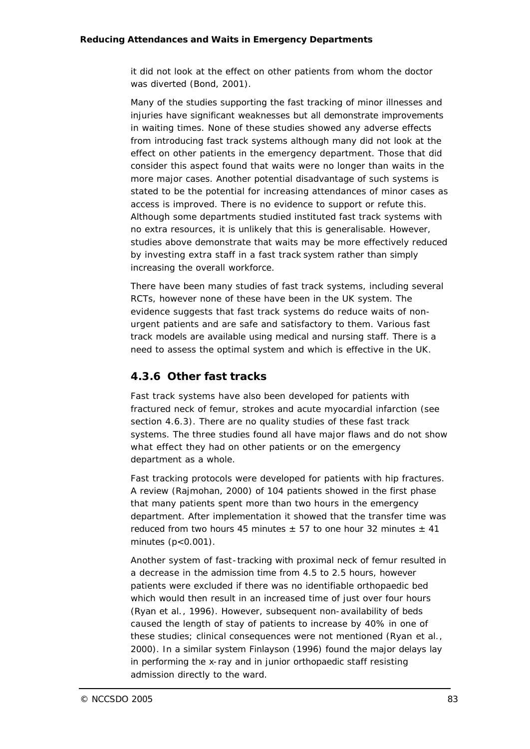it did not look at the effect on other patients from whom the doctor was diverted (Bond, 2001).

Many of the studies supporting the fast tracking of minor illnesses and injuries have significant weaknesses but all demonstrate improvements in waiting times. None of these studies showed any adverse effects from introducing fast track systems although many did not look at the effect on other patients in the emergency department. Those that did consider this aspect found that waits were no longer than waits in the more major cases. Another potential disadvantage of such systems is stated to be the potential for increasing attendances of minor cases as access is improved. There is no evidence to support or refute this. Although some departments studied instituted fast track systems with no extra resources, it is unlikely that this is generalisable. However, studies above demonstrate that waits may be more effectively reduced by investing extra staff in a fast track system rather than simply increasing the overall workforce.

There have been many studies of fast track systems, including several RCTs, however none of these have been in the UK system. The evidence suggests that fast track systems do reduce waits of nonurgent patients and are safe and satisfactory to them. Various fast track models are available using medical and nursing staff. There is a need to assess the optimal system and which is effective in the UK.

# **4.3.6 Other fast tracks**

Fast track systems have also been developed for patients with fractured neck of femur, strokes and acute myocardial infarction (see section 4.6.3). There are no quality studies of these fast track systems. The three studies found all have major flaws and do not show what effect they had on other patients or on the emergency department as a whole.

Fast tracking protocols were developed for patients with hip fractures. A review (Rajmohan, 2000) of 104 patients showed in the first phase that many patients spent more than two hours in the emergency department. After implementation it showed that the transfer time was reduced from two hours 45 minutes  $\pm$  57 to one hour 32 minutes  $\pm$  41 minutes  $(p<0.001)$ .

Another system of fast-tracking with proximal neck of femur resulted in a decrease in the admission time from 4.5 to 2.5 hours, however patients were excluded if there was no identifiable orthopaedic bed which would then result in an increased time of just over four hours (Ryan *et al.*, 1996). However, subsequent non-availability of beds caused the length of stay of patients to increase by 40% in one of these studies; clinical consequences were not mentioned (Ryan *et al.*, 2000). In a similar system Finlayson (1996) found the major delays lay in performing the x-ray and in junior orthopaedic staff resisting admission directly to the ward.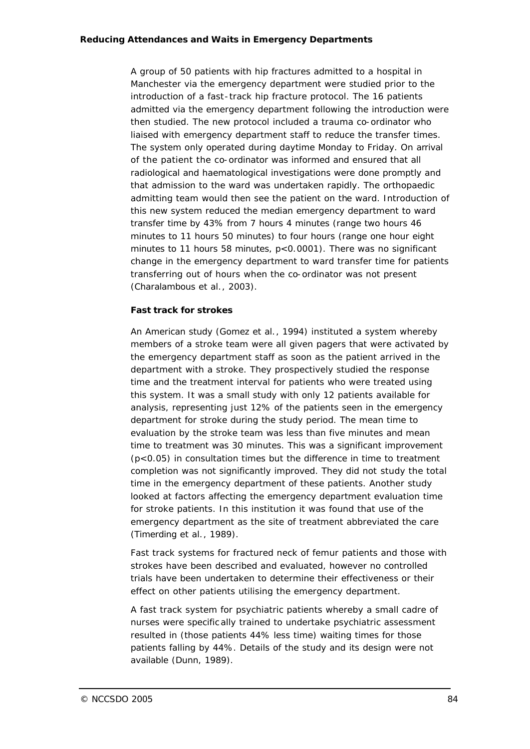A group of 50 patients with hip fractures admitted to a hospital in Manchester via the emergency department were studied prior to the introduction of a fast-track hip fracture protocol. The 16 patients admitted via the emergency department following the introduction were then studied. The new protocol included a trauma co-ordinator who liaised with emergency department staff to reduce the transfer times. The system only operated during daytime Monday to Friday. On arrival of the patient the co-ordinator was informed and ensured that all radiological and haematological investigations were done promptly and that admission to the ward was undertaken rapidly. The orthopaedic admitting team would then see the patient on the ward. Introduction of this new system reduced the median emergency department to ward transfer time by 43% from 7 hours 4 minutes (range two hours 46 minutes to 11 hours 50 minutes) to four hours (range one hour eight minutes to 11 hours 58 minutes, p<0.0001). There was no significant change in the emergency department to ward transfer time for patients transferring out of hours when the co-ordinator was not present (Charalambous *et al.*, 2003).

## *Fast track for strokes*

An American study (Gomez *et al.*, 1994) instituted a system whereby members of a stroke team were all given pagers that were activated by the emergency department staff as soon as the patient arrived in the department with a stroke. They prospectively studied the response time and the treatment interval for patients who were treated using this system. It was a small study with only 12 patients available for analysis, representing just 12% of the patients seen in the emergency department for stroke during the study period. The mean time to evaluation by the stroke team was less than five minutes and mean time to treatment was 30 minutes. This was a significant improvement (p<0.05) in consultation times but the difference in time to treatment completion was not significantly improved. They did not study the total time in the emergency department of these patients. Another study looked at factors affecting the emergency department evaluation time for stroke patients. In this institution it was found that use of the emergency department as the site of treatment abbreviated the care (Timerding *et al.*, 1989).

Fast track systems for fractured neck of femur patients and those with strokes have been described and evaluated, however no controlled trials have been undertaken to determine their effectiveness or their effect on other patients utilising the emergency department.

A fast track system for psychiatric patients whereby a small cadre of nurses were specific ally trained to undertake psychiatric assessment resulted in (those patients 44% less time) waiting times for those patients falling by 44%. Details of the study and its design were not available (Dunn, 1989).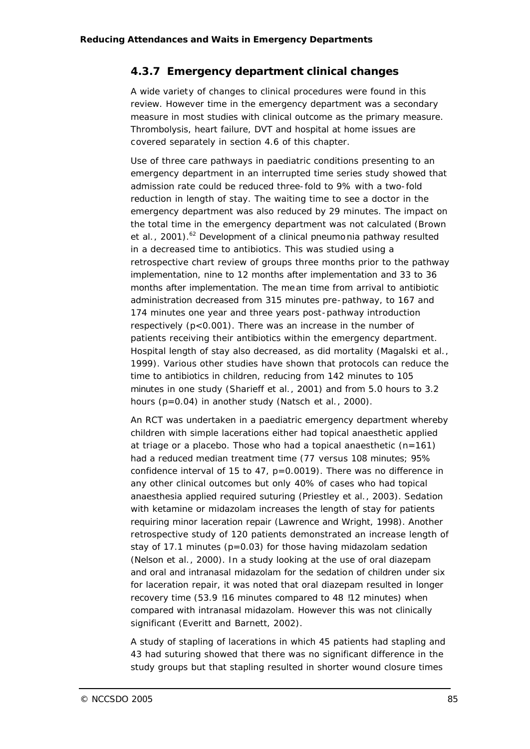# **4.3.7 Emergency department clinical changes**

A wide variety of changes to clinical procedures were found in this review. However time in the emergency department was a secondary measure in most studies with clinical outcome as the primary measure. Thrombolysis, heart failure, DVT and hospital at home issues are covered separately in section 4.6 of this chapter.

Use of three care pathways in paediatric conditions presenting to an emergency department in an interrupted time series study showed that admission rate could be reduced three-fold to 9% with a two-fold reduction in length of stay. The waiting time to see a doctor in the emergency department was also reduced by 29 minutes. The impact on the total time in the emergency department was not calculated (Brown et al., 2001).<sup>62</sup> Development of a clinical pneumonia pathway resulted in a decreased time to antibiotics. This was studied using a retrospective chart review of groups three months prior to the pathway implementation, nine to 12 months after implementation and 33 to 36 months after implementation. The mean time from arrival to antibiotic administration decreased from 315 minutes pre-pathway, to 167 and 174 minutes one year and three years post-pathway introduction respectively (p<0.001). There was an increase in the number of patients receiving their antibiotics within the emergency department. Hospital length of stay also decreased, as did mortality (Magalski *et al.*, 1999). Various other studies have shown that protocols can reduce the time to antibiotics in children, reducing from 142 minutes to 105 minutes in one study (Sharieff *et al.*, 2001) and from 5.0 hours to 3.2 hours (p=0.04) in another study (Natsch *et al.*, 2000).

An RCT was undertaken in a paediatric emergency department whereby children with simple lacerations either had topical anaesthetic applied at triage or a placebo. Those who had a topical anaesthetic  $(n=161)$ had a reduced median treatment time (77 *versus* 108 minutes; 95% confidence interval of 15 to 47,  $p=0.0019$ ). There was no difference in any other clinical outcomes but only 40% of cases who had topical anaesthesia applied required suturing (Priestley *et al.*, 2003). Sedation with ketamine or midazolam increases the length of stay for patients requiring minor laceration repair (Lawrence and Wright, 1998). Another retrospective study of 120 patients demonstrated an increase length of stay of 17.1 minutes ( $p=0.03$ ) for those having midazolam sedation (Nelson *et al.*, 2000). In a study looking at the use of oral diazepam and oral and intranasal midazolam for the sedation of children under six for laceration repair, it was noted that oral diazepam resulted in longer recovery time (53.9 !16 minutes compared to 48 !12 minutes) when compared with intranasal midazolam. However this was not clinically significant (Everitt and Barnett, 2002).

A study of stapling of lacerations in which 45 patients had stapling and 43 had suturing showed that there was no significant difference in the study groups but that stapling resulted in shorter wound closure times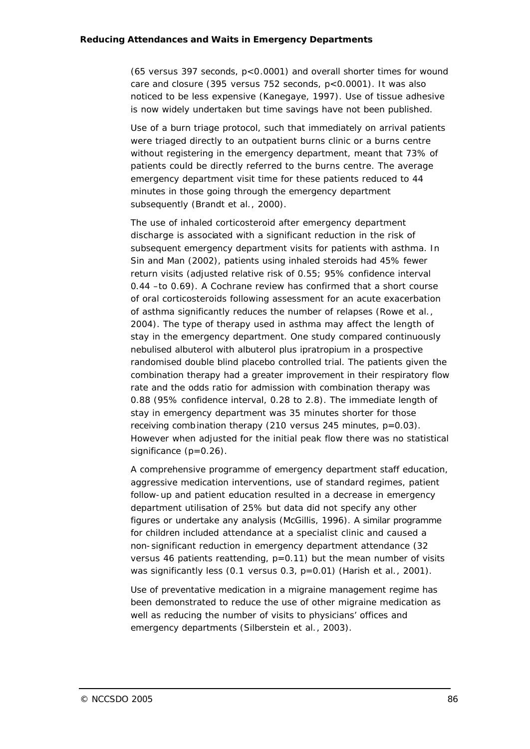(65 *versus* 397 seconds, p<0.0001) and overall shorter times for wound care and closure (395 *versus* 752 seconds, p<0.0001). It was also noticed to be less expensive (Kanegaye, 1997). Use of tissue adhesive is now widely undertaken but time savings have not been published.

Use of a burn triage protocol, such that immediately on arrival patients were triaged directly to an outpatient burns clinic or a burns centre without registering in the emergency department, meant that 73% of patients could be directly referred to the burns centre. The average emergency department visit time for these patients reduced to 44 minutes in those going through the emergency department subsequently (Brandt *et al.*, 2000).

The use of inhaled corticosteroid after emergency department discharge is associated with a significant reduction in the risk of subsequent emergency department visits for patients with asthma. In Sin and Man (2002), patients using inhaled steroids had 45% fewer return visits (adjusted relative risk of 0.55; 95% confidence interval 0.44 –to 0.69). A Cochrane review has confirmed that a short course of oral corticosteroids following assessment for an acute exacerbation of asthma significantly reduces the number of relapses (Rowe *et al.*, 2004). The type of therapy used in asthma may affect the length of stay in the emergency department. One study compared continuously nebulised albuterol with albuterol plus ipratropium in a prospective randomised double blind placebo controlled trial. The patients given the combination therapy had a greater improvement in their respiratory flow rate and the odds ratio for admission with combination therapy was 0.88 (95% confidence interval, 0.28 to 2.8). The immediate length of stay in emergency department was 35 minutes shorter for those receiving combination therapy (210 *versus* 245 minutes, p=0.03). However when adjusted for the initial peak flow there was no statistical significance (p=0.26).

A comprehensive programme of emergency department staff education, aggressive medication interventions, use of standard regimes, patient follow-up and patient education resulted in a decrease in emergency department utilisation of 25% but data did not specify any other figures or undertake any analysis (McGillis, 1996). A similar programme for children included attendance at a specialist clinic and caused a non-significant reduction in emergency department attendance (32 *versus* 46 patients reattending, p=0.11) but the mean number of visits was significantly less (0.1 *versus* 0.3, p=0.01) (Harish *et al.*, 2001).

Use of preventative medication in a migraine management regime has been demonstrated to reduce the use of other migraine medication as well as reducing the number of visits to physicians' offices and emergency departments (Silberstein *et al.*, 2003).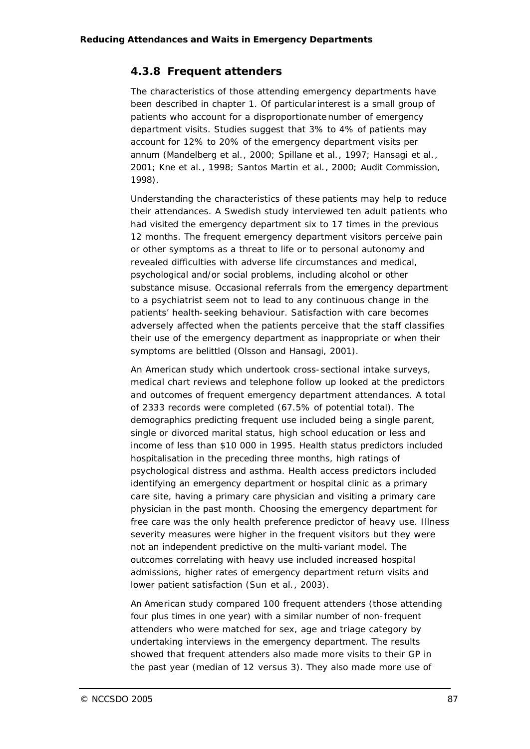# **4.3.8 Frequent attenders**

The characteristics of those attending emergency departments have been described in chapter 1. Of particular interest is a small group of patients who account for a disproportionate number of emergency department visits. Studies suggest that 3% to 4% of patients may account for 12% to 20% of the emergency department visits per annum (Mandelberg *et al.*, 2000; Spillane *et al.*, 1997; Hansagi *et al.*, 2001; Kne *et al.*, 1998; Santos Martin *et al.*, 2000; Audit Commission, 1998).

Understanding the characteristics of these patients may help to reduce their attendances. A Swedish study interviewed ten adult patients who had visited the emergency department six to 17 times in the previous 12 months. The frequent emergency department visitors perceive pain or other symptoms as a threat to life or to personal autonomy and revealed difficulties with adverse life circumstances and medical, psychological and/or social problems, including alcohol or other substance misuse. Occasional referrals from the emergency department to a psychiatrist seem not to lead to any continuous change in the patients' health-seeking behaviour. Satisfaction with care becomes adversely affected when the patients perceive that the staff classifies their use of the emergency department as inappropriate or when their symptoms are belittled (Olsson and Hansagi, 2001).

An American study which undertook cross-sectional intake surveys, medical chart reviews and telephone follow up looked at the predictors and outcomes of frequent emergency department attendances. A total of 2333 records were completed (67.5% of potential total). The demographics predicting frequent use included being a single parent, single or divorced marital status, high school education or less and income of less than \$10 000 in 1995. Health status predictors included hospitalisation in the preceding three months, high ratings of psychological distress and asthma. Health access predictors included identifying an emergency department or hospital clinic as a primary care site, having a primary care physician and visiting a primary care physician in the past month. Choosing the emergency department for free care was the only health preference predictor of heavy use. Illness severity measures were higher in the frequent visitors but they were not an independent predictive on the multi-variant model. The outcomes correlating with heavy use included increased hospital admissions, higher rates of emergency department return visits and lower patient satisfaction (Sun *et al.*, 2003).

An American study compared 100 frequent attenders (those attending four plus times in one year) with a similar number of non-frequent attenders who were matched for sex, age and triage category by undertaking interviews in the emergency department. The results showed that frequent attenders also made more visits to their GP in the past year (median of 12 *versus* 3). They also made more use of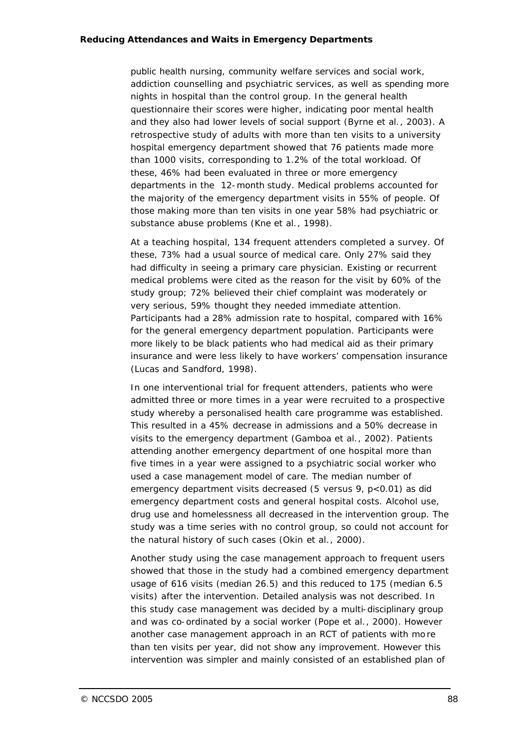### *Reducing Attendances and Waits in Emergency Departments*

public health nursing, community welfare services and social work, addiction counselling and psychiatric services, as well as spending more nights in hospital than the control group. In the general health questionnaire their scores were higher, indicating poor mental health and they also had lower levels of social support (Byrne *et al.*, 2003). A retrospective study of adults with more than ten visits to a university hospital emergency department showed that 76 patients made more than 1000 visits, corresponding to 1.2% of the total workload. Of these, 46% had been evaluated in three or more emergency departments in the 12-month study. Medical problems accounted for the majority of the emergency department visits in 55% of people. Of those making more than ten visits in one year 58% had psychiatric or substance abuse problems (Kne *et al.*, 1998).

At a teaching hospital, 134 frequent attenders completed a survey. Of these, 73% had a usual source of medical care. Only 27% said they had difficulty in seeing a primary care physician. Existing or recurrent medical problems were cited as the reason for the visit by 60% of the study group; 72% believed their chief complaint was moderately or very serious, 59% thought they needed immediate attention. Participants had a 28% admission rate to hospital, compared with 16% for the general emergency department population. Participants were more likely to be black patients who had medical aid as their primary insurance and were less likely to have workers' compensation insurance (Lucas and Sandford, 1998).

In one interventional trial for frequent attenders, patients who were admitted three or more times in a year were recruited to a prospective study whereby a personalised health care programme was established. This resulted in a 45% decrease in admissions and a 50% decrease in visits to the emergency department (Gamboa *et al.*, 2002). Patients attending another emergency department of one hospital more than five times in a year were assigned to a psychiatric social worker who used a case management model of care. The median number of emergency department visits decreased (5 *versus* 9, p<0.01) as did emergency department costs and general hospital costs. Alcohol use, drug use and homelessness all decreased in the intervention group. The study was a time series with no control group, so could not account for the natural history of such cases (Okin *et al.*, 2000).

Another study using the case management approach to frequent users showed that those in the study had a combined emergency department usage of 616 visits (median 26.5) and this reduced to 175 (median 6.5 visits) after the intervention. Detailed analysis was not described. In this study case management was decided by a multi-disciplinary group and was co-ordinated by a social worker (Pope *et al.*, 2000). However another case management approach in an RCT of patients with mo re than ten visits per year, did not show any improvement. However this intervention was simpler and mainly consisted of an established plan of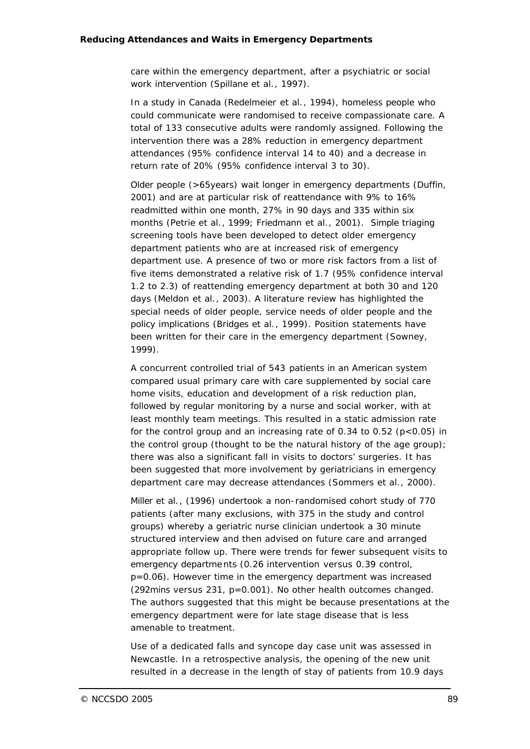care within the emergency department, after a psychiatric or social work intervention (Spillane *et al.*, 1997).

In a study in Canada (Redelmeier *et al.*, 1994), homeless people who could communicate were randomised to receive compassionate care. A total of 133 consecutive adults were randomly assigned. Following the intervention there was a 28% reduction in emergency department attendances (95% confidence interval 14 to 40) and a decrease in return rate of 20% (95% confidence interval 3 to 30).

Older people (>65years) wait longer in emergency departments (Duffin, 2001) and are at particular risk of reattendance with 9% to 16% readmitted within one month, 27% in 90 days and 335 within six months (Petrie *et al.*, 1999; Friedmann *et al.*, 2001). Simple triaging screening tools have been developed to detect older emergency department patients who are at increased risk of emergency department use. A presence of two or more risk factors from a list of five items demonstrated a relative risk of 1.7 (95% confidence interval 1.2 to 2.3) of reattending emergency department at both 30 and 120 days (Meldon *et al.*, 2003). A literature review has highlighted the special needs of older people, service needs of older people and the policy implications (Bridges *et al.*, 1999). Position statements have been written for their care in the emergency department (Sowney, 1999).

A concurrent controlled trial of 543 patients in an American system compared usual primary care with care supplemented by social care home visits, education and development of a risk reduction plan, followed by regular monitoring by a nurse and social worker, with at least monthly team meetings. This resulted in a static admission rate for the control group and an increasing rate of  $0.34$  to  $0.52$  ( $p < 0.05$ ) in the control group (thought to be the natural history of the age group); there was also a significant fall in visits to doctors' surgeries. It has been suggested that more involvement by geriatricians in emergency department care may decrease attendances (Sommers *et al.*, 2000).

Miller *et al.*, (1996) undertook a non-randomised cohort study of 770 patients (after many exclusions, with 375 in the study and control groups) whereby a geriatric nurse clinician undertook a 30 minute structured interview and then advised on future care and arranged appropriate follow up. There were trends for fewer subsequent visits to emergency departments (0.26 intervention *versus* 0.39 control, p=0.06). However time in the emergency department was increased (292mins *versus* 231, p=0.001). No other health outcomes changed. The authors suggested that this might be because presentations at the emergency department were for late stage disease that is less amenable to treatment.

Use of a dedicated falls and syncope day case unit was assessed in Newcastle. In a retrospective analysis, the opening of the new unit resulted in a decrease in the length of stay of patients from 10.9 days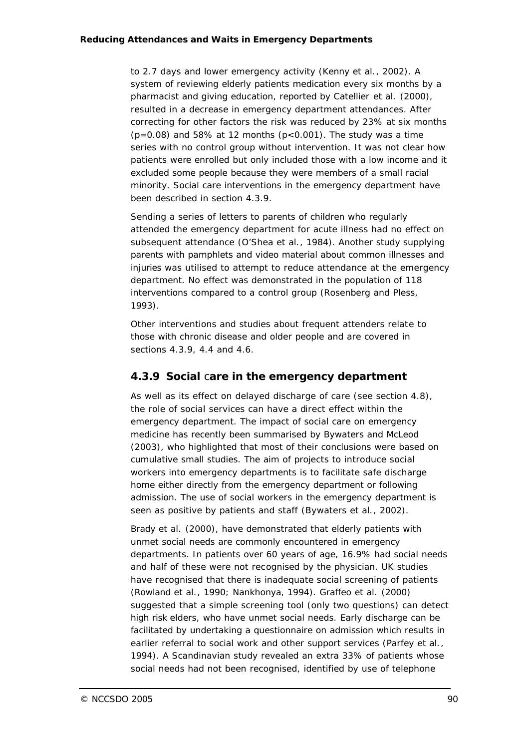to 2.7 days and lower emergency activity (Kenny *et al.*, 2002). A system of reviewing elderly patients medication every six months by a pharmacist and giving education, reported by Catellier *et al.* (2000), resulted in a decrease in emergency department attendances. After correcting for other factors the risk was reduced by 23% at six months  $(p=0.08)$  and 58% at 12 months  $(p<0.001)$ . The study was a time series with no control group without intervention. It was not clear how patients were enrolled but only included those with a low income and it excluded some people because they were members of a small racial minority. Social care interventions in the emergency department have been described in section 4.3.9.

Sending a series of letters to parents of children who regularly attended the emergency department for acute illness had no effect on subsequent attendance (O'Shea *et al.*, 1984). Another study supplying parents with pamphlets and video material about common illnesses and injuries was utilised to attempt to reduce attendance at the emergency department. No effect was demonstrated in the population of 118 interventions compared to a control group (Rosenberg and Pless, 1993).

Other interventions and studies about frequent attenders relate to those with chronic disease and older people and are covered in sections 4.3.9, 4.4 and 4.6.

# **4.3.9 Social** c**are in the emergency department**

As well as its effect on delayed discharge of care (see section 4.8), the role of social services can have a direct effect within the emergency department. The impact of social care on emergency medicine has recently been summarised by Bywaters and McLeod (2003), who highlighted that most of their conclusions were based on cumulative small studies. The aim of projects to introduce social workers into emergency departments is to facilitate safe discharge home either directly from the emergency department or following admission. The use of social workers in the emergency department is seen as positive by patients and staff (Bywaters *et al.*, 2002).

Brady *et al.* (2000), have demonstrated that elderly patients with unmet social needs are commonly encountered in emergency departments. In patients over 60 years of age, 16.9% had social needs and half of these were not recognised by the physician. UK studies have recognised that there is inadequate social screening of patients (Rowland *et al.*, 1990; Nankhonya, 1994). Graffeo *et al.* (2000) suggested that a simple screening tool (only two questions) can detect high risk elders, who have unmet social needs. Early discharge can be facilitated by undertaking a questionnaire on admission which results in earlier referral to social work and other support services (Parfey *et al.*, 1994). A Scandinavian study revealed an extra 33% of patients whose social needs had not been recognised, identified by use of telephone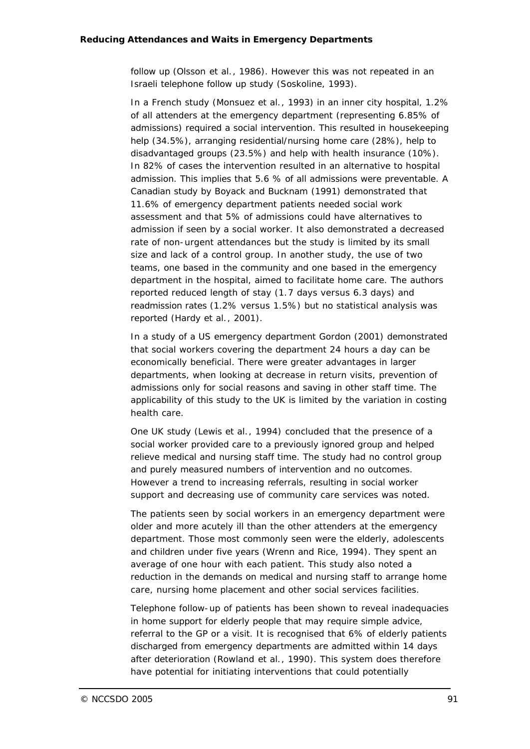follow up (Olsson *et al.*, 1986). However this was not repeated in an Israeli telephone follow up study (Soskoline, 1993).

In a French study (Monsuez *et al.*, 1993) in an inner city hospital, 1.2% of all attenders at the emergency department (representing 6.85% of admissions) required a social intervention. This resulted in housekeeping help (34.5%), arranging residential/nursing home care (28%), help to disadvantaged groups (23.5%) and help with health insurance (10%). In 82% of cases the intervention resulted in an alternative to hospital admission. This implies that 5.6 % of all admissions were preventable. A Canadian study by Boyack and Bucknam (1991) demonstrated that 11.6% of emergency department patients needed social work assessment and that 5% of admissions could have alternatives to admission if seen by a social worker. It also demonstrated a decreased rate of non-urgent attendances but the study is limited by its small size and lack of a control group. In another study, the use of two teams, one based in the community and one based in the emergency department in the hospital, aimed to facilitate home care. The authors reported reduced length of stay (1.7 days *versus* 6.3 days) and readmission rates (1.2% *versus* 1.5%) but no statistical analysis was reported (Hardy *et al.*, 2001).

In a study of a US emergency department Gordon (2001) demonstrated that social workers covering the department 24 hours a day can be economically beneficial. There were greater advantages in larger departments, when looking at decrease in return visits, prevention of admissions only for social reasons and saving in other staff time. The applicability of this study to the UK is limited by the variation in costing health care.

One UK study (Lewis *et al.*, 1994) concluded that the presence of a social worker provided care to a previously ignored group and helped relieve medical and nursing staff time. The study had no control group and purely measured numbers of intervention and no outcomes. However a trend to increasing referrals, resulting in social worker support and decreasing use of community care services was noted.

The patients seen by social workers in an emergency department were older and more acutely ill than the other attenders at the emergency department. Those most commonly seen were the elderly, adolescents and children under five years (Wrenn and Rice, 1994). They spent an average of one hour with each patient. This study also noted a reduction in the demands on medical and nursing staff to arrange home care, nursing home placement and other social services facilities.

Telephone follow-up of patients has been shown to reveal inadequacies in home support for elderly people that may require simple advice, referral to the GP or a visit. It is recognised that 6% of elderly patients discharged from emergency departments are admitted within 14 days after deterioration (Rowland *et al.*, 1990). This system does therefore have potential for initiating interventions that could potentially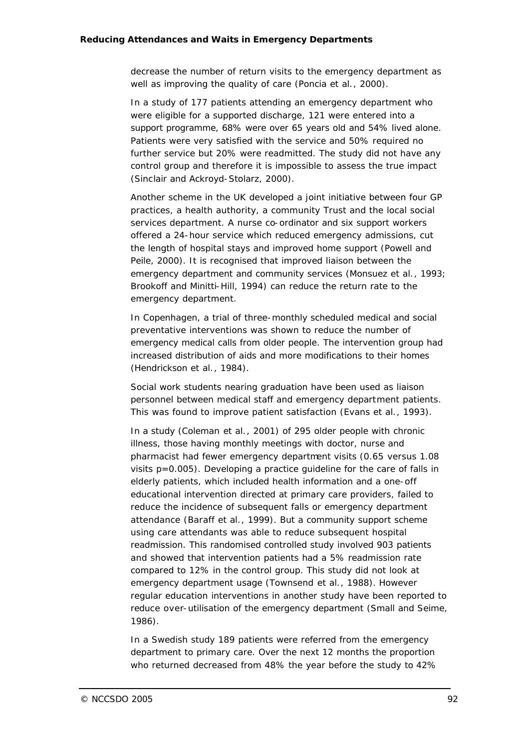decrease the number of return visits to the emergency department as well as improving the quality of care (Poncia *et al.*, 2000).

In a study of 177 patients attending an emergency department who were eligible for a supported discharge, 121 were entered into a support programme, 68% were over 65 years old and 54% lived alone. Patients were very satisfied with the service and 50% required no further service but 20% were readmitted. The study did not have any control group and therefore it is impossible to assess the true impact (Sinclair and Ackroyd-Stolarz, 2000).

Another scheme in the UK developed a joint initiative between four GP practices, a health authority, a community Trust and the local social services department. A nurse co-ordinator and six support workers offered a 24-hour service which reduced emergency admissions, cut the length of hospital stays and improved home support (Powell and Peile, 2000). It is recognised that improved liaison between the emergency department and community services (Monsuez *et al.*, 1993; Brookoff and Minitti-Hill, 1994) can reduce the return rate to the emergency department.

In Copenhagen, a trial of three-monthly scheduled medical and social preventative interventions was shown to reduce the number of emergency medical calls from older people. The intervention group had increased distribution of aids and more modifications to their homes (Hendrickson *et al.*, 1984).

Social work students nearing graduation have been used as liaison personnel between medical staff and emergency department patients. This was found to improve patient satisfaction (Evans *et al.*, 1993).

In a study (Coleman *et al.*, 2001) of 295 older people with chronic illness, those having monthly meetings with doctor, nurse and pharmacist had fewer emergency department visits (0.65 *versus* 1.08 visits p=0.005). Developing a practice guideline for the care of falls in elderly patients, which included health information and a one-off educational intervention directed at primary care providers, failed to reduce the incidence of subsequent falls or emergency department attendance (Baraff *et al.*, 1999). But a community support scheme using care attendants was able to reduce subsequent hospital readmission. This randomised controlled study involved 903 patients and showed that intervention patients had a 5% readmission rate compared to 12% in the control group. This study did not look at emergency department usage (Townsend *et al.*, 1988). However regular education interventions in another study have been reported to reduce over-utilisation of the emergency department (Small and Seime, 1986).

In a Swedish study 189 patients were referred from the emergency department to primary care. Over the next 12 months the proportion who returned decreased from 48% the year before the study to 42%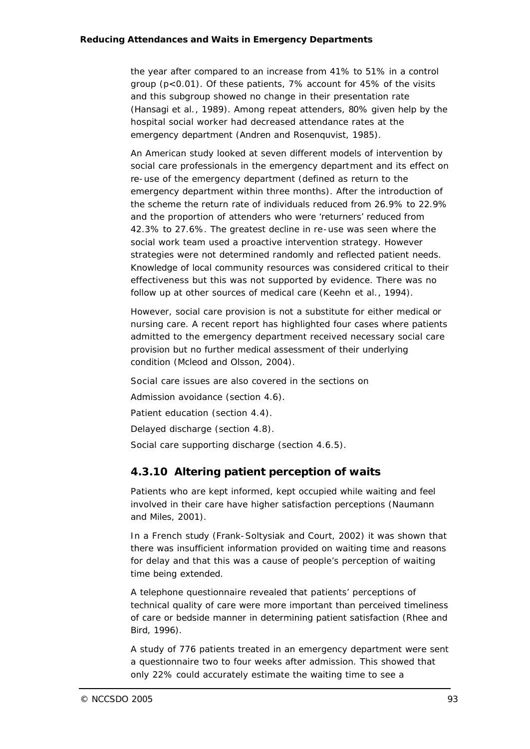### *Reducing Attendances and Waits in Emergency Departments*

the year after compared to an increase from 41% to 51% in a control group (p<0.01). Of these patients, 7% account for 45% of the visits and this subgroup showed no change in their presentation rate (Hansagi *et al.*, 1989). Among repeat attenders, 80% given help by the hospital social worker had decreased attendance rates at the emergency department (Andren and Rosenquvist, 1985).

An American study looked at seven different models of intervention by social care professionals in the emergency department and its effect on re-use of the emergency department (defined as return to the emergency department within three months). After the introduction of the scheme the return rate of individuals reduced from 26.9% to 22.9% and the proportion of attenders who were 'returners' reduced from 42.3% to 27.6%. The greatest decline in re-use was seen where the social work team used a proactive intervention strategy. However strategies were not determined randomly and reflected patient needs. Knowledge of local community resources was considered critical to their effectiveness but this was not supported by evidence. There was no follow up at other sources of medical care (Keehn *et al.*, 1994).

However, social care provision is not a substitute for either medical or nursing care. A recent report has highlighted four cases where patients admitted to the emergency department received necessary social care provision but no further medical assessment of their underlying condition (Mcleod and Olsson, 2004).

Social care issues are also covered in the sections on

Admission avoidance (section 4.6).

Patient education (section 4.4).

Delayed discharge (section 4.8).

Social care supporting discharge (section 4.6.5).

# **4.3.10 Altering patient perception of waits**

Patients who are kept informed, kept occupied while waiting and feel involved in their care have higher satisfaction perceptions (Naumann and Miles, 2001).

In a French study (Frank-Soltysiak and Court, 2002) it was shown that there was insufficient information provided on waiting time and reasons for delay and that this was a cause of people's perception of waiting time being extended.

A telephone questionnaire revealed that patients' perceptions of technical quality of care were more important than perceived timeliness of care or bedside manner in determining patient satisfaction (Rhee and Bird, 1996).

A study of 776 patients treated in an emergency department were sent a questionnaire two to four weeks after admission. This showed that only 22% could accurately estimate the waiting time to see a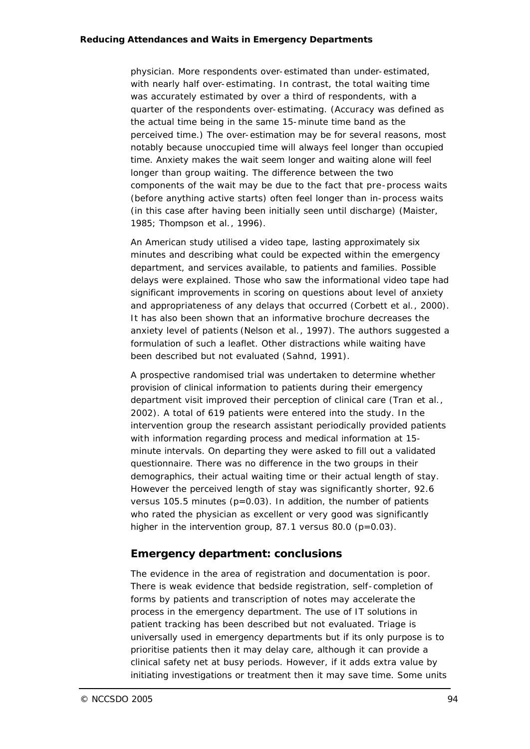physician. More respondents over-estimated than under-estimated, with nearly half over-estimating. In contrast, the total waiting time was accurately estimated by over a third of respondents, with a quarter of the respondents over-estimating. (Accuracy was defined as the actual time being in the same 15-minute time band as the perceived time.) The over-estimation may be for several reasons, most notably because unoccupied time will always feel longer than occupied time. Anxiety makes the wait seem longer and waiting alone will feel longer than group waiting. The difference between the two components of the wait may be due to the fact that pre-process waits (before anything active starts) often feel longer than in-process waits (in this case after having been initially seen until discharge) (Maister, 1985; Thompson *et al.*, 1996).

An American study utilised a video tape, lasting approximately six minutes and describing what could be expected within the emergency department, and services available, to patients and families. Possible delays were explained. Those who saw the informational video tape had significant improvements in scoring on questions about level of anxiety and appropriateness of any delays that occurred (Corbett *et al.*, 2000). It has also been shown that an informative brochure decreases the anxiety level of patients (Nelson *et al.*, 1997). The authors suggested a formulation of such a leaflet. Other distractions while waiting have been described but not evaluated (Sahnd, 1991).

A prospective randomised trial was undertaken to determine whether provision of clinical information to patients during their emergency department visit improved their perception of clinical care (Tran *et al.*, 2002). A total of 619 patients were entered into the study. In the intervention group the research assistant periodically provided patients with information regarding process and medical information at 15 minute intervals. On departing they were asked to fill out a validated questionnaire. There was no difference in the two groups in their demographics, their actual waiting time or their actual length of stay. However the perceived length of stay was significantly shorter, 92.6 *versus* 105.5 minutes (p=0.03). In addition, the number of patients who rated the physician as excellent or very good was significantly higher in the intervention group, 87.1 *versus* 80.0 (p=0.03).

## **Emergency department: conclusions**

The evidence in the area of registration and documentation is poor. There is weak evidence that bedside registration, self-completion of forms by patients and transcription of notes may accelerate the process in the emergency department. The use of IT solutions in patient tracking has been described but not evaluated. Triage is universally used in emergency departments but if its only purpose is to prioritise patients then it may delay care, although it can provide a clinical safety net at busy periods. However, if it adds extra value by initiating investigations or treatment then it may save time. Some units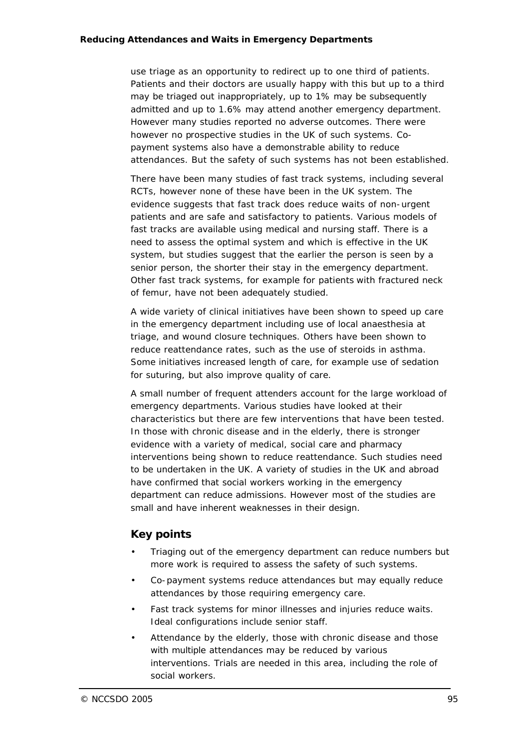use triage as an opportunity to redirect up to one third of patients. Patients and their doctors are usually happy with this but up to a third may be triaged out inappropriately, up to 1% may be subsequently admitted and up to 1.6% may attend another emergency department. However many studies reported no adverse outcomes. There were however no prospective studies in the UK of such systems. Copayment systems also have a demonstrable ability to reduce attendances. But the safety of such systems has not been established.

There have been many studies of fast track systems, including several RCTs, however none of these have been in the UK system. The evidence suggests that fast track does reduce waits of non-urgent patients and are safe and satisfactory to patients. Various models of fast tracks are available using medical and nursing staff. There is a need to assess the optimal system and which is effective in the UK system, but studies suggest that the earlier the person is seen by a senior person, the shorter their stay in the emergency department. Other fast track systems, for example for patients with fractured neck of femur, have not been adequately studied.

A wide variety of clinical initiatives have been shown to speed up care in the emergency department including use of local anaesthesia at triage, and wound closure techniques. Others have been shown to reduce reattendance rates, such as the use of steroids in asthma. Some initiatives increased length of care, for example use of sedation for suturing, but also improve quality of care.

A small number of frequent attenders account for the large workload of emergency departments. Various studies have looked at their characteristics but there are few interventions that have been tested. In those with chronic disease and in the elderly, there is stronger evidence with a variety of medical, social care and pharmacy interventions being shown to reduce reattendance. Such studies need to be undertaken in the UK. A variety of studies in the UK and abroad have confirmed that social workers working in the emergency department can reduce admissions. However most of the studies are small and have inherent weaknesses in their design.

# **Key points**

- Triaging out of the emergency department can reduce numbers but more work is required to assess the safety of such systems.
- Co-payment systems reduce attendances but may equally reduce attendances by those requiring emergency care.
- Fast track systems for minor illnesses and injuries reduce waits. Ideal configurations include senior staff.
- Attendance by the elderly, those with chronic disease and those with multiple attendances may be reduced by various interventions. Trials are needed in this area, including the role of social workers.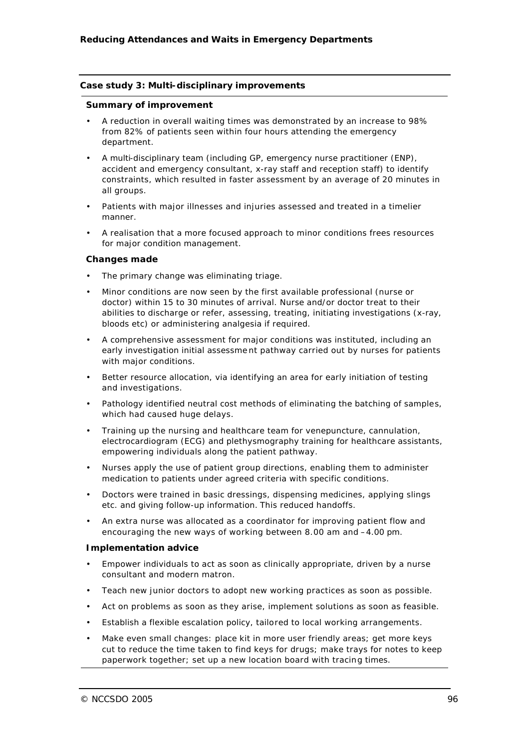#### **Case study 3: Multi-disciplinary improvements**

#### **Summary of improvement**

- A reduction in overall waiting times was demonstrated by an increase to 98% from 82% of patients seen within four hours attending the emergency department.
- A multi-disciplinary team (including GP, emergency nurse practitioner (ENP), accident and emergency consultant, x-ray staff and reception staff) to identify constraints, which resulted in faster assessment by an average of 20 minutes in all groups.
- Patients with major illnesses and injuries assessed and treated in a timelier manner.
- A realisation that a more focused approach to minor conditions frees resources for major condition management.

#### **Changes made**

- The primary change was eliminating triage.
- Minor conditions are now seen by the first available professional (nurse or doctor) within 15 to 30 minutes of arrival. Nurse and/or doctor treat to their abilities to discharge or refer, assessing, treating, initiating investigations (x-ray, bloods etc) or administering analgesia if required.
- A comprehensive assessment for major conditions was instituted, including an early investigation initial assessme nt pathway carried out by nurses for patients with major conditions.
- Better resource allocation, via identifying an area for early initiation of testing and investigations.
- Pathology identified neutral cost methods of eliminating the batching of samples, which had caused huge delays.
- Training up the nursing and healthcare team for venepuncture, cannulation, electrocardiogram (ECG) and plethysmography training for healthcare assistants, empowering individuals along the patient pathway.
- Nurses apply the use of patient group directions, enabling them to administer medication to patients under agreed criteria with specific conditions.
- Doctors were trained in basic dressings, dispensing medicines, applying slings etc. and giving follow-up information. This reduced handoffs.
- An extra nurse was allocated as a coordinator for improving patient flow and encouraging the new ways of working between 8.00 am and –4.00 pm.

#### **Implementation advice**

- Empower individuals to act as soon as clinically appropriate, driven by a nurse consultant and modern matron.
- Teach new junior doctors to adopt new working practices as soon as possible.
- Act on problems as soon as they arise, implement solutions as soon as feasible.
- Establish a flexible escalation policy, tailored to local working arrangements.
- Make even small changes: place kit in more user friendly areas; get more keys cut to reduce the time taken to find keys for drugs; make trays for notes to keep paperwork together; set up a new location board with tracing times.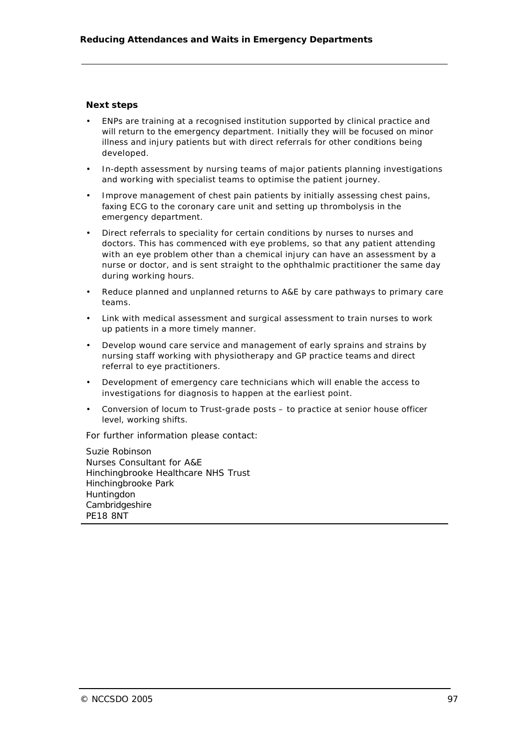#### **Next steps**

- ENPs are training at a recognised institution supported by clinical practice and will return to the emergency department. Initially they will be focused on minor illness and injury patients but with direct referrals for other conditions being developed.
- In-depth assessment by nursing teams of major patients planning investigations and working with specialist teams to optimise the patient journey.
- Improve management of chest pain patients by initially assessing chest pains, faxing ECG to the coronary care unit and setting up thrombolysis in the emergency department.
- Direct referrals to speciality for certain conditions by nurses to nurses and doctors. This has commenced with eye problems, so that any patient attending with an eye problem other than a chemical injury can have an assessment by a nurse or doctor, and is sent straight to the ophthalmic practitioner the same day during working hours.
- Reduce planned and unplanned returns to A&E by care pathways to primary care teams.
- Link with medical assessment and surgical assessment to train nurses to work up patients in a more timely manner.
- Develop wound care service and management of early sprains and strains by nursing staff working with physiotherapy and GP practice teams and direct referral to eye practitioners.
- Development of emergency care technicians which will enable the access to investigations for diagnosis to happen at the earliest point.
- Conversion of locum to Trust-grade posts to practice at senior house officer level, working shifts.

For further information please contact:

Suzie Robinson Nurses Consultant for A&E Hinchingbrooke Healthcare NHS Trust Hinchingbrooke Park Huntingdon **Cambridgeshire** PE18 8NT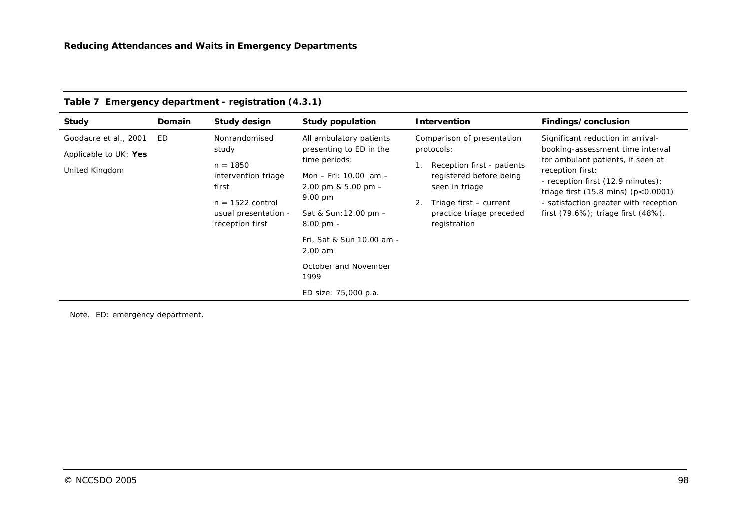| <b>Study</b>                                                     | Domain                                                                                                                                                                                                   | Study design                                                                                                                  | <b>Study population</b>                                                                                                                                                                         | <b>Intervention</b>                                                                                                                                                                                                                                                                                         | Findings/conclusion |
|------------------------------------------------------------------|----------------------------------------------------------------------------------------------------------------------------------------------------------------------------------------------------------|-------------------------------------------------------------------------------------------------------------------------------|-------------------------------------------------------------------------------------------------------------------------------------------------------------------------------------------------|-------------------------------------------------------------------------------------------------------------------------------------------------------------------------------------------------------------------------------------------------------------------------------------------------------------|---------------------|
| Goodacre et al., 2001<br>Applicable to UK: Yes<br>United Kingdom | Nonrandomised<br>ED<br>study<br>time periods:<br>$n = 1850$<br>intervention triage<br>first<br>$9.00 \text{ pm}$<br>$n = 1522$ control<br>usual presentation -<br>reception first<br>$8.00 \text{ pm} -$ | All ambulatory patients<br>presenting to ED in the<br>Mon – Fri: 10.00 am –<br>2.00 pm & 5.00 pm $-$<br>Sat & Sun: 12.00 pm - | Comparison of presentation<br>protocols:<br>Reception first - patients<br>registered before being<br>seen in triage<br>Triage first - current<br>2.<br>practice triage preceded<br>registration | Significant reduction in arrival-<br>booking-assessment time interval<br>for ambulant patients, if seen at<br>reception first:<br>- reception first (12.9 minutes);<br>triage first $(15.8 \text{ mins}) (p<0.0001)$<br>- satisfaction greater with reception<br>first $(79.6\%)$ ; triage first $(48\%)$ . |                     |
|                                                                  |                                                                                                                                                                                                          |                                                                                                                               | Fri, Sat & Sun 10.00 am -<br>2.00 am<br>October and November<br>1999                                                                                                                            |                                                                                                                                                                                                                                                                                                             |                     |
|                                                                  |                                                                                                                                                                                                          |                                                                                                                               | ED size: 75,000 p.a.                                                                                                                                                                            |                                                                                                                                                                                                                                                                                                             |                     |

## **Table 7 Emergency department - registration (4.3.1)**

Note. ED: emergency department.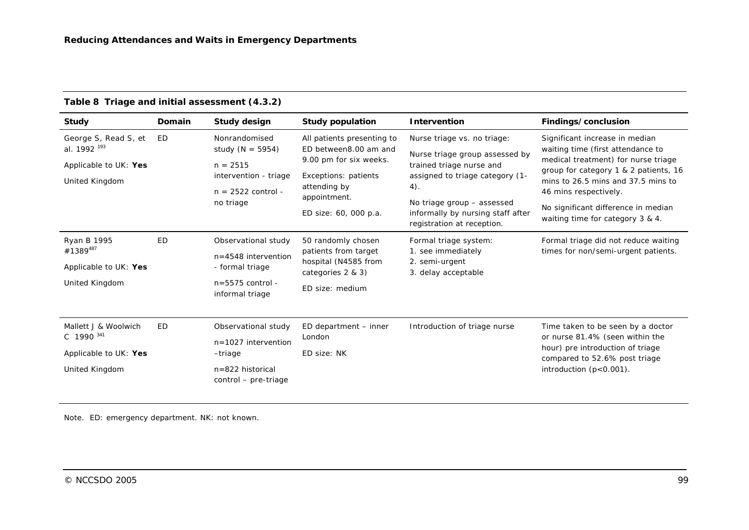| <b>Study</b>                                                                               | <b>Domain</b> | Study design                                                                                                      | <b>Study population</b>                                                                                                                                        | <b>Intervention</b>                                                                                                                                                                                                                  | Findings/conclusion                                                                                                                                                                                                                                                                           |
|--------------------------------------------------------------------------------------------|---------------|-------------------------------------------------------------------------------------------------------------------|----------------------------------------------------------------------------------------------------------------------------------------------------------------|--------------------------------------------------------------------------------------------------------------------------------------------------------------------------------------------------------------------------------------|-----------------------------------------------------------------------------------------------------------------------------------------------------------------------------------------------------------------------------------------------------------------------------------------------|
| George S, Read S, et<br>al. 1992 <sup>193</sup><br>Applicable to UK: Yes<br>United Kingdom | ED            | Nonrandomised<br>study ( $N = 5954$ )<br>$n = 2515$<br>intervention - triage<br>$n = 2522$ control -<br>no triage | All patients presenting to<br>ED between8.00 am and<br>9.00 pm for six weeks.<br>Exceptions: patients<br>attending by<br>appointment.<br>ED size: 60, 000 p.a. | Nurse triage vs. no triage:<br>Nurse triage group assessed by<br>trained triage nurse and<br>assigned to triage category (1-<br>4).<br>No triage group - assessed<br>informally by nursing staff after<br>registration at reception. | Significant increase in median<br>waiting time (first attendance to<br>medical treatment) for nurse triage<br>group for category 1 & 2 patients, 16<br>mins to 26.5 mins and 37.5 mins to<br>46 mins respectively.<br>No significant difference in median<br>waiting time for category 3 & 4. |
| Ryan B 1995<br>#1389487<br>Applicable to UK: Yes<br>United Kingdom                         | <b>ED</b>     | Observational study<br>$n = 4548$ intervention<br>- formal triage<br>$n = 5575$ control -<br>informal triage      | 50 randomly chosen<br>patients from target<br>hospital (N4585 from<br>categories 2 & 3)<br>ED size: medium                                                     | Formal triage system:<br>1. see immediately<br>2. semi-urgent<br>3. delay acceptable                                                                                                                                                 | Formal triage did not reduce waiting<br>times for non/semi-urgent patients.                                                                                                                                                                                                                   |
| Mallett J & Woolwich<br>C $1990^{341}$<br>Applicable to UK: Yes<br>United Kingdom          | <b>ED</b>     | Observational study<br>$n = 1027$ intervention<br>-triage<br>$n = 822$ historical<br>control – pre-triage         | $ED$ department $-$ inner<br>London<br>ED size: NK                                                                                                             | Introduction of triage nurse                                                                                                                                                                                                         | Time taken to be seen by a doctor<br>or nurse 81.4% (seen within the<br>hour) pre introduction of triage<br>compared to 52.6% post triage<br>introduction $(p<0.001)$ .                                                                                                                       |

## **Table 8 Triage and initial assessment (4.3.2)**

Note. ED: emergency department. NK: not known.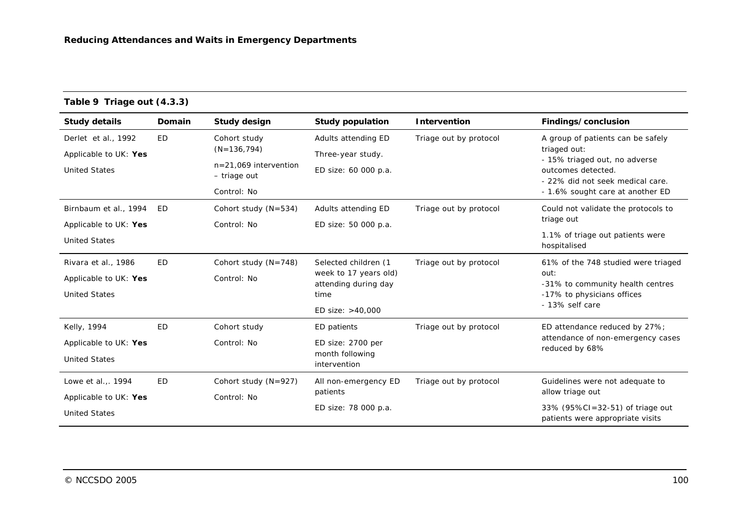| Table 9 Triage out (4.3.3) |               |                                         |                                               |                        |                                                                                           |  |
|----------------------------|---------------|-----------------------------------------|-----------------------------------------------|------------------------|-------------------------------------------------------------------------------------------|--|
| <b>Study details</b>       | <b>Domain</b> | <b>Study design</b>                     | <b>Study population</b>                       | <b>Intervention</b>    | Findings/conclusion                                                                       |  |
| Derlet et al., 1992        | ED            | Cohort study                            | Adults attending ED                           | Triage out by protocol | A group of patients can be safely                                                         |  |
| Applicable to UK: Yes      |               | $(N=136,794)$                           | Three-year study.                             |                        | triaged out:<br>- 15% triaged out, no adverse                                             |  |
| <b>United States</b>       |               | $n=21,069$ intervention<br>- triage out | ED size: 60 000 p.a.                          |                        | outcomes detected.<br>- 22% did not seek medical care.                                    |  |
|                            |               | Control: No                             |                                               |                        | - 1.6% sought care at another ED                                                          |  |
| Birnbaum et al., 1994      | ED            | Cohort study $(N=534)$                  | Adults attending ED                           | Triage out by protocol | Could not validate the protocols to                                                       |  |
| Applicable to UK: Yes      |               | Control: No                             | ED size: 50 000 p.a.                          |                        | triage out                                                                                |  |
| <b>United States</b>       |               |                                         |                                               |                        | 1.1% of triage out patients were<br>hospitalised                                          |  |
| Rivara et al., 1986        | ED            | Cohort study $(N=748)$                  | Selected children (1                          | Triage out by protocol | 61% of the 748 studied were triaged                                                       |  |
| Applicable to UK: Yes      |               | Control: No                             | week to 17 years old)<br>attending during day |                        | out:<br>-31% to community health centres<br>-17% to physicians offices<br>- 13% self care |  |
| <b>United States</b>       |               |                                         | time                                          |                        |                                                                                           |  |
|                            |               |                                         | ED size: >40,000                              |                        |                                                                                           |  |
| Kelly, 1994                | ED            | Cohort study                            | ED patients                                   | Triage out by protocol | ED attendance reduced by 27%;                                                             |  |
| Applicable to UK: Yes      |               | Control: No                             | ED size: 2700 per                             |                        | attendance of non-emergency cases<br>reduced by 68%                                       |  |
| <b>United States</b>       |               |                                         | month following<br>intervention               |                        |                                                                                           |  |
| Lowe et al.,. 1994         | <b>ED</b>     | Cohort study (N=927)                    | All non-emergency ED                          | Triage out by protocol | Guidelines were not adequate to                                                           |  |
| Applicable to UK: Yes      |               | Control: No                             | patients                                      |                        | allow triage out                                                                          |  |
| <b>United States</b>       |               |                                         | ED size: 78 000 p.a.                          |                        | 33% (95%CI=32-51) of triage out<br>patients were appropriate visits                       |  |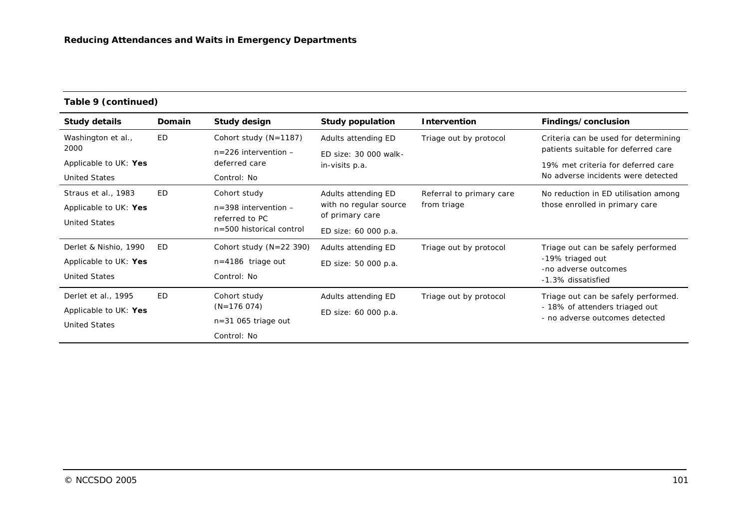| Table 9 (continued)   |                      |                            |                         |                                |                                                                |  |  |
|-----------------------|----------------------|----------------------------|-------------------------|--------------------------------|----------------------------------------------------------------|--|--|
| <b>Study details</b>  | <b>Domain</b>        | Study design               | <b>Study population</b> | <b>Intervention</b>            | Findings/conclusion                                            |  |  |
| Washington et al.,    | <b>ED</b>            | Cohort study (N=1187)      | Adults attending ED     | Triage out by protocol         | Criteria can be used for determining                           |  |  |
| 2000                  |                      | $n=226$ intervention $-$   | ED size: 30 000 walk -  |                                | patients suitable for deferred care                            |  |  |
| Applicable to UK: Yes |                      | deferred care              | in-visits p.a.          |                                | 19% met criteria for deferred care                             |  |  |
| <b>United States</b>  |                      | Control: No                |                         |                                | No adverse incidents were detected                             |  |  |
| Straus et al., 1983   | ED                   | Cohort study               | Adults attending ED     | Referral to primary care       | No reduction in ED utilisation among                           |  |  |
| Applicable to UK: Yes |                      | $n = 398$ intervention $-$ | with no regular source  | from triage                    | those enrolled in primary care                                 |  |  |
| <b>United States</b>  |                      | referred to PC             | of primary care         |                                |                                                                |  |  |
|                       |                      | n=500 historical control   | ED size: 60 000 p.a.    |                                |                                                                |  |  |
| Derlet & Nishio, 1990 | ED                   | Cohort study $(N=22 390)$  | Adults attending ED     | Triage out by protocol         | Triage out can be safely performed                             |  |  |
| Applicable to UK: Yes |                      | n=4186 triage out          | ED size: 50 000 p.a.    |                                | -19% triaged out<br>-no adverse outcomes<br>-1.3% dissatisfied |  |  |
| <b>United States</b>  |                      | Control: No                |                         |                                |                                                                |  |  |
| Derlet et al., 1995   | ED                   | Cohort study               | Adults attending ED     | Triage out by protocol         | Triage out can be safely performed.                            |  |  |
| Applicable to UK: Yes |                      | $(N=176074)$               | ED size: 60 000 p.a.    |                                | - 18% of attenders triaged out                                 |  |  |
| <b>United States</b>  | $n=31065$ triage out |                            |                         | - no adverse outcomes detected |                                                                |  |  |
|                       |                      | Control: No                |                         |                                |                                                                |  |  |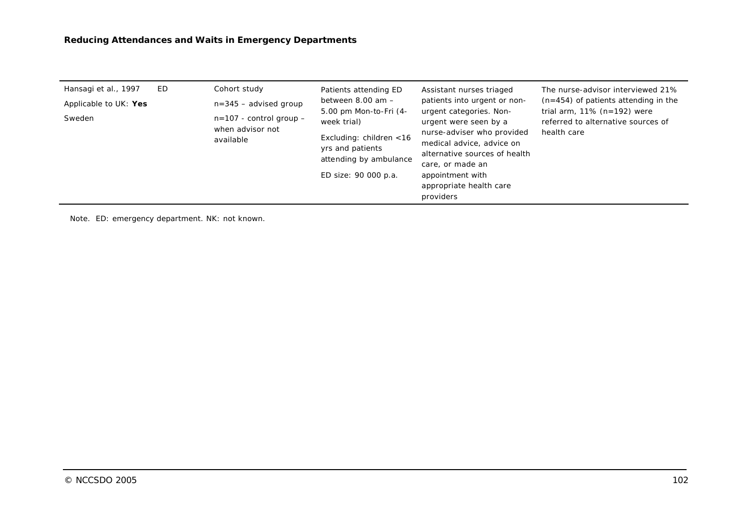## *Reducing Attendances and Waits in Emergency Departments*

| Hansagi et al., 1997<br>ED<br>Cohort study<br>Applicable to UK: Yes<br>$n = 345 -$ advised group<br>Sweden<br>$n=107$ - control group -<br>when advisor not<br>available | Patients attending ED<br>between $8.00$ am $-$<br>5.00 pm Mon-to-Fri (4-<br>week trial)<br>Excluding: children <16<br>yrs and patients<br>attending by ambulance<br>ED size: 90 000 p.a. | Assistant nurses triaged<br>patients into urgent or non-<br>urgent categories. Non-<br>urgent were seen by a<br>nurse-adviser who provided<br>medical advice, advice on<br>alternative sources of health<br>care, or made an<br>appointment with<br>appropriate health care<br>providers | The nurse-advisor interviewed 21%<br>$(n=454)$ of patients attending in the<br>trial arm, $11\%$ (n=192) were<br>referred to alternative sources of<br>health care |
|--------------------------------------------------------------------------------------------------------------------------------------------------------------------------|------------------------------------------------------------------------------------------------------------------------------------------------------------------------------------------|------------------------------------------------------------------------------------------------------------------------------------------------------------------------------------------------------------------------------------------------------------------------------------------|--------------------------------------------------------------------------------------------------------------------------------------------------------------------|
|--------------------------------------------------------------------------------------------------------------------------------------------------------------------------|------------------------------------------------------------------------------------------------------------------------------------------------------------------------------------------|------------------------------------------------------------------------------------------------------------------------------------------------------------------------------------------------------------------------------------------------------------------------------------------|--------------------------------------------------------------------------------------------------------------------------------------------------------------------|

Note. ED: emergency department. NK: not known.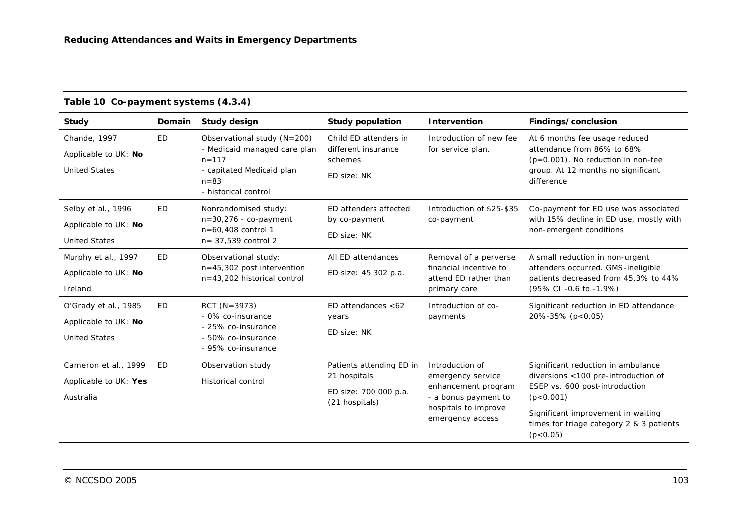| <b>Study</b>          | Domain    | Study design                                                                                     | <b>Study population</b>                  | Intervention                                                                                 | Findings/conclusion                                                                                                     |                  |
|-----------------------|-----------|--------------------------------------------------------------------------------------------------|------------------------------------------|----------------------------------------------------------------------------------------------|-------------------------------------------------------------------------------------------------------------------------|------------------|
| Chande, 1997          | ED        | Observational study (N=200)                                                                      | Child ED attenders in                    | Introduction of new fee                                                                      | At 6 months fee usage reduced                                                                                           |                  |
| Applicable to UK: No  |           | - Medicaid managed care plan<br>$n = 117$                                                        | different insurance<br>schemes           | for service plan.                                                                            | attendance from 86% to 68%<br>$(p=0.001)$ . No reduction in non-fee<br>group. At 12 months no significant<br>difference |                  |
| <b>United States</b>  |           | - capitated Medicaid plan<br>$n = 83$<br>- historical control                                    | ED size: NK                              |                                                                                              |                                                                                                                         |                  |
| Selby et al., 1996    | <b>ED</b> | Nonrandomised study:<br>$n=30,276 - co-payment$<br>$n = 60,408$ control 1<br>n= 37,539 control 2 | ED attenders affected                    | Introduction of \$25-\$35                                                                    | Co-payment for ED use was associated<br>with 15% decline in ED use, mostly with<br>non-emergent conditions              |                  |
| Applicable to UK: No  |           |                                                                                                  | by co-payment                            | co-payment                                                                                   |                                                                                                                         |                  |
| <b>United States</b>  |           |                                                                                                  | ED size: NK                              |                                                                                              |                                                                                                                         |                  |
| Murphy et al., 1997   | <b>ED</b> | Observational study:                                                                             | All ED attendances                       | Removal of a perverse                                                                        | A small reduction in non-urgent                                                                                         |                  |
| Applicable to UK: No  |           | n=45,302 post intervention<br>n=43,202 historical control                                        | ED size: 45 302 p.a.                     | financial incentive to<br>attend ED rather than                                              | attenders occurred. GMS-ineligible<br>patients decreased from 45.3% to 44%                                              |                  |
| Ireland               |           |                                                                                                  |                                          | primary care                                                                                 | (95% CI -0.6 to -1.9%)                                                                                                  |                  |
| O'Grady et al., 1985  | ED        | $RCT (N=3973)$                                                                                   | ED attendances $<$ 62                    | Introduction of co-                                                                          | Significant reduction in ED attendance                                                                                  |                  |
| Applicable to UK: No  |           | - 0% co-insurance<br>- 25% co-insurance<br>- 50% co-insurance<br>- 95% co-insurance              |                                          | years                                                                                        | payments                                                                                                                | 20%-35% (p<0.05) |
| <b>United States</b>  |           |                                                                                                  | ED size: NK                              |                                                                                              |                                                                                                                         |                  |
| Cameron et al., 1999  | <b>ED</b> | Observation study                                                                                | Patients attending ED in                 | Introduction of                                                                              | Significant reduction in ambulance                                                                                      |                  |
| Applicable to UK: Yes |           | <b>Historical control</b>                                                                        | 21 hospitals                             | emergency service<br>enhancement program<br>- a bonus payment to                             | diversions <100 pre-introduction of<br>ESEP vs. 600 post-introduction                                                   |                  |
| Australia             |           |                                                                                                  | ED size: 700 000 p.a.<br>(21 hospitals)  |                                                                                              | (p<0.001)                                                                                                               |                  |
|                       |           |                                                                                                  | hospitals to improve<br>emergency access | Significant improvement in waiting<br>times for triage category 2 & 3 patients<br>(p < 0.05) |                                                                                                                         |                  |

## **Table 10 Co-payment systems (4.3.4)**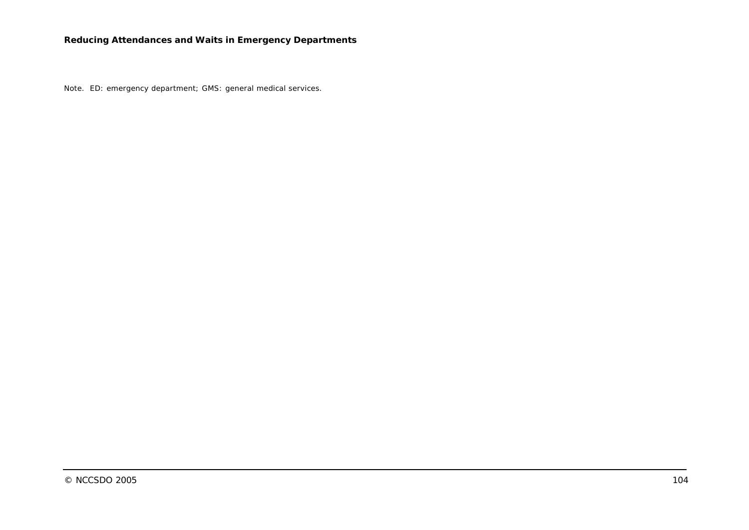## *Reducing Attendances and Waits in Emergency Departments*

Note. ED: emergency department; GMS: general medical services.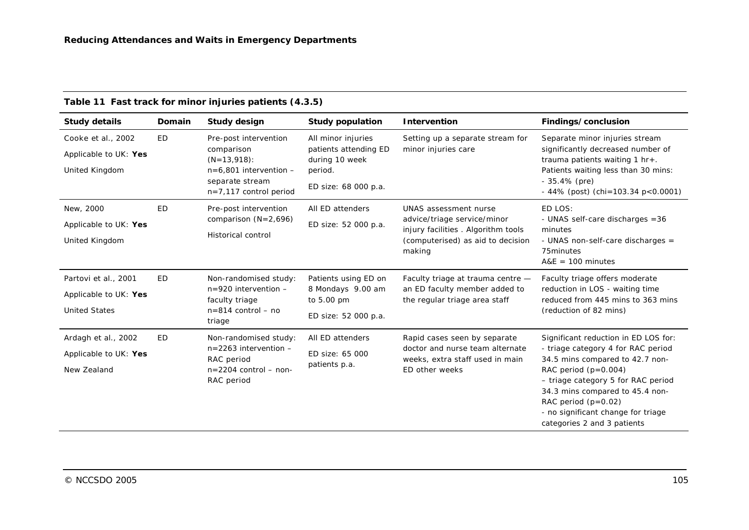| <b>Study details</b>                                                  | Domain    | Study design                                                                                                                       | <b>Study population</b>                                                                          | <b>Intervention</b>                                                                                                                        | Findings/conclusion                                                                                                                                                                                                                                                                                            |
|-----------------------------------------------------------------------|-----------|------------------------------------------------------------------------------------------------------------------------------------|--------------------------------------------------------------------------------------------------|--------------------------------------------------------------------------------------------------------------------------------------------|----------------------------------------------------------------------------------------------------------------------------------------------------------------------------------------------------------------------------------------------------------------------------------------------------------------|
| Cooke et al., 2002<br>Applicable to UK: Yes<br>United Kingdom         | <b>ED</b> | Pre-post intervention<br>comparison<br>$(N=13,918)$ :<br>$n=6,801$ intervention $-$<br>separate stream<br>$n=7,117$ control period | All minor injuries<br>patients attending ED<br>during 10 week<br>period.<br>ED size: 68 000 p.a. | Setting up a separate stream for<br>minor injuries care                                                                                    | Separate minor injuries stream<br>significantly decreased number of<br>trauma patients waiting 1 hr+.<br>Patients waiting less than 30 mins:<br>$-35.4\%$ (pre)<br>$-44\%$ (post) (chi=103.34 p<0.0001)                                                                                                        |
| New, 2000<br>Applicable to UK: Yes<br>United Kingdom                  | <b>ED</b> | Pre-post intervention<br>comparison $(N=2,696)$<br><b>Historical control</b>                                                       | All ED attenders<br>ED size: 52 000 p.a.                                                         | UNAS assessment nurse<br>advice/triage service/minor<br>injury facilities . Algorithm tools<br>(computerised) as aid to decision<br>making | ED LOS:<br>- UNAS self-care discharges = 36<br>minutes<br>- UNAS non-self-care discharges =<br>75minutes<br>$A&E = 100$ minutes                                                                                                                                                                                |
| Partovi et al., 2001<br>Applicable to UK: Yes<br><b>United States</b> | <b>ED</b> | Non-randomised study:<br>$n = 920$ intervention $-$<br>faculty triage<br>$n = 814$ control $-$ no<br>triage                        | Patients using ED on<br>8 Mondays 9.00 am<br>to 5.00 pm<br>ED size: 52 000 p.a.                  | Faculty triage at trauma centre -<br>an ED faculty member added to<br>the regular triage area staff                                        | Faculty triage offers moderate<br>reduction in LOS - waiting time<br>reduced from 445 mins to 363 mins<br>(reduction of 82 mins)                                                                                                                                                                               |
| Ardagh et al., 2002<br>Applicable to UK: Yes<br>New Zealand           | <b>ED</b> | Non-randomised study:<br>$n = 2263$ intervention $-$<br>RAC period<br>$n=2204$ control - non-<br>RAC period                        | All ED attenders<br>ED size: 65 000<br>patients p.a.                                             | Rapid cases seen by separate<br>doctor and nurse team alternate<br>weeks, extra staff used in main<br>ED other weeks                       | Significant reduction in ED LOS for:<br>- triage category 4 for RAC period<br>34.5 mins compared to 42.7 non-<br>RAC period $(p=0.004)$<br>- triage category 5 for RAC period<br>34.3 mins compared to 45.4 non-<br>RAC period $(p=0.02)$<br>- no significant change for triage<br>categories 2 and 3 patients |

# **Table 11 Fast track for minor injuries patients (4.3.5)**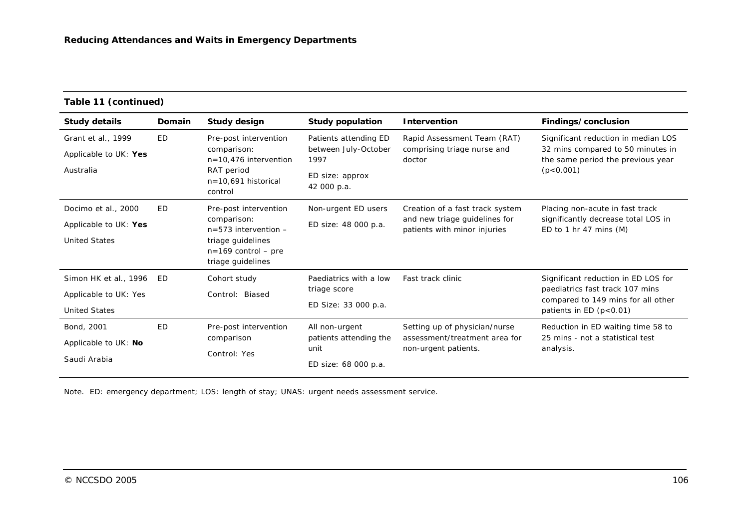| Table 11 (continued)                                                   |               |                                                                                                                                       |                                                                                         |                                                                                                  |                                                                                                                                           |  |
|------------------------------------------------------------------------|---------------|---------------------------------------------------------------------------------------------------------------------------------------|-----------------------------------------------------------------------------------------|--------------------------------------------------------------------------------------------------|-------------------------------------------------------------------------------------------------------------------------------------------|--|
| <b>Study details</b>                                                   | <b>Domain</b> | Study design                                                                                                                          | <b>Study population</b>                                                                 | <b>Intervention</b>                                                                              | Findings/conclusion                                                                                                                       |  |
| Grant et al., 1999<br>Applicable to UK: Yes<br>Australia               | ED            | Pre-post intervention<br>comparison:<br>$n = 10.476$ intervention<br>RAT period<br>$n = 10.691$ historical<br>control                 | Patients attending ED<br>between July-October<br>1997<br>ED size: approx<br>42 000 p.a. | Rapid Assessment Team (RAT)<br>comprising triage nurse and<br>doctor                             | Significant reduction in median LOS<br>32 mins compared to 50 minutes in<br>the same period the previous year<br>(p<0.001)                |  |
| Docimo et al., 2000<br>Applicable to UK: Yes<br><b>United States</b>   | ED            | Pre-post intervention<br>comparison:<br>$n = 573$ intervention $-$<br>triage guidelines<br>$n=169$ control - pre<br>triage guidelines | Non-urgent ED users<br>ED size: 48 000 p.a.                                             | Creation of a fast track system<br>and new triage guidelines for<br>patients with minor injuries | Placing non-acute in fast track<br>significantly decrease total LOS in<br>ED to 1 hr 47 mins $(M)$                                        |  |
| Simon HK et al., 1996<br>Applicable to UK: Yes<br><b>United States</b> | ED            | Cohort study<br>Control: Biased                                                                                                       | Paediatrics with a low<br>triage score<br>ED Size: 33 000 p.a.                          | Fast track clinic                                                                                | Significant reduction in ED LOS for<br>paediatrics fast track 107 mins<br>compared to 149 mins for all other<br>patients in ED $(p<0.01)$ |  |
| Bond, 2001<br>Applicable to UK: No<br>Saudi Arabia                     | <b>ED</b>     | Pre-post intervention<br>comparison<br>Control: Yes                                                                                   | All non-urgent<br>patients attending the<br>unit<br>ED size: 68 000 p.a.                | Setting up of physician/nurse<br>assessment/treatment area for<br>non-urgent patients.           | Reduction in ED waiting time 58 to<br>25 mins - not a statistical test<br>analysis.                                                       |  |

**Table 11 (continued)**

Note. ED: emergency department; LOS: length of stay; UNAS: urgent needs assessment service.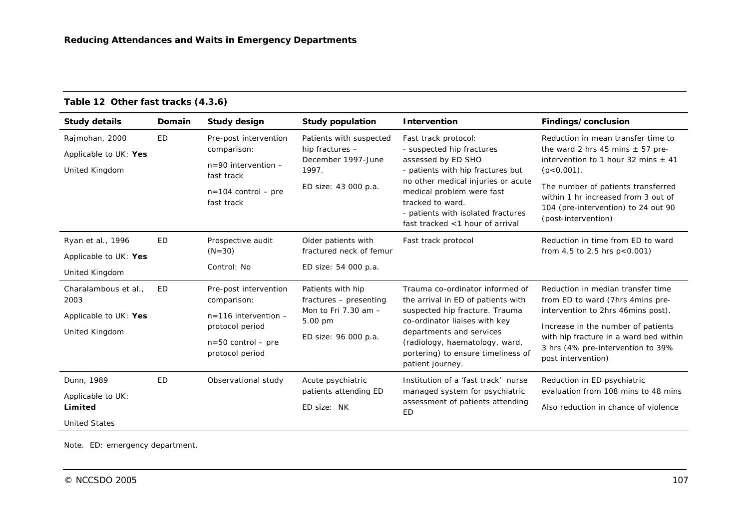| <b>Study details</b>                                                    | <b>Domain</b> | Study design                                                                                                                       | <b>Study population</b>                                                                                  | Intervention                                                                                                                                                                                                                                                                 | Findings/conclusion                                                                                                                                                                                                                                                               |
|-------------------------------------------------------------------------|---------------|------------------------------------------------------------------------------------------------------------------------------------|----------------------------------------------------------------------------------------------------------|------------------------------------------------------------------------------------------------------------------------------------------------------------------------------------------------------------------------------------------------------------------------------|-----------------------------------------------------------------------------------------------------------------------------------------------------------------------------------------------------------------------------------------------------------------------------------|
| Rajmohan, 2000<br>Applicable to UK: Yes<br>United Kingdom               | ED            | Pre-post intervention<br>comparison:<br>$n = 90$ intervention $-$<br>fast track<br>$n = 104$ control – pre<br>fast track           | Patients with suspected<br>hip fractures -<br>December 1997-June<br>1997.<br>ED size: 43 000 p.a.        | Fast track protocol:<br>- suspected hip fractures<br>assessed by ED SHO<br>- patients with hip fractures but<br>no other medical injuries or acute<br>medical problem were fast<br>tracked to ward.<br>- patients with isolated fractures<br>fast tracked <1 hour of arrival | Reduction in mean transfer time to<br>the ward 2 hrs 45 mins $\pm$ 57 pre-<br>intervention to 1 hour 32 mins $\pm$ 41<br>$(p<0.001)$ .<br>The number of patients transferred<br>within 1 hr increased from 3 out of<br>104 (pre-intervention) to 24 out 90<br>(post-intervention) |
| Ryan et al., 1996<br>Applicable to UK: Yes<br>United Kingdom            | <b>ED</b>     | Prospective audit<br>$(N=30)$<br>Control: No                                                                                       | Older patients with<br>fractured neck of femur<br>ED size: 54 000 p.a.                                   | Fast track protocol                                                                                                                                                                                                                                                          | Reduction in time from ED to ward<br>from 4.5 to 2.5 hrs $p < 0.001$ )                                                                                                                                                                                                            |
| Charalambous et al.,<br>2003<br>Applicable to UK: Yes<br>United Kingdom | <b>ED</b>     | Pre-post intervention<br>comparison:<br>$n = 116$ intervention $-$<br>protocol period<br>$n=50$ control $-$ pre<br>protocol period | Patients with hip<br>fractures - presenting<br>Mon to Fri 7.30 am $-$<br>5.00 pm<br>ED size: 96 000 p.a. | Trauma co-ordinator informed of<br>the arrival in ED of patients with<br>suspected hip fracture. Trauma<br>co-ordinator liaises with key<br>departments and services<br>(radiology, haematology, ward,<br>portering) to ensure timeliness of<br>patient journey.             | Reduction in median transfer time<br>from ED to ward (7hrs 4mins pre-<br>intervention to 2hrs 46mins post).<br>Increase in the number of patients<br>with hip fracture in a ward bed within<br>3 hrs (4% pre-intervention to 39%<br>post intervention)                            |
| Dunn, 1989<br>Applicable to UK:<br>Limited<br><b>United States</b>      | <b>ED</b>     | Observational study                                                                                                                | Acute psychiatric<br>patients attending ED<br>ED size: NK                                                | Institution of a 'fast track' nurse<br>managed system for psychiatric<br>assessment of patients attending<br><b>ED</b>                                                                                                                                                       | Reduction in ED psychiatric<br>evaluation from 108 mins to 48 mins<br>Also reduction in chance of violence                                                                                                                                                                        |

## **Table 12 Other fast tracks (4.3.6)**

Note. ED: emergency department.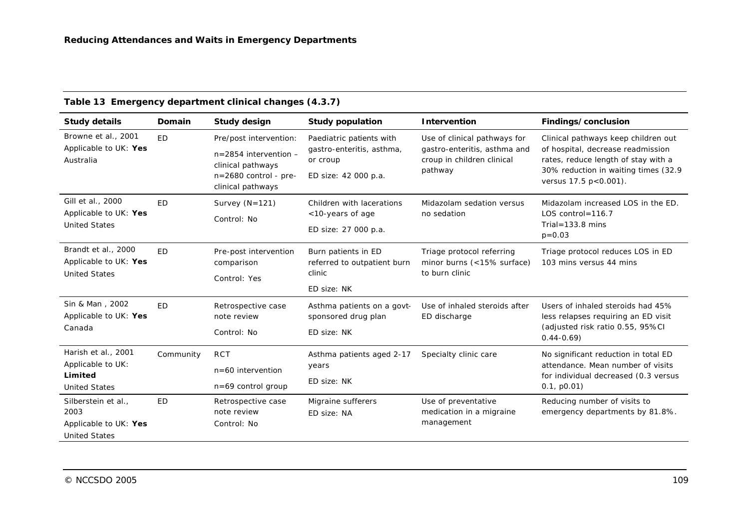| <b>Study details</b>                                                 | Domain    | Study design                                                                                      | <b>Study population</b>                                                                   | <b>Intervention</b>                                                                                   | Findings/conclusion                                                                                                                                                                |
|----------------------------------------------------------------------|-----------|---------------------------------------------------------------------------------------------------|-------------------------------------------------------------------------------------------|-------------------------------------------------------------------------------------------------------|------------------------------------------------------------------------------------------------------------------------------------------------------------------------------------|
| Browne et al., 2001<br>Applicable to UK: Yes<br>Australia            | <b>ED</b> | Pre/post intervention:<br>$n = 2854$ intervention -<br>clinical pathways<br>n=2680 control - pre- | Paediatric patients with<br>gastro-enteritis, asthma,<br>or croup<br>ED size: 42 000 p.a. | Use of clinical pathways for<br>gastro-enteritis, asthma and<br>croup in children clinical<br>pathway | Clinical pathways keep children out<br>of hospital, decrease readmission<br>rates, reduce length of stay with a<br>30% reduction in waiting times (32.9<br>versus 17.5 p < 0.001). |
|                                                                      |           | clinical pathways                                                                                 |                                                                                           |                                                                                                       |                                                                                                                                                                                    |
| Gill et al., 2000<br>Applicable to UK: Yes<br><b>United States</b>   | <b>ED</b> | Survey $(N=121)$<br>Control: No                                                                   | Children with lacerations<br><10-years of age                                             | Midazolam sedation versus<br>no sedation                                                              | Midazolam increased LOS in the ED.<br>LOS control=116.7<br>Trial= $133.8$ mins                                                                                                     |
|                                                                      |           |                                                                                                   | ED size: 27 000 p.a.                                                                      |                                                                                                       | $p = 0.03$                                                                                                                                                                         |
| Brandt et al., 2000<br>Applicable to UK: Yes<br><b>United States</b> | <b>ED</b> | Pre-post intervention<br>comparison<br>Control: Yes                                               | Burn patients in ED<br>referred to outpatient burn<br>clinic                              | Triage protocol referring<br>minor burns (<15% surface)<br>to burn clinic                             | Triage protocol reduces LOS in ED<br>103 mins versus 44 mins                                                                                                                       |
|                                                                      |           |                                                                                                   | ED size: NK                                                                               |                                                                                                       |                                                                                                                                                                                    |
| Sin & Man, 2002<br>Applicable to UK: Yes<br>Canada                   | <b>ED</b> | Retrospective case<br>note review<br>Control: No                                                  | Asthma patients on a govt-<br>sponsored drug plan<br>ED size: NK                          | Use of inhaled steroids after<br>ED discharge                                                         | Users of inhaled steroids had 45%<br>less relapses requiring an ED visit<br>(adjusted risk ratio 0.55, 95%CI                                                                       |
|                                                                      |           |                                                                                                   |                                                                                           |                                                                                                       | $0.44 - 0.69$                                                                                                                                                                      |
| Harish et al., 2001                                                  | Community | <b>RCT</b>                                                                                        | Asthma patients aged 2-17                                                                 | Specialty clinic care                                                                                 | No significant reduction in total ED                                                                                                                                               |
| Applicable to UK:<br>Limited                                         |           | $n = 60$ intervention                                                                             | years                                                                                     |                                                                                                       | attendance. Mean number of visits                                                                                                                                                  |
| <b>United States</b>                                                 |           | $n=69$ control group                                                                              | ED size: NK                                                                               |                                                                                                       | for individual decreased (0.3 versus<br>$0.1$ , $p0.01$ )                                                                                                                          |
| Silberstein et al.,                                                  | <b>ED</b> | Retrospective case<br>note review                                                                 | Migraine sufferers                                                                        | Use of preventative                                                                                   | Reducing number of visits to                                                                                                                                                       |
| 2003<br>Applicable to UK: Yes                                        |           | Control: No                                                                                       | ED size: NA                                                                               | medication in a migraine<br>management                                                                | emergency departments by 81.8%.                                                                                                                                                    |
| <b>United States</b>                                                 |           |                                                                                                   |                                                                                           |                                                                                                       |                                                                                                                                                                                    |

### **Table 13 Emergency department clinical changes (4.3.7)**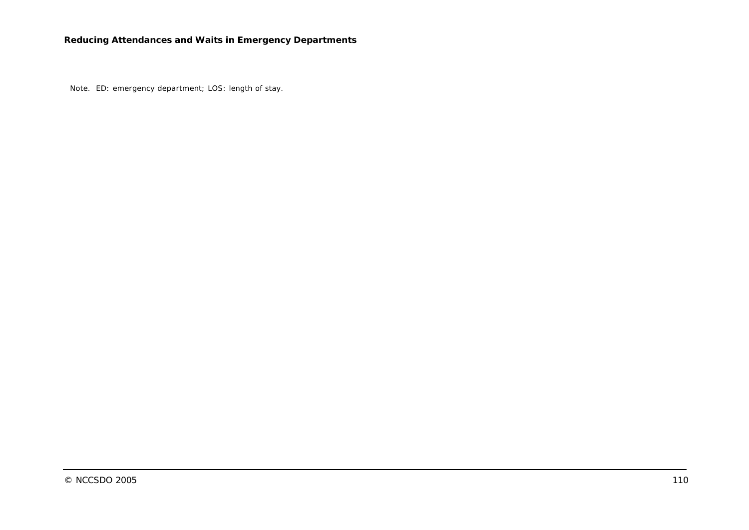Note. ED: emergency department; LOS: length of stay.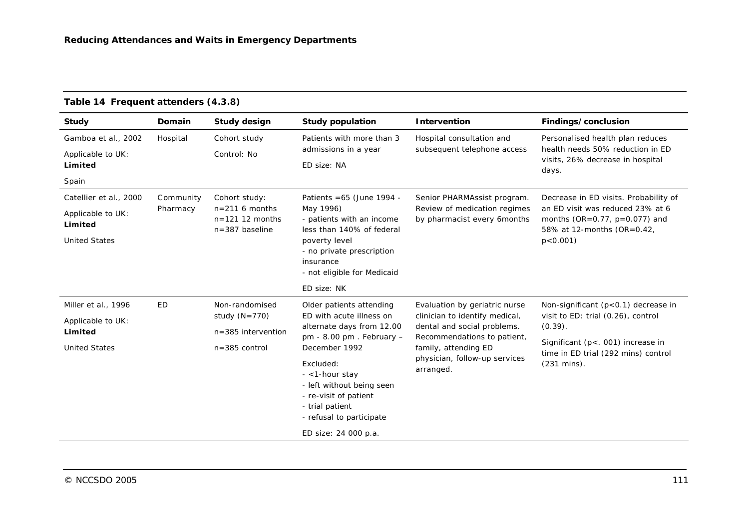| $1800 - 17$ The querit attenuers (7.0.0) |               |                                                             |                                                                                                                                  |                                                                                                                               |                                                                                                                     |  |
|------------------------------------------|---------------|-------------------------------------------------------------|----------------------------------------------------------------------------------------------------------------------------------|-------------------------------------------------------------------------------------------------------------------------------|---------------------------------------------------------------------------------------------------------------------|--|
| <b>Study</b>                             | <b>Domain</b> | <b>Study design</b>                                         | <b>Study population</b>                                                                                                          | <b>Intervention</b>                                                                                                           | Findings/conclusion                                                                                                 |  |
| Gamboa et al., 2002                      | Hospital      | Cohort study                                                | Patients with more than 3                                                                                                        | Hospital consultation and                                                                                                     | Personalised health plan reduces                                                                                    |  |
| Applicable to UK:                        |               | Control: No                                                 | admissions in a year                                                                                                             | subsequent telephone access                                                                                                   | health needs 50% reduction in ED<br>visits, 26% decrease in hospital                                                |  |
| Limited                                  |               |                                                             | ED size: NA                                                                                                                      |                                                                                                                               | days.                                                                                                               |  |
| Spain                                    |               |                                                             |                                                                                                                                  |                                                                                                                               |                                                                                                                     |  |
| Catellier et al., 2000                   | Community     | Cohort study:                                               | Patients = $65$ (June 1994 -                                                                                                     | Senior PHARMAssist program.                                                                                                   | Decrease in ED visits. Probability of                                                                               |  |
| Applicable to UK:<br>Limited             | Pharmacy      | $n=211$ 6 months<br>$n=121$ 12 months<br>$n = 387$ baseline | May 1996)<br>- patients with an income<br>less than 140% of federal                                                              | Review of medication regimes<br>by pharmacist every 6months                                                                   | an ED visit was reduced 23% at 6<br>months (OR=0.77, $p=0.077$ ) and<br>58% at 12-months (OR=0.42,<br>$p < 0.001$ ) |  |
| <b>United States</b>                     |               |                                                             | poverty level<br>- no private prescription<br>insurance<br>- not eligible for Medicaid                                           |                                                                                                                               |                                                                                                                     |  |
|                                          |               |                                                             | ED size: NK                                                                                                                      |                                                                                                                               |                                                                                                                     |  |
| Miller et al., 1996                      | ED            | Non-randomised                                              | Older patients attending                                                                                                         | Evaluation by geriatric nurse<br>clinician to identify medical,<br>dental and social problems.<br>Recommendations to patient, | Non-significant (p<0.1) decrease in                                                                                 |  |
| Applicable to UK:                        |               | study $(N=770)$                                             | ED with acute illness on<br>alternate days from 12.00                                                                            |                                                                                                                               | visit to ED: trial (0.26), control<br>$(0.39)$ .                                                                    |  |
| Limited                                  |               | $n = 385$ intervention                                      | pm - 8.00 pm. February -                                                                                                         |                                                                                                                               |                                                                                                                     |  |
| <b>United States</b>                     |               | $n = 385$ control                                           | December 1992                                                                                                                    | family, attending ED                                                                                                          | Significant (p<. 001) increase in<br>time in ED trial (292 mins) control                                            |  |
|                                          |               |                                                             | Excluded:<br>- <1-hour stay<br>- left without being seen<br>- re-visit of patient<br>- trial patient<br>- refusal to participate | physician, follow-up services<br>arranged.                                                                                    | $(231 \text{ mins})$ .                                                                                              |  |
|                                          |               |                                                             | ED size: 24 000 p.a.                                                                                                             |                                                                                                                               |                                                                                                                     |  |

#### **Table 14 Frequent attenders (4.3.8)**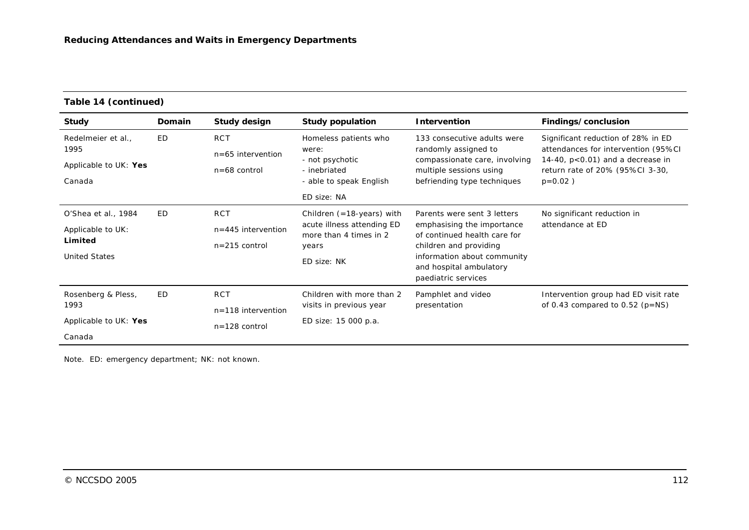| <b>Study</b>                                                  | Domain    | Study design                                            | <b>Study population</b>                                                                      | <b>Intervention</b>                                                                                                                            | Findings/conclusion                                                                                                                                                 |
|---------------------------------------------------------------|-----------|---------------------------------------------------------|----------------------------------------------------------------------------------------------|------------------------------------------------------------------------------------------------------------------------------------------------|---------------------------------------------------------------------------------------------------------------------------------------------------------------------|
| Redelmeier et al.,<br>1995<br>Applicable to UK: Yes<br>Canada | ED        | <b>RCT</b><br>$n = 65$ intervention<br>$n = 68$ control | Homeless patients who<br>were:<br>- not psychotic<br>- inebriated<br>- able to speak English | 133 consecutive adults were<br>randomly assigned to<br>compassionate care, involving<br>multiple sessions using<br>befriending type techniques | Significant reduction of 28% in ED<br>attendances for intervention (95%CI<br>14-40, $p < 0.01$ ) and a decrease in<br>return rate of 20% (95%CI 3-30,<br>$p=0.02$ ) |
|                                                               |           |                                                         | ED size: NA                                                                                  |                                                                                                                                                |                                                                                                                                                                     |
| O'Shea et al., 1984<br>Applicable to UK:                      | <b>ED</b> | <b>RCT</b><br>$n = 445$ intervention                    | Children (=18-years) with<br>acute illness attending ED                                      | Parents were sent 3 letters<br>emphasising the importance                                                                                      | No significant reduction in<br>attendance at ED                                                                                                                     |
| Limited                                                       |           | $n = 215$ control                                       | more than 4 times in 2<br>years                                                              | of continued health care for<br>children and providing                                                                                         |                                                                                                                                                                     |
| <b>United States</b>                                          |           |                                                         | ED size: NK                                                                                  | information about community<br>and hospital ambulatory<br>paediatric services                                                                  |                                                                                                                                                                     |
| Rosenberg & Pless,                                            | ED        | <b>RCT</b>                                              | Children with more than 2                                                                    | Pamphlet and video                                                                                                                             | Intervention group had ED visit rate                                                                                                                                |
| 1993                                                          |           | $n = 118$ intervention                                  | visits in previous year                                                                      | presentation                                                                                                                                   | of 0.43 compared to 0.52 ( $p=NS$ )                                                                                                                                 |
| Applicable to UK: Yes                                         |           | $n = 128$ control                                       | ED size: 15 000 p.a.                                                                         |                                                                                                                                                |                                                                                                                                                                     |
| Canada                                                        |           |                                                         |                                                                                              |                                                                                                                                                |                                                                                                                                                                     |

**Table 14 (continued)**

Note. ED: emergency department; NK: not known.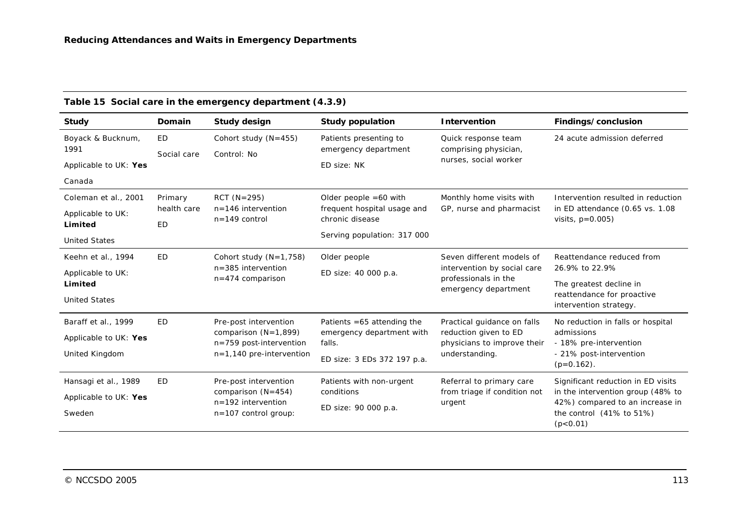### **Table 15 Social care in the emergency department (4.3.9)**

| <b>Study</b>                                                                 | Domain                              | Study design                                                                                           | <b>Study population</b>                                                                                  | Intervention                                                                                             | Findings/conclusion                                                                                                                                     |
|------------------------------------------------------------------------------|-------------------------------------|--------------------------------------------------------------------------------------------------------|----------------------------------------------------------------------------------------------------------|----------------------------------------------------------------------------------------------------------|---------------------------------------------------------------------------------------------------------------------------------------------------------|
| Boyack & Bucknum,<br>1991<br>Applicable to UK: Yes<br>Canada                 | ED<br>Social care                   | Cohort study $(N=455)$<br>Control: No                                                                  | Patients presenting to<br>emergency department<br>ED size: NK                                            | Quick response team<br>comprising physician,<br>nurses, social worker                                    | 24 acute admission deferred                                                                                                                             |
| Coleman et al., 2001<br>Applicable to UK:<br>Limited<br><b>United States</b> | Primary<br>health care<br><b>ED</b> | $RCT (N = 295)$<br>$n = 146$ intervention<br>$n = 149$ control                                         | Older people $=60$ with<br>frequent hospital usage and<br>chronic disease<br>Serving population: 317 000 | Monthly home visits with<br>GP, nurse and pharmacist                                                     | Intervention resulted in reduction<br>in ED attendance (0.65 vs. 1.08<br>visits, $p=0.005$ )                                                            |
| Keehn et al., 1994<br>Applicable to UK:<br>Limited<br><b>United States</b>   | ED                                  | Cohort study $(N=1,758)$<br>$n = 385$ intervention<br>$n = 474$ comparison                             | Older people<br>ED size: 40 000 p.a.                                                                     | Seven different models of<br>intervention by social care<br>professionals in the<br>emergency department | Reattendance reduced from<br>26.9% to 22.9%<br>The greatest decline in<br>reattendance for proactive<br>intervention strategy.                          |
| Baraff et al., 1999<br>Applicable to UK: Yes<br>United Kingdom               | <b>ED</b>                           | Pre-post intervention<br>comparison (N=1,899)<br>n=759 post-intervention<br>$n=1,140$ pre-intervention | Patients $=65$ attending the<br>emergency department with<br>falls.<br>ED size: 3 EDs 372 197 p.a.       | Practical quidance on falls<br>reduction given to ED<br>physicians to improve their<br>understanding.    | No reduction in falls or hospital<br>admissions<br>- 18% pre-intervention<br>- 21% post-intervention<br>$(p=0.162)$ .                                   |
| Hansagi et al., 1989<br>Applicable to UK: Yes<br>Sweden                      | ED                                  | Pre-post intervention<br>comparison $(N=454)$<br>$n = 192$ intervention<br>$n = 107$ control group:    | Patients with non-urgent<br>conditions<br>ED size: 90 000 p.a.                                           | Referral to primary care<br>from triage if condition not<br>urgent                                       | Significant reduction in ED visits<br>in the intervention group (48% to<br>42%) compared to an increase in<br>the control $(41\%$ to 51%)<br>(p < 0.01) |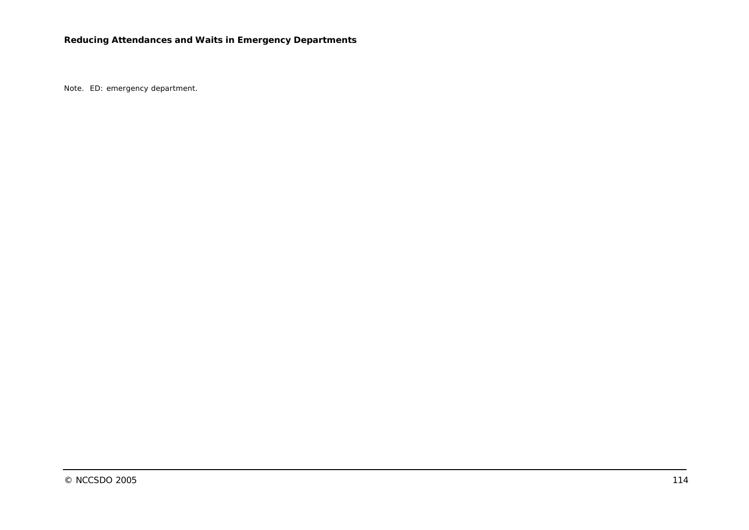Note. ED: emergency department.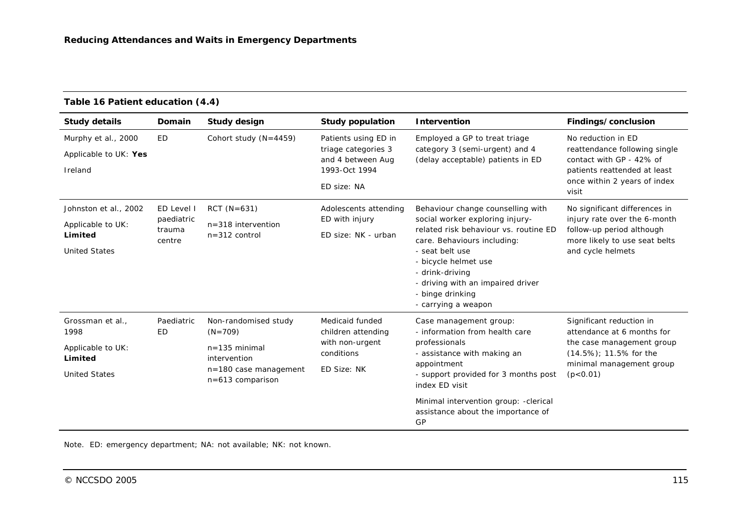| Table 16 Patient equeation (4.4) |                      |                                                           |                                          |                                                                                    |                                                                                                                                                  |  |
|----------------------------------|----------------------|-----------------------------------------------------------|------------------------------------------|------------------------------------------------------------------------------------|--------------------------------------------------------------------------------------------------------------------------------------------------|--|
| <b>Study details</b>             | <b>Domain</b>        | Study design                                              | <b>Study population</b>                  | <b>Intervention</b>                                                                | Findings/conclusion                                                                                                                              |  |
| Murphy et al., 2000              | ED.                  | Cohort study $(N=4459)$                                   | Patients using ED in                     | Employed a GP to treat triage                                                      | No reduction in ED                                                                                                                               |  |
| Applicable to UK: Yes            |                      |                                                           | triage categories 3<br>and 4 between Aug | category 3 (semi-urgent) and 4<br>(delay acceptable) patients in ED                | reattendance following single<br>contact with GP - 42% of                                                                                        |  |
| Ireland                          |                      |                                                           | 1993-Oct 1994                            |                                                                                    | patients reattended at least                                                                                                                     |  |
|                                  |                      |                                                           | ED size: NA                              |                                                                                    | once within 2 years of index<br>visit                                                                                                            |  |
| Johnston et al., 2002            | ED Level I           | $RCT (N=631)$<br>ED with injury<br>$n = 318$ intervention | Adolescents attending                    | Behaviour change counselling with                                                  | No significant differences in<br>injury rate over the 6-month<br>follow-up period although<br>more likely to use seat belts<br>and cycle helmets |  |
| Applicable to UK:                | paediatric<br>trauma |                                                           |                                          | social worker exploring injury-<br>related risk behaviour vs. routine ED           |                                                                                                                                                  |  |
| Limited                          | centre               | $n = 312$ control                                         | ED size: NK - urban                      | care. Behaviours including:                                                        |                                                                                                                                                  |  |
| <b>United States</b>             |                      |                                                           |                                          | - seat belt use                                                                    |                                                                                                                                                  |  |
|                                  |                      |                                                           |                                          | - bicycle helmet use<br>- drink-driving                                            |                                                                                                                                                  |  |
|                                  |                      |                                                           |                                          | - driving with an impaired driver                                                  |                                                                                                                                                  |  |
|                                  |                      |                                                           |                                          | - binge drinking<br>- carrying a weapon                                            |                                                                                                                                                  |  |
|                                  |                      |                                                           |                                          |                                                                                    |                                                                                                                                                  |  |
| Grossman et al.,<br>1998         | Paediatric<br>ED     | Non-randomised study<br>$(N=709)$                         | Medicaid funded<br>children attending    | Case management group:<br>- information from health care                           | Significant reduction in<br>attendance at 6 months for                                                                                           |  |
| Applicable to UK:                |                      | $n = 135$ minimal                                         | with non-urgent                          | professionals                                                                      | the case management group                                                                                                                        |  |
| Limited                          |                      | intervention                                              | conditions                               | - assistance with making an<br>appointment                                         | $(14.5\%)$ ; 11.5% for the<br>minimal management group                                                                                           |  |
| <b>United States</b>             |                      | n=180 case management<br>$n = 613$ comparison             | ED Size: NK                              | - support provided for 3 months post<br>index ED visit                             | (p < 0.01)                                                                                                                                       |  |
|                                  |                      |                                                           |                                          | Minimal intervention group: - clerical<br>assistance about the importance of<br>GP |                                                                                                                                                  |  |

**Table 16 Patient education (4.4)**

Note. ED: emergency department; NA: not available; NK: not known.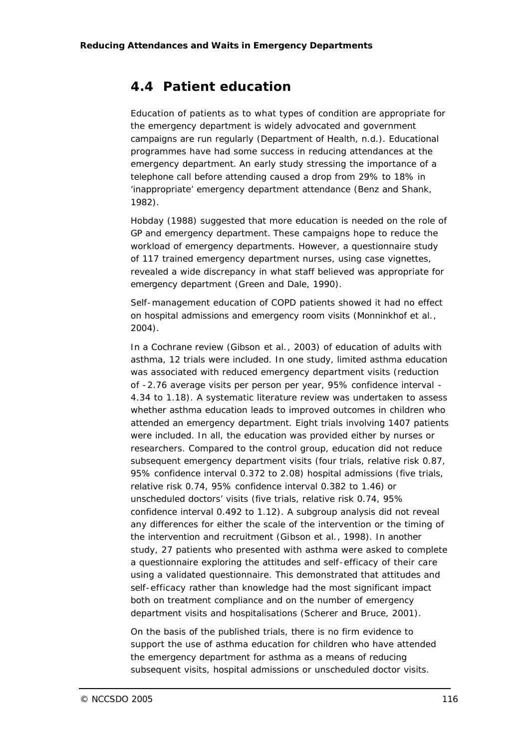# *4.4 Patient education*

Education of patients as to what types of condition are appropriate for the emergency department is widely advocated and government campaigns are run regularly (Department of Health, n.d.). Educational programmes have had some success in reducing attendances at the emergency department. An early study stressing the importance of a telephone call before attending caused a drop from 29% to 18% in 'inappropriate' emergency department attendance (Benz and Shank, 1982).

Hobday (1988) suggested that more education is needed on the role of GP and emergency department. These campaigns hope to reduce the workload of emergency departments. However, a questionnaire study of 117 trained emergency department nurses, using case vignettes, revealed a wide discrepancy in what staff believed was appropriate for emergency department (Green and Dale, 1990).

Self-management education of COPD patients showed it had no effect on hospital admissions and emergency room visits (Monninkhof *et al.*, 2004).

In a Cochrane review (Gibson *et al.*, 2003) of education of adults with asthma, 12 trials were included. In one study, limited asthma education was associated with reduced emergency department visits (reduction of -2.76 average visits per person per year, 95% confidence interval - 4.34 to 1.18). A systematic literature review was undertaken to assess whether asthma education leads to improved outcomes in children who attended an emergency department. Eight trials involving 1407 patients were included. In all, the education was provided either by nurses or researchers. Compared to the control group, education did not reduce subsequent emergency department visits (four trials, relative risk 0.87, 95% confidence interval 0.372 to 2.08) hospital admissions (five trials, relative risk 0.74, 95% confidence interval 0.382 to 1.46) or unscheduled doctors' visits (five trials, relative risk 0.74, 95% confidence interval 0.492 to 1.12). A subgroup analysis did not reveal any differences for either the scale of the intervention or the timing of the intervention and recruitment (Gibson *et al.*, 1998). In another study, 27 patients who presented with asthma were asked to complete a questionnaire exploring the attitudes and self-efficacy of their care using a validated questionnaire. This demonstrated that attitudes and self-efficacy rather than knowledge had the most significant impact both on treatment compliance and on the number of emergency department visits and hospitalisations (Scherer and Bruce, 2001).

On the basis of the published trials, there is no firm evidence to support the use of asthma education for children who have attended the emergency department for asthma as a means of reducing subsequent visits, hospital admissions or unscheduled doctor visits.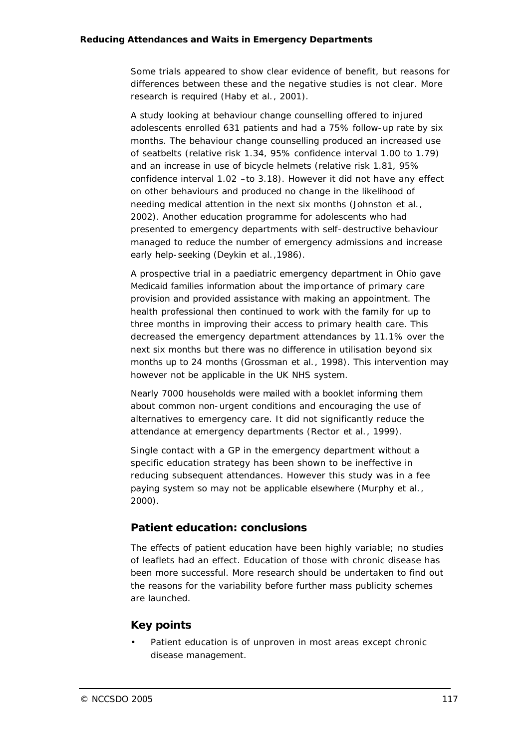Some trials appeared to show clear evidence of benefit, but reasons for differences between these and the negative studies is not clear. More research is required (Haby *et al.*, 2001).

A study looking at behaviour change counselling offered to injured adolescents enrolled 631 patients and had a 75% follow-up rate by six months. The behaviour change counselling produced an increased use of seatbelts (relative risk 1.34, 95% confidence interval 1.00 to 1.79) and an increase in use of bicycle helmets (relative risk 1.81, 95% confidence interval 1.02 –to 3.18). However it did not have any effect on other behaviours and produced no change in the likelihood of needing medical attention in the next six months (Johnston *et al.*, 2002). Another education programme for adolescents who had presented to emergency departments with self-destructive behaviour managed to reduce the number of emergency admissions and increase early help-seeking (Deykin *et al.*,1986).

A prospective trial in a paediatric emergency department in Ohio gave Medicaid families information about the importance of primary care provision and provided assistance with making an appointment. The health professional then continued to work with the family for up to three months in improving their access to primary health care. This decreased the emergency department attendances by 11.1% over the next six months but there was no difference in utilisation beyond six months up to 24 months (Grossman *et al.*, 1998). This intervention may however not be applicable in the UK NHS system.

Nearly 7000 households were mailed with a booklet informing them about common non-urgent conditions and encouraging the use of alternatives to emergency care. It did not significantly reduce the attendance at emergency departments (Rector *et al.*, 1999).

Single contact with a GP in the emergency department without a specific education strategy has been shown to be ineffective in reducing subsequent attendances. However this study was in a fee paying system so may not be applicable elsewhere (Murphy *et al.*, 2000).

### **Patient education: conclusions**

The effects of patient education have been highly variable; no studies of leaflets had an effect. Education of those with chronic disease has been more successful. More research should be undertaken to find out the reasons for the variability before further mass publicity schemes are launched.

### **Key points**

Patient education is of unproven in most areas except chronic disease management.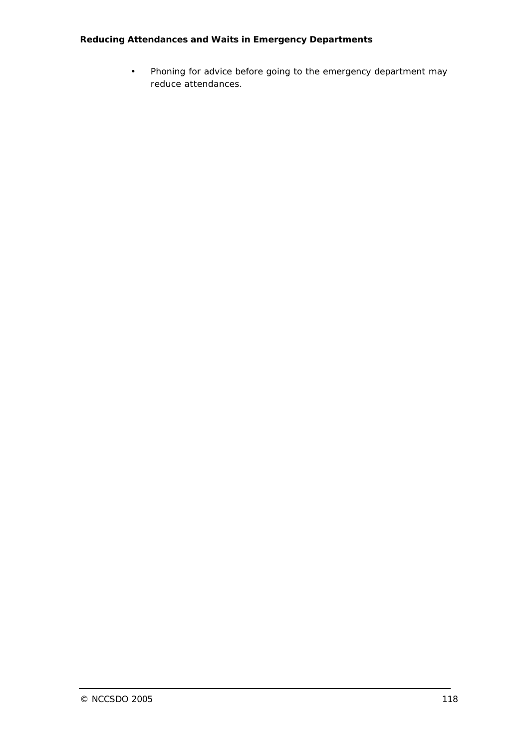• Phoning for advice before going to the emergency department may reduce attendances.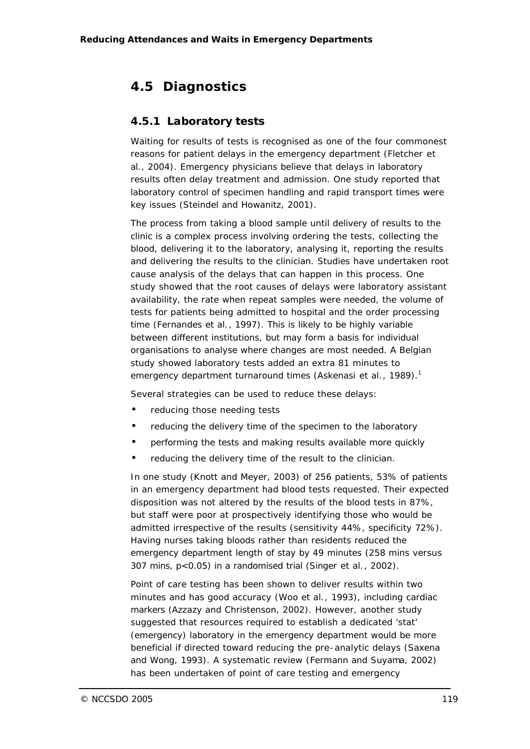# *4.5 Diagnostics*

# **4.5.1 Laboratory tests**

Waiting for results of tests is recognised as one of the four commonest reasons for patient delays in the emergency department (Fletcher *et al.*, 2004). Emergency physicians believe that delays in laboratory results often delay treatment and admission. One study reported that laboratory control of specimen handling and rapid transport times were key issues (Steindel and Howanitz, 2001).

The process from taking a blood sample until delivery of results to the clinic is a complex process involving ordering the tests, collecting the blood, delivering it to the laboratory, analysing it, reporting the results and delivering the results to the clinician. Studies have undertaken root cause analysis of the delays that can happen in this process. One study showed that the root causes of delays were laboratory assistant availability, the rate when repeat samples were needed, the volume of tests for patients being admitted to hospital and the order processing time (Fernandes *et al.*, 1997). This is likely to be highly variable between different institutions, but may form a basis for individual organisations to analyse where changes are most needed. A Belgian study showed laboratory tests added an extra 81 minutes to emergency department turnaround times (Askenasi *et al.*, 1989).<sup>1</sup>

Several strategies can be used to reduce these delays:

- reducing those needing tests
- reducing the delivery time of the specimen to the laboratory
- performing the tests and making results available more quickly
- reducing the delivery time of the result to the clinician.

In one study (Knott and Meyer, 2003) of 256 patients, 53% of patients in an emergency department had blood tests requested. Their expected disposition was not altered by the results of the blood tests in 87%, but staff were poor at prospectively identifying those who would be admitted irrespective of the results (sensitivity 44%, specificity 72%). Having nurses taking bloods rather than residents reduced the emergency department length of stay by 49 minutes (258 mins *versus* 307 mins, p<0.05) in a randomised trial (Singer *et al.*, 2002).

Point of care testing has been shown to deliver results within two minutes and has good accuracy (Woo *et al.*, 1993), including cardiac markers (Azzazy and Christenson, 2002). However, another study suggested that resources required to establish a dedicated 'stat' (emergency) laboratory in the emergency department would be more beneficial if directed toward reducing the pre-analytic delays (Saxena and Wong, 1993). A systematic review (Fermann and Suyama, 2002) has been undertaken of point of care testing and emergency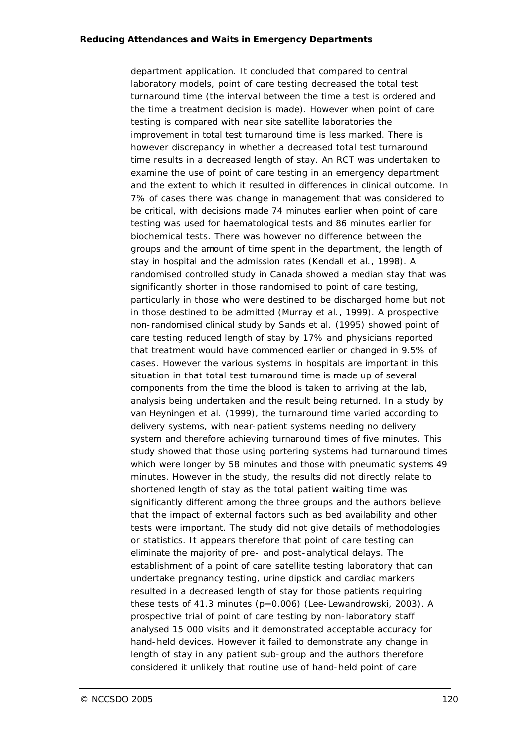department application. It concluded that compared to central laboratory models, point of care testing decreased the total test turnaround time (the interval between the time a test is ordered and the time a treatment decision is made). However when point of care testing is compared with near site satellite laboratories the improvement in total test turnaround time is less marked. There is however discrepancy in whether a decreased total test turnaround time results in a decreased length of stay. An RCT was undertaken to examine the use of point of care testing in an emergency department and the extent to which it resulted in differences in clinical outcome. In 7% of cases there was change in management that was considered to be critical, with decisions made 74 minutes earlier when point of care testing was used for haematological tests and 86 minutes earlier for biochemical tests. There was however no difference between the groups and the amount of time spent in the department, the length of stay in hospital and the admission rates (Kendall *et al.*, 1998). A randomised controlled study in Canada showed a median stay that was significantly shorter in those randomised to point of care testing, particularly in those who were destined to be discharged home but not in those destined to be admitted (Murray *et al.*, 1999). A prospective non-randomised clinical study by Sands *et al.* (1995) showed point of care testing reduced length of stay by 17% and physicians reported that treatment would have commenced earlier or changed in 9.5% of cases. However the various systems in hospitals are important in this situation in that total test turnaround time is made up of several components from the time the blood is taken to arriving at the lab, analysis being undertaken and the result being returned. In a study by van Heyningen *et al.* (1999), the turnaround time varied according to delivery systems, with near-patient systems needing no delivery system and therefore achieving turnaround times of five minutes. This study showed that those using portering systems had turnaround times which were longer by 58 minutes and those with pneumatic systems 49 minutes. However in the study, the results did not directly relate to shortened length of stay as the total patient waiting time was significantly different among the three groups and the authors believe that the impact of external factors such as bed availability and other tests were important. The study did not give details of methodologies or statistics. It appears therefore that point of care testing can eliminate the majority of pre- and post-analytical delays. The establishment of a point of care satellite testing laboratory that can undertake pregnancy testing, urine dipstick and cardiac markers resulted in a decreased length of stay for those patients requiring these tests of 41.3 minutes (p=0.006) (Lee-Lewandrowski, 2003). A prospective trial of point of care testing by non-laboratory staff analysed 15 000 visits and it demonstrated acceptable accuracy for hand-held devices. However it failed to demonstrate any change in length of stay in any patient sub-group and the authors therefore considered it unlikely that routine use of hand-held point of care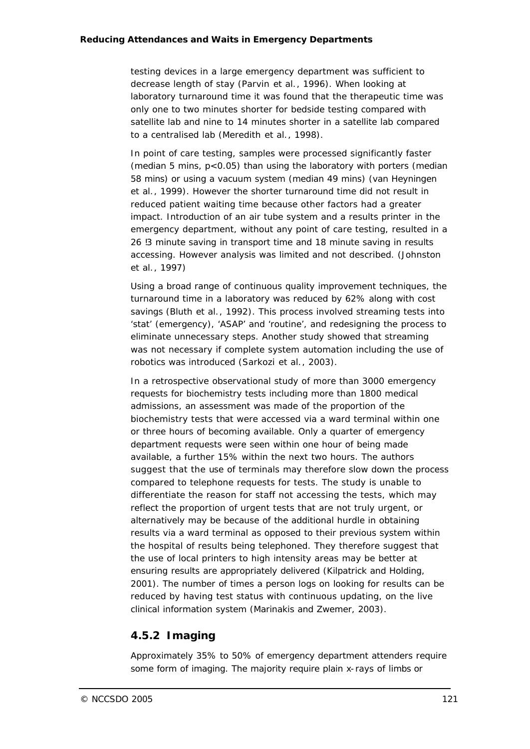testing devices in a large emergency department was sufficient to decrease length of stay (Parvin *et al.*, 1996). When looking at laboratory turnaround time it was found that the therapeutic time was only one to two minutes shorter for bedside testing compared with satellite lab and nine to 14 minutes shorter in a satellite lab compared to a centralised lab (Meredith *et al.*, 1998).

In point of care testing, samples were processed significantly faster (median 5 mins, p<0.05) than using the laboratory with porters (median 58 mins) or using a vacuum system (median 49 mins) (van Heyningen *et al.*, 1999). However the shorter turnaround time did not result in reduced patient waiting time because other factors had a greater impact. Introduction of an air tube system and a results printer in the emergency department, without any point of care testing, resulted in a 26 !3 minute saving in transport time and 18 minute saving in results accessing. However analysis was limited and not described. (Johnston *et al.*, 1997)

Using a broad range of continuous quality improvement techniques, the turnaround time in a laboratory was reduced by 62% along with cost savings (Bluth *et al.*, 1992). This process involved streaming tests into 'stat' (emergency), 'ASAP' and 'routine', and redesigning the process to eliminate unnecessary steps. Another study showed that streaming was not necessary if complete system automation including the use of robotics was introduced (Sarkozi *et al.*, 2003).

In a retrospective observational study of more than 3000 emergency requests for biochemistry tests including more than 1800 medical admissions, an assessment was made of the proportion of the biochemistry tests that were accessed via a ward terminal within one or three hours of becoming available. Only a quarter of emergency department requests were seen within one hour of being made available, a further 15% within the next two hours. The authors suggest that the use of terminals may therefore slow down the process compared to telephone requests for tests. The study is unable to differentiate the reason for staff not accessing the tests, which may reflect the proportion of urgent tests that are not truly urgent, or alternatively may be because of the additional hurdle in obtaining results via a ward terminal as opposed to their previous system within the hospital of results being telephoned. They therefore suggest that the use of local printers to high intensity areas may be better at ensuring results are appropriately delivered (Kilpatrick and Holding, 2001). The number of times a person logs on looking for results can be reduced by having test status with continuous updating, on the live clinical information system (Marinakis and Zwemer, 2003).

# **4.5.2 Imaging**

Approximately 35% to 50% of emergency department attenders require some form of imaging. The majority require plain x-rays of limbs or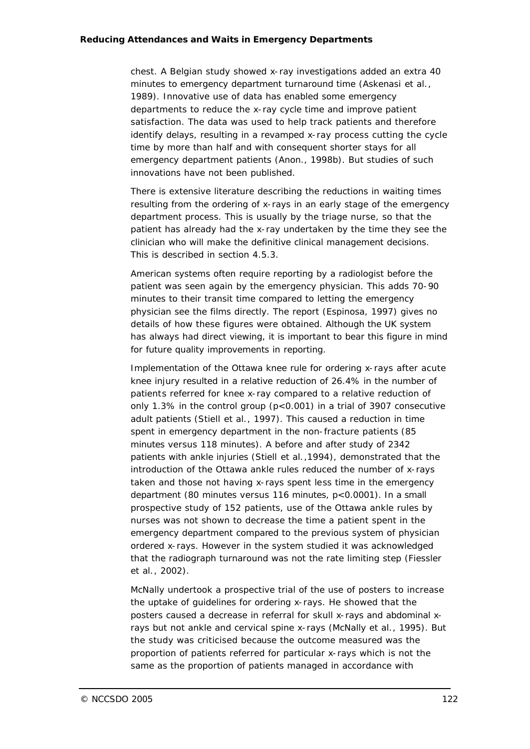chest. A Belgian study showed x-ray investigations added an extra 40 minutes to emergency department turnaround time (Askenasi *et al.*, 1989). Innovative use of data has enabled some emergency departments to reduce the x-ray cycle time and improve patient satisfaction. The data was used to help track patients and therefore identify delays, resulting in a revamped x-ray process cutting the cycle time by more than half and with consequent shorter stays for all emergency department patients (Anon., 1998b). But studies of such innovations have not been published.

There is extensive literature describing the reductions in waiting times resulting from the ordering of x-rays in an early stage of the emergency department process. This is usually by the triage nurse, so that the patient has already had the x-ray undertaken by the time they see the clinician who will make the definitive clinical management decisions. This is described in section 4.5.3.

American systems often require reporting by a radiologist before the patient was seen again by the emergency physician. This adds 70-90 minutes to their transit time compared to letting the emergency physician see the films directly. The report (Espinosa, 1997) gives no details of how these figures were obtained. Although the UK system has always had direct viewing, it is important to bear this figure in mind for future quality improvements in reporting.

Implementation of the Ottawa knee rule for ordering x-rays after acute knee injury resulted in a relative reduction of 26.4% in the number of patients referred for knee x-ray compared to a relative reduction of only 1.3% in the control group ( $p < 0.001$ ) in a trial of 3907 consecutive adult patients (Stiell *et al.*, 1997). This caused a reduction in time spent in emergency department in the non-fracture patients (85 minutes *versus* 118 minutes). A before and after study of 2342 patients with ankle injuries (Stiell *et al.*,1994), demonstrated that the introduction of the Ottawa ankle rules reduced the number of x-rays taken and those not having x-rays spent less time in the emergency department (80 minutes *versus* 116 minutes, p<0.0001). In a small prospective study of 152 patients, use of the Ottawa ankle rules by nurses was not shown to decrease the time a patient spent in the emergency department compared to the previous system of physician ordered x-rays. However in the system studied it was acknowledged that the radiograph turnaround was not the rate limiting step (Fiessler *et al.*, 2002).

McNally undertook a prospective trial of the use of posters to increase the uptake of guidelines for ordering x-rays. He showed that the posters caused a decrease in referral for skull x-rays and abdominal xrays but not ankle and cervical spine x-rays (McNally *et al.*, 1995). But the study was criticised because the outcome measured was the proportion of patients referred for particular x-rays which is not the same as the proportion of patients managed in accordance with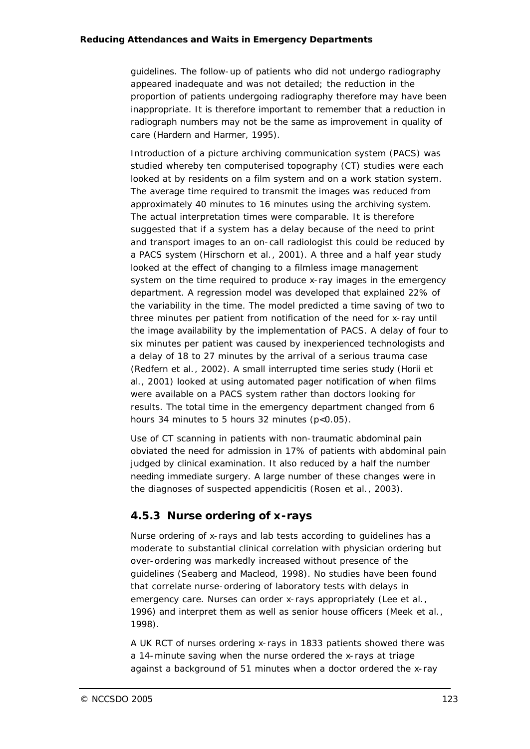guidelines. The follow-up of patients who did not undergo radiography appeared inadequate and was not detailed; the reduction in the proportion of patients undergoing radiography therefore may have been inappropriate. It is therefore important to remember that a reduction in radiograph numbers may not be the same as improvement in quality of care (Hardern and Harmer, 1995).

Introduction of a picture archiving communication system (PACS) was studied whereby ten computerised topography (CT) studies were each looked at by residents on a film system and on a work station system. The average time required to transmit the images was reduced from approximately 40 minutes to 16 minutes using the archiving system. The actual interpretation times were comparable. It is therefore suggested that if a system has a delay because of the need to print and transport images to an on-call radiologist this could be reduced by a PACS system (Hirschorn *et al.*, 2001). A three and a half year study looked at the effect of changing to a filmless image management system on the time required to produce x-ray images in the emergency department. A regression model was developed that explained 22% of the variability in the time. The model predicted a time saving of two to three minutes per patient from notification of the need for x-ray until the image availability by the implementation of PACS. A delay of four to six minutes per patient was caused by inexperienced technologists and a delay of 18 to 27 minutes by the arrival of a serious trauma case (Redfern *et al.*, 2002). A small interrupted time series study (Horii *et al.*, 2001) looked at using automated pager notification of when films were available on a PACS system rather than doctors looking for results. The total time in the emergency department changed from 6 hours 34 minutes to 5 hours 32 minutes (p<0.05).

Use of CT scanning in patients with non-traumatic abdominal pain obviated the need for admission in 17% of patients with abdominal pain judged by clinical examination. It also reduced by a half the number needing immediate surgery. A large number of these changes were in the diagnoses of suspected appendicitis (Rosen *et al.*, 2003).

# **4.5.3 Nurse ordering of x-rays**

Nurse ordering of x-rays and lab tests according to guidelines has a moderate to substantial clinical correlation with physician ordering but over-ordering was markedly increased without presence of the guidelines (Seaberg and Macleod, 1998). No studies have been found that correlate nurse-ordering of laboratory tests with delays in emergency care. Nurses can order x-rays appropriately (Lee *et al.*, 1996) and interpret them as well as senior house officers (Meek *et al.*, 1998).

A UK RCT of nurses ordering x-rays in 1833 patients showed there was a 14-minute saving when the nurse ordered the x-rays at triage against a background of 51 minutes when a doctor ordered the x-ray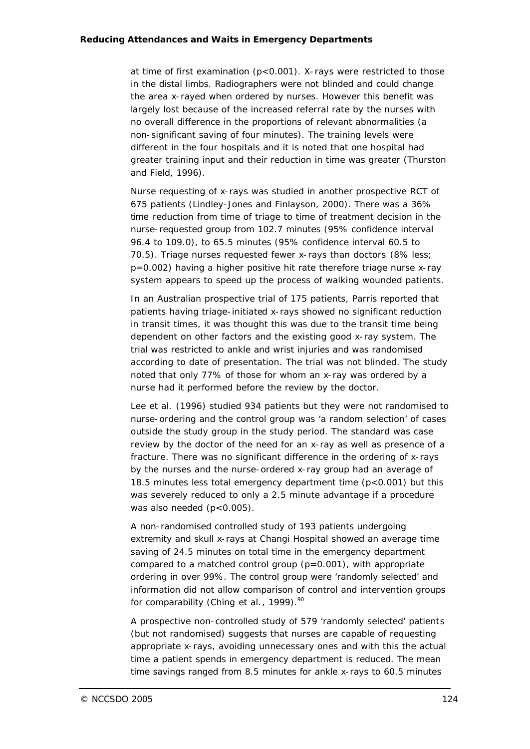at time of first examination (p<0.001). X-rays were restricted to those in the distal limbs. Radiographers were not blinded and could change the area x-rayed when ordered by nurses. However this benefit was largely lost because of the increased referral rate by the nurses with no overall difference in the proportions of relevant abnormalities (a non-significant saving of four minutes). The training levels were different in the four hospitals and it is noted that one hospital had greater training input and their reduction in time was greater (Thurston and Field, 1996).

Nurse requesting of x-rays was studied in another prospective RCT of 675 patients (Lindley-Jones and Finlayson, 2000). There was a 36% time reduction from time of triage to time of treatment decision in the nurse-requested group from 102.7 minutes (95% confidence interval 96.4 to 109.0), to 65.5 minutes (95% confidence interval 60.5 to 70.5). Triage nurses requested fewer x-rays than doctors (8% less; p=0.002) having a higher positive hit rate therefore triage nurse x-ray system appears to speed up the process of walking wounded patients.

In an Australian prospective trial of 175 patients, Parris reported that patients having triage-initiated x-rays showed no significant reduction in transit times, it was thought this was due to the transit time being dependent on other factors and the existing good x-ray system. The trial was restricted to ankle and wrist injuries and was randomised according to date of presentation. The trial was not blinded. The study noted that only 77% of those for whom an x-ray was ordered by a nurse had it performed before the review by the doctor.

Lee *et al.* (1996) studied 934 patients but they were not randomised to nurse-ordering and the control group was 'a random selection' of cases outside the study group in the study period. The standard was case review by the doctor of the need for an x-ray as well as presence of a fracture. There was no significant difference in the ordering of x-rays by the nurses and the nurse-ordered x-ray group had an average of 18.5 minutes less total emergency department time (p<0.001) but this was severely reduced to only a 2.5 minute advantage if a procedure was also needed (p<0.005).

A non-randomised controlled study of 193 patients undergoing extremity and skull x-rays at Changi Hospital showed an average time saving of 24.5 minutes on total time in the emergency department compared to a matched control group (p=0.001), with appropriate ordering in over 99%. The control group were 'randomly selected' and information did not allow comparison of control and intervention groups for comparability (Ching *et al.*, 1999).<sup>90</sup>

A prospective non-controlled study of 579 'randomly selected' patients (but not randomised) suggests that nurses are capable of requesting appropriate x-rays, avoiding unnecessary ones and with this the actual time a patient spends in emergency department is reduced. The mean time savings ranged from 8.5 minutes for ankle x-rays to 60.5 minutes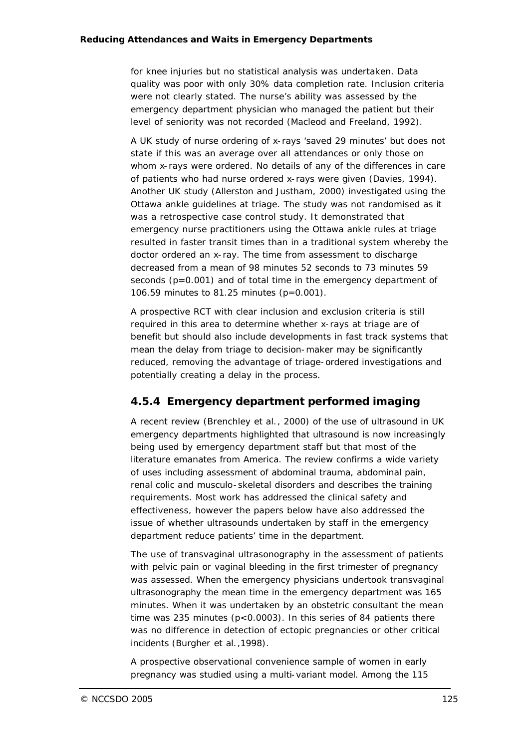for knee injuries but no statistical analysis was undertaken. Data quality was poor with only 30% data completion rate. Inclusion criteria were not clearly stated. The nurse's ability was assessed by the emergency department physician who managed the patient but their level of seniority was not recorded (Macleod and Freeland, 1992).

A UK study of nurse ordering of x-rays 'saved 29 minutes' but does not state if this was an average over all attendances or only those on whom x-rays were ordered. No details of any of the differences in care of patients who had nurse ordered x-rays were given (Davies, 1994). Another UK study (Allerston and Justham, 2000) investigated using the Ottawa ankle guidelines at triage. The study was not randomised as it was a retrospective case control study. It demonstrated that emergency nurse practitioners using the Ottawa ankle rules at triage resulted in faster transit times than in a traditional system whereby the doctor ordered an x-ray. The time from assessment to discharge decreased from a mean of 98 minutes 52 seconds to 73 minutes 59 seconds  $(p=0.001)$  and of total time in the emergency department of 106.59 minutes to 81.25 minutes (p=0.001).

A prospective RCT with clear inclusion and exclusion criteria is still required in this area to determine whether x-rays at triage are of benefit but should also include developments in fast track systems that mean the delay from triage to decision-maker may be significantly reduced, removing the advantage of triage-ordered investigations and potentially creating a delay in the process.

# **4.5.4 Emergency department performed imaging**

A recent review (Brenchley *et al.*, 2000) of the use of ultrasound in UK emergency departments highlighted that ultrasound is now increasingly being used by emergency department staff but that most of the literature emanates from America. The review confirms a wide variety of uses including assessment of abdominal trauma, abdominal pain, renal colic and musculo-skeletal disorders and describes the training requirements. Most work has addressed the clinical safety and effectiveness, however the papers below have also addressed the issue of whether ultrasounds undertaken by staff in the emergency department reduce patients' time in the department.

The use of transvaginal ultrasonography in the assessment of patients with pelvic pain or vaginal bleeding in the first trimester of pregnancy was assessed. When the emergency physicians undertook transvaginal ultrasonography the mean time in the emergency department was 165 minutes. When it was undertaken by an obstetric consultant the mean time was 235 minutes (p<0.0003). In this series of 84 patients there was no difference in detection of ectopic pregnancies or other critical incidents (Burgher *et al.*,1998).

A prospective observational convenience sample of women in early pregnancy was studied using a multi-variant model. Among the 115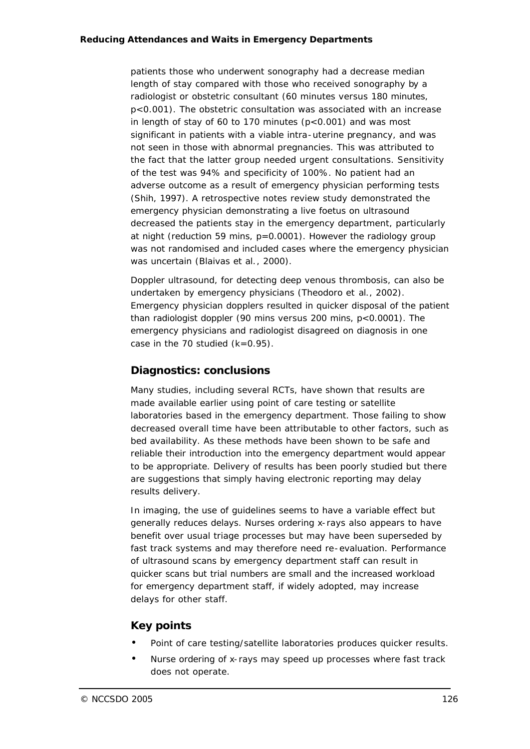patients those who underwent sonography had a decrease median length of stay compared with those who received sonography by a radiologist or obstetric consultant (60 minutes *versus* 180 minutes, p<0.001). The obstetric consultation was associated with an increase in length of stay of 60 to 170 minutes  $(p<0.001)$  and was most significant in patients with a viable intra-uterine pregnancy, and was not seen in those with abnormal pregnancies. This was attributed to the fact that the latter group needed urgent consultations. Sensitivity of the test was 94% and specificity of 100%. No patient had an adverse outcome as a result of emergency physician performing tests (Shih, 1997). A retrospective notes review study demonstrated the emergency physician demonstrating a live foetus on ultrasound decreased the patients stay in the emergency department, particularly at night (reduction 59 mins, p=0.0001). However the radiology group was not randomised and included cases where the emergency physician was uncertain (Blaivas *et al.*, 2000).

Doppler ultrasound, for detecting deep venous thrombosis, can also be undertaken by emergency physicians (Theodoro *et al.*, 2002). Emergency physician dopplers resulted in quicker disposal of the patient than radiologist doppler (90 mins *versus* 200 mins, p<0.0001). The emergency physicians and radiologist disagreed on diagnosis in one case in the 70 studied  $(k=0.95)$ .

## **Diagnostics: conclusions**

Many studies, including several RCTs, have shown that results are made available earlier using point of care testing or satellite laboratories based in the emergency department. Those failing to show decreased overall time have been attributable to other factors, such as bed availability. As these methods have been shown to be safe and reliable their introduction into the emergency department would appear to be appropriate. Delivery of results has been poorly studied but there are suggestions that simply having electronic reporting may delay results delivery.

In imaging, the use of guidelines seems to have a variable effect but generally reduces delays. Nurses ordering x-rays also appears to have benefit over usual triage processes but may have been superseded by fast track systems and may therefore need re-evaluation. Performance of ultrasound scans by emergency department staff can result in quicker scans but trial numbers are small and the increased workload for emergency department staff, if widely adopted, may increase delays for other staff.

# **Key points**

- Point of care testing/satellite laboratories produces quicker results.
- Nurse ordering of x-rays may speed up processes where fast track does not operate.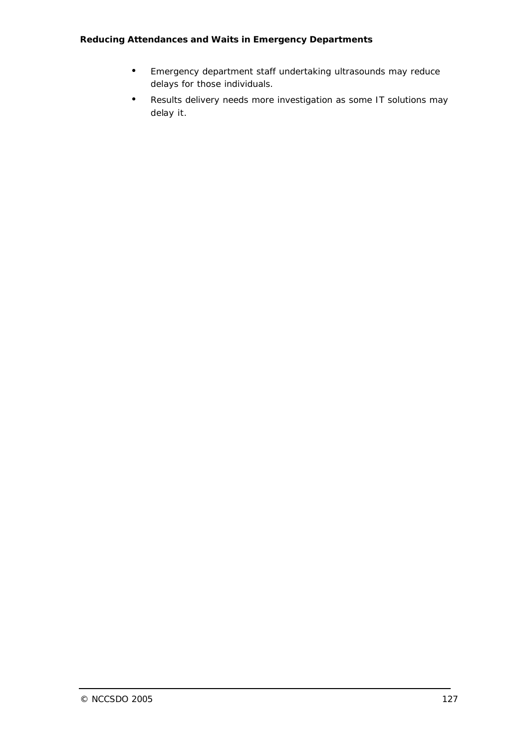- Emergency department staff undertaking ultrasounds may reduce delays for those individuals.
- Results delivery needs more investigation as some IT solutions may delay it.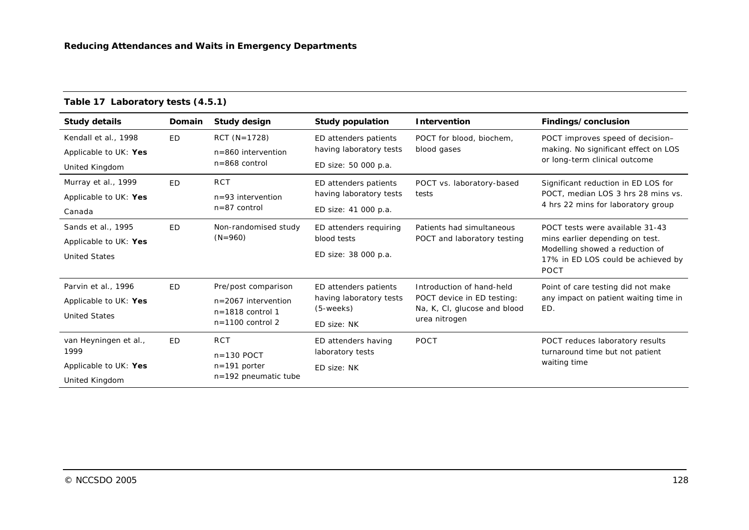| Table 17 Laboratory tests (4.5.1) |           |                                              |                                                  |                                                         |                                                                                                          |  |
|-----------------------------------|-----------|----------------------------------------------|--------------------------------------------------|---------------------------------------------------------|----------------------------------------------------------------------------------------------------------|--|
| <b>Study details</b>              | Domain    | Study design                                 | <b>Study population</b>                          | Intervention                                            | Findings/conclusion                                                                                      |  |
| Kendall et al., 1998              | <b>ED</b> | $RCT (N=1728)$                               | ED attenders patients                            | POCT for blood, biochem,                                | POCT improves speed of decision-                                                                         |  |
| Applicable to UK: Yes             |           | $n = 860$ intervention                       | having laboratory tests                          | blood gases                                             | making. No significant effect on LOS                                                                     |  |
| United Kingdom                    |           | n=868 control                                | ED size: 50 000 p.a.                             |                                                         | or long-term clinical outcome                                                                            |  |
| Murray et al., 1999               | <b>ED</b> | <b>RCT</b>                                   | ED attenders patients                            | POCT vs. laboratory-based                               | Significant reduction in ED LOS for                                                                      |  |
| Applicable to UK: Yes             |           | $n = 93$ intervention                        | having laboratory tests                          | tests                                                   | POCT, median LOS 3 hrs 28 mins vs.<br>4 hrs 22 mins for laboratory group                                 |  |
| Canada                            |           | $n=87$ control                               | ED size: 41 000 p.a.                             |                                                         |                                                                                                          |  |
| Sands et al., 1995                | <b>ED</b> | Non-randomised study                         | ED attenders requiring                           | Patients had simultaneous                               | POCT tests were available 31-43                                                                          |  |
| Applicable to UK: Yes             |           | $(N = 960)$                                  | blood tests                                      | POCT and laboratory testing                             | mins earlier depending on test.<br>Modelling showed a reduction of<br>17% in ED LOS could be achieved by |  |
| <b>United States</b>              |           |                                              | ED size: 38 000 p.a.                             |                                                         |                                                                                                          |  |
|                                   |           |                                              |                                                  |                                                         | POCT                                                                                                     |  |
| Parvin et al., 1996               | <b>ED</b> | Pre/post comparison                          | ED attenders patients<br>having laboratory tests | Introduction of hand-held<br>POCT device in ED testing: | Point of care testing did not make                                                                       |  |
| Applicable to UK: Yes             |           | $n = 2067$ intervention                      |                                                  |                                                         | any impact on patient waiting time in<br>ED.                                                             |  |
| <b>United States</b>              |           | $n = 1818$ control 1<br>$n = 1100$ control 2 | $(5\text{-} weeks)$                              | Na, K, CI, glucose and blood<br>urea nitrogen           |                                                                                                          |  |
|                                   |           |                                              | ED size: NK                                      |                                                         |                                                                                                          |  |
| van Heyningen et al.,             | <b>ED</b> | <b>RCT</b>                                   | ED attenders having                              | POCT                                                    | POCT reduces laboratory results                                                                          |  |
| 1999                              |           | $n = 130$ POCT                               | laboratory tests                                 |                                                         | turnaround time but not patient<br>waiting time                                                          |  |
| Applicable to UK: Yes             |           | $n = 191$ porter<br>$n = 192$ pneumatic tube | ED size: NK                                      |                                                         |                                                                                                          |  |
| United Kingdom                    |           |                                              |                                                  |                                                         |                                                                                                          |  |

# **Table 17 Laboratory tests (4.5.1)**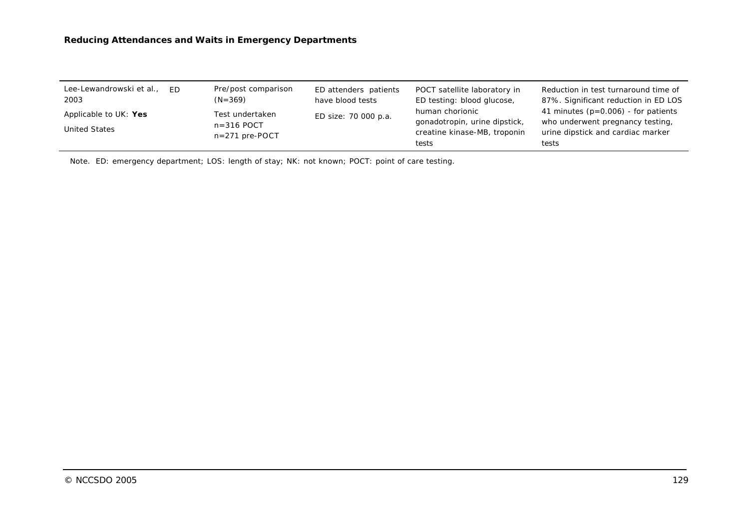| Lee-Lewandrowski et al.,<br>ED<br>2003 | Pre/post comparison<br>$(N=369)$                      | ED attenders patients<br>have blood tests | POCT satellite laboratory in<br>ED testing: blood glucose,                                | Reduction in test turnaround time of<br>87%. Significant reduction in ED LOS                                              |
|----------------------------------------|-------------------------------------------------------|-------------------------------------------|-------------------------------------------------------------------------------------------|---------------------------------------------------------------------------------------------------------------------------|
| Applicable to UK: Yes<br>United States | Test undertaken<br>$n = 316$ POCT<br>$n=271$ pre-POCT | ED size: 70 000 p.a.                      | human chorionic<br>gonadotropin, urine dipstick,<br>creatine kinase-MB, troponin<br>tests | 41 minutes ( $p=0.006$ ) - for patients<br>who underwent pregnancy testing,<br>urine dipstick and cardiac marker<br>tests |

Note. ED: emergency department; LOS: length of stay; NK: not known; POCT: point of care testing.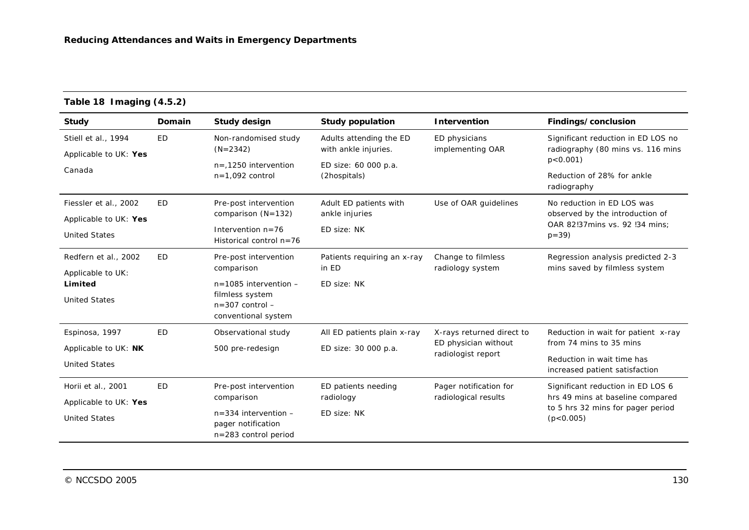| Table 18 Imaging (4.5.2)                       |               |                                                                                        |                                                 |                                            |                                                                                                             |  |  |
|------------------------------------------------|---------------|----------------------------------------------------------------------------------------|-------------------------------------------------|--------------------------------------------|-------------------------------------------------------------------------------------------------------------|--|--|
| <b>Study</b>                                   | <b>Domain</b> | Study design                                                                           | <b>Study population</b>                         | Intervention                               | Findings/conclusion                                                                                         |  |  |
| Stiell et al., 1994                            | <b>ED</b>     | Non-randomised study<br>$(N=2342)$                                                     | Adults attending the ED<br>with ankle injuries. | ED physicians<br>implementing OAR          | Significant reduction in ED LOS no<br>radiography (80 mins vs. 116 mins                                     |  |  |
| Applicable to UK: Yes                          |               | $n = .1250$ intervention                                                               | ED size: 60 000 p.a.                            |                                            | $p < 0.001$ )                                                                                               |  |  |
| Canada                                         |               | $n=1.092$ control                                                                      | (2hospitals)                                    |                                            | Reduction of 28% for ankle<br>radiography                                                                   |  |  |
| Fiessler et al., 2002<br>Applicable to UK: Yes | <b>ED</b>     | Pre-post intervention<br>comparison $(N=132)$                                          | Adult ED patients with<br>ankle injuries        | Use of OAR guidelines                      | No reduction in ED LOS was<br>observed by the introduction of<br>OAR 82!37mins vs. 92 !34 mins;<br>$p = 39$ |  |  |
| <b>United States</b>                           |               | Intervention $n = 76$<br>Historical control $n=76$                                     | ED size: NK                                     |                                            |                                                                                                             |  |  |
| Redfern et al., 2002                           | <b>ED</b>     | Pre-post intervention                                                                  | Patients requiring an x-ray                     | Change to filmless                         | Regression analysis predicted 2-3                                                                           |  |  |
| Applicable to UK:                              |               | comparison                                                                             | in ED                                           | radiology system                           | mins saved by filmless system                                                                               |  |  |
| Limited<br><b>United States</b>                |               | n=1085 intervention -<br>filmless system<br>$n=307$ control $-$<br>conventional system | ED size: NK                                     |                                            |                                                                                                             |  |  |
| Espinosa, 1997                                 | <b>ED</b>     | Observational study                                                                    | All ED patients plain x-ray                     | X-rays returned direct to                  | Reduction in wait for patient x-ray                                                                         |  |  |
| Applicable to UK: NK                           |               | 500 pre-redesign                                                                       | ED size: 30 000 p.a.                            | ED physician without<br>radiologist report | from 74 mins to 35 mins                                                                                     |  |  |
| <b>United States</b>                           |               |                                                                                        |                                                 |                                            | Reduction in wait time has<br>increased patient satisfaction                                                |  |  |
| Horii et al., 2001                             | <b>ED</b>     | Pre-post intervention                                                                  | ED patients needing                             | Pager notification for                     | Significant reduction in ED LOS 6                                                                           |  |  |
| Applicable to UK: Yes                          |               | comparison                                                                             | radiology                                       | radiological results                       | hrs 49 mins at baseline compared<br>to 5 hrs 32 mins for pager period                                       |  |  |
| <b>United States</b>                           |               | $n = 334$ intervention $-$<br>pager notification<br>n=283 control period               | ED size: NK                                     |                                            | (p < 0.005)                                                                                                 |  |  |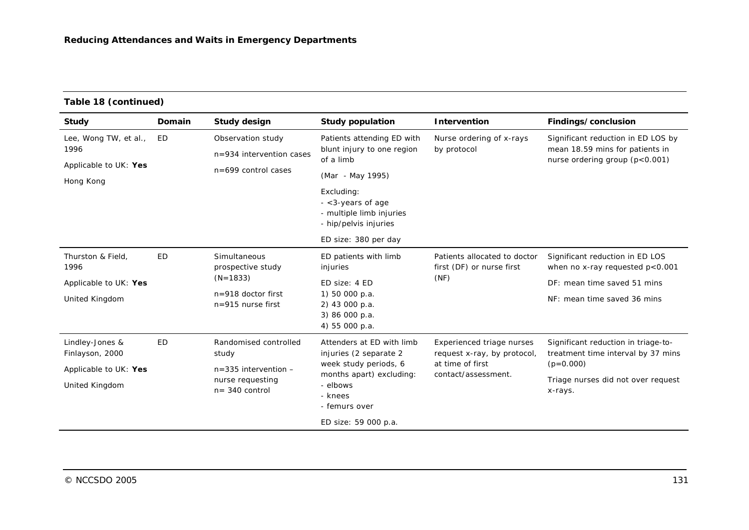| Table 18 (continued)                                                          |               |                                                                                                       |                                                                                                                                                                          |                                                                                                     |                                                                                                                                           |  |
|-------------------------------------------------------------------------------|---------------|-------------------------------------------------------------------------------------------------------|--------------------------------------------------------------------------------------------------------------------------------------------------------------------------|-----------------------------------------------------------------------------------------------------|-------------------------------------------------------------------------------------------------------------------------------------------|--|
| <b>Study</b>                                                                  | <b>Domain</b> | Study design                                                                                          | <b>Study population</b>                                                                                                                                                  | Intervention                                                                                        | Findings/conclusion                                                                                                                       |  |
| Lee, Wong TW, et al.,<br>1996<br>Applicable to UK: Yes                        | <b>ED</b>     | Observation study<br>n=934 intervention cases<br>$n = 699$ control cases                              | Patients attending ED with<br>blunt injury to one region<br>of a limb                                                                                                    | Nurse ordering of x-rays<br>by protocol                                                             | Significant reduction in ED LOS by<br>mean 18.59 mins for patients in<br>nurse ordering group $(p<0.001)$                                 |  |
| Hong Kong                                                                     |               |                                                                                                       | (Mar - May 1995)<br>Excluding:<br>$-$ <3-years of age<br>- multiple limb injuries<br>- hip/pelvis injuries<br>ED size: 380 per day                                       |                                                                                                     |                                                                                                                                           |  |
| Thurston & Field.<br>1996<br>Applicable to UK: Yes<br>United Kingdom          | <b>ED</b>     | Simultaneous<br>prospective study<br>$(N=1833)$<br>$n = 918$ doctor first<br>$n = 915$ nurse first    | ED patients with limb<br>injuries<br>ED size: 4 ED<br>1) 50 000 p.a.<br>2) 43 000 p.a.<br>3) 86 000 p.a.<br>4) 55 000 p.a.                                               | Patients allocated to doctor<br>first (DF) or nurse first<br>(NF)                                   | Significant reduction in ED LOS<br>when no x-ray requested $p < 0.001$<br>DF: mean time saved 51 mins<br>NF: mean time saved 36 mins      |  |
| Lindley-Jones &<br>Finlayson, 2000<br>Applicable to UK: Yes<br>United Kingdom | <b>ED</b>     | Randomised controlled<br>study<br>$n = 335$ intervention $-$<br>nurse requesting<br>$n = 340$ control | Attenders at ED with limb<br>injuries (2 separate 2<br>week study periods, 6<br>months apart) excluding:<br>- elbows<br>- knees<br>- femurs over<br>ED size: 59 000 p.a. | Experienced triage nurses<br>request x-ray, by protocol,<br>at time of first<br>contact/assessment. | Significant reduction in triage-to-<br>treatment time interval by 37 mins<br>$(p=0.000)$<br>Triage nurses did not over request<br>x-rays. |  |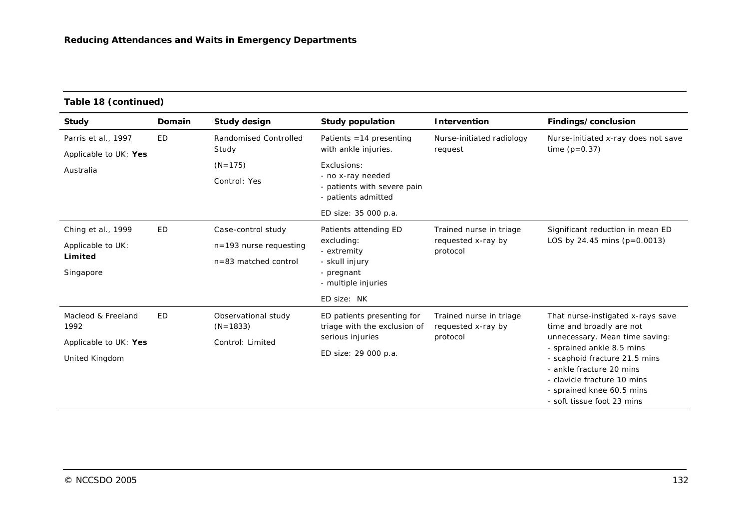| <b>Study</b>                                                           | Domain                                                                                                       | Study design                                                                 | <b>Study population</b>                                                                                                  | <b>Intervention</b>                                       | Findings/conclusion                                                                                                                                                                                                                                                                 |
|------------------------------------------------------------------------|--------------------------------------------------------------------------------------------------------------|------------------------------------------------------------------------------|--------------------------------------------------------------------------------------------------------------------------|-----------------------------------------------------------|-------------------------------------------------------------------------------------------------------------------------------------------------------------------------------------------------------------------------------------------------------------------------------------|
| <b>ED</b><br>Parris et al., 1997<br>Applicable to UK: Yes<br>Australia |                                                                                                              | Randomised Controlled<br>Study                                               | Patients $=$ 14 presenting<br>with ankle injuries.                                                                       | Nurse-initiated radiology<br>request                      | Nurse-initiated x-ray does not save<br>time $(p=0.37)$                                                                                                                                                                                                                              |
|                                                                        | $(N=175)$<br>Exclusions:<br>- no x-ray needed<br>Control: Yes<br>- patients admitted<br>ED size: 35 000 p.a. | - patients with severe pain                                                  |                                                                                                                          |                                                           |                                                                                                                                                                                                                                                                                     |
| Ching et al., 1999<br>Applicable to UK:<br>Limited<br>Singapore        | ED                                                                                                           | Case-control study<br>$n = 193$ nurse requesting<br>$n = 83$ matched control | Patients attending ED<br>excluding:<br>- extremity<br>- skull injury<br>- pregnant<br>- multiple injuries<br>ED size: NK | Trained nurse in triage<br>requested x-ray by<br>protocol | Significant reduction in mean ED<br>LOS by 24.45 mins $(p=0.0013)$                                                                                                                                                                                                                  |
| Macleod & Freeland<br>1992<br>Applicable to UK: Yes<br>United Kingdom  | <b>ED</b>                                                                                                    | Observational study<br>$(N=1833)$<br>Control: Limited                        | ED patients presenting for<br>triage with the exclusion of<br>serious injuries<br>ED size: 29 000 p.a.                   | Trained nurse in triage<br>requested x-ray by<br>protocol | That nurse-instigated x-rays save<br>time and broadly are not<br>unnecessary. Mean time saving:<br>- sprained ankle 8.5 mins<br>- scaphoid fracture 21.5 mins<br>- ankle fracture 20 mins<br>- clavicle fracture 10 mins<br>- sprained knee 60.5 mins<br>- soft tissue foot 23 mins |

## **Table 18 (continued)**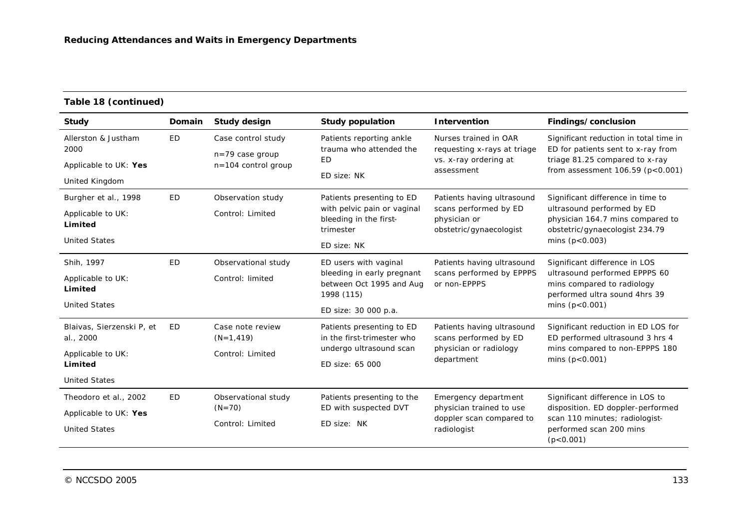| Table 18 (continued)                   |           |                                           |                                                                      |                                                                  |                                                                                                         |  |
|----------------------------------------|-----------|-------------------------------------------|----------------------------------------------------------------------|------------------------------------------------------------------|---------------------------------------------------------------------------------------------------------|--|
| <b>Study</b>                           | Domain    | Study design                              | <b>Study population</b>                                              | Intervention                                                     | Findings/conclusion                                                                                     |  |
| Allerston & Justham<br>2000            | <b>ED</b> | Case control study<br>$n = 79$ case group | Patients reporting ankle<br>trauma who attended the                  | Nurses trained in OAR<br>requesting x-rays at triage             | Significant reduction in total time in<br>ED for patients sent to x-ray from                            |  |
| Applicable to UK: Yes                  |           | n=104 control group                       | <b>ED</b>                                                            | vs. x-ray ordering at<br>assessment                              | triage 81.25 compared to x-ray<br>from assessment $106.59$ ( $p < 0.001$ )                              |  |
| United Kingdom                         |           |                                           | ED size: NK                                                          |                                                                  |                                                                                                         |  |
| Burgher et al., 1998                   | <b>ED</b> | Observation study                         | Patients presenting to ED                                            | Patients having ultrasound                                       | Significant difference in time to                                                                       |  |
| Applicable to UK:<br>Limited           |           | Control: Limited                          | with pelvic pain or vaginal<br>bleeding in the first-<br>trimester   | scans performed by ED<br>physician or<br>obstetric/gynaecologist | ultrasound performed by ED<br>physician 164.7 mins compared to<br>obstetric/gynaecologist 234.79        |  |
| <b>United States</b>                   |           |                                           | ED size: NK                                                          |                                                                  | mins $(p < 0.003)$                                                                                      |  |
| Shih, 1997                             | <b>ED</b> | Observational study                       | ED users with vaginal                                                | Patients having ultrasound                                       | Significant difference in LOS                                                                           |  |
| Applicable to UK:<br>Limited           |           | Control: limited                          | bleeding in early pregnant<br>between Oct 1995 and Aug<br>1998 (115) | scans performed by EPPPS<br>or non-EPPPS                         | ultrasound performed EPPPS 60<br>mins compared to radiology<br>performed ultra sound 4hrs 39            |  |
| <b>United States</b>                   |           |                                           | ED size: 30 000 p.a.                                                 |                                                                  | mins $(p < 0.001)$                                                                                      |  |
| Blaivas, Sierzenski P, et<br>al., 2000 | ED        | Case note review<br>$(N=1, 419)$          | Patients presenting to ED<br>in the first-trimester who              | Patients having ultrasound<br>scans performed by ED              | Significant reduction in ED LOS for<br>ED performed ultrasound 3 hrs 4                                  |  |
| Applicable to UK:                      |           | Control: Limited                          | undergo ultrasound scan                                              | physician or radiology<br>department                             | mins compared to non-EPPPS 180<br>mins $(p < 0.001)$                                                    |  |
| Limited                                |           |                                           | ED size: 65 000                                                      |                                                                  |                                                                                                         |  |
| <b>United States</b>                   |           |                                           |                                                                      |                                                                  |                                                                                                         |  |
| Theodoro et al., 2002                  | <b>ED</b> | Observational study                       | Patients presenting to the                                           | Emergency department                                             | Significant difference in LOS to<br>disposition. ED doppler-performed<br>scan 110 minutes; radiologist- |  |
| Applicable to UK: Yes                  |           | $(N=70)$                                  | ED with suspected DVT                                                | physician trained to use<br>doppler scan compared to             |                                                                                                         |  |
| <b>United States</b>                   |           | Control: Limited                          | ED size: NK                                                          | radiologist                                                      | performed scan 200 mins<br>(p<0.001)                                                                    |  |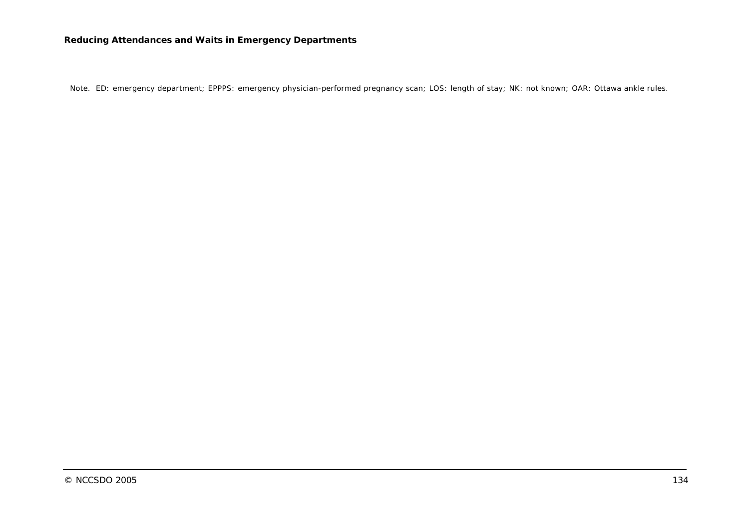Note. ED: emergency department; EPPPS: emergency physician-performed pregnancy scan; LOS: length of stay; NK: not known; OAR: Ottawa ankle rules.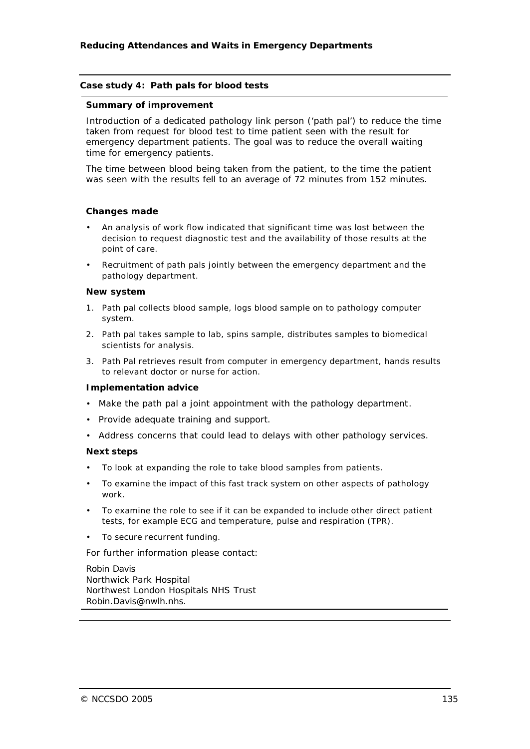#### **Case study 4: Path pals for blood tests**

#### **Summary of improvement**

Introduction of a dedicated pathology link person ('path pal') to reduce the time taken from request for blood test to time patient seen with the result for emergency department patients. The goal was to reduce the overall waiting time for emergency patients.

The time between blood being taken from the patient, to the time the patient was seen with the results fell to an average of 72 minutes from 152 minutes.

#### **Changes made**

- An analysis of work flow indicated that significant time was lost between the decision to request diagnostic test and the availability of those results at the point of care.
- Recruitment of path pals jointly between the emergency department and the pathology department.

#### **New system**

- 1. Path pal collects blood sample, logs blood sample on to pathology computer system.
- 2. Path pal takes sample to lab, spins sample, distributes samples to biomedical scientists for analysis.
- 3. Path Pal retrieves result from computer in emergency department, hands results to relevant doctor or nurse for action.

#### **Implementation advice**

- Make the path pal a joint appointment with the pathology department.
- Provide adequate training and support.
- Address concerns that could lead to delays with other pathology services.

#### **Next steps**

- To look at expanding the role to take blood samples from patients.
- To examine the impact of this fast track system on other aspects of pathology work.
- To examine the role to see if it can be expanded to include other direct patient tests, for example ECG and temperature, pulse and respiration (TPR).
- To secure recurrent funding.

For further information please contact:

Robin Davis Northwick Park Hospital Northwest London Hospitals NHS Trust Robin.Davis@nwlh.nhs.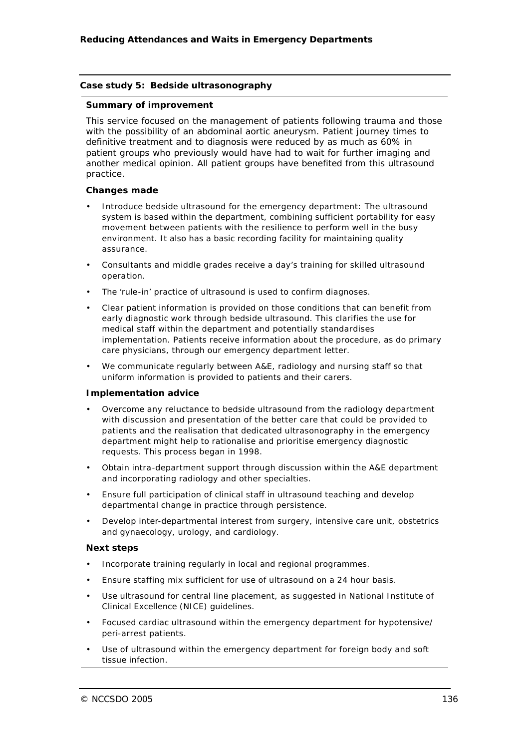#### **Case study 5: Bedside ultrasonography**

#### **Summary of improvement**

This service focused on the management of patients following trauma and those with the possibility of an abdominal aortic aneurysm. Patient journey times to definitive treatment and to diagnosis were reduced by as much as 60% in patient groups who previously would have had to wait for further imaging and another medical opinion. All patient groups have benefited from this ultrasound practice.

#### **Changes made**

- Introduce bedside ultrasound for the emergency department: The ultrasound system is based within the department, combining sufficient portability for easy movement between patients with the resilience to perform well in the busy environment. It also has a basic recording facility for maintaining quality assurance.
- Consultants and middle grades receive a day's training for skilled ultrasound operation.
- The 'rule-in' practice of ultrasound is used to confirm diagnoses.
- Clear patient information is provided on those conditions that can benefit from early diagnostic work through bedside ultrasound. This clarifies the use for medical staff within the department and potentially standardises implementation. Patients receive information about the procedure, as do primary care physicians, through our emergency department letter.
- We communicate regularly between A&E, radiology and nursing staff so that uniform information is provided to patients and their carers.

#### **Implementation advice**

- Overcome any reluctance to bedside ultrasound from the radiology department with discussion and presentation of the better care that could be provided to patients and the realisation that dedicated ultrasonography in the emergency department might help to rationalise and prioritise emergency diagnostic requests. This process began in 1998.
- Obtain intra-department support through discussion within the A&E department and incorporating radiology and other specialties.
- Ensure full participation of clinical staff in ultrasound teaching and develop departmental change in practice through persistence.
- Develop inter-departmental interest from surgery, intensive care unit, obstetrics and gynaecology, urology, and cardiology.

#### **Next steps**

- Incorporate training regularly in local and regional programmes.
- Ensure staffing mix sufficient for use of ultrasound on a 24 hour basis.
- Use ultrasound for central line placement, as suggested in National Institute of Clinical Excellence (NICE) guidelines.
- Focused cardiac ultrasound within the emergency department for hypotensive/ peri-arrest patients.
- Use of ultrasound within the emergency department for foreign body and soft tissue infection.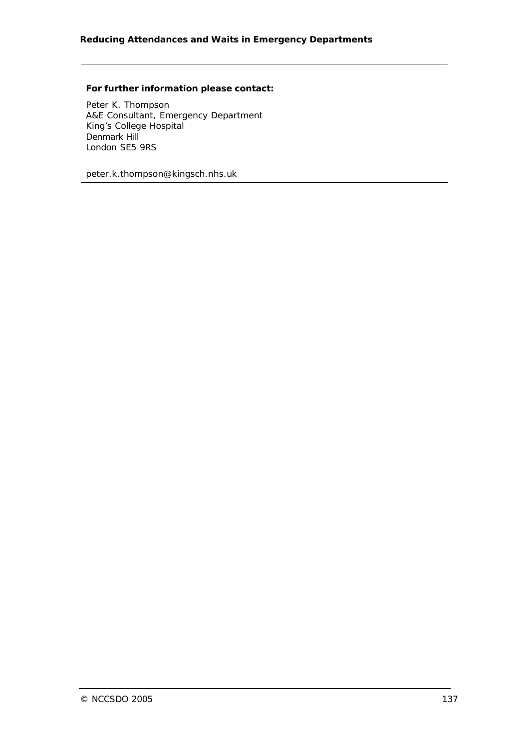#### **For further information please contact:**

Peter K. Thompson A&E Consultant, Emergency Department King's College Hospital Denmark Hill London SE5 9RS

peter.k.thompson@kingsch.nhs.uk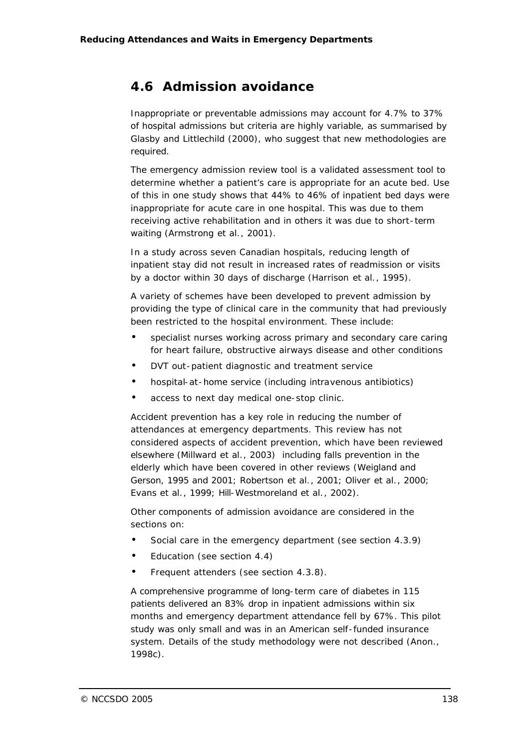# *4.6 Admission avoidance*

Inappropriate or preventable admissions may account for 4.7% to 37% of hospital admissions but criteria are highly variable, as summarised by Glasby and Littlechild (2000), who suggest that new methodologies are required.

The emergency admission review tool is a validated assessment tool to determine whether a patient's care is appropriate for an acute bed. Use of this in one study shows that 44% to 46% of inpatient bed days were inappropriate for acute care in one hospital. This was due to them receiving active rehabilitation and in others it was due to short-term waiting (Armstrong *et al.*, 2001).

In a study across seven Canadian hospitals, reducing length of inpatient stay did not result in increased rates of readmission or visits by a doctor within 30 days of discharge (Harrison *et al.*, 1995).

A variety of schemes have been developed to prevent admission by providing the type of clinical care in the community that had previously been restricted to the hospital environment. These include:

- specialist nurses working across primary and secondary care caring for heart failure, obstructive airways disease and other conditions
- DVT out-patient diagnostic and treatment service
- hospital-at-home service (including intravenous antibiotics)
- access to next day medical one-stop clinic.

Accident prevention has a key role in reducing the number of attendances at emergency departments. This review has not considered aspects of accident prevention, which have been reviewed elsewhere (Millward *et al.*, 2003) including falls prevention in the elderly which have been covered in other reviews (Weigland and Gerson, 1995 and 2001; Robertson *et al.*, 2001; Oliver *et al.*, 2000; Evans *et al.*, 1999; Hill-Westmoreland *et al.*, 2002).

Other components of admission avoidance are considered in the sections on:

- Social care in the emergency department (see section 4.3.9)
- Education (see section 4.4)
- Frequent attenders (see section 4.3.8).

A comprehensive programme of long-term care of diabetes in 115 patients delivered an 83% drop in inpatient admissions within six months and emergency department attendance fell by 67%. This pilot study was only small and was in an American self-funded insurance system. Details of the study methodology were not described (Anon., 1998c).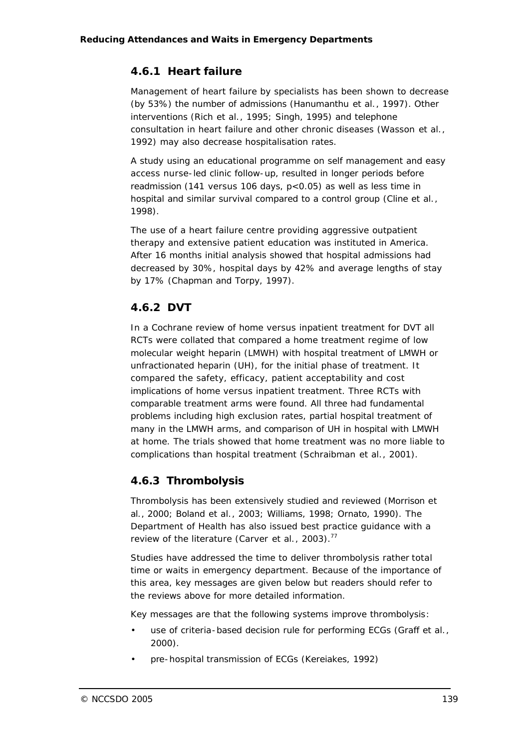# **4.6.1 Heart failure**

Management of heart failure by specialists has been shown to decrease (by 53%) the number of admissions (Hanumanthu *et al.*, 1997). Other interventions (Rich *et al.*, 1995; Singh, 1995) and telephone consultation in heart failure and other chronic diseases (Wasson *et al.*, 1992) may also decrease hospitalisation rates.

A study using an educational programme on self management and easy access nurse-led clinic follow-up, resulted in longer periods before readmission (141 *versus* 106 days, p<0.05) as well as less time in hospital and similar survival compared to a control group (Cline *et al.*, 1998).

The use of a heart failure centre providing aggressive outpatient therapy and extensive patient education was instituted in America. After 16 months initial analysis showed that hospital admissions had decreased by 30%, hospital days by 42% and average lengths of stay by 17% (Chapman and Torpy, 1997).

## **4.6.2 DVT**

In a Cochrane review of home *versus* inpatient treatment for DVT all RCTs were collated that compared a home treatment regime of low molecular weight heparin (LMWH) with hospital treatment of LMWH or unfractionated heparin (UH), for the initial phase of treatment. It compared the safety, efficacy, patient acceptability and cost implications of home *versus* inpatient treatment. Three RCTs with comparable treatment arms were found. All three had fundamental problems including high exclusion rates, partial hospital treatment of many in the LMWH arms, and comparison of UH in hospital with LMWH at home. The trials showed that home treatment was no more liable to complications than hospital treatment (Schraibman *et al.*, 2001).

### **4.6.3 Thrombolysis**

Thrombolysis has been extensively studied and reviewed (Morrison *et al.*, 2000; Boland *et al.*, 2003; Williams, 1998; Ornato, 1990). The Department of Health has also issued best practice guidance with a review of the literature (Carver *et al.*, 2003).<sup>77</sup>

Studies have addressed the time to deliver thrombolysis rather total time or waits in emergency department. Because of the importance of this area, key messages are given below but readers should refer to the reviews above for more detailed information.

Key messages are that the following systems improve thrombolysis:

- use of criteria-based decision rule for performing ECGs (Graff *et al.*, 2000).
- pre-hospital transmission of ECGs (Kereiakes, 1992)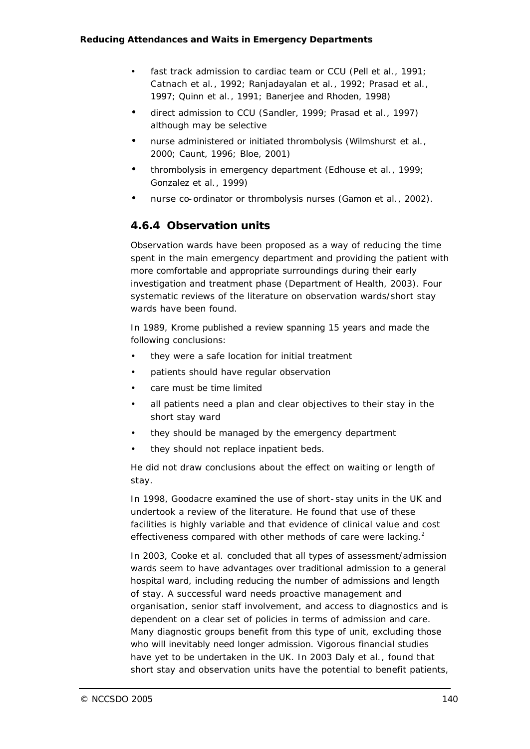- fast track admission to cardiac team or CCU (Pell *et al.*, 1991; Catnach *et al.*, 1992; Ranjadayalan *et al.*, 1992; Prasad *et al.*, 1997; Quinn *et al.*, 1991; Banerjee and Rhoden, 1998)
- direct admission to CCU (Sandler, 1999; Prasad *et al.*, 1997) although may be selective
- nurse administered or initiated thrombolysis (Wilmshurst *et al.*, 2000; Caunt, 1996; Bloe, 2001)
- thrombolysis in emergency department (Edhouse *et al.*, 1999; Gonzalez *et al.*, 1999)
- nurse co-ordinator or thrombolysis nurses (Gamon *et al.*, 2002).

### **4.6.4 Observation units**

Observation wards have been proposed as a way of reducing the time spent in the main emergency department and providing the patient with more comfortable and appropriate surroundings during their early investigation and treatment phase (Department of Health, 2003). Four systematic reviews of the literature on observation wards/short stay wards have been found.

In 1989, Krome published a review spanning 15 years and made the following conclusions:

- they were a safe location for initial treatment
- patients should have regular observation
- care must be time limited
- all patients need a plan and clear objectives to their stay in the short stay ward
- they should be managed by the emergency department
- they should not replace inpatient beds.

He did not draw conclusions about the effect on waiting or length of stay.

In 1998, Goodacre examined the use of short-stay units in the UK and undertook a review of the literature. He found that use of these facilities is highly variable and that evidence of clinical value and cost effectiveness compared with other methods of care were lacking.<sup>2</sup>

In 2003, Cooke *et al.* concluded that all types of assessment/admission wards seem to have advantages over traditional admission to a general hospital ward, including reducing the number of admissions and length of stay. A successful ward needs proactive management and organisation, senior staff involvement, and access to diagnostics and is dependent on a clear set of policies in terms of admission and care. Many diagnostic groups benefit from this type of unit, excluding those who will inevitably need longer admission. Vigorous financial studies have yet to be undertaken in the UK. In 2003 Daly *et al.*, found that short stay and observation units have the potential to benefit patients,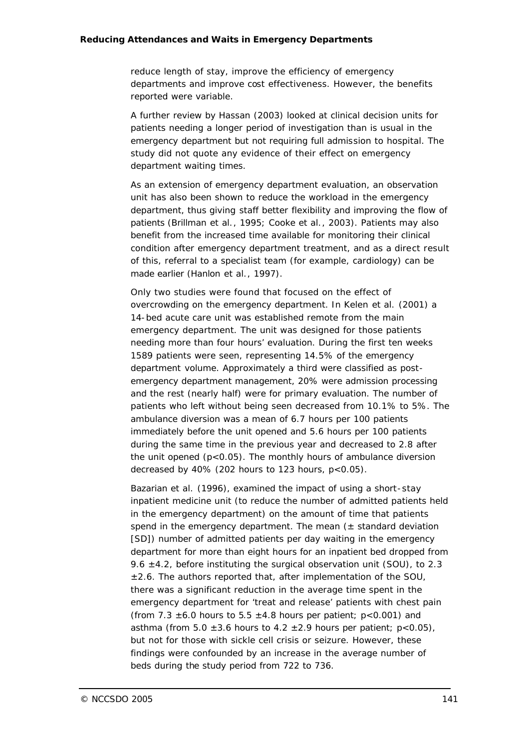reduce length of stay, improve the efficiency of emergency departments and improve cost effectiveness. However, the benefits reported were variable.

A further review by Hassan (2003) looked at clinical decision units for patients needing a longer period of investigation than is usual in the emergency department but not requiring full admission to hospital. The study did not quote any evidence of their effect on emergency department waiting times.

As an extension of emergency department evaluation, an observation unit has also been shown to reduce the workload in the emergency department, thus giving staff better flexibility and improving the flow of patients (Brillman *et al.*, 1995; Cooke *et al.*, 2003). Patients may also benefit from the increased time available for monitoring their clinical condition after emergency department treatment, and as a direct result of this, referral to a specialist team (for example, cardiology) can be made earlier (Hanlon *et al.*, 1997).

Only two studies were found that focused on the effect of overcrowding on the emergency department. In Kelen *et al.* (2001) a 14-bed acute care unit was established remote from the main emergency department. The unit was designed for those patients needing more than four hours' evaluation. During the first ten weeks 1589 patients were seen, representing 14.5% of the emergency department volume. Approximately a third were classified as postemergency department management, 20% were admission processing and the rest (nearly half) were for primary evaluation. The number of patients who left without being seen decreased from 10.1% to 5%. The ambulance diversion was a mean of 6.7 hours per 100 patients immediately before the unit opened and 5.6 hours per 100 patients during the same time in the previous year and decreased to 2.8 after the unit opened  $(p<0.05)$ . The monthly hours of ambulance diversion decreased by 40% (202 hours to 123 hours,  $p < 0.05$ ).

Bazarian *et al.* (1996), examined the impact of using a short-stay inpatient medicine unit (to reduce the number of admitted patients held in the emergency department) on the amount of time that patients spend in the emergency department. The mean  $(±$  standard deviation [SD]) number of admitted patients per day waiting in the emergency department for more than eight hours for an inpatient bed dropped from 9.6  $\pm$ 4.2, before instituting the surgical observation unit (SOU), to 2.3  $\pm$ 2.6. The authors reported that, after implementation of the SOU, there was a significant reduction in the average time spent in the emergency department for 'treat and release' patients with chest pain (from 7.3  $\pm$ 6.0 hours to 5.5  $\pm$ 4.8 hours per patient; p<0.001) and asthma (from  $5.0 \pm 3.6$  hours to  $4.2 \pm 2.9$  hours per patient;  $p < 0.05$ ), but not for those with sickle cell crisis or seizure. However, these findings were confounded by an increase in the average number of beds during the study period from 722 to 736.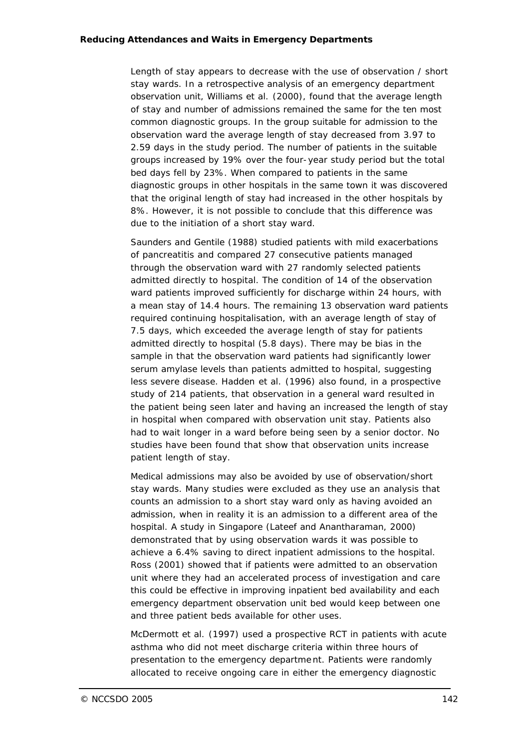Length of stay appears to decrease with the use of observation / short stay wards. In a retrospective analysis of an emergency department observation unit, Williams *et al.* (2000), found that the average length of stay and number of admissions remained the same for the ten most common diagnostic groups. In the group suitable for admission to the observation ward the average length of stay decreased from 3.97 to 2.59 days in the study period. The number of patients in the suitable groups increased by 19% over the four-year study period but the total bed days fell by 23%. When compared to patients in the same diagnostic groups in other hospitals in the same town it was discovered that the original length of stay had increased in the other hospitals by 8%. However, it is not possible to conclude that this difference was due to the initiation of a short stay ward.

Saunders and Gentile (1988) studied patients with mild exacerbations of pancreatitis and compared 27 consecutive patients managed through the observation ward with 27 randomly selected patients admitted directly to hospital. The condition of 14 of the observation ward patients improved sufficiently for discharge within 24 hours, with a mean stay of 14.4 hours. The remaining 13 observation ward patients required continuing hospitalisation, with an average length of stay of 7.5 days, which exceeded the average length of stay for patients admitted directly to hospital (5.8 days). There may be bias in the sample in that the observation ward patients had significantly lower serum amylase levels than patients admitted to hospital, suggesting less severe disease. Hadden *et al.* (1996) also found, in a prospective study of 214 patients, that observation in a general ward resulted in the patient being seen later and having an increased the length of stay in hospital when compared with observation unit stay. Patients also had to wait longer in a ward before being seen by a senior doctor. No studies have been found that show that observation units increase patient length of stay.

Medical admissions may also be avoided by use of observation/short stay wards. Many studies were excluded as they use an analysis that counts an admission to a short stay ward only as having avoided an admission, when in reality it is an admission to a different area of the hospital. A study in Singapore (Lateef and Anantharaman, 2000) demonstrated that by using observation wards it was possible to achieve a 6.4% saving to direct inpatient admissions to the hospital. Ross (2001) showed that if patients were admitted to an observation unit where they had an accelerated process of investigation and care this could be effective in improving inpatient bed availability and each emergency department observation unit bed would keep between one and three patient beds available for other uses.

McDermott *et al.* (1997) used a prospective RCT in patients with acute asthma who did not meet discharge criteria within three hours of presentation to the emergency department. Patients were randomly allocated to receive ongoing care in either the emergency diagnostic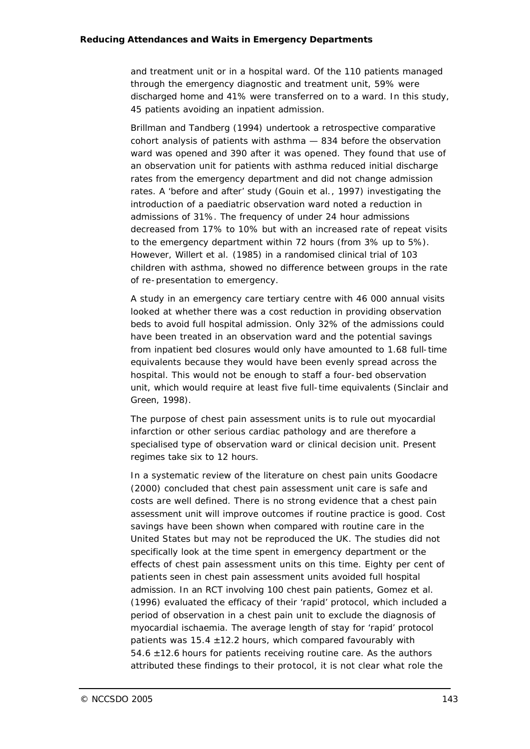and treatment unit or in a hospital ward. Of the 110 patients managed through the emergency diagnostic and treatment unit, 59% were discharged home and 41% were transferred on to a ward. In this study, 45 patients avoiding an inpatient admission.

Brillman and Tandberg (1994) undertook a retrospective comparative cohort analysis of patients with asthma — 834 before the observation ward was opened and 390 after it was opened. They found that use of an observation unit for patients with asthma reduced initial discharge rates from the emergency department and did not change admission rates. A 'before and after' study (Gouin *et al.*, 1997) investigating the introduction of a paediatric observation ward noted a reduction in admissions of 31%. The frequency of under 24 hour admissions decreased from 17% to 10% but with an increased rate of repeat visits to the emergency department within 72 hours (from 3% up to 5%). However, Willert *et al.* (1985) in a randomised clinical trial of 103 children with asthma, showed no difference between groups in the rate of re-presentation to emergency.

A study in an emergency care tertiary centre with 46 000 annual visits looked at whether there was a cost reduction in providing observation beds to avoid full hospital admission. Only 32% of the admissions could have been treated in an observation ward and the potential savings from inpatient bed closures would only have amounted to 1.68 full-time equivalents because they would have been evenly spread across the hospital. This would not be enough to staff a four-bed observation unit, which would require at least five full-time equivalents (Sinclair and Green, 1998).

The purpose of chest pain assessment units is to rule out myocardial infarction or other serious cardiac pathology and are therefore a specialised type of observation ward or clinical decision unit. Present regimes take six to 12 hours.

In a systematic review of the literature on chest pain units Goodacre (2000) concluded that chest pain assessment unit care is safe and costs are well defined. There is no strong evidence that a chest pain assessment unit will improve outcomes if routine practice is good. Cost savings have been shown when compared with routine care in the United States but may not be reproduced the UK. The studies did not specifically look at the time spent in emergency department or the effects of chest pain assessment units on this time. Eighty per cent of patients seen in chest pain assessment units avoided full hospital admission. In an RCT involving 100 chest pain patients, Gomez *et al.* (1996) evaluated the efficacy of their 'rapid' protocol, which included a period of observation in a chest pain unit to exclude the diagnosis of myocardial ischaemia. The average length of stay for 'rapid' protocol patients was  $15.4 \pm 12.2$  hours, which compared favourably with  $54.6 \pm 12.6$  hours for patients receiving routine care. As the authors attributed these findings to their protocol, it is not clear what role the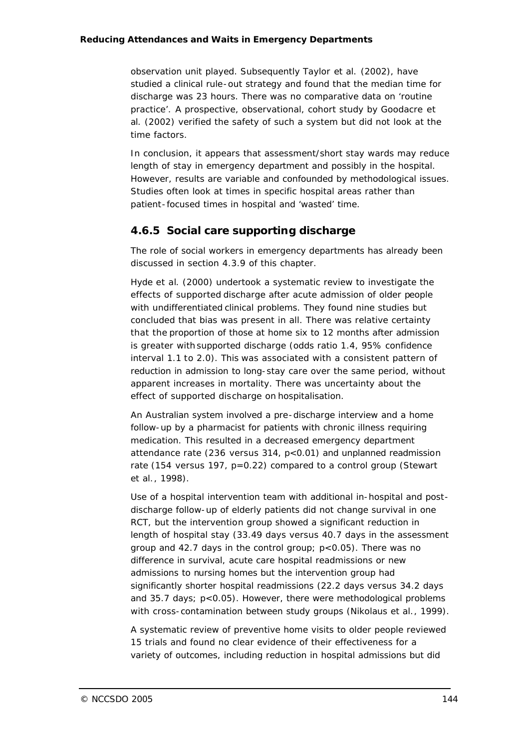### *Reducing Attendances and Waits in Emergency Departments*

observation unit played. Subsequently Taylor *et al.* (2002), have studied a clinical rule-out strategy and found that the median time for discharge was 23 hours. There was no comparative data on 'routine practice'. A prospective, observational, cohort study by Goodacre *et al.* (2002) verified the safety of such a system but did not look at the time factors.

In conclusion, it appears that assessment/short stay wards may reduce length of stay in emergency department and possibly in the hospital. However, results are variable and confounded by methodological issues. Studies often look at times in specific hospital areas rather than patient-focused times in hospital and 'wasted' time.

### **4.6.5 Social care supporting discharge**

The role of social workers in emergency departments has already been discussed in section 4.3.9 of this chapter.

Hyde *et al*. (2000) undertook a systematic review to investigate the effects of supported discharge after acute admission of older people with undifferentiated clinical problems. They found nine studies but concluded that bias was present in all. There was relative certainty that the proportion of those at home six to 12 months after admission is greater with supported discharge (odds ratio 1.4, 95% confidence interval 1.1 to 2.0). This was associated with a consistent pattern of reduction in admission to long-stay care over the same period, without apparent increases in mortality. There was uncertainty about the effect of supported discharge on hospitalisation.

An Australian system involved a pre-discharge interview and a home follow-up by a pharmacist for patients with chronic illness requiring medication. This resulted in a decreased emergency department attendance rate (236 *versus* 314, p<0.01) and unplanned readmission rate (154 *versus* 197, p=0.22) compared to a control group (Stewart *et al.*, 1998).

Use of a hospital intervention team with additional in-hospital and postdischarge follow-up of elderly patients did not change survival in one RCT, but the intervention group showed a significant reduction in length of hospital stay (33.49 days *versus* 40.7 days in the assessment group and 42.7 days in the control group;  $p < 0.05$ ). There was no difference in survival, acute care hospital readmissions or new admissions to nursing homes but the intervention group had significantly shorter hospital readmissions (22.2 days *versus* 34.2 days and 35.7 days; p<0.05). However, there were methodological problems with cross-contamination between study groups (Nikolaus *et al.*, 1999).

A systematic review of preventive home visits to older people reviewed 15 trials and found no clear evidence of their effectiveness for a variety of outcomes, including reduction in hospital admissions but did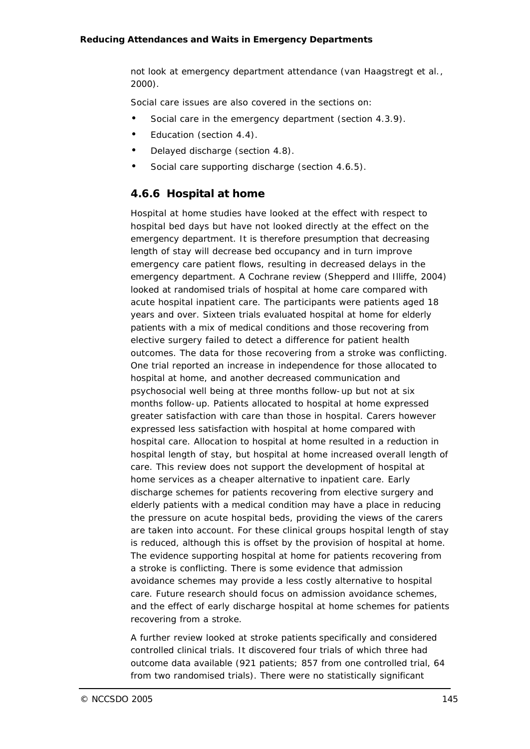not look at emergency department attendance (van Haagstregt *et al.*, 2000).

Social care issues are also covered in the sections on:

- Social care in the emergency department (section 4.3.9).
- Education (section 4.4).
- Delayed discharge (section 4.8).
- Social care supporting discharge (section 4.6.5).

# **4.6.6 Hospital at home**

Hospital at home studies have looked at the effect with respect to hospital bed days but have not looked directly at the effect on the emergency department. It is therefore presumption that decreasing length of stay will decrease bed occupancy and in turn improve emergency care patient flows, resulting in decreased delays in the emergency department. A Cochrane review (Shepperd and Illiffe, 2004) looked at randomised trials of hospital at home care compared with acute hospital inpatient care. The participants were patients aged 18 years and over. Sixteen trials evaluated hospital at home for elderly patients with a mix of medical conditions and those recovering from elective surgery failed to detect a difference for patient health outcomes. The data for those recovering from a stroke was conflicting. One trial reported an increase in independence for those allocated to hospital at home, and another decreased communication and psychosocial well being at three months follow-up but not at six months follow-up. Patients allocated to hospital at home expressed greater satisfaction with care than those in hospital. Carers however expressed less satisfaction with hospital at home compared with hospital care. Allocation to hospital at home resulted in a reduction in hospital length of stay, but hospital at home increased overall length of care. This review does not support the development of hospital at home services as a cheaper alternative to inpatient care. Early discharge schemes for patients recovering from elective surgery and elderly patients with a medical condition may have a place in reducing the pressure on acute hospital beds, providing the views of the carers are taken into account. For these clinical groups hospital length of stay is reduced, although this is offset by the provision of hospital at home. The evidence supporting hospital at home for patients recovering from a stroke is conflicting. There is some evidence that admission avoidance schemes may provide a less costly alternative to hospital care. Future research should focus on admission avoidance schemes, and the effect of early discharge hospital at home schemes for patients recovering from a stroke.

A further review looked at stroke patients specifically and considered controlled clinical trials. It discovered four trials of which three had outcome data available (921 patients; 857 from one controlled trial, 64 from two randomised trials). There were no statistically significant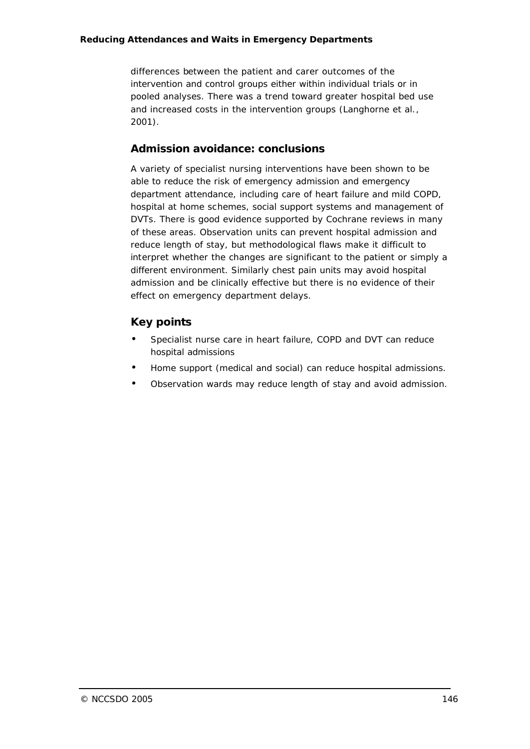### *Reducing Attendances and Waits in Emergency Departments*

differences between the patient and carer outcomes of the intervention and control groups either within individual trials or in pooled analyses. There was a trend toward greater hospital bed use and increased costs in the intervention groups (Langhorne *et al.*, 2001).

### **Admission avoidance: conclusions**

A variety of specialist nursing interventions have been shown to be able to reduce the risk of emergency admission and emergency department attendance, including care of heart failure and mild COPD, hospital at home schemes, social support systems and management of DVTs. There is good evidence supported by Cochrane reviews in many of these areas. Observation units can prevent hospital admission and reduce length of stay, but methodological flaws make it difficult to interpret whether the changes are significant to the patient or simply a different environment. Similarly chest pain units may avoid hospital admission and be clinically effective but there is no evidence of their effect on emergency department delays.

# **Key points**

- Specialist nurse care in heart failure, COPD and DVT can reduce hospital admissions
- Home support (medical and social) can reduce hospital admissions.
- Observation wards may reduce length of stay and avoid admission.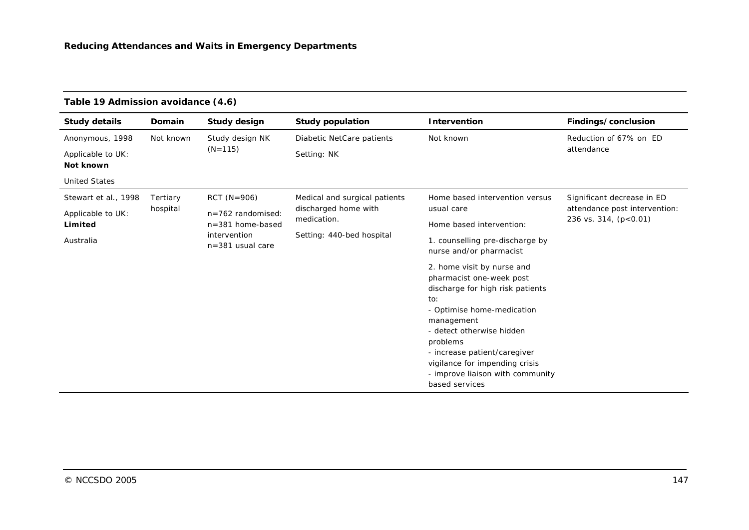| Table 19 Admission avoidance (4.6) |                                       |                                           |                                                            |                                                                                                                                                                                                                                                                                                                |                                                        |  |
|------------------------------------|---------------------------------------|-------------------------------------------|------------------------------------------------------------|----------------------------------------------------------------------------------------------------------------------------------------------------------------------------------------------------------------------------------------------------------------------------------------------------------------|--------------------------------------------------------|--|
| <b>Study details</b>               | <b>Domain</b>                         | Study design                              | <b>Study population</b>                                    | <b>Intervention</b>                                                                                                                                                                                                                                                                                            | Findings/conclusion                                    |  |
| Anonymous, 1998                    | Not known                             | Study design NK                           | Diabetic NetCare patients                                  | Not known                                                                                                                                                                                                                                                                                                      | Reduction of 67% on ED                                 |  |
| Applicable to UK:<br>Not known     |                                       | $(N=115)$                                 | Setting: NK                                                |                                                                                                                                                                                                                                                                                                                | attendance                                             |  |
| <b>United States</b>               |                                       |                                           |                                                            |                                                                                                                                                                                                                                                                                                                |                                                        |  |
| Stewart et al., 1998               | $RCT (N=906)$<br>Tertiary<br>hospital | Medical and surgical patients             | Home based intervention versus                             | Significant decrease in ED                                                                                                                                                                                                                                                                                     |                                                        |  |
| Applicable to UK:                  |                                       | n=762 randomised:<br>$n = 381$ home-based | discharged home with<br>medication.                        | usual care                                                                                                                                                                                                                                                                                                     | attendance post intervention:<br>236 vs. 314, (p<0.01) |  |
| Limited                            |                                       |                                           |                                                            | Home based intervention:                                                                                                                                                                                                                                                                                       |                                                        |  |
| Australia                          | intervention<br>$n = 381$ usual care  | Setting: 440-bed hospital                 | 1. counselling pre-discharge by<br>nurse and/or pharmacist |                                                                                                                                                                                                                                                                                                                |                                                        |  |
|                                    |                                       |                                           |                                                            | 2. home visit by nurse and<br>pharmacist one-week post<br>discharge for high risk patients<br>to:<br>- Optimise home-medication<br>management<br>- detect otherwise hidden<br>problems<br>- increase patient/caregiver<br>vigilance for impending crisis<br>- improve liaison with community<br>based services |                                                        |  |

#### **Table 19 Admission avoidance (4.6)**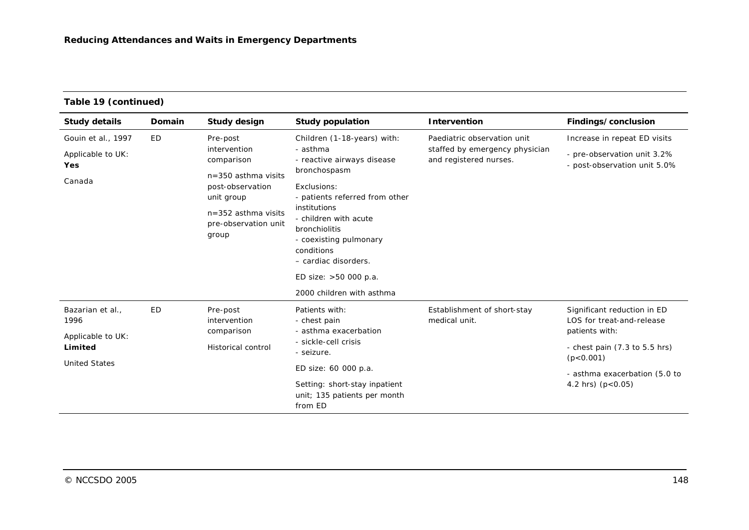| Table TV (continued)            |                                                          |                                                           |                                                                                                                        |                                                          |                                                             |                                                          |  |  |                       |  |  |
|---------------------------------|----------------------------------------------------------|-----------------------------------------------------------|------------------------------------------------------------------------------------------------------------------------|----------------------------------------------------------|-------------------------------------------------------------|----------------------------------------------------------|--|--|-----------------------|--|--|
| <b>Study details</b>            | Domain                                                   | Study design                                              | <b>Study population</b>                                                                                                | Intervention                                             | Findings/conclusion                                         |                                                          |  |  |                       |  |  |
| Gouin et al., 1997              | <b>ED</b>                                                | Pre-post                                                  | Children (1-18-years) with:                                                                                            | Paediatric observation unit                              | Increase in repeat ED visits                                |                                                          |  |  |                       |  |  |
| Applicable to UK:<br><b>Yes</b> |                                                          | intervention<br>comparison                                | - asthma<br>- reactive airways disease<br>bronchospasm<br>Exclusions:<br>- patients referred from other                | staffed by emergency physician<br>and registered nurses. | - pre-observation unit 3.2%<br>- post-observation unit 5.0% |                                                          |  |  |                       |  |  |
| Canada                          |                                                          | $n = 350$ asthma visits<br>post-observation<br>unit group |                                                                                                                        |                                                          |                                                             |                                                          |  |  |                       |  |  |
|                                 | $n = 352$ asthma visits<br>pre-observation unit<br>group |                                                           | institutions<br>- children with acute<br>bronchiolitis<br>- coexisting pulmonary<br>conditions<br>- cardiac disorders. |                                                          |                                                             |                                                          |  |  |                       |  |  |
|                                 |                                                          |                                                           |                                                                                                                        |                                                          |                                                             |                                                          |  |  | ED size: >50 000 p.a. |  |  |
|                                 |                                                          |                                                           | 2000 children with asthma                                                                                              |                                                          |                                                             |                                                          |  |  |                       |  |  |
| Bazarian et al.,<br>1996        | <b>ED</b>                                                | Pre-post<br>intervention<br>comparison                    |                                                                                                                        | Patients with:<br>- chest pain                           | Establishment of short-stay<br>medical unit.                | Significant reduction in ED<br>LOS for treat-and-release |  |  |                       |  |  |
| Applicable to UK:<br>Limited    |                                                          |                                                           | - asthma exacerbation<br>- sickle-cell crisis                                                                          |                                                          | patients with:                                              |                                                          |  |  |                       |  |  |
|                                 | <b>Historical control</b>                                | - seizure.                                                |                                                                                                                        | - chest pain $(7.3$ to $5.5$ hrs)<br>(p < 0.001)         |                                                             |                                                          |  |  |                       |  |  |
| <b>United States</b>            |                                                          |                                                           | ED size: 60 000 p.a.                                                                                                   |                                                          | - asthma exacerbation (5.0 to                               |                                                          |  |  |                       |  |  |
|                                 |                                                          |                                                           | Setting: short-stay inpatient<br>unit; 135 patients per month<br>from ED                                               |                                                          | 4.2 hrs) $(p<0.05)$                                         |                                                          |  |  |                       |  |  |

### **Table 19 (continued)**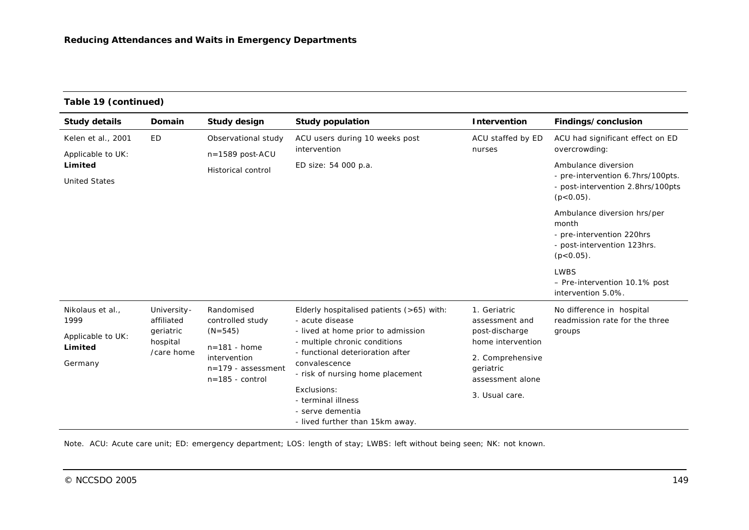| Table 19 (continued)            |                           |                                                    |                                                                                                                                               |                                                   |                                                                                                                  |  |  |
|---------------------------------|---------------------------|----------------------------------------------------|-----------------------------------------------------------------------------------------------------------------------------------------------|---------------------------------------------------|------------------------------------------------------------------------------------------------------------------|--|--|
| <b>Study details</b>            | Domain                    | Study design                                       | <b>Study population</b>                                                                                                                       | <b>Intervention</b>                               | Findings/conclusion                                                                                              |  |  |
| Kelen et al., 2001              | ED                        | Observational study                                | ACU users during 10 weeks post                                                                                                                | ACU staffed by ED                                 | ACU had significant effect on ED                                                                                 |  |  |
| Applicable to UK:               | $n = 1589$ post-ACU       | intervention                                       | nurses                                                                                                                                        | overcrowding:                                     |                                                                                                                  |  |  |
| Limited<br><b>United States</b> |                           | <b>Historical control</b>                          | ED size: 54 000 p.a.                                                                                                                          |                                                   | Ambulance diversion<br>- pre-intervention 6.7hrs/100pts.<br>- post-intervention 2.8hrs/100pts<br>$(p<0.05)$ .    |  |  |
|                                 |                           |                                                    |                                                                                                                                               |                                                   | Ambulance diversion hrs/per<br>month<br>- pre-intervention 220hrs<br>- post-intervention 123hrs.<br>$(p<0.05)$ . |  |  |
|                                 |                           |                                                    |                                                                                                                                               |                                                   | <b>LWBS</b><br>- Pre-intervention 10.1% post<br>intervention 5.0%.                                               |  |  |
| Nikolaus et al.,<br>1999        | University-<br>affiliated | Randomised<br>controlled study                     | Elderly hospitalised patients (>65) with:<br>- acute disease                                                                                  | 1. Geriatric<br>assessment and                    | No difference in hospital<br>readmission rate for the three                                                      |  |  |
| Applicable to UK:               | geriatric                 | $(N=545)$                                          | - lived at home prior to admission                                                                                                            | post-discharge                                    | groups                                                                                                           |  |  |
| Limited                         | hospital<br>/care home    | $n=181$ - home                                     | - multiple chronic conditions<br>- functional deterioration after                                                                             | home intervention                                 |                                                                                                                  |  |  |
| Germany                         | intervention              | $n=179 -$ assessment<br>$n = 185 - \text{control}$ | convalescence<br>- risk of nursing home placement<br>Exclusions:<br>- terminal illness<br>- serve dementia<br>- lived further than 15km away. | 2. Comprehensive<br>geriatric<br>assessment alone |                                                                                                                  |  |  |
|                                 |                           |                                                    |                                                                                                                                               | 3. Usual care.                                    |                                                                                                                  |  |  |

Note. ACU: Acute care unit; ED: emergency department; LOS: length of stay; LWBS: left without being seen; NK: not known.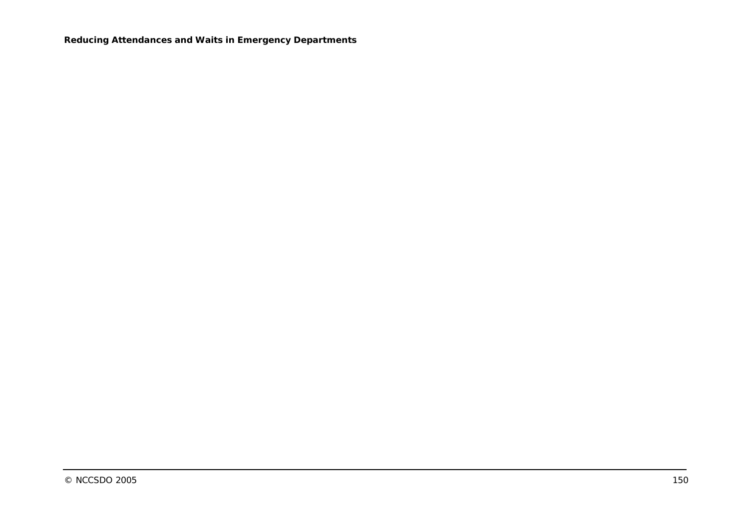*Reducing Attendances and Waits in Emergency Departments*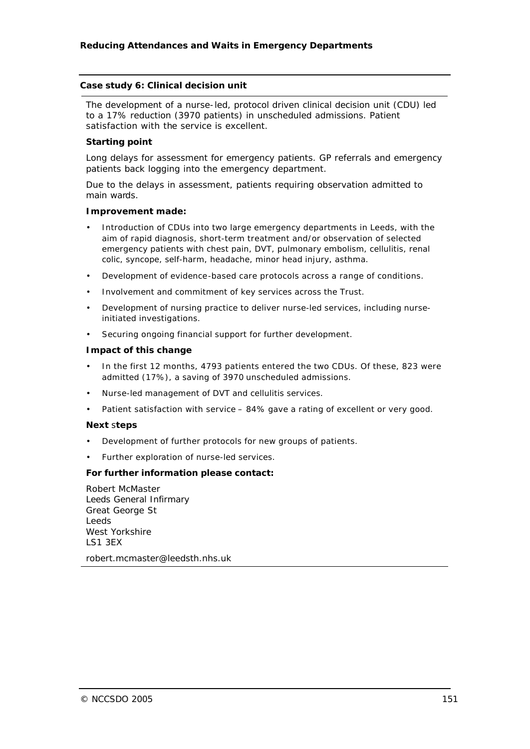#### **Case study 6: Clinical decision unit**

The development of a nurse-led, protocol driven clinical decision unit (CDU) led to a 17% reduction (3970 patients) in unscheduled admissions. Patient satisfaction with the service is excellent.

### **Starting point**

Long delays for assessment for emergency patients. GP referrals and emergency patients back logging into the emergency department.

Due to the delays in assessment, patients requiring observation admitted to main wards.

#### **Improvement made:**

- Introduction of CDUs into two large emergency departments in Leeds, with the aim of rapid diagnosis, short-term treatment and/or observation of selected emergency patients with chest pain, DVT, pulmonary embolism, cellulitis, renal colic, syncope, self-harm, headache, minor head injury, asthma.
- Development of evidence-based care protocols across a range of conditions.
- Involvement and commitment of key services across the Trust.
- Development of nursing practice to deliver nurse-led services, including nurseinitiated investigations.
- Securing ongoing financial support for further development.

### **Impact of this change**

- In the first 12 months, 4793 patients entered the two CDUs. Of these, 823 were admitted (17%), a saving of 3970 unscheduled admissions.
- Nurse-led management of DVT and cellulitis services.
- Patient satisfaction with service 84% gave a rating of excellent or very good.

#### **Next** s**teps**

- Development of further protocols for new groups of patients.
- Further exploration of nurse-led services.

### **For further information please contact:**

Robert McMaster Leeds General Infirmary Great George St Leeds West Yorkshire LS1 3EX

robert.mcmaster@leedsth.nhs.uk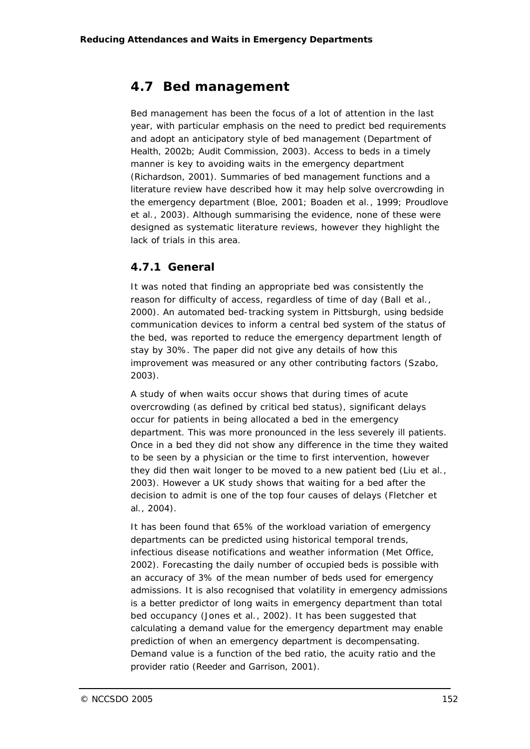# *4.7 Bed management*

Bed management has been the focus of a lot of attention in the last year, with particular emphasis on the need to predict bed requirements and adopt an anticipatory style of bed management (Department of Health, 2002b; Audit Commission, 2003). Access to beds in a timely manner is key to avoiding waits in the emergency department (Richardson, 2001). Summaries of bed management functions and a literature review have described how it may help solve overcrowding in the emergency department (Bloe, 2001; Boaden *et al.*, 1999; Proudlove *et al.*, 2003). Although summarising the evidence, none of these were designed as systematic literature reviews, however they highlight the lack of trials in this area.

# **4.7.1 General**

It was noted that finding an appropriate bed was consistently the reason for difficulty of access, regardless of time of day (Ball *et al.*, 2000). An automated bed-tracking system in Pittsburgh, using bedside communication devices to inform a central bed system of the status of the bed, was reported to reduce the emergency department length of stay by 30%. The paper did not give any details of how this improvement was measured or any other contributing factors (Szabo, 2003).

A study of when waits occur shows that during times of acute overcrowding (as defined by critical bed status), significant delays occur for patients in being allocated a bed in the emergency department. This was more pronounced in the less severely ill patients. Once in a bed they did not show any difference in the time they waited to be seen by a physician or the time to first intervention, however they did then wait longer to be moved to a new patient bed (Liu *et al.*, 2003). However a UK study shows that waiting for a bed after the decision to admit is one of the top four causes of delays (Fletcher *et al.*, 2004).

It has been found that 65% of the workload variation of emergency departments can be predicted using historical temporal trends, infectious disease notifications and weather information (Met Office, 2002). Forecasting the daily number of occupied beds is possible with an accuracy of 3% of the mean number of beds used for emergency admissions. It is also recognised that volatility in emergency admissions is a better predictor of long waits in emergency department than total bed occupancy (Jones *et al.*, 2002). It has been suggested that calculating a demand value for the emergency department may enable prediction of when an emergency department is decompensating. Demand value is a function of the bed ratio, the acuity ratio and the provider ratio (Reeder and Garrison, 2001).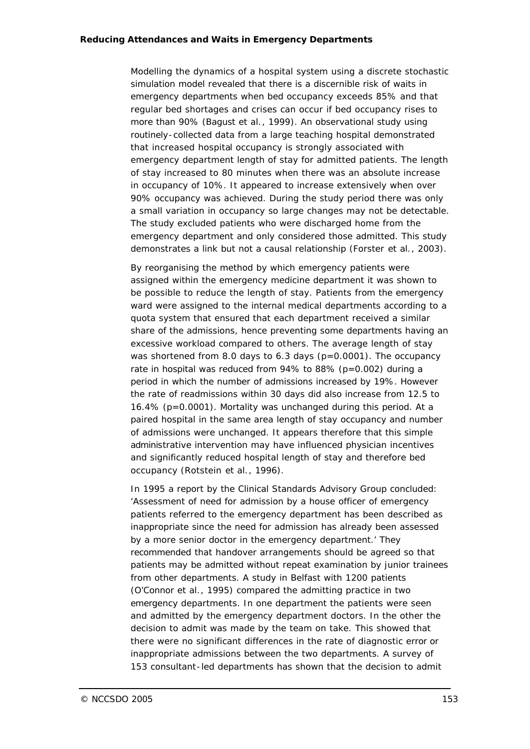Modelling the dynamics of a hospital system using a discrete stochastic simulation model revealed that there is a discernible risk of waits in emergency departments when bed occupancy exceeds 85% and that regular bed shortages and crises can occur if bed occupancy rises to more than 90% (Bagust *et al.*, 1999). An observational study using routinely-collected data from a large teaching hospital demonstrated that increased hospital occupancy is strongly associated with emergency department length of stay for admitted patients. The length of stay increased to 80 minutes when there was an absolute increase in occupancy of 10%. It appeared to increase extensively when over 90% occupancy was achieved. During the study period there was only a small variation in occupancy so large changes may not be detectable. The study excluded patients who were discharged home from the emergency department and only considered those admitted. This study demonstrates a link but not a causal relationship (Forster *et al.*, 2003).

By reorganising the method by which emergency patients were assigned within the emergency medicine department it was shown to be possible to reduce the length of stay. Patients from the emergency ward were assigned to the internal medical departments according to a quota system that ensured that each department received a similar share of the admissions, hence preventing some departments having an excessive workload compared to others. The average length of stay was shortened from 8.0 days to 6.3 days ( $p=0.0001$ ). The occupancy rate in hospital was reduced from 94% to 88% (p=0.002) during a period in which the number of admissions increased by 19%. However the rate of readmissions within 30 days did also increase from 12.5 to 16.4% (p=0.0001). Mortality was unchanged during this period. At a paired hospital in the same area length of stay occupancy and number of admissions were unchanged. It appears therefore that this simple administrative intervention may have influenced physician incentives and significantly reduced hospital length of stay and therefore bed occupancy (Rotstein *et al.*, 1996).

In 1995 a report by the Clinical Standards Advisory Group concluded: 'Assessment of need for admission by a house officer of emergency patients referred to the emergency department has been described as inappropriate since the need for admission has already been assessed by a more senior doctor in the emergency department.' They recommended that handover arrangements should be agreed so that patients may be admitted without repeat examination by junior trainees from other departments. A study in Belfast with 1200 patients (O'Connor *et al.*, 1995) compared the admitting practice in two emergency departments. In one department the patients were seen and admitted by the emergency department doctors. In the other the decision to admit was made by the team on take. This showed that there were no significant differences in the rate of diagnostic error or inappropriate admissions between the two departments. A survey of 153 consultant-led departments has shown that the decision to admit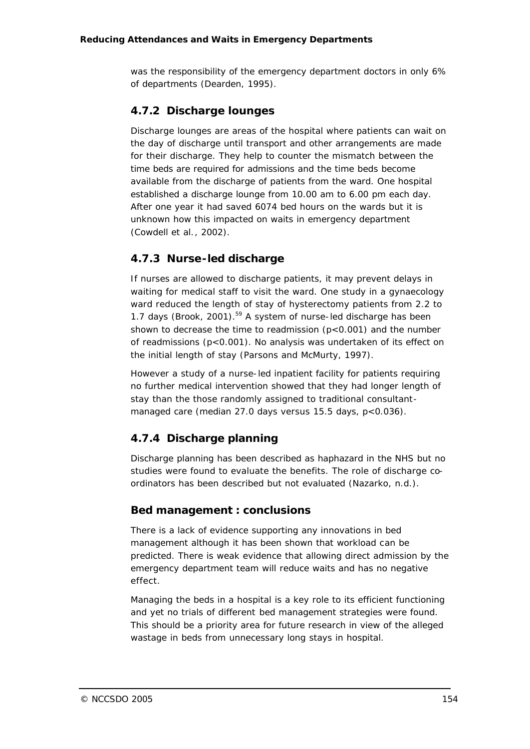was the responsibility of the emergency department doctors in only 6% of departments (Dearden, 1995).

# **4.7.2 Discharge lounges**

Discharge lounges are areas of the hospital where patients can wait on the day of discharge until transport and other arrangements are made for their discharge. They help to counter the mismatch between the time beds are required for admissions and the time beds become available from the discharge of patients from the ward. One hospital established a discharge lounge from 10.00 am to 6.00 pm each day. After one year it had saved 6074 bed hours on the wards but it is unknown how this impacted on waits in emergency department (Cowdell *et al.*, 2002).

# **4.7.3 Nurse-led discharge**

If nurses are allowed to discharge patients, it may prevent delays in waiting for medical staff to visit the ward. One study in a gynaecology ward reduced the length of stay of hysterectomy patients from 2.2 to 1.7 days (Brook, 2001).<sup>59</sup> A system of nurse-led discharge has been shown to decrease the time to readmission (p<0.001) and the number of readmissions (p<0.001). No analysis was undertaken of its effect on the initial length of stay (Parsons and McMurty, 1997).

However a study of a nurse-led inpatient facility for patients requiring no further medical intervention showed that they had longer length of stay than the those randomly assigned to traditional consultantmanaged care (median 27.0 days *versus* 15.5 days, p<0.036).

# **4.7.4 Discharge planning**

Discharge planning has been described as haphazard in the NHS but no studies were found to evaluate the benefits. The role of discharge coordinators has been described but not evaluated (Nazarko, n.d.).

### **Bed management : conclusions**

There is a lack of evidence supporting any innovations in bed management although it has been shown that workload can be predicted. There is weak evidence that allowing direct admission by the emergency department team will reduce waits and has no negative effect.

Managing the beds in a hospital is a key role to its efficient functioning and yet no trials of different bed management strategies were found. This should be a priority area for future research in view of the alleged wastage in beds from unnecessary long stays in hospital.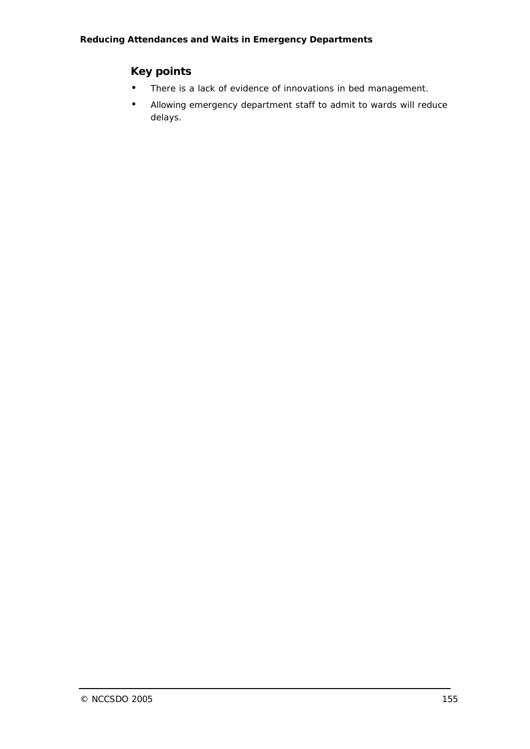# **Key points**

- There is a lack of evidence of innovations in bed management.
- Allowing emergency department staff to admit to wards will reduce delays.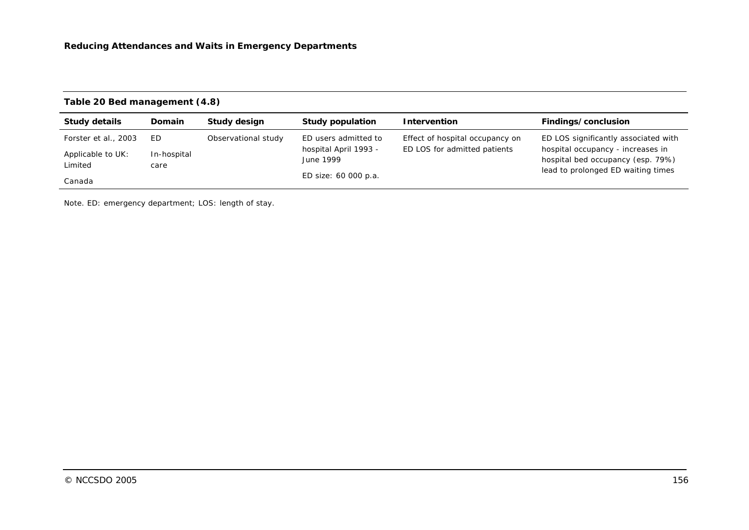| Table 20 Bed management (4.8) |               |                     |                                    |                                 |                                                                                                              |  |
|-------------------------------|---------------|---------------------|------------------------------------|---------------------------------|--------------------------------------------------------------------------------------------------------------|--|
| <b>Study details</b>          | <b>Domain</b> | Study design        | <b>Study population</b>            | <b>Intervention</b>             | Findings/conclusion                                                                                          |  |
| Forster et al., 2003          | ED            | Observational study | ED users admitted to               | Effect of hospital occupancy on | ED LOS significantly associated with                                                                         |  |
| Applicable to UK:             | In-hospital   |                     | hospital April 1993 -<br>June 1999 | ED LOS for admitted patients    | hospital occupancy - increases in<br>hospital bed occupancy (esp. 79%)<br>lead to prolonged ED waiting times |  |
| Limited                       | care          |                     | ED size: 60 000 p.a.               |                                 |                                                                                                              |  |
| Canada                        |               |                     |                                    |                                 |                                                                                                              |  |

Note. ED: emergency department; LOS: length of stay.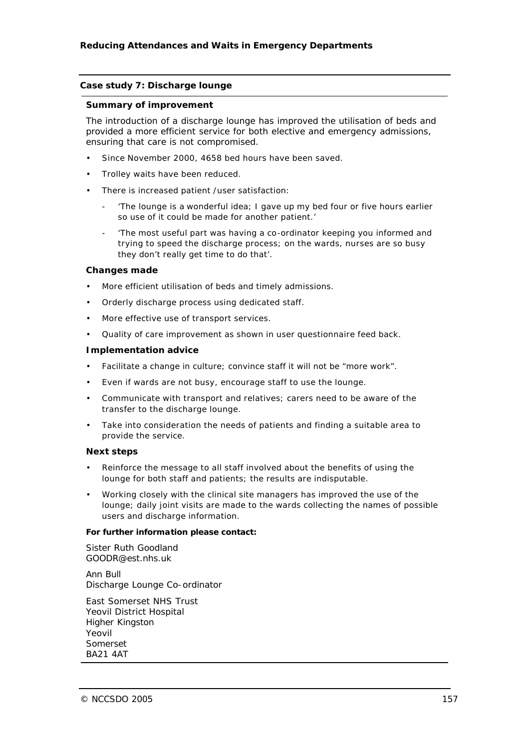### **Case study 7: Discharge lounge**

#### **Summary of improvement**

The introduction of a discharge lounge has improved the utilisation of beds and provided a more efficient service for both elective and emergency admissions, ensuring that care is not compromised.

- Since November 2000, 4658 bed hours have been saved.
- Trolley waits have been reduced.
- There is increased patient /user satisfaction:
	- 'The lounge is a wonderful idea; I gave up my bed four or five hours earlier so use of it could be made for another patient.'
	- 'The most useful part was having a co-ordinator keeping you informed and trying to speed the discharge process; on the wards, nurses are so busy they don't really get time to do that'.

### **Changes made**

- More efficient utilisation of beds and timely admissions.
- Orderly discharge process using dedicated staff.
- More effective use of transport services.
- Quality of care improvement as shown in user questionnaire feed back.

### **Implementation advice**

- Facilitate a change in culture; convince staff it will not be "more work".
- Even if wards are not busy, encourage staff to use the lounge.
- Communicate with transport and relatives; carers need to be aware of the transfer to the discharge lounge.
- Take into consideration the needs of patients and finding a suitable area to provide the service.

### **Next steps**

- Reinforce the message to all staff involved about the benefits of using the lounge for both staff and patients; the results are indisputable.
- Working closely with the clinical site managers has improved the use of the lounge; daily joint visits are made to the wards collecting the names of possible users and discharge information.

#### **For further information please contact:**

Sister Ruth Goodland GOODR@est.nhs.uk

Ann Bull Discharge Lounge Co-ordinator

East Somerset NHS Trust Yeovil District Hospital Higher Kingston Yeovil Somerset BA21 4AT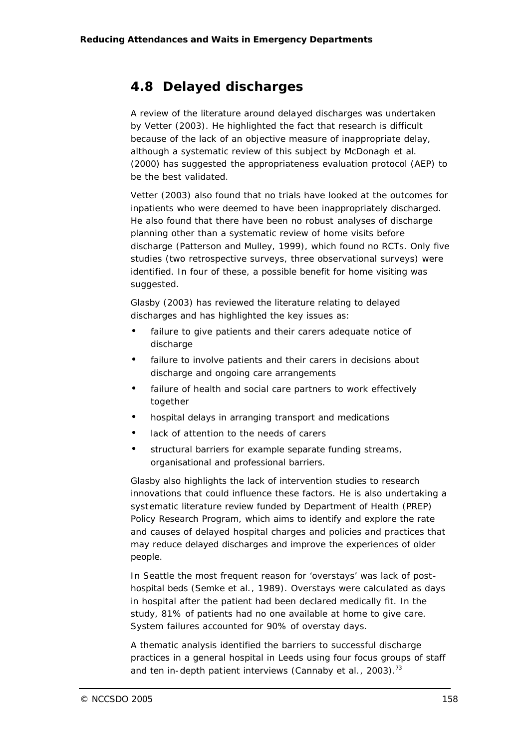# *4.8 Delayed discharges*

A review of the literature around delayed discharges was undertaken by Vetter (2003). He highlighted the fact that research is difficult because of the lack of an objective measure of inappropriate delay, although a systematic review of this subject by McDonagh *et al.* (2000) has suggested the appropriateness evaluation protocol (AEP) to be the best validated.

Vetter (2003) also found that no trials have looked at the outcomes for inpatients who were deemed to have been inappropriately discharged. He also found that there have been no robust analyses of discharge planning other than a systematic review of home visits before discharge (Patterson and Mulley, 1999), which found no RCTs. Only five studies (two retrospective surveys, three observational surveys) were identified. In four of these, a possible benefit for home visiting was suggested.

Glasby (2003) has reviewed the literature relating to delayed discharges and has highlighted the key issues as:

- failure to give patients and their carers adequate notice of discharge
- failure to involve patients and their carers in decisions about discharge and ongoing care arrangements
- failure of health and social care partners to work effectively together
- hospital delays in arranging transport and medications
- lack of attention to the needs of carers
- structural barriers for example separate funding streams, organisational and professional barriers.

Glasby also highlights the lack of intervention studies to research innovations that could influence these factors. He is also undertaking a systematic literature review funded by Department of Health (PREP) Policy Research Program, which aims to identify and explore the rate and causes of delayed hospital charges and policies and practices that may reduce delayed discharges and improve the experiences of older people.

In Seattle the most frequent reason for 'overstays' was lack of posthospital beds (Semke *et al.*, 1989). Overstays were calculated as days in hospital after the patient had been declared medically fit. In the study, 81% of patients had no one available at home to give care. System failures accounted for 90% of overstay days.

A thematic analysis identified the barriers to successful discharge practices in a general hospital in Leeds using four focus groups of staff and ten in-depth patient interviews (Cannaby *et al.*, 2003).<sup>73</sup>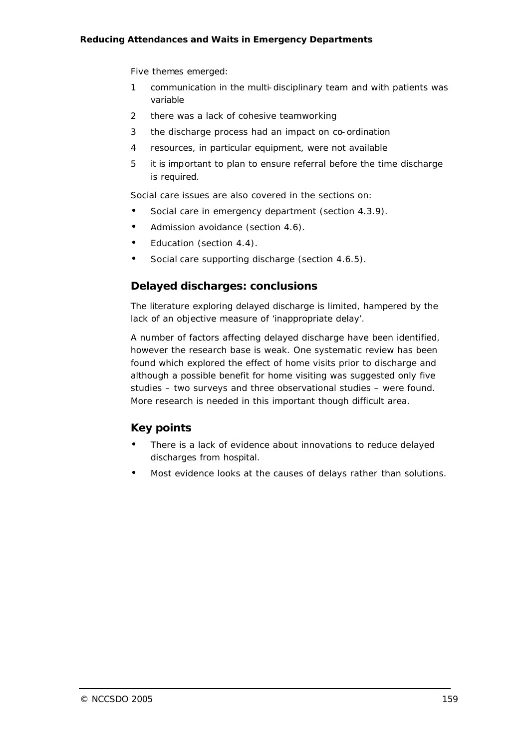### *Reducing Attendances and Waits in Emergency Departments*

Five themes emerged:

- 1 communication in the multi-disciplinary team and with patients was variable
- 2 there was a lack of cohesive teamworking
- 3 the discharge process had an impact on co-ordination
- 4 resources, in particular equipment, were not available
- 5 it is important to plan to ensure referral before the time discharge is required.

Social care issues are also covered in the sections on:

- Social care in emergency department (section 4.3.9).
- Admission avoidance (section 4.6).
- Education (section 4.4).
- Social care supporting discharge (section 4.6.5).

### **Delayed discharges: conclusions**

The literature exploring delayed discharge is limited, hampered by the lack of an objective measure of 'inappropriate delay'.

A number of factors affecting delayed discharge have been identified, however the research base is weak. One systematic review has been found which explored the effect of home visits prior to discharge and although a possible benefit for home visiting was suggested only five studies – two surveys and three observational studies – were found. More research is needed in this important though difficult area.

### **Key points**

- There is a lack of evidence about innovations to reduce delayed discharges from hospital.
- Most evidence looks at the causes of delays rather than solutions.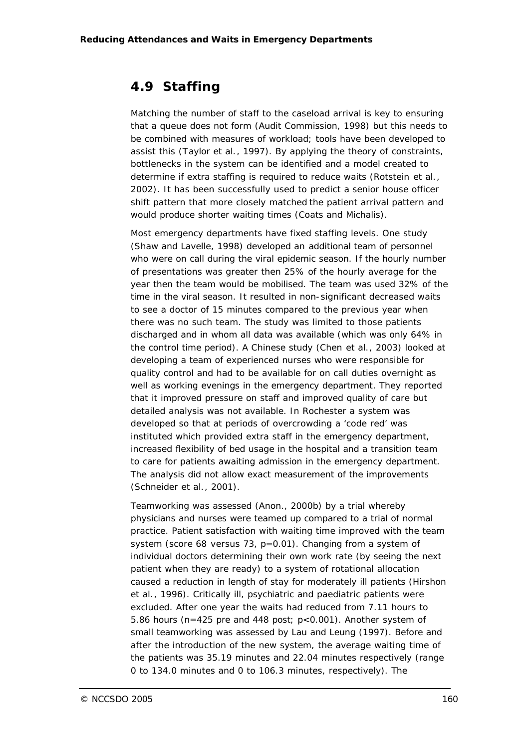# *4.9 Staffing*

Matching the number of staff to the caseload arrival is key to ensuring that a queue does not form (Audit Commission, 1998) but this needs to be combined with measures of workload; tools have been developed to assist this (Taylor *et al.*, 1997). By applying the theory of constraints, bottlenecks in the system can be identified and a model created to determine if extra staffing is required to reduce waits (Rotstein *et al.*, 2002). It has been successfully used to predict a senior house officer shift pattern that more closely matched the patient arrival pattern and would produce shorter waiting times (Coats and Michalis).

Most emergency departments have fixed staffing levels. One study (Shaw and Lavelle, 1998) developed an additional team of personnel who were on call during the viral epidemic season. If the hourly number of presentations was greater then 25% of the hourly average for the year then the team would be mobilised. The team was used 32% of the time in the viral season. It resulted in non-significant decreased waits to see a doctor of 15 minutes compared to the previous year when there was no such team. The study was limited to those patients discharged and in whom all data was available (which was only 64% in the control time period). A Chinese study (Chen *et al.*, 2003) looked at developing a team of experienced nurses who were responsible for quality control and had to be available for on call duties overnight as well as working evenings in the emergency department. They reported that it improved pressure on staff and improved quality of care but detailed analysis was not available. In Rochester a system was developed so that at periods of overcrowding a 'code red' was instituted which provided extra staff in the emergency department, increased flexibility of bed usage in the hospital and a transition team to care for patients awaiting admission in the emergency department. The analysis did not allow exact measurement of the improvements (Schneider *et al.*, 2001).

Teamworking was assessed (Anon., 2000b) by a trial whereby physicians and nurses were teamed up compared to a trial of normal practice. Patient satisfaction with waiting time improved with the team system (score 68 *versus* 73, p=0.01). Changing from a system of individual doctors determining their own work rate (by seeing the next patient when they are ready) to a system of rotational allocation caused a reduction in length of stay for moderately ill patients (Hirshon *et al.*, 1996). Critically ill, psychiatric and paediatric patients were excluded. After one year the waits had reduced from 7.11 hours to 5.86 hours (n=425 pre and 448 post; p<0.001). Another system of small teamworking was assessed by Lau and Leung (1997). Before and after the introduction of the new system, the average waiting time of the patients was 35.19 minutes and 22.04 minutes respectively (range 0 to 134.0 minutes and 0 to 106.3 minutes, respectively). The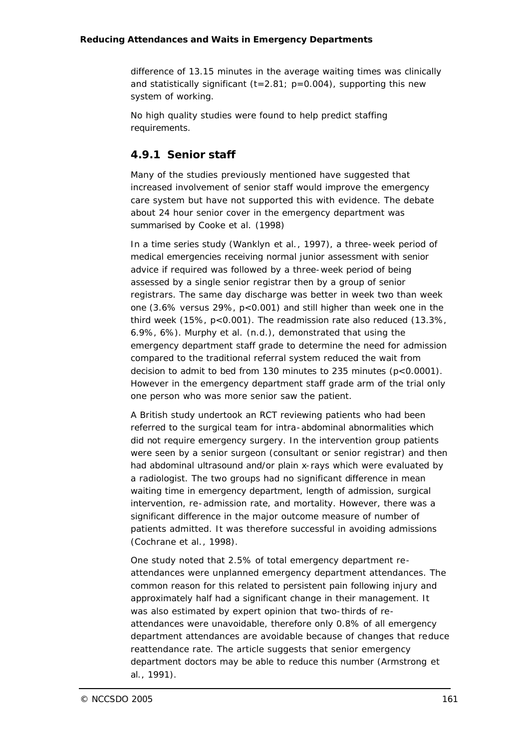difference of 13.15 minutes in the average waiting times was clinically and statistically significant  $(t=2.81; p=0.004)$ , supporting this new system of working.

No high quality studies were found to help predict staffing requirements.

# **4.9.1 Senior staff**

Many of the studies previously mentioned have suggested that increased involvement of senior staff would improve the emergency care system but have not supported this with evidence. The debate about 24 hour senior cover in the emergency department was summarised by Cooke *et al.* (1998)

In a time series study (Wanklyn *et al.*, 1997), a three-week period of medical emergencies receiving normal junior assessment with senior advice if required was followed by a three-week period of being assessed by a single senior registrar then by a group of senior registrars. The same day discharge was better in week two than week one (3.6% *versus* 29%, p<0.001) and still higher than week one in the third week (15%, p<0.001). The readmission rate also reduced (13.3%, 6.9%, 6%). Murphy *et al.* (n.d.), demonstrated that using the emergency department staff grade to determine the need for admission compared to the traditional referral system reduced the wait from decision to admit to bed from 130 minutes to 235 minutes (p<0.0001). However in the emergency department staff grade arm of the trial only one person who was more senior saw the patient.

A British study undertook an RCT reviewing patients who had been referred to the surgical team for intra-abdominal abnormalities which did not require emergency surgery. In the intervention group patients were seen by a senior surgeon (consultant or senior registrar) and then had abdominal ultrasound and/or plain x-rays which were evaluated by a radiologist. The two groups had no significant difference in mean waiting time in emergency department, length of admission, surgical intervention, re-admission rate, and mortality. However, there was a significant difference in the major outcome measure of number of patients admitted. It was therefore successful in avoiding admissions (Cochrane *et al.*, 1998).

One study noted that 2.5% of total emergency department reattendances were unplanned emergency department attendances. The common reason for this related to persistent pain following injury and approximately half had a significant change in their management. It was also estimated by expert opinion that two-thirds of reattendances were unavoidable, therefore only 0.8% of all emergency department attendances are avoidable because of changes that reduce reattendance rate. The article suggests that senior emergency department doctors may be able to reduce this number (Armstrong *et al.*, 1991).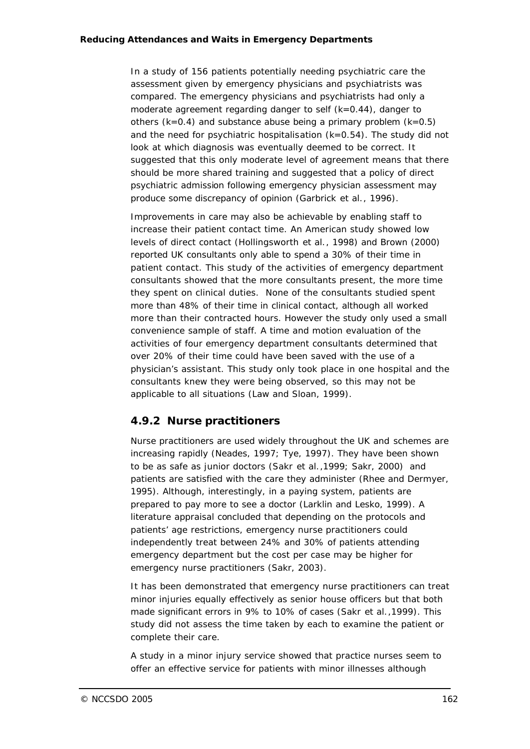In a study of 156 patients potentially needing psychiatric care the assessment given by emergency physicians and psychiatrists was compared. The emergency physicians and psychiatrists had only a moderate agreement regarding danger to self (*k*=0.44), danger to others (*k*=0.4) and substance abuse being a primary problem (*k*=0.5) and the need for psychiatric hospitalisation (*k*=0.54). The study did not look at which diagnosis was eventually deemed to be correct. It suggested that this only moderate level of agreement means that there should be more shared training and suggested that a policy of direct psychiatric admission following emergency physician assessment may produce some discrepancy of opinion (Garbrick *et al.*, 1996).

Improvements in care may also be achievable by enabling staff to increase their patient contact time. An American study showed low levels of direct contact (Hollingsworth *et al.*, 1998) and Brown (2000) reported UK consultants only able to spend a 30% of their time in patient contact. This study of the activities of emergency department consultants showed that the more consultants present, the more time they spent on clinical duties. None of the consultants studied spent more than 48% of their time in clinical contact, although all worked more than their contracted hours. However the study only used a small convenience sample of staff. A time and motion evaluation of the activities of four emergency department consultants determined that over 20% of their time could have been saved with the use of a physician's assistant. This study only took place in one hospital and the consultants knew they were being observed, so this may not be applicable to all situations (Law and Sloan, 1999).

# **4.9.2 Nurse practitioners**

Nurse practitioners are used widely throughout the UK and schemes are increasing rapidly (Neades, 1997; Tye, 1997). They have been shown to be as safe as junior doctors (Sakr *et al.*,1999; Sakr, 2000) and patients are satisfied with the care they administer (Rhee and Dermyer, 1995). Although, interestingly, in a paying system, patients are prepared to pay more to see a doctor (Larklin and Lesko, 1999). A literature appraisal concluded that depending on the protocols and patients' age restrictions, emergency nurse practitioners could independently treat between 24% and 30% of patients attending emergency department but the cost per case may be higher for emergency nurse practitioners (Sakr, 2003).

It has been demonstrated that emergency nurse practitioners can treat minor injuries equally effectively as senior house officers but that both made significant errors in 9% to 10% of cases (Sakr *et al.*,1999). This study did not assess the time taken by each to examine the patient or complete their care.

A study in a minor injury service showed that practice nurses seem to offer an effective service for patients with minor illnesses although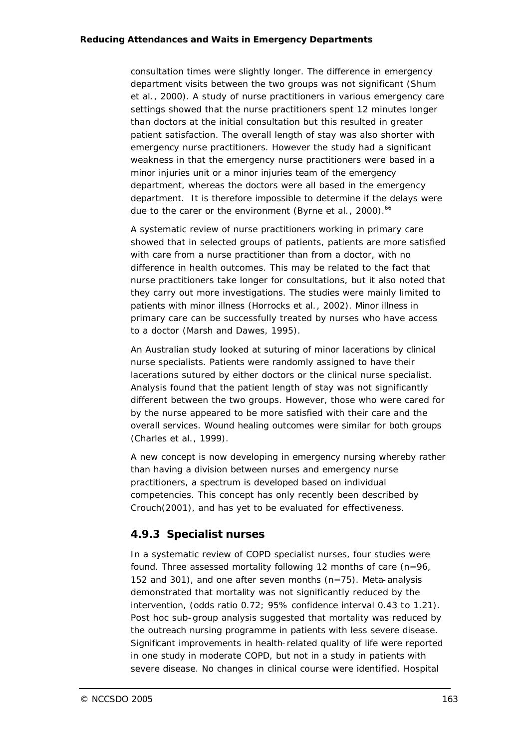consultation times were slightly longer. The difference in emergency department visits between the two groups was not significant (Shum *et al.*, 2000). A study of nurse practitioners in various emergency care settings showed that the nurse practitioners spent 12 minutes longer than doctors at the initial consultation but this resulted in greater patient satisfaction. The overall length of stay was also shorter with emergency nurse practitioners. However the study had a significant weakness in that the emergency nurse practitioners were based in a minor injuries unit or a minor injuries team of the emergency department, whereas the doctors were all based in the emergency department. It is therefore impossible to determine if the delays were due to the carer or the environment (Byrne *et al.*, 2000).<sup>66</sup>

A systematic review of nurse practitioners working in primary care showed that in selected groups of patients, patients are more satisfied with care from a nurse practitioner than from a doctor, with no difference in health outcomes. This may be related to the fact that nurse practitioners take longer for consultations, but it also noted that they carry out more investigations. The studies were mainly limited to patients with minor illness (Horrocks *et al.*, 2002). Minor illness in primary care can be successfully treated by nurses who have access to a doctor (Marsh and Dawes, 1995).

An Australian study looked at suturing of minor lacerations by clinical nurse specialists. Patients were randomly assigned to have their lacerations sutured by either doctors or the clinical nurse specialist. Analysis found that the patient length of stay was not significantly different between the two groups. However, those who were cared for by the nurse appeared to be more satisfied with their care and the overall services. Wound healing outcomes were similar for both groups (Charles *et al.*, 1999).

A new concept is now developing in emergency nursing whereby rather than having a division between nurses and emergency nurse practitioners, a spectrum is developed based on individual competencies. This concept has only recently been described by Crouch(2001), and has yet to be evaluated for effectiveness.

# **4.9.3 Specialist nurses**

In a systematic review of COPD specialist nurses, four studies were found. Three assessed mortality following 12 months of care (n=96, 152 and 301), and one after seven months (n=75). Meta-analysis demonstrated that mortality was not significantly reduced by the intervention, (odds ratio 0.72; 95% confidence interval 0.43 to 1.21). Post hoc sub-group analysis suggested that mortality was reduced by the outreach nursing programme in patients with less severe disease. Significant improvements in health-related quality of life were reported in one study in moderate COPD, but not in a study in patients with severe disease. No changes in clinical course were identified. Hospital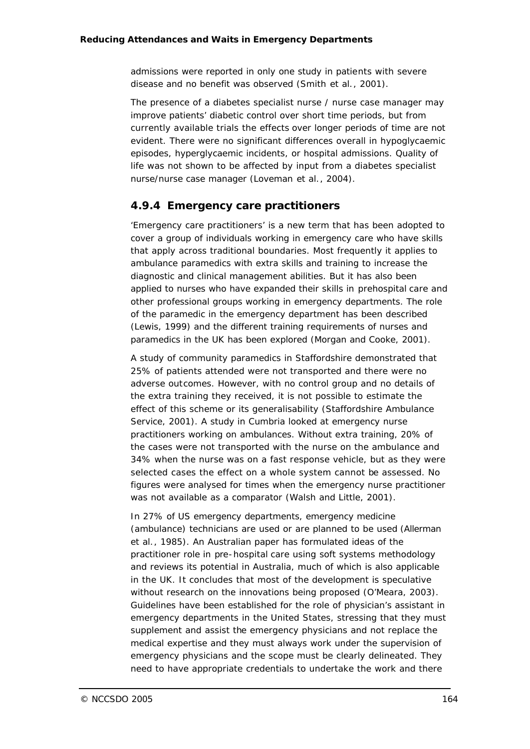admissions were reported in only one study in patients with severe disease and no benefit was observed (Smith *et al.*, 2001).

The presence of a diabetes specialist nurse / nurse case manager may improve patients' diabetic control over short time periods, but from currently available trials the effects over longer periods of time are not evident. There were no significant differences overall in hypoglycaemic episodes, hyperglycaemic incidents, or hospital admissions. Quality of life was not shown to be affected by input from a diabetes specialist nurse/nurse case manager (Loveman *et al.*, 2004).

### **4.9.4 Emergency care practitioners**

'Emergency care practitioners' is a new term that has been adopted to cover a group of individuals working in emergency care who have skills that apply across traditional boundaries. Most frequently it applies to ambulance paramedics with extra skills and training to increase the diagnostic and clinical management abilities. But it has also been applied to nurses who have expanded their skills in prehospital care and other professional groups working in emergency departments. The role of the paramedic in the emergency department has been described (Lewis, 1999) and the different training requirements of nurses and paramedics in the UK has been explored (Morgan and Cooke, 2001).

A study of community paramedics in Staffordshire demonstrated that 25% of patients attended were not transported and there were no adverse outcomes. However, with no control group and no details of the extra training they received, it is not possible to estimate the effect of this scheme or its generalisability (Staffordshire Ambulance Service, 2001). A study in Cumbria looked at emergency nurse practitioners working on ambulances. Without extra training, 20% of the cases were not transported with the nurse on the ambulance and 34% when the nurse was on a fast response vehicle, but as they were selected cases the effect on a whole system cannot be assessed. No figures were analysed for times when the emergency nurse practitioner was not available as a comparator (Walsh and Little, 2001).

In 27% of US emergency departments, emergency medicine (ambulance) technicians are used or are planned to be used (Allerman *et al.*, 1985). An Australian paper has formulated ideas of the practitioner role in pre-hospital care using soft systems methodology and reviews its potential in Australia, much of which is also applicable in the UK. It concludes that most of the development is speculative without research on the innovations being proposed (O'Meara, 2003). Guidelines have been established for the role of physician's assistant in emergency departments in the United States, stressing that they must supplement and assist the emergency physicians and not replace the medical expertise and they must always work under the supervision of emergency physicians and the scope must be clearly delineated. They need to have appropriate credentials to undertake the work and there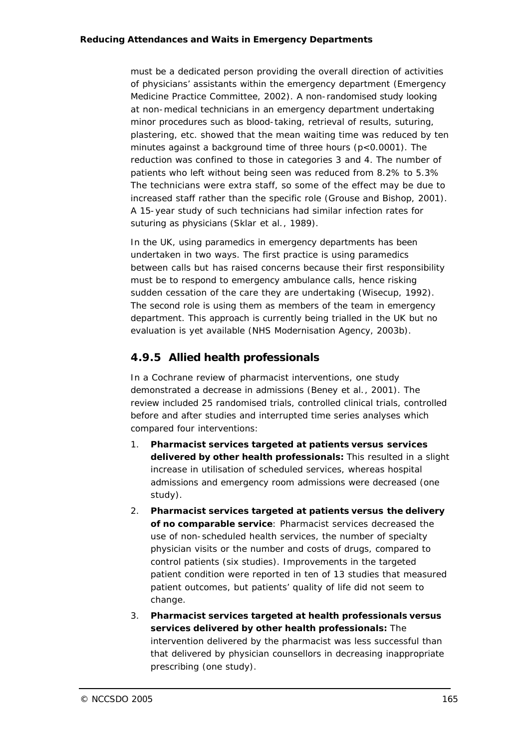must be a dedicated person providing the overall direction of activities of physicians' assistants within the emergency department (Emergency Medicine Practice Committee, 2002). A non-randomised study looking at non-medical technicians in an emergency department undertaking minor procedures such as blood-taking, retrieval of results, suturing, plastering, etc. showed that the mean waiting time was reduced by ten minutes against a background time of three hours (p<0.0001). The reduction was confined to those in categories 3 and 4. The number of patients who left without being seen was reduced from 8.2% to 5.3% The technicians were extra staff, so some of the effect may be due to increased staff rather than the specific role (Grouse and Bishop, 2001). A 15-year study of such technicians had similar infection rates for suturing as physicians (Sklar *et al.*, 1989).

In the UK, using paramedics in emergency departments has been undertaken in two ways. The first practice is using paramedics between calls but has raised concerns because their first responsibility must be to respond to emergency ambulance calls, hence risking sudden cessation of the care they are undertaking (Wisecup, 1992). The second role is using them as members of the team in emergency department. This approach is currently being trialled in the UK but no evaluation is yet available (NHS Modernisation Agency, 2003b).

# **4.9.5 Allied health professionals**

In a Cochrane review of pharmacist interventions, one study demonstrated a decrease in admissions (Beney *et al.*, 2001). The review included 25 randomised trials, controlled clinical trials, controlled before and after studies and interrupted time series analyses which compared four interventions:

- 1. **Pharmacist services targeted at patients** *versus* **services delivered by other health professionals:** This resulted in a slight increase in utilisation of scheduled services, whereas hospital admissions and emergency room admissions were decreased (one study).
- 2. **Pharmacist services targeted at patients** *versus* **the delivery of no comparable service**: Pharmacist services decreased the use of non-scheduled health services, the number of specialty physician visits or the number and costs of drugs, compared to control patients (six studies). Improvements in the targeted patient condition were reported in ten of 13 studies that measured patient outcomes, but patients' quality of life did not seem to change.
- 3. **Pharmacist services targeted at health professionals** *versus* **services delivered by other health professionals:** The intervention delivered by the pharmacist was less successful than that delivered by physician counsellors in decreasing inappropriate prescribing (one study).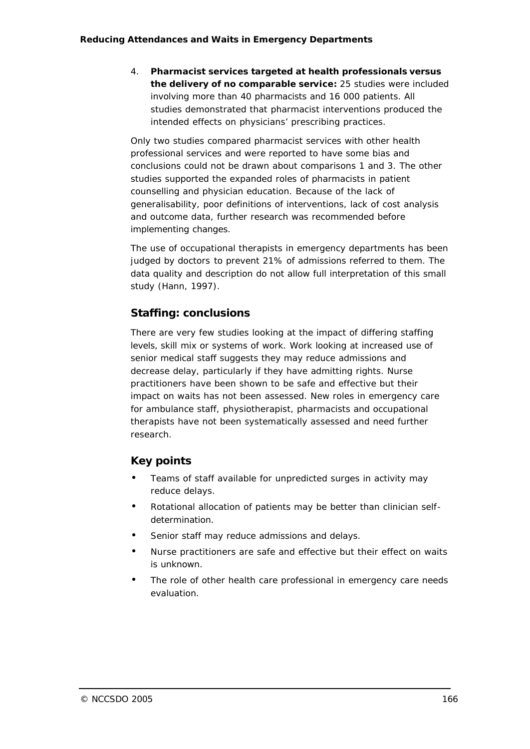4. **Pharmacist services targeted at health professionals** *versus* **the delivery of no comparable service:** 25 studies were included involving more than 40 pharmacists and 16 000 patients. All studies demonstrated that pharmacist interventions produced the intended effects on physicians' prescribing practices.

Only two studies compared pharmacist services with other health professional services and were reported to have some bias and conclusions could not be drawn about comparisons 1 and 3. The other studies supported the expanded roles of pharmacists in patient counselling and physician education. Because of the lack of generalisability, poor definitions of interventions, lack of cost analysis and outcome data, further research was recommended before implementing changes.

The use of occupational therapists in emergency departments has been judged by doctors to prevent 21% of admissions referred to them. The data quality and description do not allow full interpretation of this small study (Hann, 1997).

# **Staffing: conclusions**

There are very few studies looking at the impact of differing staffing levels, skill mix or systems of work. Work looking at increased use of senior medical staff suggests they may reduce admissions and decrease delay, particularly if they have admitting rights. Nurse practitioners have been shown to be safe and effective but their impact on waits has not been assessed. New roles in emergency care for ambulance staff, physiotherapist, pharmacists and occupational therapists have not been systematically assessed and need further research.

# **Key points**

- Teams of staff available for unpredicted surges in activity may reduce delays.
- Rotational allocation of patients may be better than clinician selfdetermination.
- Senior staff may reduce admissions and delays.
- Nurse practitioners are safe and effective but their effect on waits is unknown.
- The role of other health care professional in emergency care needs evaluation.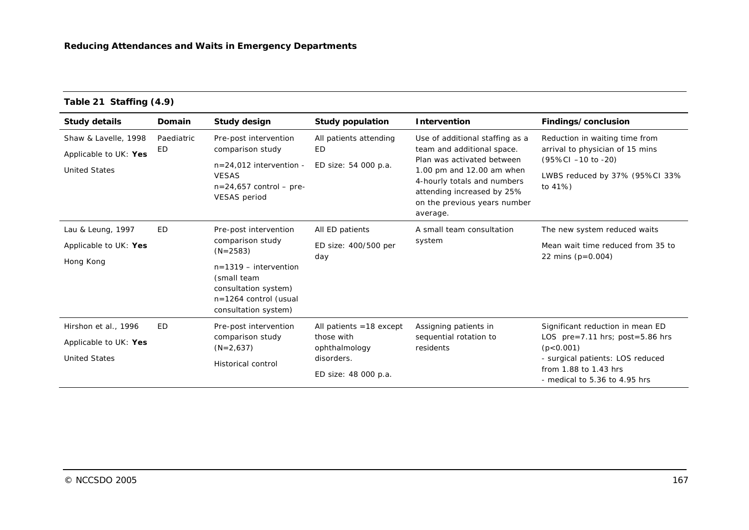| Table 21 Staffing (4.9) |               |                                                                                                                   |                             |                                                                                                                                    |                                                             |
|-------------------------|---------------|-------------------------------------------------------------------------------------------------------------------|-----------------------------|------------------------------------------------------------------------------------------------------------------------------------|-------------------------------------------------------------|
| <b>Study details</b>    | <b>Domain</b> | Study design                                                                                                      | <b>Study population</b>     | Intervention                                                                                                                       | Findings/conclusion                                         |
| Shaw & Lavelle, 1998    | Paediatric    | Pre-post intervention                                                                                             | All patients attending      | Use of additional staffing as a                                                                                                    | Reduction in waiting time from                              |
| Applicable to UK: Yes   | ED            | comparison study                                                                                                  | ED                          | team and additional space.<br>Plan was activated between                                                                           | arrival to physician of 15 mins<br>$(95\%CI - 10$ to $-20)$ |
| <b>United States</b>    |               | $n=24,012$ intervention -<br><b>VESAS</b><br>$n=24,657$ control – pre-<br><b>VESAS</b> period                     | ED size: 54 000 p.a.        | 1.00 pm and 12.00 am when<br>4-hourly totals and numbers<br>attending increased by 25%<br>on the previous years number<br>average. | LWBS reduced by 37% (95%CI 33%<br>to 41%)                   |
| Lau & Leung, 1997       | <b>ED</b>     | Pre-post intervention                                                                                             | All ED patients             | A small team consultation<br>system                                                                                                | The new system reduced waits                                |
| Applicable to UK: Yes   |               | comparison study<br>$(N=2583)$                                                                                    | ED size: 400/500 per<br>day |                                                                                                                                    | Mean wait time reduced from 35 to<br>22 mins ( $p=0.004$ )  |
| Hong Kong               |               | $n = 1319 -$ intervention<br>(small team<br>consultation system)<br>n=1264 control (usual<br>consultation system) |                             |                                                                                                                                    |                                                             |
| Hirshon et al., 1996    | <b>ED</b>     | Pre-post intervention                                                                                             | All patients $=18$ except   | Assigning patients in                                                                                                              | Significant reduction in mean ED                            |
| Applicable to UK: Yes   |               | comparison study<br>$(N=2,637)$                                                                                   | those with<br>ophthalmology | sequential rotation to<br>residents                                                                                                | LOS $pre=7.11$ hrs; $post=5.86$ hrs<br>(p<0.001)            |
| <b>United States</b>    |               | <b>Historical control</b>                                                                                         | disorders.                  |                                                                                                                                    | - surgical patients: LOS reduced<br>from 1.88 to 1.43 hrs   |
|                         |               |                                                                                                                   | ED size: 48 000 p.a.        |                                                                                                                                    | - medical to 5.36 to 4.95 hrs                               |

*© NCCSDO 2005 167*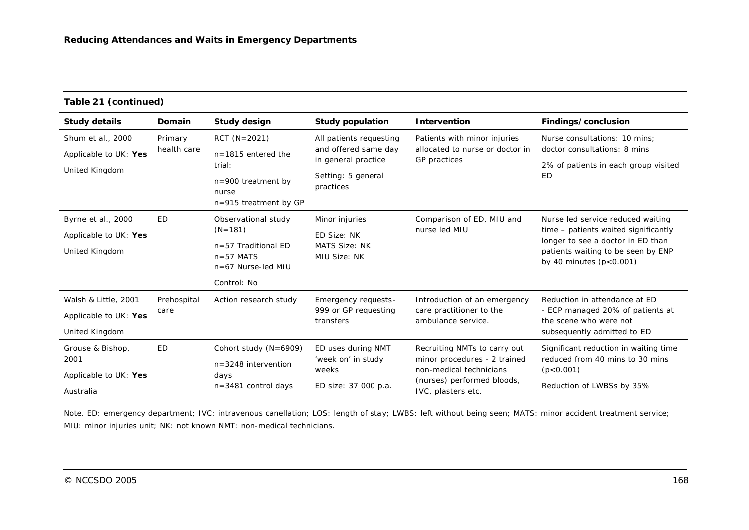| $1$ and $21$ (continued) |                        |                                                                  |                                                               |                                                       |                                                                                                                                              |  |
|--------------------------|------------------------|------------------------------------------------------------------|---------------------------------------------------------------|-------------------------------------------------------|----------------------------------------------------------------------------------------------------------------------------------------------|--|
| <b>Study details</b>     | <b>Domain</b>          | Study design                                                     | <b>Study population</b>                                       | <b>Intervention</b>                                   | Findings/conclusion                                                                                                                          |  |
| Shum et al., 2000        | Primary<br>health care | $RCT (N=2021)$                                                   | All patients requesting                                       | Patients with minor injuries                          | Nurse consultations: 10 mins:                                                                                                                |  |
| Applicable to UK: Yes    |                        | $n = 1815$ entered the                                           | and offered same day<br>in general practice                   | allocated to nurse or doctor in<br>GP practices       | doctor consultations: 8 mins                                                                                                                 |  |
| United Kingdom           |                        | trial:                                                           |                                                               |                                                       | 2% of patients in each group visited                                                                                                         |  |
|                          |                        | $n = 900$ treatment by<br>nurse<br>$n = 915$ treatment by GP     | Setting: 5 general<br>practices                               |                                                       | <b>ED</b>                                                                                                                                    |  |
| Byrne et al., 2000       | <b>ED</b>              | Observational study                                              | Minor injuries                                                | Comparison of ED, MIU and                             | Nurse led service reduced waiting                                                                                                            |  |
| Applicable to UK: Yes    |                        | $(N=181)$                                                        | ED Size: NK                                                   | nurse led MIU                                         | time - patients waited significantly<br>longer to see a doctor in ED than<br>patients waiting to be seen by ENP<br>by 40 minutes $(p<0.001)$ |  |
| United Kingdom           |                        | $n = 57$ Traditional ED<br>$n=57$ MATS<br>$n = 67$ Nurse-led MIU | <b>MATS Size: NK</b><br>MIU Size: NK                          |                                                       |                                                                                                                                              |  |
|                          |                        | Control: No                                                      |                                                               |                                                       |                                                                                                                                              |  |
| Walsh & Little, 2001     | Prehospital            | Action research study                                            | Emergency requests -                                          | Introduction of an emergency                          | Reduction in attendance at ED                                                                                                                |  |
| Applicable to UK: Yes    | care                   |                                                                  | 999 or GP requesting<br>care practitioner to the<br>transfers | ambulance service.                                    | - ECP managed 20% of patients at<br>the scene who were not                                                                                   |  |
| United Kingdom           |                        |                                                                  |                                                               |                                                       | subsequently admitted to ED                                                                                                                  |  |
| Grouse & Bishop,         | <b>ED</b>              | Cohort study $(N=6909)$                                          | ED uses during NMT                                            | Recruiting NMTs to carry out                          | Significant reduction in waiting time                                                                                                        |  |
| 2001                     |                        | $n = 3248$ intervention                                          | 'week on' in study<br>weeks                                   | minor procedures - 2 trained                          | reduced from 40 mins to 30 mins<br>(p<0.001)                                                                                                 |  |
| Applicable to UK: Yes    |                        | days                                                             |                                                               | non-medical technicians<br>(nurses) performed bloods, |                                                                                                                                              |  |
| Australia                |                        | n=3481 control days                                              | ED size: 37 000 p.a.                                          | IVC, plasters etc.                                    | Reduction of LWBSs by 35%                                                                                                                    |  |

**Table 21 (continued)**

Note. ED: emergency department; IVC: intravenous canellation; LOS: length of stay; LWBS: left without being seen; MATS: minor accident treatment service; MIU: minor injuries unit; NK: not known NMT: non-medical technicians.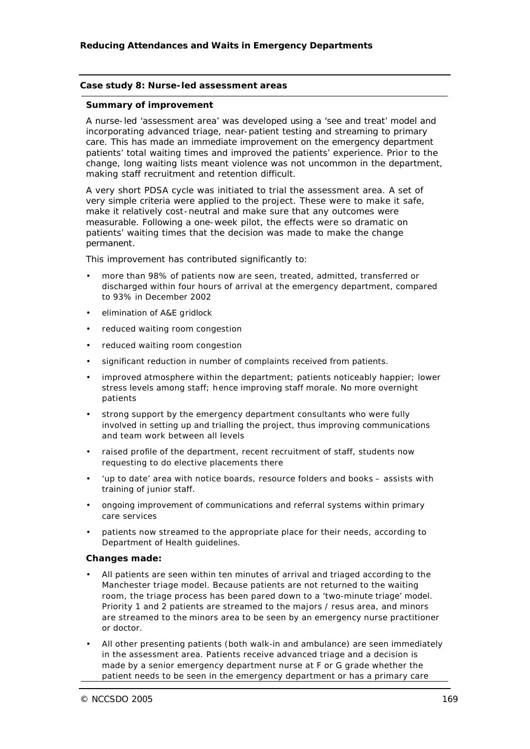### **Case study 8: Nurse-led assessment areas**

### **Summary of improvement**

A nurse-led 'assessment area' was developed using a 'see and treat' model and incorporating advanced triage, near-patient testing and streaming to primary care. This has made an immediate improvement on the emergency department patients' total waiting times and improved the patients' experience. Prior to the change, long waiting lists meant violence was not uncommon in the department, making staff recruitment and retention difficult.

A very short PDSA cycle was initiated to trial the assessment area. A set of very simple criteria were applied to the project. These were to make it safe, make it relatively cost-neutral and make sure that any outcomes were measurable. Following a one-week pilot, the effects were so dramatic on patients' waiting times that the decision was made to make the change permanent.

This improvement has contributed significantly to:

- more than 98% of patients now are seen, treated, admitted, transferred or discharged within four hours of arrival at the emergency department, compared to 93% in December 2002
- elimination of A&E gridlock
- reduced waiting room congestion
- reduced waiting room congestion
- significant reduction in number of complaints received from patients.
- improved atmosphere within the department; patients noticeably happier; lower stress levels among staff; hence improving staff morale. No more overnight patients
- strong support by the emergency department consultants who were fully involved in setting up and trialling the project, thus improving communications and team work between all levels
- raised profile of the department, recent recruitment of staff, students now requesting to do elective placements there
- 'up to date' area with notice boards, resource folders and books assists with training of junior staff.
- ongoing improvement of communications and referral systems within primary care services
- patients now streamed to the appropriate place for their needs, according to Department of Health guidelines.

#### **Changes made:**

- All patients are seen within ten minutes of arrival and triaged according to the Manchester triage model. Because patients are not returned to the waiting room, the triage process has been pared down to a 'two-minute triage' model. Priority 1 and 2 patients are streamed to the majors / resus area, and minors are streamed to the minors area to be seen by an emergency nurse practitioner or doctor.
- All other presenting patients (both walk-in and ambulance) are seen immediately in the assessment area. Patients receive advanced triage and a decision is made by a senior emergency department nurse at F or G grade whether the patient needs to be seen in the emergency department or has a primary care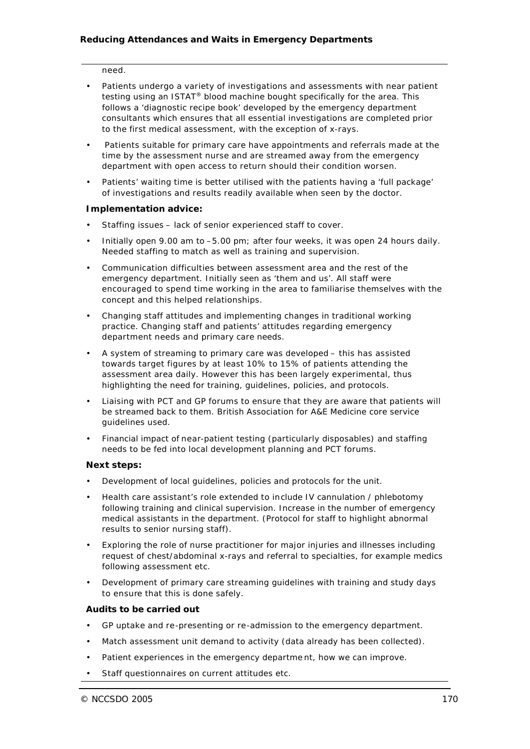need.

- Patients undergo a variety of investigations and assessments with near patient testing using an ISTAT® blood machine bought specifically for the area. This follows a 'diagnostic recipe book' developed by the emergency department consultants which ensures that all essential investigations are completed prior to the first medical assessment, with the exception of x-rays.
- Patients suitable for primary care have appointments and referrals made at the time by the assessment nurse and are streamed away from the emergency department with open access to return should their condition worsen.
- Patients' waiting time is better utilised with the patients having a 'full package' of investigations and results readily available when seen by the doctor.

### **Implementation advice:**

- Staffing issues lack of senior experienced staff to cover.
- Initially open 9.00 am to –5.00 pm; after four weeks, it was open 24 hours daily. Needed staffing to match as well as training and supervision.
- Communication difficulties between assessment area and the rest of the emergency department. Initially seen as 'them and us'. All staff were encouraged to spend time working in the area to familiarise themselves with the concept and this helped relationships.
- Changing staff attitudes and implementing changes in traditional working practice. Changing staff and patients' attitudes regarding emergency department needs and primary care needs.
- A system of streaming to primary care was developed this has assisted towards target figures by at least 10% to 15% of patients attending the assessment area daily. However this has been largely experimental, thus highlighting the need for training, guidelines, policies, and protocols.
- Liaising with PCT and GP forums to ensure that they are aware that patients will be streamed back to them. British Association for A&E Medicine core service guidelines used.
- Financial impact of near-patient testing (particularly disposables) and staffing needs to be fed into local development planning and PCT forums.

#### **Next steps:**

- Development of local guidelines, policies and protocols for the unit.
- Health care assistant's role extended to include IV cannulation / phlebotomy following training and clinical supervision. Increase in the number of emergency medical assistants in the department. (Protocol for staff to highlight abnormal results to senior nursing staff).
- Exploring the role of nurse practitioner for major injuries and illnesses including request of chest/abdominal x-rays and referral to specialties, for example medics following assessment etc.
- Development of primary care streaming guidelines with training and study days to ensure that this is done safely.

### **Audits to be carried out**

- GP uptake and re-presenting or re-admission to the emergency department.
- Match assessment unit demand to activity (data already has been collected).
- Patient experiences in the emergency department, how we can improve.
- Staff questionnaires on current attitudes etc.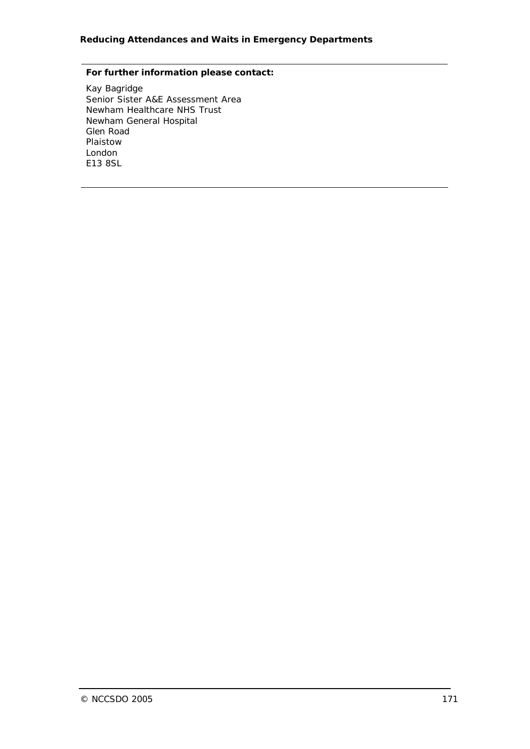## **For further information please contact:**

Kay Bagridge Senior Sister A&E Assessment Area Newham Healthcare NHS Trust Newham General Hospital Glen Road Plaistow London E13 8SL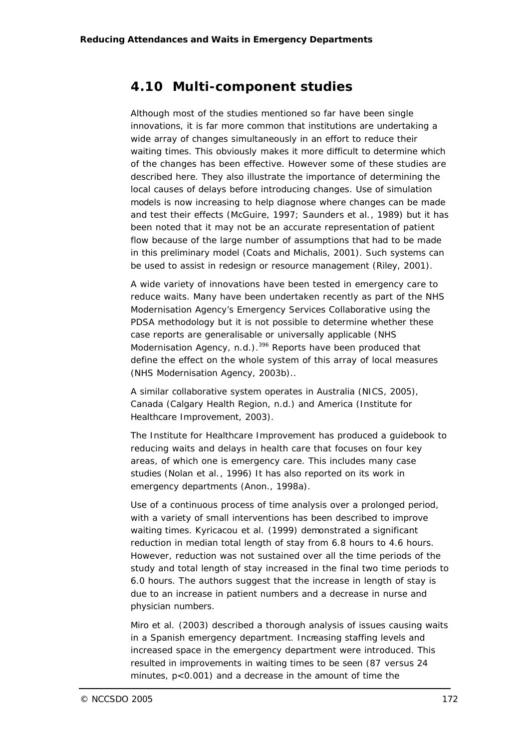# *4.10 Multi-component studies*

Although most of the studies mentioned so far have been single innovations, it is far more common that institutions are undertaking a wide array of changes simultaneously in an effort to reduce their waiting times. This obviously makes it more difficult to determine which of the changes has been effective. However some of these studies are described here. They also illustrate the importance of determining the local causes of delays before introducing changes. Use of simulation models is now increasing to help diagnose where changes can be made and test their effects (McGuire, 1997; Saunders *et al.*, 1989) but it has been noted that it may not be an accurate representation of patient flow because of the large number of assumptions that had to be made in this preliminary model (Coats and Michalis, 2001). Such systems can be used to assist in redesign or resource management (Riley, 2001).

A wide variety of innovations have been tested in emergency care to reduce waits. Many have been undertaken recently as part of the NHS Modernisation Agency's Emergency Services Collaborative using the PDSA methodology but it is not possible to determine whether these case reports are generalisable or universally applicable (NHS Modernisation Agency, n.d.).<sup>396</sup> Reports have been produced that define the effect on the whole system of this array of local measures (NHS Modernisation Agency, 2003b)..

A similar collaborative system operates in Australia (NICS, 2005), Canada (Calgary Health Region, n.d.) and America (Institute for Healthcare Improvement, 2003).

The Institute for Healthcare Improvement has produced a guidebook to reducing waits and delays in health care that focuses on four key areas, of which one is emergency care. This includes many case studies (Nolan *et al.*, 1996) It has also reported on its work in emergency departments (Anon., 1998a).

Use of a continuous process of time analysis over a prolonged period, with a variety of small interventions has been described to improve waiting times. Kyricacou *et al.* (1999) demonstrated a significant reduction in median total length of stay from 6.8 hours to 4.6 hours. However, reduction was not sustained over all the time periods of the study and total length of stay increased in the final two time periods to 6.0 hours. The authors suggest that the increase in length of stay is due to an increase in patient numbers and a decrease in nurse and physician numbers.

Miro *et al.* (2003) described a thorough analysis of issues causing waits in a Spanish emergency department. Increasing staffing levels and increased space in the emergency department were introduced. This resulted in improvements in waiting times to be seen (87 *versus* 24 minutes, p<0.001) and a decrease in the amount of time the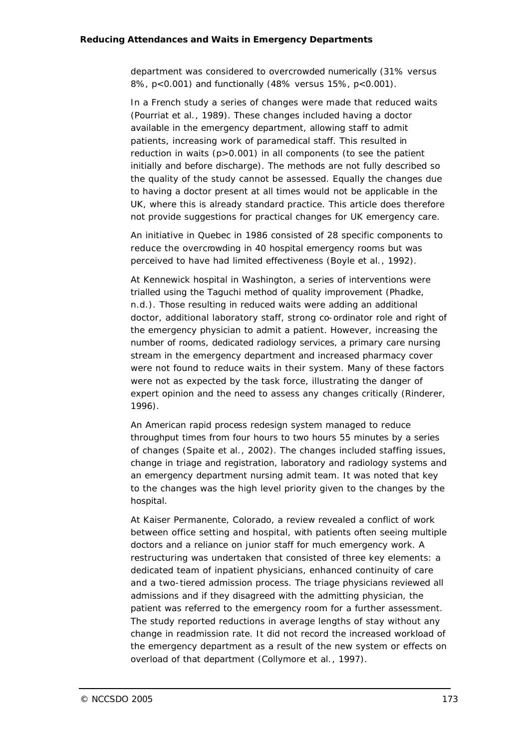department was considered to overcrowded numerically (31% *versus* 8%, p<0.001) and functionally (48% *versus* 15%, p<0.001).

In a French study a series of changes were made that reduced waits (Pourriat *et al.*, 1989). These changes included having a doctor available in the emergency department, allowing staff to admit patients, increasing work of paramedical staff. This resulted in reduction in waits (p>0.001) in all components (to see the patient initially and before discharge). The methods are not fully described so the quality of the study cannot be assessed. Equally the changes due to having a doctor present at all times would not be applicable in the UK, where this is already standard practice. This article does therefore not provide suggestions for practical changes for UK emergency care.

An initiative in Quebec in 1986 consisted of 28 specific components to reduce the overcrowding in 40 hospital emergency rooms but was perceived to have had limited effectiveness (Boyle *et al.*, 1992).

At Kennewick hospital in Washington, a series of interventions were trialled using the Taguchi method of quality improvement (Phadke, n.d.). Those resulting in reduced waits were adding an additional doctor, additional laboratory staff, strong co-ordinator role and right of the emergency physician to admit a patient. However, increasing the number of rooms, dedicated radiology services, a primary care nursing stream in the emergency department and increased pharmacy cover were not found to reduce waits in their system. Many of these factors were not as expected by the task force, illustrating the danger of expert opinion and the need to assess any changes critically (Rinderer, 1996).

An American rapid process redesign system managed to reduce throughput times from four hours to two hours 55 minutes by a series of changes (Spaite *et al.*, 2002). The changes included staffing issues, change in triage and registration, laboratory and radiology systems and an emergency department nursing admit team. It was noted that key to the changes was the high level priority given to the changes by the hospital.

At Kaiser Permanente, Colorado, a review revealed a conflict of work between office setting and hospital, with patients often seeing multiple doctors and a reliance on junior staff for much emergency work. A restructuring was undertaken that consisted of three key elements: a dedicated team of inpatient physicians, enhanced continuity of care and a two-tiered admission process. The triage physicians reviewed all admissions and if they disagreed with the admitting physician, the patient was referred to the emergency room for a further assessment. The study reported reductions in average lengths of stay without any change in readmission rate. It did not record the increased workload of the emergency department as a result of the new system or effects on overload of that department (Collymore *et al.*, 1997).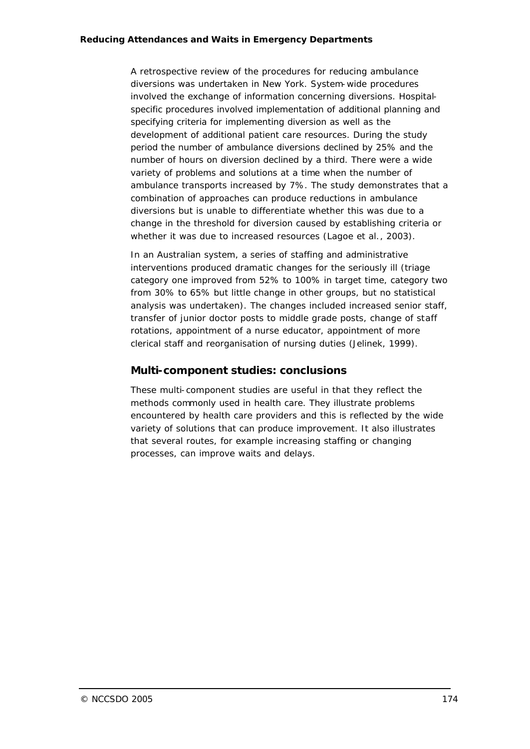A retrospective review of the procedures for reducing ambulance diversions was undertaken in New York. System-wide procedures involved the exchange of information concerning diversions. Hospitalspecific procedures involved implementation of additional planning and specifying criteria for implementing diversion as well as the development of additional patient care resources. During the study period the number of ambulance diversions declined by 25% and the number of hours on diversion declined by a third. There were a wide variety of problems and solutions at a time when the number of ambulance transports increased by 7%. The study demonstrates that a combination of approaches can produce reductions in ambulance diversions but is unable to differentiate whether this was due to a change in the threshold for diversion caused by establishing criteria or whether it was due to increased resources (Lagoe *et al.*, 2003).

In an Australian system, a series of staffing and administrative interventions produced dramatic changes for the seriously ill (triage category one improved from 52% to 100% in target time, category two from 30% to 65% but little change in other groups, but no statistical analysis was undertaken). The changes included increased senior staff, transfer of junior doctor posts to middle grade posts, change of staff rotations, appointment of a nurse educator, appointment of more clerical staff and reorganisation of nursing duties (Jelinek, 1999).

## **Multi-component studies: conclusions**

These multi-component studies are useful in that they reflect the methods commonly used in health care. They illustrate problems encountered by health care providers and this is reflected by the wide variety of solutions that can produce improvement. It also illustrates that several routes, for example increasing staffing or changing processes, can improve waits and delays.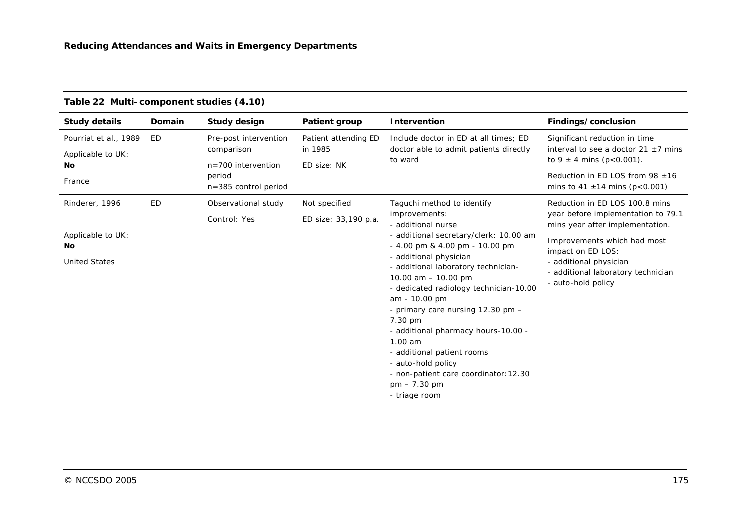| <b>Study details</b>       | <b>Domain</b> | Study design                       | Patient group        | <b>Intervention</b>                                                                                                                                                                                                                                                                                                                                                                                                       | Findings/conclusion                                                                                     |
|----------------------------|---------------|------------------------------------|----------------------|---------------------------------------------------------------------------------------------------------------------------------------------------------------------------------------------------------------------------------------------------------------------------------------------------------------------------------------------------------------------------------------------------------------------------|---------------------------------------------------------------------------------------------------------|
| Pourriat et al., 1989      | ED            | Pre-post intervention              | Patient attending ED | Include doctor in ED at all times: ED                                                                                                                                                                                                                                                                                                                                                                                     | Significant reduction in time                                                                           |
| Applicable to UK:          |               | comparison                         | in 1985              | doctor able to admit patients directly<br>to ward                                                                                                                                                                                                                                                                                                                                                                         | interval to see a doctor $21 \pm 7$ mins                                                                |
| No                         |               | $n = 700$ intervention             | ED size: NK          |                                                                                                                                                                                                                                                                                                                                                                                                                           | to 9 $\pm$ 4 mins (p<0.001).                                                                            |
| France                     |               | period<br>$n = 385$ control period |                      |                                                                                                                                                                                                                                                                                                                                                                                                                           | Reduction in ED LOS from 98 $\pm$ 16<br>mins to 41 ±14 mins ( $p < 0.001$ )                             |
| Rinderer, 1996             | ED            | Observational study                | Not specified        | Taguchi method to identify                                                                                                                                                                                                                                                                                                                                                                                                | Reduction in ED LOS 100.8 mins                                                                          |
|                            |               | Control: Yes                       | ED size: 33,190 p.a. | improvements:<br>- additional nurse                                                                                                                                                                                                                                                                                                                                                                                       | year before implementation to 79.1<br>mins year after implementation.                                   |
| Applicable to UK:          |               |                                    |                      | - additional secretary/clerk: 10.00 am                                                                                                                                                                                                                                                                                                                                                                                    | Improvements which had most                                                                             |
| No<br><b>United States</b> |               |                                    |                      | $-4.00$ pm & $4.00$ pm $-10.00$ pm<br>- additional physician<br>- additional laboratory technician-<br>10.00 am - 10.00 pm<br>- dedicated radiology technician-10.00<br>am - 10.00 pm<br>- primary care nursing 12.30 pm -<br>7.30 pm<br>- additional pharmacy hours-10.00 -<br>$1.00$ am<br>- additional patient rooms<br>- auto-hold policy<br>- non-patient care coordinator: 12.30<br>$pm - 7.30$ pm<br>- triage room | impact on ED LOS:<br>- additional physician<br>- additional laboratory technician<br>- auto-hold policy |

### **Table 22 Multi–component studies (4.10)**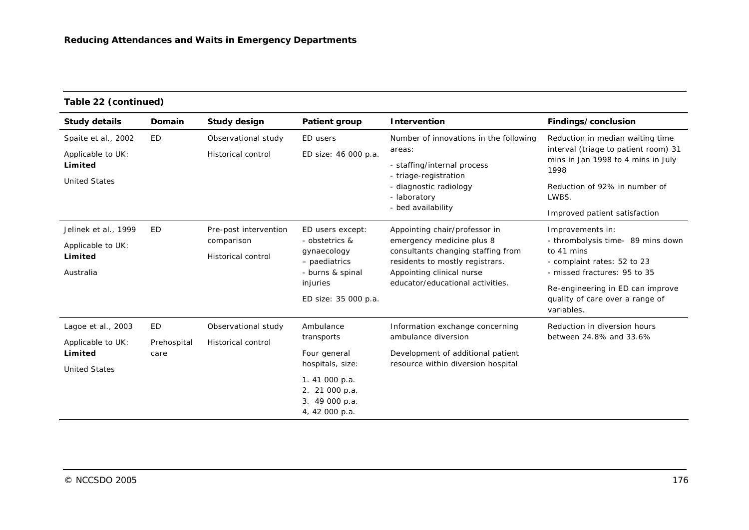| <b>Study details</b>                                                       | Domain                    | <b>Study design</b>                                       | Patient group                                                                                                                      | Intervention                                                                                                                                                                                         | Findings/conclusion                                                                                                                                                                                                     |  |
|----------------------------------------------------------------------------|---------------------------|-----------------------------------------------------------|------------------------------------------------------------------------------------------------------------------------------------|------------------------------------------------------------------------------------------------------------------------------------------------------------------------------------------------------|-------------------------------------------------------------------------------------------------------------------------------------------------------------------------------------------------------------------------|--|
| Spaite et al., 2002<br>Applicable to UK:<br>Limited                        | <b>ED</b>                 | Observational study<br>Historical control                 | ED users<br>ED size: 46 000 p.a.                                                                                                   | Number of innovations in the following<br>areas:<br>- staffing/internal process<br>- triage-registration                                                                                             | Reduction in median waiting time<br>interval (triage to patient room) 31<br>mins in Jan 1998 to 4 mins in July<br>1998                                                                                                  |  |
| <b>United States</b>                                                       |                           |                                                           |                                                                                                                                    | - diagnostic radiology<br>- laboratory<br>- bed availability                                                                                                                                         | Reduction of 92% in number of<br>LWBS.<br>Improved patient satisfaction                                                                                                                                                 |  |
| Jelinek et al., 1999<br>Applicable to UK:<br>Limited<br>Australia          | ED                        | Pre-post intervention<br>comparison<br>Historical control | ED users except:<br>- obstetrics &<br>qynaecology<br>- paediatrics<br>- burns & spinal<br>injuries<br>ED size: 35 000 p.a.         | Appointing chair/professor in<br>emergency medicine plus 8<br>consultants changing staffing from<br>residents to mostly registrars.<br>Appointing clinical nurse<br>educator/educational activities. | Improvements in:<br>- thrombolysis time- 89 mins down<br>to 41 mins<br>- complaint rates: 52 to 23<br>- missed fractures: 95 to 35<br>Re-engineering in ED can improve<br>quality of care over a range of<br>variables. |  |
| Lagoe et al., 2003<br>Applicable to UK:<br>Limited<br><b>United States</b> | ED<br>Prehospital<br>care | Observational study<br><b>Historical control</b>          | Ambulance<br>transports<br>Four general<br>hospitals, size:<br>1.41 000 p.a.<br>2. 21 000 p.a.<br>3. 49 000 p.a.<br>4, 42 000 p.a. | Information exchange concerning<br>ambulance diversion<br>Development of additional patient<br>resource within diversion hospital                                                                    | Reduction in diversion hours<br>between 24.8% and 33.6%                                                                                                                                                                 |  |

### **Table 22 (continued)**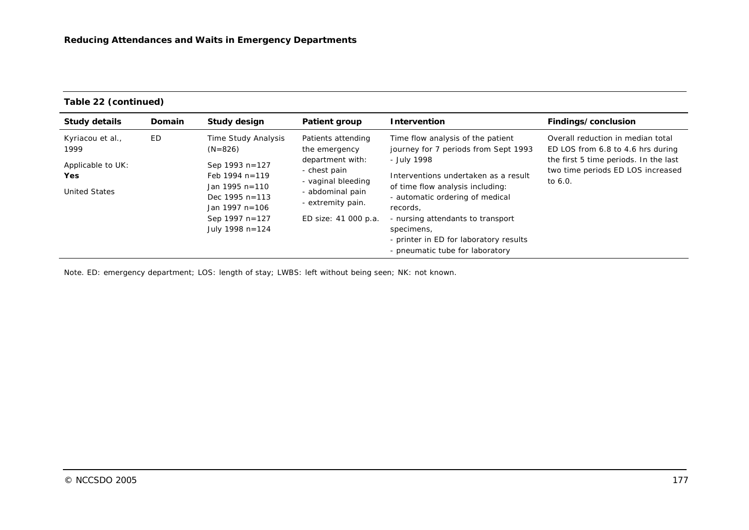|  | Table 22 (continued) |
|--|----------------------|
|--|----------------------|

| <b>Study details</b>                                    | <b>Domain</b> | Study design                                                                                                                        | Patient group                                                                                                           | <b>Intervention</b>                                                                                                                                                                       | Findings/conclusion                                                                   |
|---------------------------------------------------------|---------------|-------------------------------------------------------------------------------------------------------------------------------------|-------------------------------------------------------------------------------------------------------------------------|-------------------------------------------------------------------------------------------------------------------------------------------------------------------------------------------|---------------------------------------------------------------------------------------|
| Kyriacou et al.,<br>1999                                | ED            | Time Study Analysis<br>$(N=826)$                                                                                                    | Patients attending<br>the emergency                                                                                     | Time flow analysis of the patient<br>journey for 7 periods from Sept 1993                                                                                                                 | Overall reduction in median total<br>ED LOS from 6.8 to 4.6 hrs during                |
| Applicable to UK:<br><b>Yes</b><br><b>United States</b> |               | Sep 1993 n=127<br>Feb 1994 $n = 119$<br>Jan 1995 n=110<br>Dec 1995 $n = 113$<br>Jan 1997 n=106<br>Sep 1997 n=127<br>July 1998 n=124 | department with:<br>- chest pain<br>- vaginal bleeding<br>- abdominal pain<br>- extremity pain.<br>ED size: 41 000 p.a. | - July 1998<br>Interventions undertaken as a result<br>of time flow analysis including:<br>- automatic ordering of medical<br>records,<br>- nursing attendants to transport<br>specimens, | the first 5 time periods. In the last<br>two time periods ED LOS increased<br>to 6.0. |
|                                                         |               |                                                                                                                                     |                                                                                                                         | - printer in ED for laboratory results<br>- pneumatic tube for laboratory                                                                                                                 |                                                                                       |

Note. ED: emergency department; LOS: length of stay; LWBS: left without being seen; NK: not known.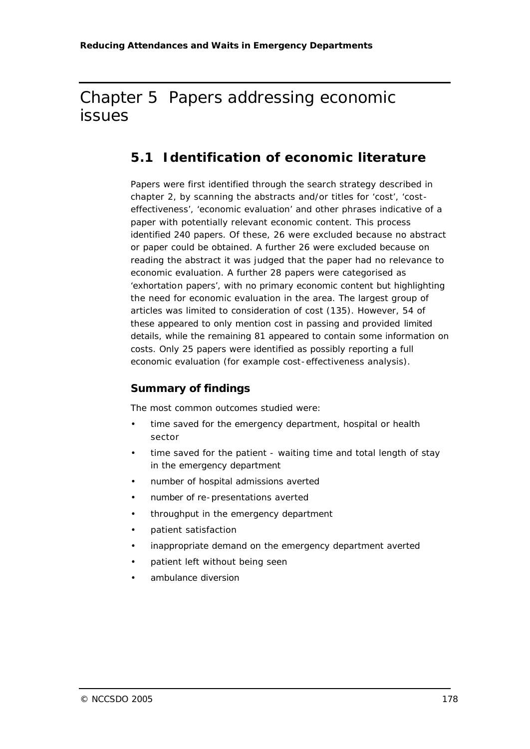# Chapter 5 Papers addressing economic issues

# *5.1 Identification of economic literature*

Papers were first identified through the search strategy described in chapter 2, by scanning the abstracts and/or titles for 'cost', 'costeffectiveness', 'economic evaluation' and other phrases indicative of a paper with potentially relevant economic content. This process identified 240 papers. Of these, 26 were excluded because no abstract or paper could be obtained. A further 26 were excluded because on reading the abstract it was judged that the paper had no relevance to economic evaluation. A further 28 papers were categorised as 'exhortation papers', with no primary economic content but highlighting the *need for economic evaluation* in the area. The largest group of articles was limited to consideration of cost (135). However, 54 of these appeared to only mention cost in passing and provided limited details, while the remaining 81 appeared to contain some information on costs. Only 25 papers were identified as possibly reporting a full economic evaluation (for example cost-effectiveness analysis).

### **Summary of findings**

The most common outcomes studied were:

- time saved for the emergency department, hospital or health sector
- time saved for the patient waiting time and total length of stay in the emergency department
- number of hospital admissions averted
- number of re-presentations averted
- throughput in the emergency department
- patient satisfaction
- inappropriate demand on the emergency department averted
- patient left without being seen
- ambulance diversion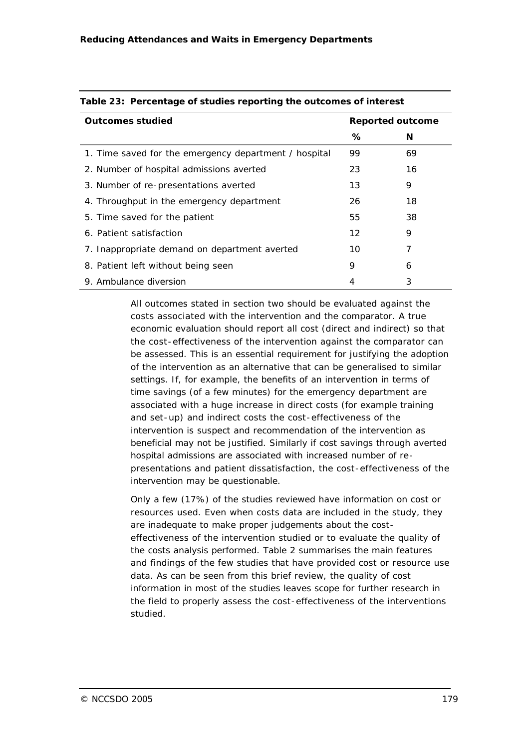| rable 23. Percentage or studies reporting the outcomes or interest |                         |    |  |
|--------------------------------------------------------------------|-------------------------|----|--|
| <b>Outcomes studied</b>                                            | <b>Reported outcome</b> |    |  |
|                                                                    | ℅                       | N  |  |
| 1. Time saved for the emergency department / hospital              | 99                      | 69 |  |
| 2. Number of hospital admissions averted                           | 23                      | 16 |  |
| 3. Number of re-presentations averted                              | 13                      | 9  |  |
| 4. Throughput in the emergency department                          | 26                      | 18 |  |
| 5. Time saved for the patient                                      | 55                      | 38 |  |
| 6. Patient satisfaction                                            | $12 \overline{ }$       | 9  |  |
| 7. Inappropriate demand on department averted                      | 10                      | 7  |  |
| 8. Patient left without being seen                                 | 9                       | 6  |  |
| 9. Ambulance diversion                                             | 4                       | 3  |  |

### **Table 23: Percentage of studies reporting the outcomes of interest**

All outcomes stated in section two should be evaluated against the costs associated with the intervention and the comparator. A true economic evaluation should report all cost (direct and indirect) so that the cost-effectiveness of the intervention against the comparator can be assessed. This is an essential requirement for justifying the adoption of the intervention as an alternative that can be generalised to similar settings. If, for example, the benefits of an intervention in terms of time savings (of a few minutes) for the emergency department are associated with a huge increase in direct costs (for example training and set-up) and indirect costs the cost-effectiveness of the intervention is suspect and recommendation of the intervention as beneficial may not be justified. Similarly if cost savings through averted hospital admissions are associated with increased number of representations and patient dissatisfaction, the cost-effectiveness of the intervention may be questionable.

Only a few (17%) of the studies reviewed have information on cost or resources used. Even when costs data are included in the study, they are inadequate to make proper judgements about the costeffectiveness of the intervention studied or to evaluate the quality of the costs analysis performed. Table 2 summarises the main features and findings of the few studies that have provided cost or resource use data. As can be seen from this brief review, the quality of cost information in most of the studies leaves scope for further research in the field to properly assess the cost-effectiveness of the interventions studied.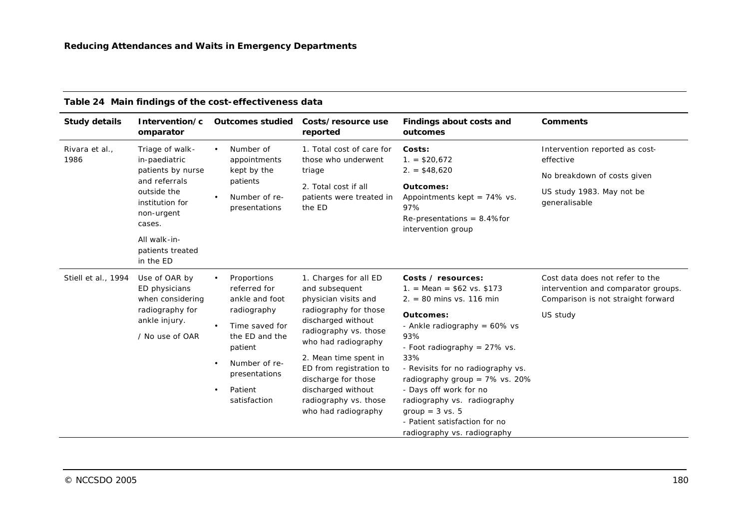| rable $24$ main mightigs of the cost-effective ress data |                                                                                                                                                                                   |                                                                                                                                                                                                                 |                                                                                                                                                                                                                                                                                                                 |                                                                                                                                                                                                                                                                                                                                                                                                                 |                                                                                                                          |
|----------------------------------------------------------|-----------------------------------------------------------------------------------------------------------------------------------------------------------------------------------|-----------------------------------------------------------------------------------------------------------------------------------------------------------------------------------------------------------------|-----------------------------------------------------------------------------------------------------------------------------------------------------------------------------------------------------------------------------------------------------------------------------------------------------------------|-----------------------------------------------------------------------------------------------------------------------------------------------------------------------------------------------------------------------------------------------------------------------------------------------------------------------------------------------------------------------------------------------------------------|--------------------------------------------------------------------------------------------------------------------------|
| <b>Study details</b>                                     | Intervention/c<br>omparator                                                                                                                                                       | <b>Outcomes studied</b>                                                                                                                                                                                         | Costs/resource use<br>reported                                                                                                                                                                                                                                                                                  | Findings about costs and<br>outcomes                                                                                                                                                                                                                                                                                                                                                                            | <b>Comments</b>                                                                                                          |
| Rivara et al.,<br>1986                                   | Triage of walk-<br>in-paediatric<br>patients by nurse<br>and referrals<br>outside the<br>institution for<br>non-urgent<br>cases.<br>All walk-in-<br>patients treated<br>in the ED | Number of<br>$\bullet$<br>appointments<br>kept by the<br>patients<br>Number of re-<br>presentations                                                                                                             | 1. Total cost of care for<br>those who underwent<br>triage<br>2. Total cost if all<br>patients were treated in<br>the ED                                                                                                                                                                                        | Costs:<br>$1. = $20,672$<br>$2. = $48,620$<br>Outcomes:<br>Appointments kept = $74\%$ vs.<br>97%<br>$Re-presentations = 8.4%$ for<br>intervention group                                                                                                                                                                                                                                                         | Intervention reported as cost-<br>effective<br>No breakdown of costs given<br>US study 1983. May not be<br>qeneralisable |
| Stiell et al., 1994                                      | Use of OAR by<br>ED physicians<br>when considering<br>radiography for<br>ankle injury.<br>/ No use of OAR                                                                         | Proportions<br>$\bullet$<br>referred for<br>ankle and foot<br>radiography<br>Time saved for<br>$\bullet$<br>the ED and the<br>patient<br>Number of re-<br>$\bullet$<br>presentations<br>Patient<br>satisfaction | 1. Charges for all ED<br>and subsequent<br>physician visits and<br>radiography for those<br>discharged without<br>radiography vs. those<br>who had radiography<br>2. Mean time spent in<br>ED from registration to<br>discharge for those<br>discharged without<br>radiography vs. those<br>who had radiography | Costs / resources:<br>1. = Mean = $$62 \text{ vs. } $173$<br>$2. = 80$ mins vs. 116 min<br>Outcomes:<br>- Ankle radiography = $60\%$ vs<br>93%<br>- Foot radiography = 27% vs.<br>33%<br>- Revisits for no radiography vs.<br>radiography group = $7\%$ vs. 20%<br>- Days off work for no<br>radiography vs. radiography<br>group = $3$ vs. $5$<br>- Patient satisfaction for no<br>radiography vs. radiography | Cost data does not refer to the<br>intervention and comparator groups.<br>Comparison is not straight forward<br>US study |

#### **Table 24 Main findings of the cost-effectiveness data**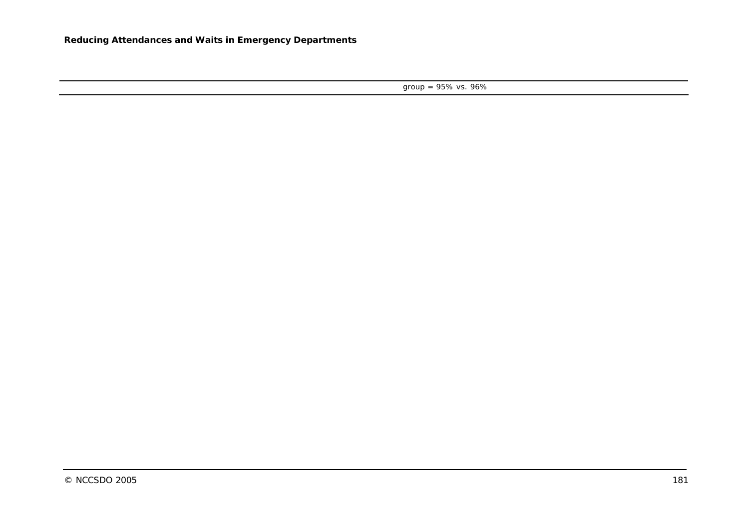group = 95% *vs.* 96%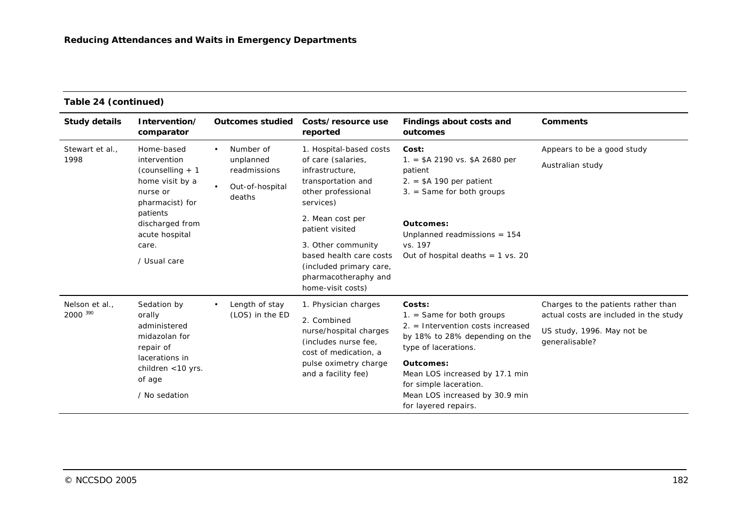| Table 24 (continued)       |                                                                                                                                                                                      |           |                                                                     |                                                                                                                                                                                                                                                                                           |                                                                                                                                                                                                                                                                         |                                                                                                                               |
|----------------------------|--------------------------------------------------------------------------------------------------------------------------------------------------------------------------------------|-----------|---------------------------------------------------------------------|-------------------------------------------------------------------------------------------------------------------------------------------------------------------------------------------------------------------------------------------------------------------------------------------|-------------------------------------------------------------------------------------------------------------------------------------------------------------------------------------------------------------------------------------------------------------------------|-------------------------------------------------------------------------------------------------------------------------------|
| <b>Study details</b>       | Intervention/<br>comparator                                                                                                                                                          |           | <b>Outcomes studied</b>                                             | Costs/resource use<br>reported                                                                                                                                                                                                                                                            | Findings about costs and<br>outcomes                                                                                                                                                                                                                                    | <b>Comments</b>                                                                                                               |
| Stewart et al.,<br>1998    | Home-based<br>intervention<br>$\text{(counselling + 1)}$<br>home visit by a<br>nurse or<br>pharmacist) for<br>patients<br>discharged from<br>acute hospital<br>care.<br>/ Usual care | $\bullet$ | Number of<br>unplanned<br>readmissions<br>Out-of-hospital<br>deaths | 1. Hospital-based costs<br>of care (salaries,<br>infrastructure,<br>transportation and<br>other professional<br>services)<br>2. Mean cost per<br>patient visited<br>3. Other community<br>based health care costs<br>(included primary care,<br>pharmacotheraphy and<br>home-visit costs) | Cost:<br>$1. = $A 2190 \text{ vs. } $A 2680 \text{ per}$<br>patient<br>$2. = $A 190$ per patient<br>$3. =$ Same for both groups<br>Outcomes:<br>Unplanned readmissions $= 154$<br>vs. 197<br>Out of hospital deaths = $1$ vs. 20                                        | Appears to be a good study<br>Australian study                                                                                |
| Nelson et al.,<br>2000 390 | Sedation by<br>orally<br>administered<br>midazolan for<br>repair of<br>lacerations in<br>children $<$ 10 yrs.<br>of age<br>/ No sedation                                             | $\bullet$ | Length of stay<br>(LOS) in the ED                                   | 1. Physician charges<br>2. Combined<br>nurse/hospital charges<br>(includes nurse fee,<br>cost of medication, a<br>pulse oximetry charge<br>and a facility fee)                                                                                                                            | Costs:<br>$1. =$ Same for both groups<br>2. = Intervention costs increased<br>by 18% to 28% depending on the<br>type of lacerations.<br>Outcomes:<br>Mean LOS increased by 17.1 min<br>for simple laceration.<br>Mean LOS increased by 30.9 min<br>for layered repairs. | Charges to the patients rather than<br>actual costs are included in the study<br>US study, 1996. May not be<br>generalisable? |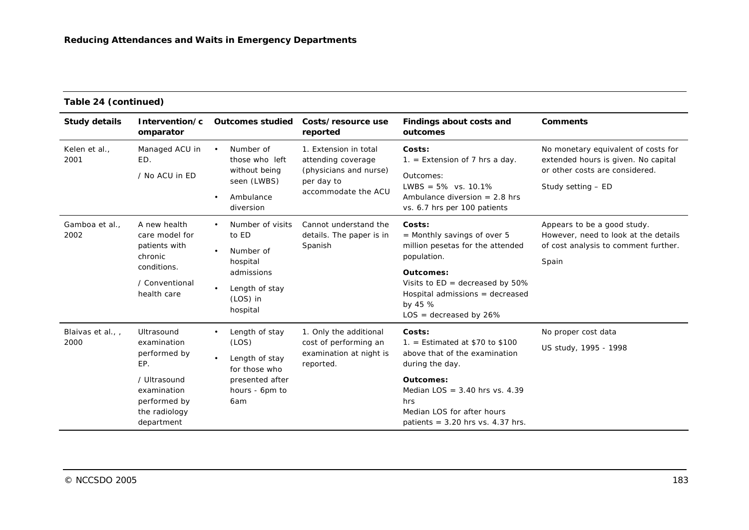| Table 24 (continued)    |                                                                                                                                |                                                                                                                                                   |                                                                                                            |                                                                                                                                                                                                                              |                                                                                                                                    |  |
|-------------------------|--------------------------------------------------------------------------------------------------------------------------------|---------------------------------------------------------------------------------------------------------------------------------------------------|------------------------------------------------------------------------------------------------------------|------------------------------------------------------------------------------------------------------------------------------------------------------------------------------------------------------------------------------|------------------------------------------------------------------------------------------------------------------------------------|--|
| <b>Study details</b>    | Intervention/c<br>omparator                                                                                                    | <b>Outcomes studied</b>                                                                                                                           | Costs/resource use<br>reported                                                                             | Findings about costs and<br>outcomes                                                                                                                                                                                         | <b>Comments</b>                                                                                                                    |  |
| Kelen et al.,<br>2001   | Managed ACU in<br>ED.<br>/ No ACU in ED                                                                                        | Number of<br>$\bullet$<br>those who left<br>without being<br>seen (LWBS)<br>Ambulance<br>$\bullet$<br>diversion                                   | 1. Extension in total<br>attending coverage<br>(physicians and nurse)<br>per day to<br>accommodate the ACU | Costs:<br>1. = Extension of 7 hrs a day.<br>Outcomes:<br>LWBS = $5\%$ vs. 10.1%<br>Ambulance diversion $= 2.8$ hrs<br>vs. 6.7 hrs per 100 patients                                                                           | No monetary equivalent of costs for<br>extended hours is given. No capital<br>or other costs are considered.<br>Study setting - ED |  |
| Gamboa et al.,<br>2002  | A new health<br>care model for<br>patients with<br>chronic<br>conditions.<br>/ Conventional<br>health care                     | Number of visits<br>$\bullet$<br>to ED<br>Number of<br>$\bullet$<br>hospital<br>admissions<br>Length of stay<br>$\bullet$<br>(LOS) in<br>hospital | Cannot understand the<br>details. The paper is in<br>Spanish                                               | Costs:<br>= Monthly savings of over 5<br>million pesetas for the attended<br>population.<br>Outcomes:<br>Visits to $ED = decreased by 50\%$<br>Hospital admissions = decreased<br>by 45 %<br>$LOS = decreased by 26%$        | Appears to be a good study.<br>However, need to look at the details<br>of cost analysis to comment further.<br>Spain               |  |
| Blaivas et al.,<br>2000 | Ultrasound<br>examination<br>performed by<br>EP.<br>/ Ultrasound<br>examination<br>performed by<br>the radiology<br>department | Length of stay<br>$\bullet$<br>(LOS)<br>Length of stay<br>$\bullet$<br>for those who<br>presented after<br>hours - 6pm to<br>6am                  | 1. Only the additional<br>cost of performing an<br>examination at night is<br>reported.                    | Costs:<br>$1. =$ Estimated at \$70 to \$100<br>above that of the examination<br>during the day.<br>Outcomes:<br>Median LOS = $3.40$ hrs vs. 4.39<br>hrs<br>Median LOS for after hours<br>patients = $3.20$ hrs vs. 4.37 hrs. | No proper cost data<br>US study, 1995 - 1998                                                                                       |  |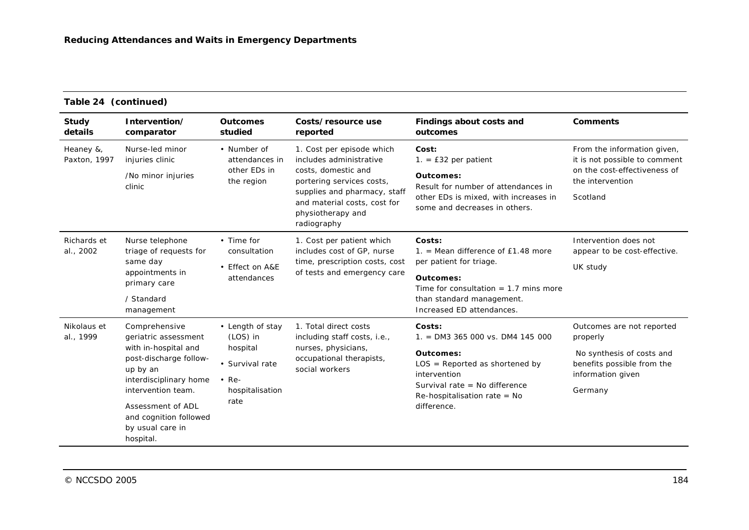| Table 24 (continued)      |                                                                                                                                                                                                                                     |                                                                                                       |                                                                                                                                                                                                              |                                                                                                                                                                                                 |                                                                                                                                  |
|---------------------------|-------------------------------------------------------------------------------------------------------------------------------------------------------------------------------------------------------------------------------------|-------------------------------------------------------------------------------------------------------|--------------------------------------------------------------------------------------------------------------------------------------------------------------------------------------------------------------|-------------------------------------------------------------------------------------------------------------------------------------------------------------------------------------------------|----------------------------------------------------------------------------------------------------------------------------------|
| <b>Study</b><br>details   | Intervention/<br>comparator                                                                                                                                                                                                         | <b>Outcomes</b><br>studied                                                                            | Costs/resource use<br>reported                                                                                                                                                                               | Findings about costs and<br>outcomes                                                                                                                                                            | <b>Comments</b>                                                                                                                  |
| Heaney &,<br>Paxton, 1997 | Nurse-led minor<br>injuries clinic<br>/No minor injuries<br>clinic                                                                                                                                                                  | • Number of<br>attendances in<br>other EDs in<br>the region                                           | 1. Cost per episode which<br>includes administrative<br>costs, domestic and<br>portering services costs,<br>supplies and pharmacy, staff<br>and material costs, cost for<br>physiotherapy and<br>radiography | Cost:<br>$1. = £32$ per patient<br>Outcomes:<br>Result for number of attendances in<br>other EDs is mixed, with increases in<br>some and decreases in others.                                   | From the information given,<br>it is not possible to comment<br>on the cost-effectiveness of<br>the intervention<br>Scotland     |
| Richards et<br>al., 2002  | Nurse telephone<br>triage of requests for<br>same day<br>appointments in<br>primary care<br>/ Standard<br>management                                                                                                                | • Time for<br>consultation<br>• Effect on A&E<br>attendances                                          | 1. Cost per patient which<br>includes cost of GP, nurse<br>time, prescription costs, cost<br>of tests and emergency care                                                                                     | Costs:<br>1. = Mean difference of $£1.48$ more<br>per patient for triage.<br>Outcomes:<br>Time for consultation $= 1.7$ mins more<br>than standard management.<br>Increased ED attendances.     | Intervention does not<br>appear to be cost-effective.<br>UK study                                                                |
| Nikolaus et<br>al., 1999  | Comprehensive<br>geriatric assessment<br>with in-hospital and<br>post-discharge follow-<br>up by an<br>interdisciplinary home<br>intervention team.<br>Assessment of ADL<br>and cognition followed<br>by usual care in<br>hospital. | • Length of stay<br>(LOS) in<br>hospital<br>• Survival rate<br>$\cdot$ Re-<br>hospitalisation<br>rate | 1. Total direct costs<br>including staff costs, i.e.,<br>nurses, physicians,<br>occupational therapists,<br>social workers                                                                                   | Costs:<br>$1. = DM3$ 365 000 vs. DM4 145 000<br>Outcomes:<br>$LOS = Reported as shortened by$<br>intervention<br>Survival rate = No difference<br>$Re-hospitalisation rate = No$<br>difference. | Outcomes are not reported<br>properly<br>No synthesis of costs and<br>benefits possible from the<br>information given<br>Germany |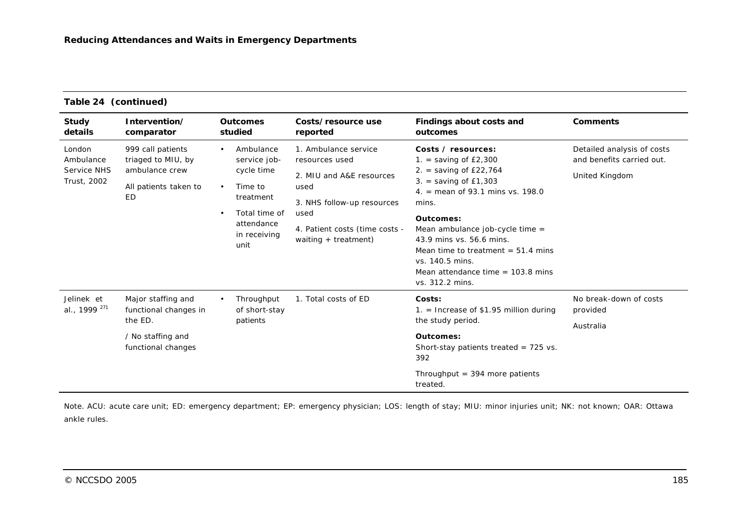| Table 24 (continued)                              |                                                                                                   |                                                                                                                                                  |                                                                                                                                                                            |                                                                                                                                                                                                                                                                                                                                                      |                                                                           |
|---------------------------------------------------|---------------------------------------------------------------------------------------------------|--------------------------------------------------------------------------------------------------------------------------------------------------|----------------------------------------------------------------------------------------------------------------------------------------------------------------------------|------------------------------------------------------------------------------------------------------------------------------------------------------------------------------------------------------------------------------------------------------------------------------------------------------------------------------------------------------|---------------------------------------------------------------------------|
| Study<br>details                                  | Intervention/<br>comparator                                                                       | <b>Outcomes</b><br>studied                                                                                                                       | Costs/resource use<br>reported                                                                                                                                             | Findings about costs and<br>outcomes                                                                                                                                                                                                                                                                                                                 | <b>Comments</b>                                                           |
| London<br>Ambulance<br>Service NHS<br>Trust, 2002 | 999 call patients<br>triaged to MIU, by<br>ambulance crew<br>All patients taken to<br>ED          | Ambulance<br>service job-<br>cycle time<br>Time to<br>$\bullet$<br>treatment<br>Total time of<br>$\bullet$<br>attendance<br>in receiving<br>unit | 1. Ambulance service<br>resources used<br>2. MIU and A&E resources<br>used<br>3. NHS follow-up resources<br>used<br>4. Patient costs (time costs -<br>waiting + treatment) | Costs / resources:<br>1. = saving of $E2,300$<br>2. = saving of $£22,764$<br>$3. =$ saving of £1,303<br>4. = mean of 93.1 mins $vs. 198.0$<br>mins.<br>Outcomes:<br>Mean ambulance job-cycle time =<br>43.9 mins vs. 56.6 mins.<br>Mean time to treatment $= 51.4$ mins<br>vs. 140.5 mins.<br>Mean attendance time $= 103.8$ mins<br>vs. 312.2 mins. | Detailed analysis of costs<br>and benefits carried out.<br>United Kingdom |
| Jelinek et<br>al., 1999 <sup>271</sup>            | Major staffing and<br>functional changes in<br>the ED.<br>/ No staffing and<br>functional changes | Throughput<br>$\bullet$<br>of short-stay<br>patients                                                                                             | 1. Total costs of ED                                                                                                                                                       | Costs:<br>1. = Increase of $$1.95$ million during<br>the study period.<br>Outcomes:<br>Short-stay patients treated = $725$ vs.<br>392<br>Throughput = $394$ more patients<br>treated.                                                                                                                                                                | No break-down of costs<br>provided<br>Australia                           |

Note. ACU: acute care unit; ED: emergency department; EP: emergency physician; LOS: length of stay; MIU: minor injuries unit; NK: not known; OAR: Ottawa ankle rules.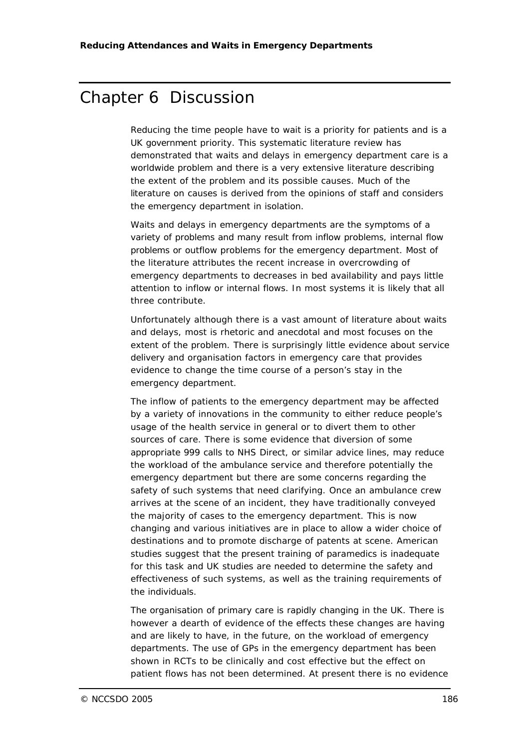# Chapter 6 Discussion

Reducing the time people have to wait is a priority for patients and is a UK government priority. This systematic literature review has demonstrated that waits and delays in emergency department care is a worldwide problem and there is a very extensive literature describing the extent of the problem and its possible causes. Much of the literature on causes is derived from the opinions of staff and considers the emergency department in isolation.

Waits and delays in emergency departments are the symptoms of a variety of problems and many result from inflow problems, internal flow problems or outflow problems for the emergency department. Most of the literature attributes the recent increase in overcrowding of emergency departments to decreases in bed availability and pays little attention to inflow or internal flows. In most systems it is likely that all three contribute.

Unfortunately although there is a vast amount of literature about waits and delays, most is rhetoric and anecdotal and most focuses on the extent of the problem. There is surprisingly little evidence about service delivery and organisation factors in emergency care that provides evidence to change the time course of a person's stay in the emergency department.

The inflow of patients to the emergency department may be affected by a variety of innovations in the community to either reduce people's usage of the health service in general or to divert them to other sources of care. There is some evidence that diversion of some appropriate 999 calls to NHS Direct, or similar advice lines, may reduce the workload of the ambulance service and therefore potentially the emergency department but there are some concerns regarding the safety of such systems that need clarifying. Once an ambulance crew arrives at the scene of an incident, they have traditionally conveyed the majority of cases to the emergency department. This is now changing and various initiatives are in place to allow a wider choice of destinations and to promote discharge of patents at scene. American studies suggest that the present training of paramedics is inadequate for this task and UK studies are needed to determine the safety and effectiveness of such systems, as well as the training requirements of the individuals.

The organisation of primary care is rapidly changing in the UK. There is however a dearth of evidence of the effects these changes are having and are likely to have, in the future, on the workload of emergency departments. The use of GPs in the emergency department has been shown in RCTs to be clinically and cost effective but the effect on patient flows has not been determined. At present there is no evidence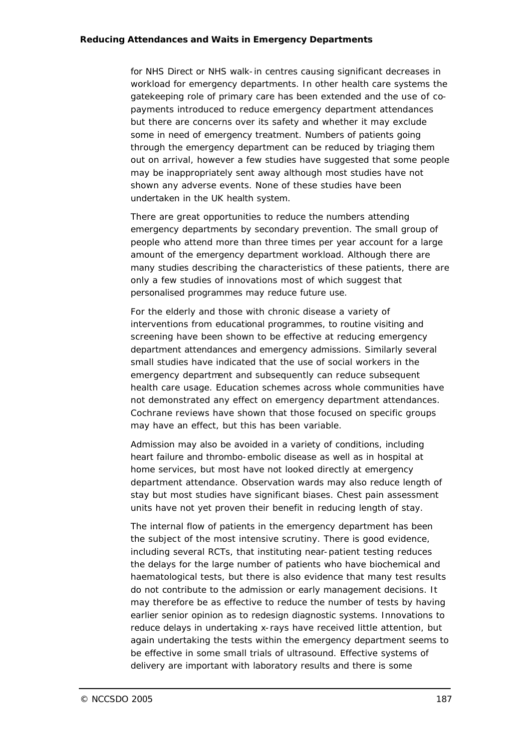for NHS Direct or NHS walk-in centres causing significant decreases in workload for emergency departments. In other health care systems the gatekeeping role of primary care has been extended and the use of copayments introduced to reduce emergency department attendances but there are concerns over its safety and whether it may exclude some in need of emergency treatment. Numbers of patients going through the emergency department can be reduced by triaging them out on arrival, however a few studies have suggested that some people may be inappropriately sent away although most studies have not shown any adverse events. None of these studies have been undertaken in the UK health system.

There are great opportunities to reduce the numbers attending emergency departments by secondary prevention. The small group of people who attend more than three times per year account for a large amount of the emergency department workload. Although there are many studies describing the characteristics of these patients, there are only a few studies of innovations most of which suggest that personalised programmes may reduce future use.

For the elderly and those with chronic disease a variety of interventions from educational programmes, to routine visiting and screening have been shown to be effective at reducing emergency department attendances and emergency admissions. Similarly several small studies have indicated that the use of social workers in the emergency department and subsequently can reduce subsequent health care usage. Education schemes across whole communities have not demonstrated any effect on emergency department attendances. Cochrane reviews have shown that those focused on specific groups may have an effect, but this has been variable.

Admission may also be avoided in a variety of conditions, including heart failure and thrombo-embolic disease as well as in hospital at home services, but most have not looked directly at emergency department attendance. Observation wards may also reduce length of stay but most studies have significant biases. Chest pain assessment units have not yet proven their benefit in reducing length of stay.

The internal flow of patients in the emergency department has been the subject of the most intensive scrutiny. There is good evidence, including several RCTs, that instituting near-patient testing reduces the delays for the large number of patients who have biochemical and haematological tests, but there is also evidence that many test results do not contribute to the admission or early management decisions. It may therefore be as effective to reduce the number of tests by having earlier senior opinion as to redesign diagnostic systems. Innovations to reduce delays in undertaking x-rays have received little attention, but again undertaking the tests within the emergency department seems to be effective in some small trials of ultrasound. Effective systems of delivery are important with laboratory results and there is some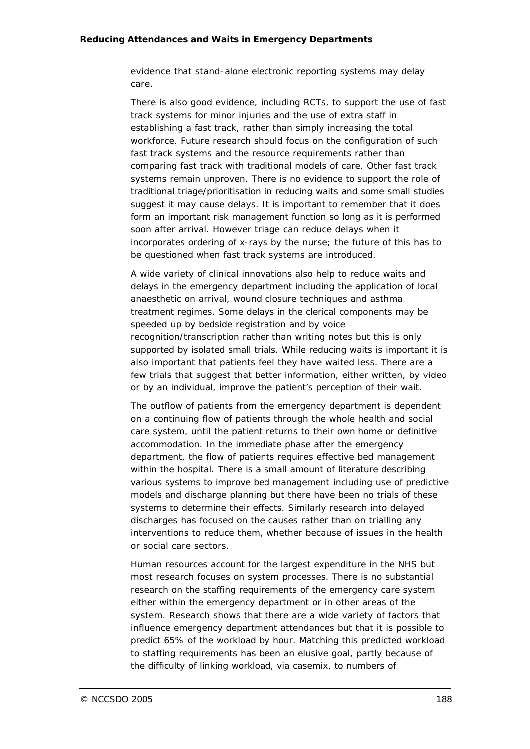evidence that stand-alone electronic reporting systems may delay care.

There is also good evidence, including RCTs, to support the use of fast track systems for minor injuries and the use of extra staff in establishing a fast track, rather than simply increasing the total workforce. Future research should focus on the configuration of such fast track systems and the resource requirements rather than comparing fast track with traditional models of care. Other fast track systems remain unproven. There is no evidence to support the role of traditional triage/prioritisation in reducing waits and some small studies suggest it may cause delays. It is important to remember that it does form an important risk management function so long as it is performed soon after arrival. However triage can reduce delays when it incorporates ordering of x-rays by the nurse; the future of this has to be questioned when fast track systems are introduced.

A wide variety of clinical innovations also help to reduce waits and delays in the emergency department including the application of local anaesthetic on arrival, wound closure techniques and asthma treatment regimes. Some delays in the clerical components may be speeded up by bedside registration and by voice recognition/transcription rather than writing notes but this is only supported by isolated small trials. While reducing waits is important it is also important that patients feel they have waited less. There are a few trials that suggest that better information, either written, by video or by an individual, improve the patient's perception of their wait.

The outflow of patients from the emergency department is dependent on a continuing flow of patients through the whole health and social care system, until the patient returns to their own home or definitive accommodation. In the immediate phase after the emergency department, the flow of patients requires effective bed management within the hospital. There is a small amount of literature describing various systems to improve bed management including use of predictive models and discharge planning but there have been no trials of these systems to determine their effects. Similarly research into delayed discharges has focused on the causes rather than on trialling any interventions to reduce them, whether because of issues in the health or social care sectors.

Human resources account for the largest expenditure in the NHS but most research focuses on system processes. There is no substantial research on the staffing requirements of the emergency care system either within the emergency department or in other areas of the system. Research shows that there are a wide variety of factors that influence emergency department attendances but that it is possible to predict 65% of the workload by hour. Matching this predicted workload to staffing requirements has been an elusive goal, partly because of the difficulty of linking workload, via casemix, to numbers of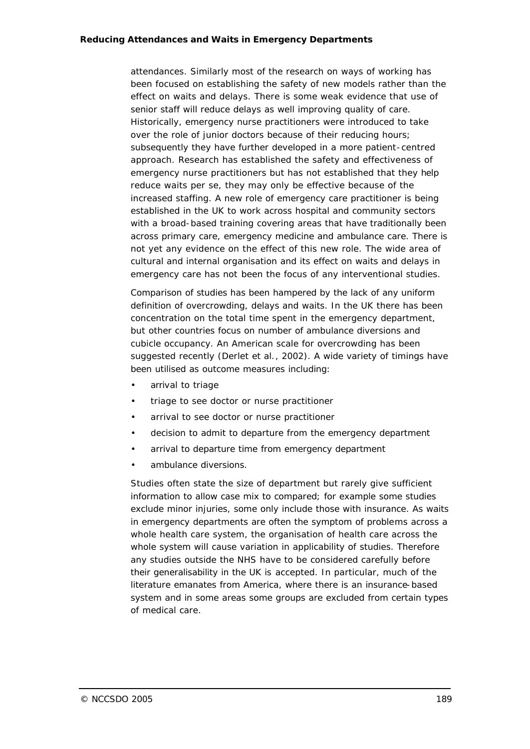attendances. Similarly most of the research on ways of working has been focused on establishing the safety of new models rather than the effect on waits and delays. There is some weak evidence that use of senior staff will reduce delays as well improving quality of care. Historically, emergency nurse practitioners were introduced to take over the role of junior doctors because of their reducing hours; subsequently they have further developed in a more patient-centred approach. Research has established the safety and effectiveness of emergency nurse practitioners but has not established that they help reduce waits per se, they may only be effective because of the increased staffing. A new role of emergency care practitioner is being established in the UK to work across hospital and community sectors with a broad-based training covering areas that have traditionally been across primary care, emergency medicine and ambulance care. There is not yet any evidence on the effect of this new role. The wide area of cultural and internal organisation and its effect on waits and delays in emergency care has not been the focus of any interventional studies.

Comparison of studies has been hampered by the lack of any uniform definition of overcrowding, delays and waits. In the UK there has been concentration on the total time spent in the emergency department, but other countries focus on number of ambulance diversions and cubicle occupancy. An American scale for overcrowding has been suggested recently (Derlet *et al.*, 2002). A wide variety of timings have been utilised as outcome measures including:

- arrival to triage
- triage to see doctor or nurse practitioner
- arrival to see doctor or nurse practitioner
- decision to admit to departure from the emergency department
- arrival to departure time from emergency department
- ambulance diversions.

Studies often state the size of department but rarely give sufficient information to allow case mix to compared; for example some studies exclude minor injuries, some only include those with insurance. As waits in emergency departments are often the symptom of problems across a whole health care system, the organisation of health care across the whole system will cause variation in applicability of studies. Therefore any studies outside the NHS have to be considered carefully before their generalisability in the UK is accepted. In particular, much of the literature emanates from America, where there is an insurance-based system and in some areas some groups are excluded from certain types of medical care.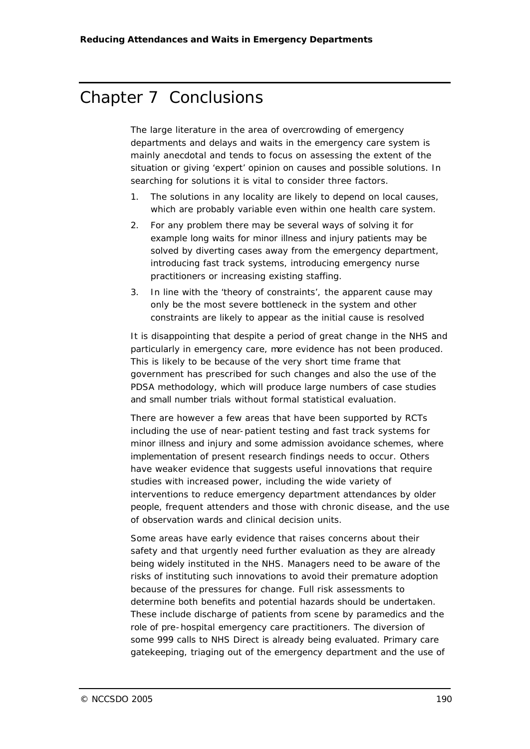## Chapter 7 Conclusions

The large literature in the area of overcrowding of emergency departments and delays and waits in the emergency care system is mainly anecdotal and tends to focus on assessing the extent of the situation or giving 'expert' opinion on causes and possible solutions. In searching for solutions it is vital to consider three factors.

- 1. The solutions in any locality are likely to depend on local causes, which are probably variable even within one health care system.
- 2. For any problem there may be several ways of solving it for example long waits for minor illness and injury patients may be solved by diverting cases away from the emergency department, introducing fast track systems, introducing emergency nurse practitioners or increasing existing staffing.
- 3. In line with the 'theory of constraints', the apparent cause may only be the most severe bottleneck in the system and other constraints are likely to appear as the initial cause is resolved

It is disappointing that despite a period of great change in the NHS and particularly in emergency care, more evidence has not been produced. This is likely to be because of the very short time frame that government has prescribed for such changes and also the use of the PDSA methodology, which will produce large numbers of case studies and small number trials without formal statistical evaluation.

There are however a few areas that have been supported by RCTs including the use of near-patient testing and fast track systems for minor illness and injury and some admission avoidance schemes, where implementation of present research findings needs to occur. Others have weaker evidence that suggests useful innovations that require studies with increased power, including the wide variety of interventions to reduce emergency department attendances by older people, frequent attenders and those with chronic disease, and the use of observation wards and clinical decision units.

Some areas have early evidence that raises concerns about their safety and that urgently need further evaluation as they are already being widely instituted in the NHS. Managers need to be aware of the risks of instituting such innovations to avoid their premature adoption because of the pressures for change. Full risk assessments to determine both benefits and potential hazards should be undertaken. These include discharge of patients from scene by paramedics and the role of pre-hospital emergency care practitioners. The diversion of some 999 calls to NHS Direct is already being evaluated. Primary care gatekeeping, triaging out of the emergency department and the use of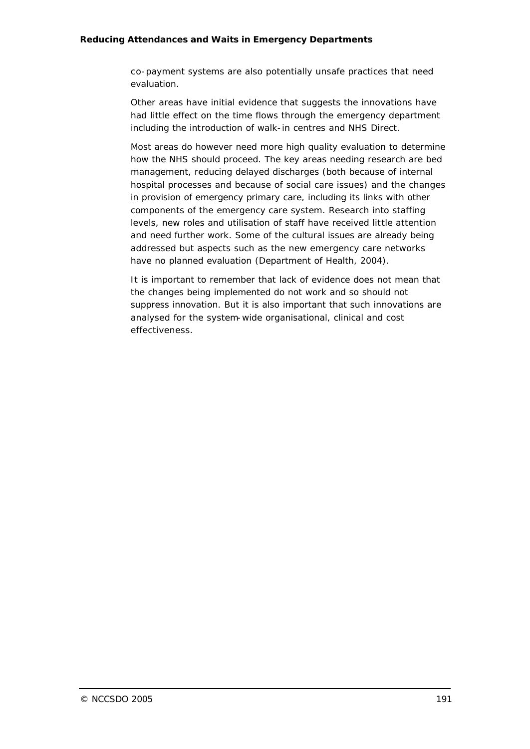co-payment systems are also potentially unsafe practices that need evaluation.

Other areas have initial evidence that suggests the innovations have had little effect on the time flows through the emergency department including the introduction of walk-in centres and NHS Direct.

Most areas do however need more high quality evaluation to determine how the NHS should proceed. The key areas needing research are bed management, reducing delayed discharges (both because of internal hospital processes and because of social care issues) and the changes in provision of emergency primary care, including its links with other components of the emergency care system. Research into staffing levels, new roles and utilisation of staff have received little attention and need further work. Some of the cultural issues are already being addressed but aspects such as the new emergency care networks have no planned evaluation (Department of Health, 2004).

It is important to remember that lack of evidence does not mean that the changes being implemented do not work and so should not suppress innovation. But it is also important that such innovations are analysed for the system-wide organisational, clinical and cost effectiveness.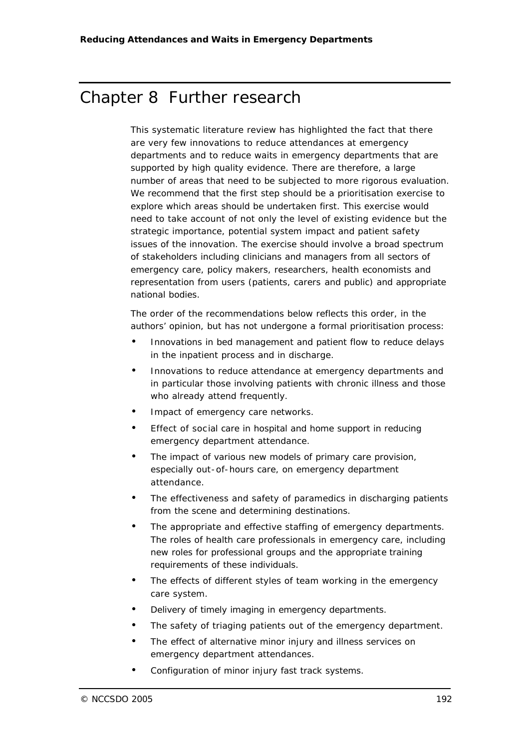### Chapter 8 Further research

This systematic literature review has highlighted the fact that there are very few innovations to reduce attendances at emergency departments and to reduce waits in emergency departments that are supported by high quality evidence. There are therefore, a large number of areas that need to be subjected to more rigorous evaluation. We recommend that the first step should be a prioritisation exercise to explore which areas should be undertaken first. This exercise would need to take account of not only the level of existing evidence but the strategic importance, potential system impact and patient safety issues of the innovation. The exercise should involve a broad spectrum of stakeholders including clinicians and managers from all sectors of emergency care, policy makers, researchers, health economists and representation from users (patients, carers and public) and appropriate national bodies.

The order of the recommendations below reflects this order, in the authors' opinion, but has not undergone a formal prioritisation process:

- Innovations in bed management and patient flow to reduce delays in the inpatient process and in discharge.
- Innovations to reduce attendance at emergency departments and in particular those involving patients with chronic illness and those who already attend frequently.
- Impact of emergency care networks.
- Effect of social care in hospital and home support in reducing emergency department attendance.
- The impact of various new models of primary care provision, especially out-of-hours care, on emergency department attendance.
- The effectiveness and safety of paramedics in discharging patients from the scene and determining destinations.
- The appropriate and effective staffing of emergency departments. The roles of health care professionals in emergency care, including new roles for professional groups and the appropriate training requirements of these individuals.
- The effects of different styles of team working in the emergency care system.
- Delivery of timely imaging in emergency departments.
- The safety of triaging patients out of the emergency department.
- The effect of alternative minor injury and illness services on emergency department attendances.
- Configuration of minor injury fast track systems.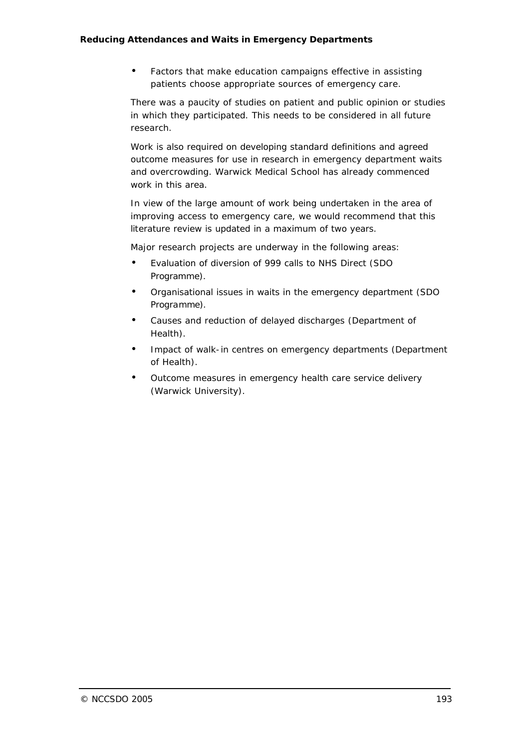• Factors that make education campaigns effective in assisting patients choose appropriate sources of emergency care.

There was a paucity of studies on patient and public opinion or studies in which they participated. This needs to be considered in all future research.

Work is also required on developing standard definitions and agreed outcome measures for use in research in emergency department waits and overcrowding. Warwick Medical School has already commenced work in this area.

In view of the large amount of work being undertaken in the area of improving access to emergency care, we would recommend that this literature review is updated in a maximum of two years.

Major research projects are underway in the following areas:

- Evaluation of diversion of 999 calls to NHS Direct (SDO Programme).
- Organisational issues in waits in the emergency department (SDO Programme).
- Causes and reduction of delayed discharges (Department of Health).
- Impact of walk-in centres on emergency departments (Department of Health).
- Outcome measures in emergency health care service delivery (Warwick University).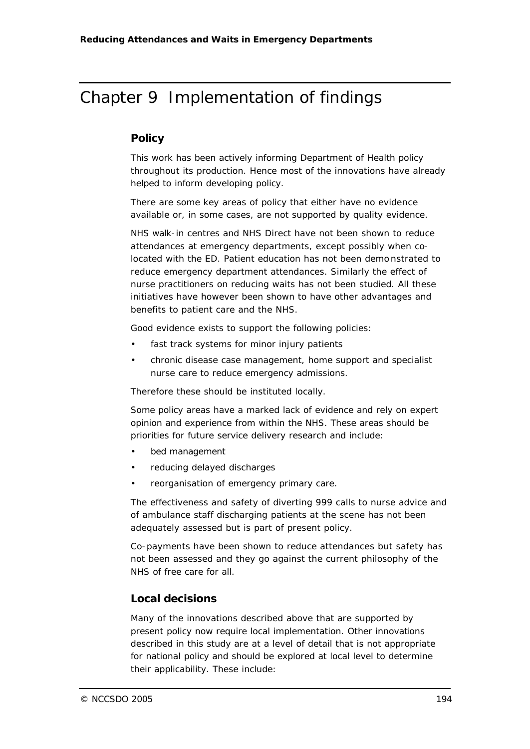# Chapter 9 Implementation of findings

### **Policy**

This work has been actively informing Department of Health policy throughout its production. Hence most of the innovations have already helped to inform developing policy.

There are some key areas of policy that either have no evidence available or, in some cases, are not supported by quality evidence.

NHS walk-in centres and NHS Direct have not been shown to reduce attendances at emergency departments, except possibly when colocated with the ED. Patient education has not been demo nstrated to reduce emergency department attendances. Similarly the effect of nurse practitioners on reducing waits has not been studied. All these initiatives have however been shown to have other advantages and benefits to patient care and the NHS.

Good evidence exists to support the following policies:

- fast track systems for minor injury patients
- chronic disease case management, home support and specialist nurse care to reduce emergency admissions.

Therefore these should be instituted locally.

Some policy areas have a marked lack of evidence and rely on expert opinion and experience from within the NHS. These areas should be priorities for future service delivery research and include:

- bed management
- reducing delayed discharges
- reorganisation of emergency primary care.

The effectiveness and safety of diverting 999 calls to nurse advice and of ambulance staff discharging patients at the scene has not been adequately assessed but is part of present policy.

Co-payments have been shown to reduce attendances but safety has not been assessed and they go against the current philosophy of the NHS of free care for all.

### **Local decisions**

Many of the innovations described above that are supported by present policy now require local implementation. Other innovations described in this study are at a level of detail that is not appropriate for national policy and should be explored at local level to determine their applicability. These include: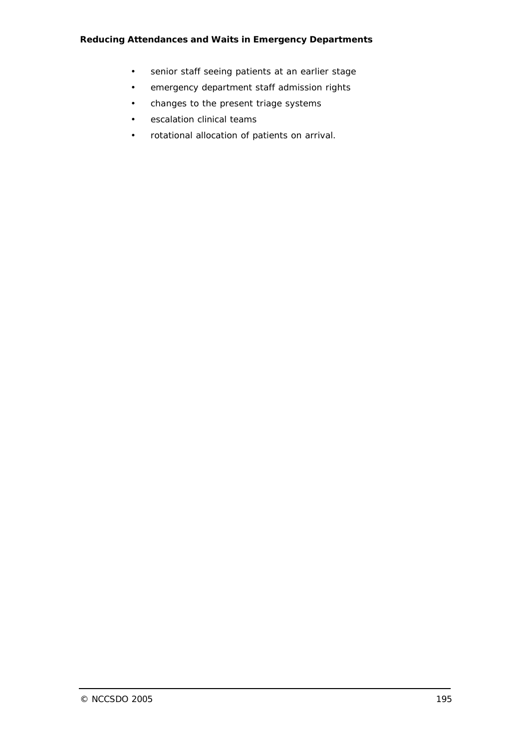- senior staff seeing patients at an earlier stage
- emergency department staff admission rights
- changes to the present triage systems
- escalation clinical teams
- rotational allocation of patients on arrival.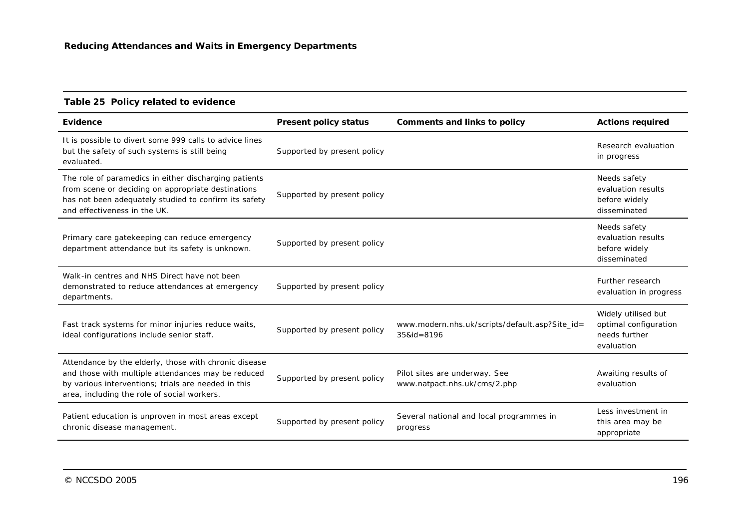| Table 25 Policy related to evidence |  |  |  |  |
|-------------------------------------|--|--|--|--|
|-------------------------------------|--|--|--|--|

| Evidence                                                                                                                                                                                                          | <b>Present policy status</b> | <b>Comments and links to policy</b>                             | <b>Actions required</b>                                                     |
|-------------------------------------------------------------------------------------------------------------------------------------------------------------------------------------------------------------------|------------------------------|-----------------------------------------------------------------|-----------------------------------------------------------------------------|
| It is possible to divert some 999 calls to advice lines<br>but the safety of such systems is still being<br>evaluated.                                                                                            | Supported by present policy  |                                                                 | Research evaluation<br>in progress                                          |
| The role of paramedics in either discharging patients<br>from scene or deciding on appropriate destinations<br>has not been adequately studied to confirm its safety<br>and effectiveness in the UK.              | Supported by present policy  |                                                                 | Needs safety<br>evaluation results<br>before widely<br>disseminated         |
| Primary care gatekeeping can reduce emergency<br>department attendance but its safety is unknown.                                                                                                                 | Supported by present policy  |                                                                 | Needs safety<br>evaluation results<br>before widely<br>disseminated         |
| Walk-in centres and NHS Direct have not been<br>demonstrated to reduce attendances at emergency<br>departments.                                                                                                   | Supported by present policy  |                                                                 | Further research<br>evaluation in progress                                  |
| Fast track systems for minor injuries reduce waits,<br>ideal configurations include senior staff.                                                                                                                 | Supported by present policy  | www.modern.nhs.uk/scripts/default.asp?Site_id=<br>$35$ &id=8196 | Widely utilised but<br>optimal configuration<br>needs further<br>evaluation |
| Attendance by the elderly, those with chronic disease<br>and those with multiple attendances may be reduced<br>by various interventions; trials are needed in this<br>area, including the role of social workers. | Supported by present policy  | Pilot sites are underway. See<br>www.natpact.nhs.uk/cms/2.php   | Awaiting results of<br>evaluation                                           |
| Patient education is unproven in most areas except<br>chronic disease management.                                                                                                                                 | Supported by present policy  | Several national and local programmes in<br>progress            | Less investment in<br>this area may be<br>appropriate                       |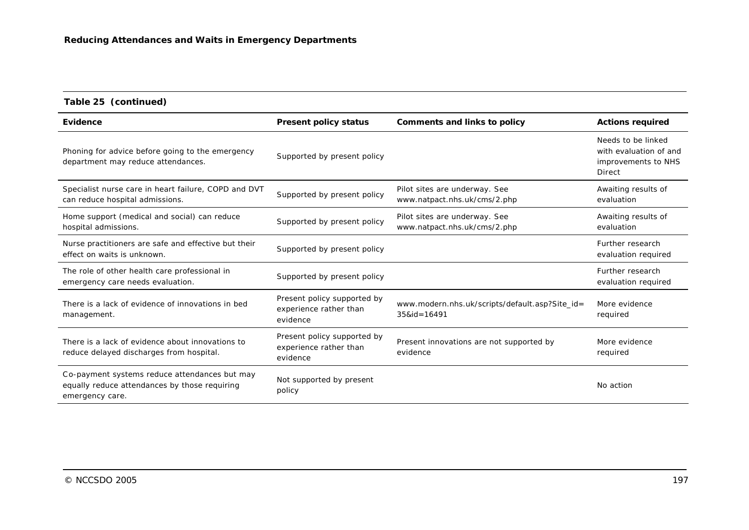| Table 25 (continued)                                                                                              |                                                                   |                                                                  |                                                                               |
|-------------------------------------------------------------------------------------------------------------------|-------------------------------------------------------------------|------------------------------------------------------------------|-------------------------------------------------------------------------------|
| <b>Evidence</b>                                                                                                   | <b>Present policy status</b>                                      | <b>Comments and links to policy</b>                              | <b>Actions required</b>                                                       |
| Phoning for advice before going to the emergency<br>department may reduce attendances.                            | Supported by present policy                                       |                                                                  | Needs to be linked<br>with evaluation of and<br>improvements to NHS<br>Direct |
| Specialist nurse care in heart failure, COPD and DVT<br>can reduce hospital admissions.                           | Supported by present policy                                       | Pilot sites are underway. See<br>www.natpact.nhs.uk/cms/2.php    | Awaiting results of<br>evaluation                                             |
| Home support (medical and social) can reduce<br>hospital admissions.                                              | Supported by present policy                                       | Pilot sites are underway. See<br>www.natpact.nhs.uk/cms/2.php    | Awaiting results of<br>evaluation                                             |
| Nurse practitioners are safe and effective but their<br>effect on waits is unknown.                               | Supported by present policy                                       |                                                                  | Further research<br>evaluation required                                       |
| The role of other health care professional in<br>emergency care needs evaluation.                                 | Supported by present policy                                       |                                                                  | Further research<br>evaluation required                                       |
| There is a lack of evidence of innovations in bed<br>management.                                                  | Present policy supported by<br>experience rather than<br>evidence | www.modern.nhs.uk/scripts/default.asp?Site_id=<br>$35$ &id=16491 | More evidence<br>required                                                     |
| There is a lack of evidence about innovations to<br>reduce delayed discharges from hospital.                      | Present policy supported by<br>experience rather than<br>evidence | Present innovations are not supported by<br>evidence             | More evidence<br>required                                                     |
| Co-payment systems reduce attendances but may<br>equally reduce attendances by those requiring<br>emergency care. | Not supported by present<br>policy                                |                                                                  | No action                                                                     |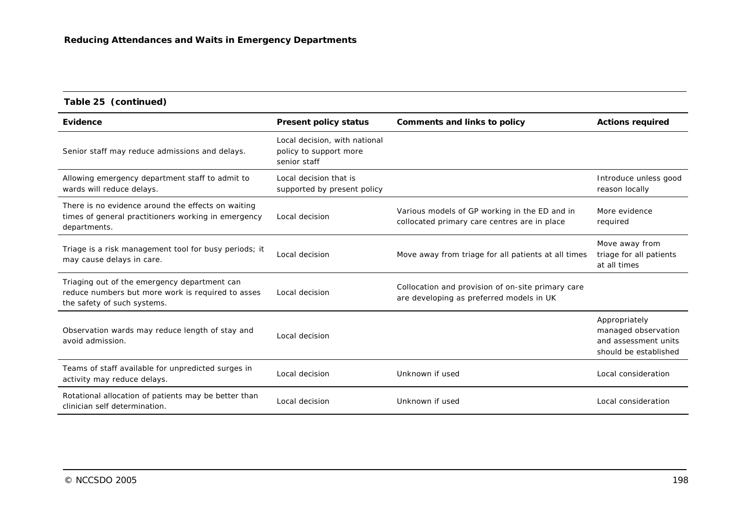| Table 25 (continued)                                                                                                             |                                                                         |                                                                                               |                                                                                       |  |  |
|----------------------------------------------------------------------------------------------------------------------------------|-------------------------------------------------------------------------|-----------------------------------------------------------------------------------------------|---------------------------------------------------------------------------------------|--|--|
| Evidence                                                                                                                         | <b>Present policy status</b>                                            | Comments and links to policy                                                                  | <b>Actions required</b>                                                               |  |  |
| Senior staff may reduce admissions and delays.                                                                                   | Local decision, with national<br>policy to support more<br>senior staff |                                                                                               |                                                                                       |  |  |
| Allowing emergency department staff to admit to<br>wards will reduce delays.                                                     | Local decision that is<br>supported by present policy                   |                                                                                               | Introduce unless good<br>reason locally                                               |  |  |
| There is no evidence around the effects on waiting<br>times of general practitioners working in emergency<br>departments.        | Local decision                                                          | Various models of GP working in the ED and in<br>collocated primary care centres are in place | More evidence<br>required                                                             |  |  |
| Triage is a risk management tool for busy periods; it<br>may cause delays in care.                                               | Local decision                                                          | Move away from triage for all patients at all times                                           | Move away from<br>triage for all patients<br>at all times                             |  |  |
| Triaging out of the emergency department can<br>reduce numbers but more work is required to asses<br>the safety of such systems. | Local decision                                                          | Collocation and provision of on-site primary care<br>are developing as preferred models in UK |                                                                                       |  |  |
| Observation wards may reduce length of stay and<br>avoid admission.                                                              | Local decision                                                          |                                                                                               | Appropriately<br>managed observation<br>and assessment units<br>should be established |  |  |
| Teams of staff available for unpredicted surges in<br>activity may reduce delays.                                                | Local decision                                                          | Unknown if used                                                                               | Local consideration                                                                   |  |  |
| Rotational allocation of patients may be better than<br>clinician self determination.                                            | Local decision                                                          | Unknown if used                                                                               | Local consideration                                                                   |  |  |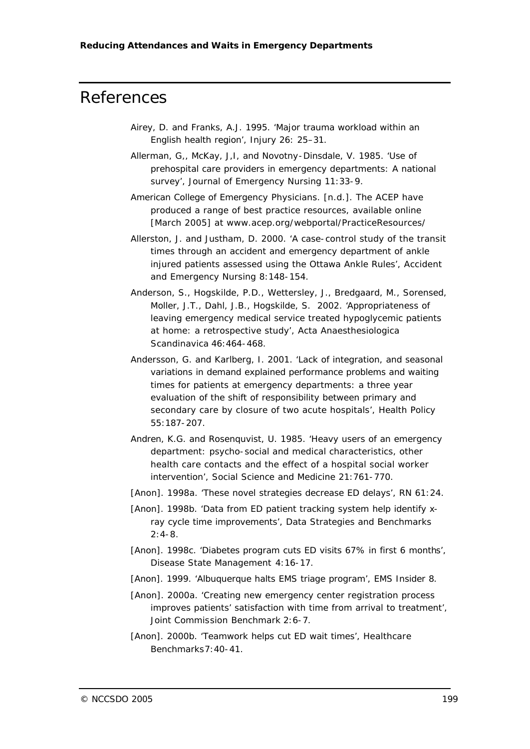## References

- Airey, D. and Franks, A.J. 1995. 'Major trauma workload within an English health region', *Injury* 26: 25–31.
- Allerman, G,, McKay, J,I, and Novotny-Dinsdale, V. 1985. 'Use of prehospital care providers in emergency departments: A national survey', *Journal of Emergency Nursing* 11:33-9.
- American College of Emergency Physicians. [n.d.]. The ACEP have produced a range of best practice resources, available online [March 2005] at www.acep.org/webportal/PracticeResources/
- Allerston, J. and Justham, D. 2000. 'A case-control study of the transit times through an accident and emergency department of ankle injured patients assessed using the Ottawa Ankle Rules', *Accident and Emergency Nursing* 8:148-154.
- Anderson, S., Hogskilde, P.D., Wettersley, J., Bredgaard, M., Sorensed, Moller, J.T., Dahl, J.B., Hogskilde, S. 2002. 'Appropriateness of leaving emergency medical service treated hypoglycemic patients at home: a retrospective study', *Acta Anaesthesiologica Scandinavica* 46:464-468.
- Andersson, G. and Karlberg, I. 2001. 'Lack of integration, and seasonal variations in demand explained performance problems and waiting times for patients at emergency departments: a three year evaluation of the shift of responsibility between primary and secondary care by closure of two acute hospitals', *Health Policy* 55:187-207.
- Andren, K.G. and Rosenquvist, U. 1985. 'Heavy users of an emergency department: psycho-social and medical characteristics, other health care contacts and the effect of a hospital social worker intervention', *Social Science and Medicine* 21:761-770.
- [Anon]. 1998a. 'These novel strategies decrease ED delays', RN 61:24.
- [Anon]. 1998b. 'Data from ED patient tracking system help identify xray cycle time improvements', *Data Strategies and Benchmarks*  $2:4-8.$
- [Anon]. 1998c. 'Diabetes program cuts ED visits 67% in first 6 months', *Disease State Management* 4:16-17.
- [Anon]. 1999. 'Albuquerque halts EMS triage program', *EMS Insider* 8.
- [Anon]. 2000a. 'Creating new emergency center registration process improves patients' satisfaction with time from arrival to treatment', *Joint Commission Benchmark* 2:6-7.
- [Anon]. 2000b. 'Teamwork helps cut ED wait times', *Healthcare Benchmarks*7:40-41.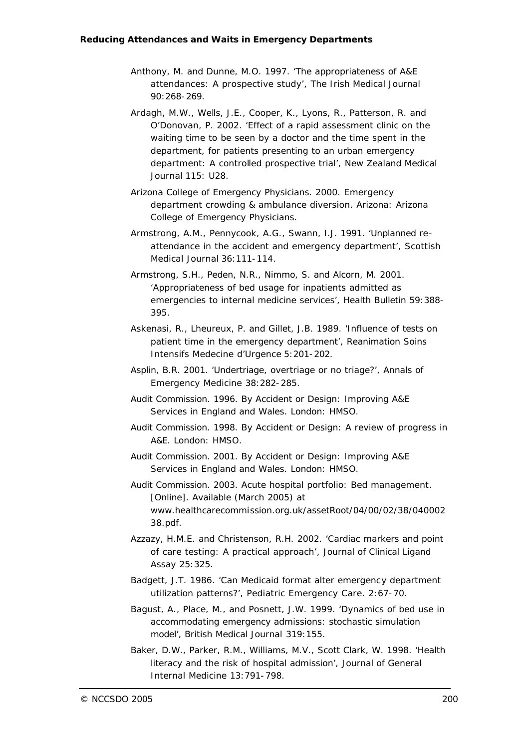- Anthony, M. and Dunne, M.O. 1997. 'The appropriateness of A&E attendances: A prospective study', *The Irish Medical Journal*  90:268-269.
- Ardagh, M.W., Wells, J.E., Cooper, K., Lyons, R., Patterson, R. and O'Donovan, P. 2002. 'Effect of a rapid assessment clinic on the waiting time to be seen by a doctor and the time spent in the department, for patients presenting to an urban emergency department: A controlled prospective trial', *New Zealand Medical Journal* 115: U28.
- Arizona College of Emergency Physicians. 2000. *Emergency department crowding & ambulance diversion*. Arizona: Arizona College of Emergency Physicians.
- Armstrong, A.M., Pennycook, A.G., Swann, I.J. 1991. 'Unplanned reattendance in the accident and emergency department', *Scottish Medical Journal* 36:111-114.
- Armstrong, S.H., Peden, N.R., Nimmo, S. and Alcorn, M. 2001. 'Appropriateness of bed usage for inpatients admitted as emergencies to internal medicine services', *Health Bulletin* 59:388- 395.
- Askenasi, R., Lheureux, P. and Gillet, J.B. 1989. 'Influence of tests on patient time in the emergency department', *Reanimation Soins Intensifs Medecine d'Urgence* 5:201-202.
- Asplin, B.R. 2001. 'Undertriage, overtriage or no triage?', *Annals of Emergency Medicine* 38:282-285.
- Audit Commission. 1996. *By Accident or Design: Improving A&E Services in England and Wales.* London: HMSO.
- Audit Commission. 1998. *By Accident or Design: A review of progress in A&E*. London: HMSO.
- Audit Commission. 2001. *By Accident or Design: Improving A&E Services in England and Wales.* London: HMSO.
- Audit Commission. 2003. *Acute hospital portfolio: Bed management*. [Online]. Available (March 2005) at www.healthcarecommission.org.uk/assetRoot/04/00/02/38/040002 38.pdf.
- Azzazy, H.M.E. and Christenson, R.H. 2002. 'Cardiac markers and point of care testing: A practical approach', *Journal of Clinical Ligand Assay* 25:325.
- Badgett, J.T. 1986. 'Can Medicaid format alter emergency department utilization patterns?', *Pediatric Emergency Care*. 2:67-70.
- Bagust, A., Place, M., and Posnett, J.W. 1999. 'Dynamics of bed use in accommodating emergency admissions: stochastic simulation model', *British Medical Journal* 319:155.
- Baker, D.W., Parker, R.M., Williams, M.V., Scott Clark, W. 1998. 'Health literacy and the risk of hospital admission', *Journal of General Internal Medicine* 13:791-798.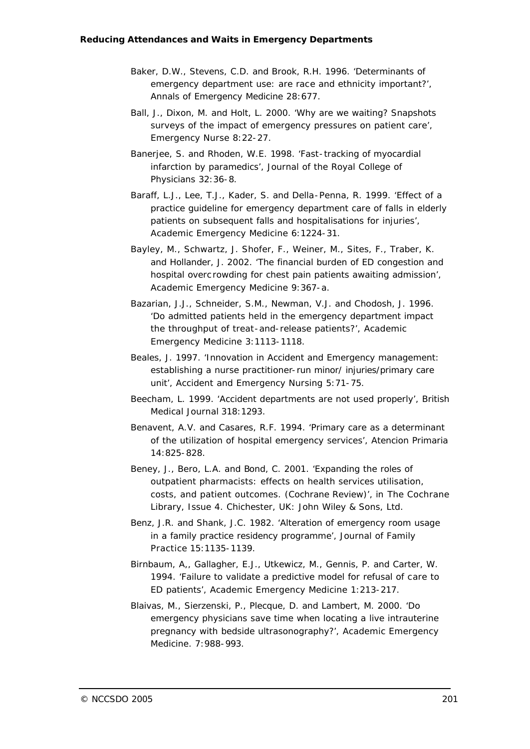- Baker, D.W., Stevens, C.D. and Brook, R.H. 1996. 'Determinants of emergency department use: are race and ethnicity important?', Annals of Emergency Medicine 28:677.
- Ball, J., Dixon, M. and Holt, L. 2000. 'Why are we waiting? Snapshots surveys of the impact of emergency pressures on patient care', *Emergency Nurse* 8:22-27.
- Banerjee, S. and Rhoden, W.E. 1998. 'Fast-tracking of myocardial infarction by paramedics', *Journal of the Royal College of Physicians* 32:36-8.
- Baraff, L.J., Lee, T.J., Kader, S. and Della-Penna, R. 1999. 'Effect of a practice guideline for emergency department care of falls in elderly patients on subsequent falls and hospitalisations for injuries', *Academic Emergency Medicine* 6:1224-31.
- Bayley, M., Schwartz, J. Shofer, F., Weiner, M., Sites, F., Traber, K. and Hollander, J. 2002. 'The financial burden of ED congestion and hospital overc rowding for chest pain patients awaiting admission', *Academic Emergency Medicine* 9:367-a.
- Bazarian, J.J., Schneider, S.M., Newman, V.J. and Chodosh, J. 1996. 'Do admitted patients held in the emergency department impact the throughput of treat-and-release patients?', *Academic Emergency Medicine* 3:1113-1118.
- Beales, J. 1997. 'Innovation in Accident and Emergency management: establishing a nurse practitioner-run minor/ injuries/primary care unit', *Accident and Emergency Nursing* 5:71-75.
- Beecham, L. 1999. 'Accident departments are not used properly', *British Medical Journal* 318:1293.
- Benavent, A.V. and Casares, R.F. 1994. 'Primary care as a determinant of the utilization of hospital emergency services', *Atencion Primaria* 14:825-828.
- Beney, J., Bero, L.A. and Bond, C. 2001. 'Expanding the roles of outpatient pharmacists: effects on health services utilisation, costs, and patient outcomes. (Cochrane Review)', in *The Cochrane Library*, Issue 4. Chichester, UK: John Wiley & Sons, Ltd.
- Benz, J.R. and Shank, J.C. 1982. 'Alteration of emergency room usage in a family practice residency programme', *Journal of Family Practice* 15:1135-1139.
- Birnbaum, A,, Gallagher, E.J., Utkewicz, M., Gennis, P. and Carter, W. 1994. 'Failure to validate a predictive model for refusal of care to ED patients', *Academic Emergency Medicine* 1:213-217.
- Blaivas, M., Sierzenski, P., Plecque, D. and Lambert, M. 2000. 'Do emergency physicians save time when locating a live intrauterine pregnancy with bedside ultrasonography?', *Academic Emergency Medicine*. 7:988-993.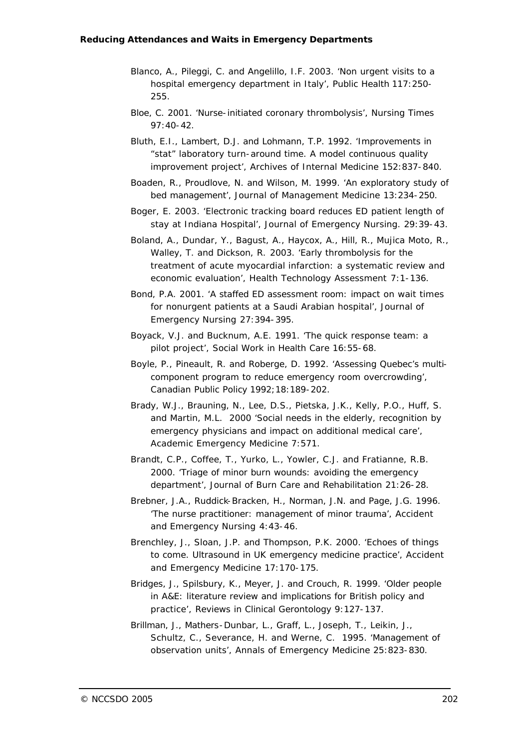- Blanco, A., Pileggi, C. and Angelillo, I.F. 2003. 'Non urgent visits to a hospital emergency department in Italy', *Public Health* 117:250- 255.
- Bloe, C. 2001. 'Nurse-initiated coronary thrombolysis', *Nursing Times* 97:40-42.
- Bluth, E.I., Lambert, D.J. and Lohmann, T.P. 1992. 'Improvements in "stat" laboratory turn-around time. A model continuous quality improvement project', *Archives of Internal Medicine* 152:837-840.
- Boaden, R., Proudlove, N. and Wilson, M. 1999. 'An exploratory study of bed management', *Journal of Management Medicine* 13:234-250.
- Boger, E. 2003. 'Electronic tracking board reduces ED patient length of stay at Indiana Hospital', *Journal of Emergency Nursing.* 29:39-43.
- Boland, A., Dundar, Y., Bagust, A., Haycox, A., Hill, R., Mujica Moto, R., Walley, T. and Dickson, R. 2003. 'Early thrombolysis for the treatment of acute myocardial infarction: a systematic review and economic evaluation', *Health Technology Assessment* 7:1-136.
- Bond, P.A. 2001. 'A staffed ED assessment room: impact on wait times for nonurgent patients at a Saudi Arabian hospital', *Journal of Emergency Nursing* 27:394-395.
- Boyack, V.J. and Bucknum, A.E. 1991. 'The quick response team: a pilot project', *Social Work in Health Care* 16:55-68.
- Boyle, P., Pineault, R. and Roberge, D. 1992. 'Assessing Quebec's multicomponent program to reduce emergency room overcrowding', *Canadian Public Policy* 1992;18:189-202.
- Brady, W.J., Brauning, N., Lee, D.S., Pietska, J.K., Kelly, P.O., Huff, S. and Martin, M.L. 2000 'Social needs in the elderly, recognition by emergency physicians and impact on additional medical care', *Academic Emergency Medicine* 7:571.
- Brandt, C.P., Coffee, T., Yurko, L., Yowler, C.J. and Fratianne, R.B. 2000. 'Triage of minor burn wounds: avoiding the emergency department', *Journal of Burn Care and Rehabilitation* 21:26-28.
- Brebner, J.A., Ruddick-Bracken, H., Norman, J.N. and Page, J.G. 1996. 'The nurse practitioner: management of minor trauma', *Accident and Emergency Nursing* 4:43-46.
- Brenchley, J., Sloan, J.P. and Thompson, P.K. 2000. 'Echoes of things to come. Ultrasound in UK emergency medicine practice', *Accident and Emergency Medicine* 17:170-175.
- Bridges, J., Spilsbury, K., Meyer, J. and Crouch, R. 1999. 'Older people in A&E: literature review and implications for British policy and practice', *Reviews in Clinical Gerontology* 9:127-137.
- Brillman, J., Mathers-Dunbar, L., Graff, L., Joseph, T., Leikin, J., Schultz, C., Severance, H. and Werne, C. 1995. 'Management of observation units', *Annals of Emergency Medicine* 25:823-830.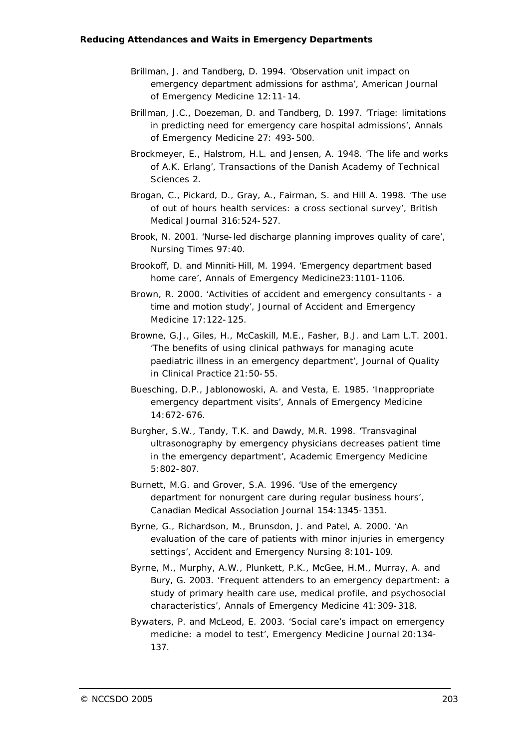- Brillman, J. and Tandberg, D. 1994. 'Observation unit impact on emergency department admissions for asthma', *American Journal of Emergency Medicine* 12:11-14.
- Brillman, J.C., Doezeman, D. and Tandberg, D. 1997. 'Triage: limitations in predicting need for emergency care hospital admissions', *Annals of Emergency Medicine* 27: 493-500.
- Brockmeyer, E., Halstrom, H.L. and Jensen, A. 1948. 'The life and works of A.K. Erlang', *Transactions of the Danish Academy of Technical Sciences* 2.
- Brogan, C., Pickard, D., Gray, A., Fairman, S. and Hill A. 1998. 'The use of out of hours health services: a cross sectional survey', *British Medical Journal* 316:524-527.
- Brook, N. 2001. 'Nurse-led discharge planning improves quality of care', *Nursing Times* 97:40.
- Brookoff, D. and Minniti-Hill, M. 1994. 'Emergency department based home care', *Annals of Emergency Medicine*23:1101-1106.
- Brown, R. 2000. 'Activities of accident and emergency consultants a time and motion study', *Journal of Accident and Emergency Medicine* 17:122-125.
- Browne, G.J., Giles, H., McCaskill, M.E., Fasher, B.J. and Lam L.T. 2001. 'The benefits of using clinical pathways for managing acute paediatric illness in an emergency department', *Journal of Quality in Clinical Practice* 21:50-55.
- Buesching, D.P., Jablonowoski, A. and Vesta, E. 1985. 'Inappropriate emergency department visits', *Annals of Emergency Medicine* 14:672-676.
- Burgher, S.W., Tandy, T.K. and Dawdy, M.R. 1998. 'Transvaginal ultrasonography by emergency physicians decreases patient time in the emergency department', *Academic Emergency Medicine* 5:802-807.
- Burnett, M.G. and Grover, S.A. 1996. 'Use of the emergency department for nonurgent care during regular business hours', *Canadian Medical Association Journal* 154:1345-1351.
- Byrne, G., Richardson, M., Brunsdon, J. and Patel, A. 2000. 'An evaluation of the care of patients with minor injuries in emergency settings', *Accident and Emergency Nursing* 8:101-109.
- Byrne, M., Murphy, A.W., Plunkett, P.K., McGee, H.M., Murray, A. and Bury, G. 2003. 'Frequent attenders to an emergency department: a study of primary health care use, medical profile, and psychosocial characteristics', *Annals of Emergency Medicine* 41:309-318.
- Bywaters, P. and McLeod, E. 2003. 'Social care's impact on emergency medicine: a model to test', *Emergency Medicine Journal* 20:134- 137.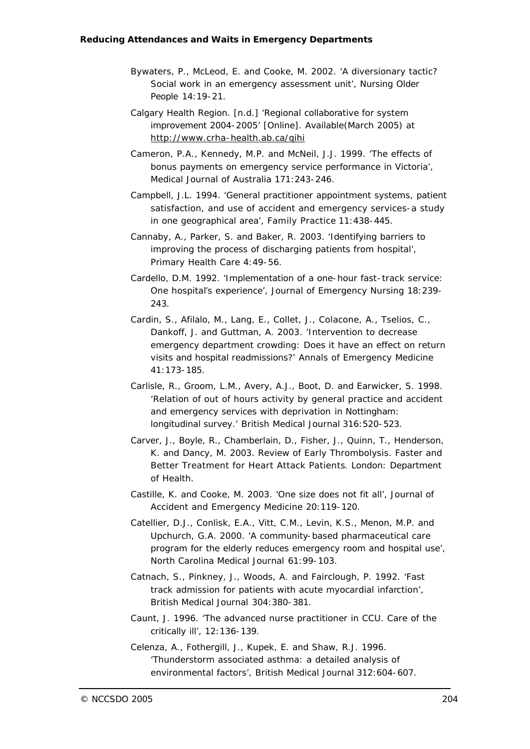- Bywaters, P., McLeod, E. and Cooke, M. 2002. 'A diversionary tactic? Social work in an emergency assessment unit', *Nursing Older People* 14:19-21.
- Calgary Health Region. [n.d.] 'Regional collaborative for system improvement 2004-2005' [Online]. Available(March 2005) at http://www.crha-health.ab.ca/qihi
- Cameron, P.A., Kennedy, M.P. and McNeil, J.J. 1999. 'The effects of bonus payments on emergency service performance in Victoria', *Medical Journal of Australia* 171:243-246.
- Campbell, J.L. 1994. 'General practitioner appointment systems, patient satisfaction, and use of accident and emergency services-a study in one geographical area', *Family Practice* 11:438-445.
- Cannaby, A., Parker, S. and Baker, R. 2003. 'Identifying barriers to improving the process of discharging patients from hospital'*, Primary Health Care* 4:49-56.
- Cardello, D.M. 1992. 'Implementation of a one-hour fast-track service: One hospital's experience', *Journal of Emergency Nursing* 18:239- 243.
- Cardin, S., Afilalo, M., Lang, E., Collet, J., Colacone, A., Tselios, C., Dankoff, J. and Guttman, A. 2003. 'Intervention to decrease emergency department crowding: Does it have an effect on return visits and hospital readmissions?' *Annals of Emergency Medicine* 41:173-185.
- Carlisle, R., Groom, L.M., Avery, A.J., Boot, D. and Earwicker, S. 1998. 'Relation of out of hours activity by general practice and accident and emergency services with deprivation in Nottingham: longitudinal survey.' *British Medical Journal* 316:520-523.
- Carver, J., Boyle, R., Chamberlain, D., Fisher, J., Quinn, T., Henderson, K. and Dancy, M. 2003. *Review of Early Thrombolysis. Faster and Better Treatment for Heart Attack Patients*. London: Department of Health.
- Castille, K. and Cooke, M. 2003. 'One size does not fit all', *Journal of Accident and Emergency Medicine* 20:119-120.
- Catellier, D.J., Conlisk, E.A., Vitt, C.M., Levin, K.S., Menon, M.P. and Upchurch, G.A. 2000. 'A community-based pharmaceutical care program for the elderly reduces emergency room and hospital use', *North Carolina Medical Journal* 61:99-103.
- Catnach, S., Pinkney, J., Woods, A. and Fairclough, P. 1992. 'Fast track admission for patients with acute myocardial infarction', *British Medical Journal* 304:380-381.
- Caunt, J. 1996. 'The advanced nurse practitioner in CCU. Care of the critically ill', 12:136-139.

Celenza, A., Fothergill, J., Kupek, E. and Shaw, R.J. 1996. 'Thunderstorm associated asthma: a detailed analysis of environmental factors', *British Medical Journal* 312:604-607.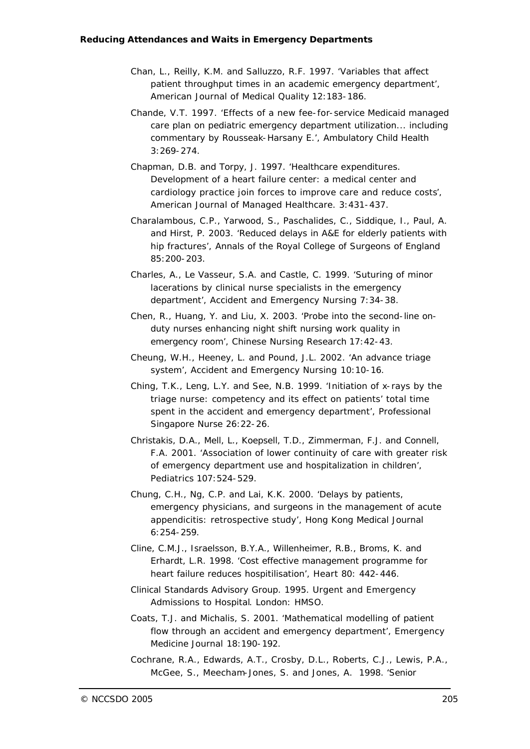- Chan, L., Reilly, K.M. and Salluzzo, R.F. 1997. 'Variables that affect patient throughput times in an academic emergency department', *American Journal of Medical Quality* 12:183-186.
- Chande, V.T. 1997. 'Effects of a new fee-for-service Medicaid managed care plan on pediatric emergency department utilization... including commentary by Rousseak-Harsany E.', *Ambulatory Child Health*  3:269-274.
- Chapman, D.B. and Torpy, J. 1997. 'Healthcare expenditures. Development of a heart failure center: a medical center and cardiology practice join forces to improve care and reduce costs*', American Journal of Managed Healthcare*. 3:431-437.
- Charalambous, C.P., Yarwood, S., Paschalides, C., Siddique, I., Paul, A. and Hirst, P. 2003. 'Reduced delays in A&E for elderly patients with hip fractures', *Annals of the Royal College of Surgeons of England* 85:200-203.
- Charles, A., Le Vasseur, S.A. and Castle, C. 1999. 'Suturing of minor lacerations by clinical nurse specialists in the emergency department', *Accident and Emergency Nursing* 7:34-38.
- Chen, R., Huang, Y. and Liu, X. 2003. 'Probe into the second-line onduty nurses enhancing night shift nursing work quality in emergency room', *Chinese Nursing Research* 17:42-43.
- Cheung, W.H., Heeney, L. and Pound, J.L. 2002. 'An advance triage system', *Accident and Emergency Nursing* 10:10-16.
- Ching, T.K., Leng, L.Y. and See, N.B. 1999. 'Initiation of x-rays by the triage nurse: competency and its effect on patients' total time spent in the accident and emergency department', *Professional Singapore Nurse* 26:22-26.
- Christakis, D.A., Mell, L., Koepsell, T.D., Zimmerman, F.J. and Connell, F.A. 2001. 'Association of lower continuity of care with greater risk of emergency department use and hospitalization in children', *Pediatrics* 107:524-529.
- Chung, C.H., Ng, C.P. and Lai, K.K. 2000. 'Delays by patients, emergency physicians, and surgeons in the management of acute appendicitis: retrospective study', *Hong Kong Medical Journal* 6:254-259.
- Cline, C.M.J., Israelsson, B.Y.A., Willenheimer, R.B., Broms, K. and Erhardt, L.R. 1998. 'Cost effective management programme for heart failure reduces hospitilisation', *Heart* 80: 442-446.
- Clinical Standards Advisory Group. 1995. *Urgent and Emergency Admissions to Hospital*. London: HMSO.
- Coats, T.J. and Michalis, S. 2001. 'Mathematical modelling of patient flow through an accident and emergency department', *Emergency Medicine Journal* 18:190-192.
- Cochrane, R.A., Edwards, A.T., Crosby, D.L., Roberts, C.J., Lewis, P.A., McGee, S., Meecham-Jones, S. and Jones, A. 1998. 'Senior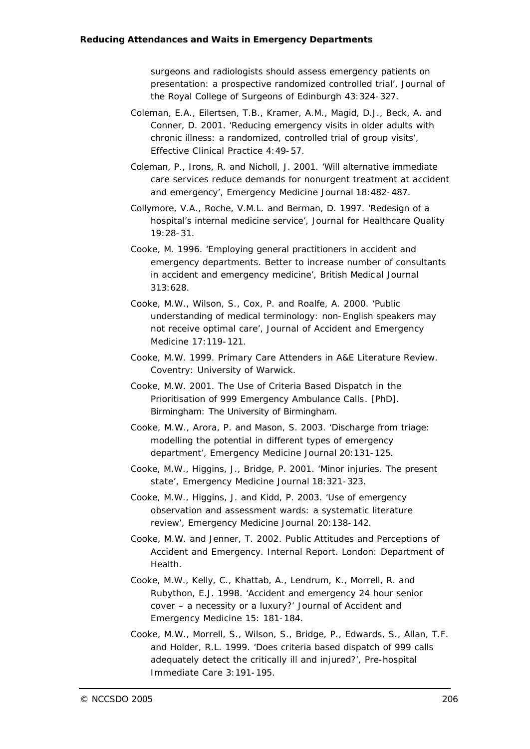surgeons and radiologists should assess emergency patients on presentation: a prospective randomized controlled trial', *Journal of the Royal College of Surgeons of Edinburgh* 43:324-327.

- Coleman, E.A., Eilertsen, T.B., Kramer, A.M., Magid, D.J., Beck, A. and Conner, D. 2001. 'Reducing emergency visits in older adults with chronic illness: a randomized, controlled trial of group visits', *Effective Clinical Practice* 4:49-57.
- Coleman, P., Irons, R. and Nicholl, J. 2001. 'Will alternative immediate care services reduce demands for nonurgent treatment at accident and emergency', *Emergency Medicine Journal* 18:482-487.
- Collymore, V.A., Roche, V.M.L. and Berman, D. 1997. 'Redesign of a hospital's internal medicine service', *Journal for Healthcare Quality*  19:28-31.
- Cooke, M. 1996. 'Employing general practitioners in accident and emergency departments. Better to increase number of consultants in accident and emergency medicine', *British Medical Journal* 313:628.
- Cooke, M.W., Wilson, S., Cox, P. and Roalfe, A. 2000. 'Public understanding of medical terminology: non-English speakers may not receive optimal care', *Journal of Accident and Emergency Medicine* 17:119-121.
- Cooke, M.W. 1999. *Primary Care Attenders in A&E Literature Review.* Coventry: University of Warwick.
- Cooke, M.W. 2001. *The Use of Criteria Based Dispatch in the Prioritisation of 999 Emergency Ambulance Calls*. [PhD]. Birmingham: The University of Birmingham.
- Cooke, M.W., Arora, P. and Mason, S. 2003. 'Discharge from triage: modelling the potential in different types of emergency department', *Emergency Medicine Journal* 20:131-125.
- Cooke, M.W., Higgins, J., Bridge, P. 2001. 'Minor injuries. The present state', *Emergency Medicine Journal* 18:321-323.
- Cooke, M.W., Higgins, J. and Kidd, P. 2003. 'Use of emergency observation and assessment wards: a systematic literature review', *Emergency Medicine Journal* 20:138-142.
- Cooke, M.W. and Jenner, T. 2002. *Public Attitudes and Perceptions of Accident and Emergency. Internal Report*. London: Department of Health.
- Cooke, M.W., Kelly, C., Khattab, A., Lendrum, K., Morrell, R. and Rubython, E.J. 1998. 'Accident and emergency 24 hour senior cover – a necessity or a luxury?' *Journal of Accident and Emergency Medicine* 15: 181-184.
- Cooke, M.W., Morrell, S., Wilson, S., Bridge, P., Edwards, S., Allan, T.F. and Holder, R.L. 1999. 'Does criteria based dispatch of 999 calls adequately detect the critically ill and injured?', *Pre-hospital Immediate Care* 3:191-195.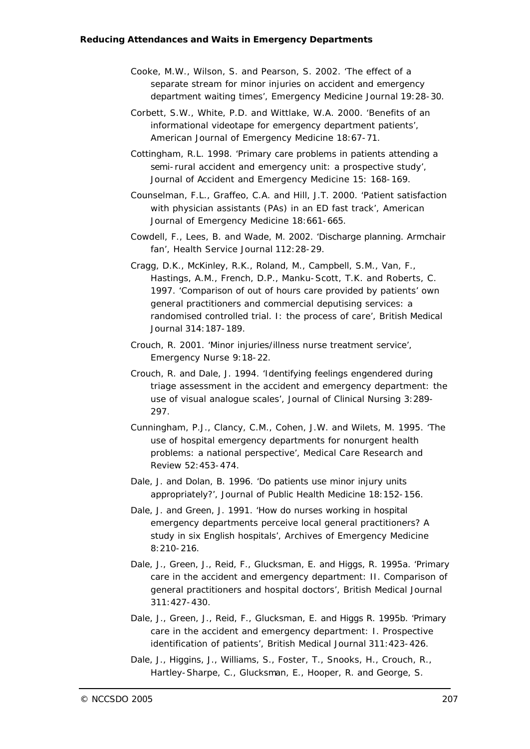- Cooke, M.W., Wilson, S. and Pearson, S. 2002. 'The effect of a separate stream for minor injuries on accident and emergency department waiting times', *Emergency Medicine Journal* 19:28-30.
- Corbett, S.W., White, P.D. and Wittlake, W.A. 2000. 'Benefits of an informational videotape for emergency department patients', *American Journal of Emergency Medicine* 18:67-71.
- Cottingham, R.L. 1998. 'Primary care problems in patients attending a semi-rural accident and emergency unit: a prospective study', *Journal of Accident and Emergency Medicine* 15: 168-169.
- Counselman, F.L., Graffeo, C.A. and Hill, J.T. 2000. 'Patient satisfaction with physician assistants (PAs) in an ED fast track', *American Journal of Emergency Medicine* 18:661-665.
- Cowdell, F., Lees, B. and Wade, M. 2002. 'Discharge planning. Armchair fan', *Health Service Journal* 112:28-29.
- Cragg, D.K., McKinley, R.K., Roland, M., Campbell, S.M., Van, F., Hastings, A.M., French, D.P., Manku-Scott, T.K. and Roberts, C. 1997. 'Comparison of out of hours care provided by patients' own general practitioners and commercial deputising services: a randomised controlled trial. I: the process of care', *British Medical Journal* 314:187-189.
- Crouch, R. 2001. 'Minor injuries/illness nurse treatment service', *Emergency Nurse* 9:18-22.
- Crouch, R. and Dale, J. 1994. 'Identifying feelings engendered during triage assessment in the accident and emergency department: the use of visual analogue scales', *Journal of Clinical Nursing* 3:289- 297.
- Cunningham, P.J., Clancy, C.M., Cohen, J.W. and Wilets, M. 1995. 'The use of hospital emergency departments for nonurgent health problems: a national perspective', *Medical Care Research and Review* 52:453-474.
- Dale, J. and Dolan, B. 1996. 'Do patients use minor injury units appropriately?', *Journal of Public Health Medicine* 18:152-156.
- Dale, J. and Green, J. 1991. 'How do nurses working in hospital emergency departments perceive local general practitioners? A study in six English hospitals', *Archives of Emergency Medicine* 8:210-216.
- Dale, J., Green, J., Reid, F., Glucksman, E. and Higgs, R. 1995a. 'Primary care in the accident and emergency department: II. Comparison of general practitioners and hospital doctors', *British Medical Journal* 311:427-430.
- Dale, J., Green, J., Reid, F., Glucksman, E. and Higgs R. 1995b. 'Primary care in the accident and emergency department: I. Prospective identification of patients', *British Medical Journal* 311:423-426.
- Dale, J., Higgins, J., Williams, S., Foster, T., Snooks, H., Crouch, R., Hartley-Sharpe, C., Glucksman, E., Hooper, R. and George, S.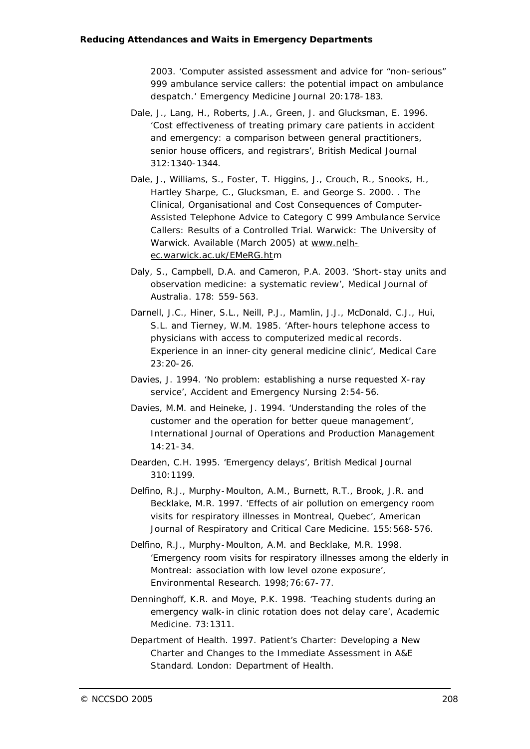2003. 'Computer assisted assessment and advice for "non-serious" 999 ambulance service callers: the potential impact on ambulance despatch.' *Emergency Medicine Journal* 20:178-183.

- Dale, J., Lang, H., Roberts, J.A., Green, J. and Glucksman, E. 1996. 'Cost effectiveness of treating primary care patients in accident and emergency: a comparison between general practitioners, senior house officers, and registrars', *British Medical Journal* 312:1340-1344.
- Dale, J., Williams, S., Foster, T. Higgins, J., Crouch, R., Snooks, H., Hartley Sharpe, C., Glucksman, E. and George S. 2000. . *The Clinical, Organisational and Cost Consequences of Computer-Assisted Telephone Advice to Category C 999 Ambulance Service Callers: Results of a Controlled Trial*. Warwick: The University of Warwick. Available (March 2005) at www.nelhec.warwick.ac.uk/EMeRG.htm
- Daly, S., Campbell, D.A. and Cameron, P.A. 2003. 'Short-stay units and observation medicine: a systematic review', *Medical Journal of Australia*. 178: 559-563.
- Darnell, J.C., Hiner, S.L., Neill, P.J., Mamlin, J.J., McDonald, C.J., Hui, S.L. and Tierney, W.M. 1985. 'After-hours telephone access to physicians with access to computerized medic al records. Experience in an inner-city general medicine clinic', *Medical Care* 23:20-26.
- Davies, J. 1994. 'No problem: establishing a nurse requested X-ray service', *Accident and Emergency Nursing* 2:54-56.
- Davies, M.M. and Heineke, J. 1994. 'Understanding the roles of the customer and the operation for better queue management', *International Journal of Operations and Production Management* 14:21-34.
- Dearden, C.H. 1995. 'Emergency delays', *British Medical Journal* 310:1199.
- Delfino, R.J., Murphy-Moulton, A.M., Burnett, R.T., Brook, J.R. and Becklake, M.R. 1997. 'Effects of air pollution on emergency room visits for respiratory illnesses in Montreal, Quebec', *American Journal of Respiratory and Critical Care Medicine*. 155:568-576.
- Delfino, R.J., Murphy-Moulton, A.M. and Becklake, M.R. 1998. 'Emergency room visits for respiratory illnesses among the elderly in Montreal: association with low level ozone exposure', *Environmental Research*. 1998;76:67-77.
- Denninghoff, K.R. and Moye, P.K. 1998. 'Teaching students during an emergency walk-in clinic rotation does not delay care', *Academic Medicine*. 73:1311.
- Department of Health. 1997. *Patient's Charter: Developing a New Charter and Changes to the Immediate Assessment in A&E Standard*. London: Department of Health.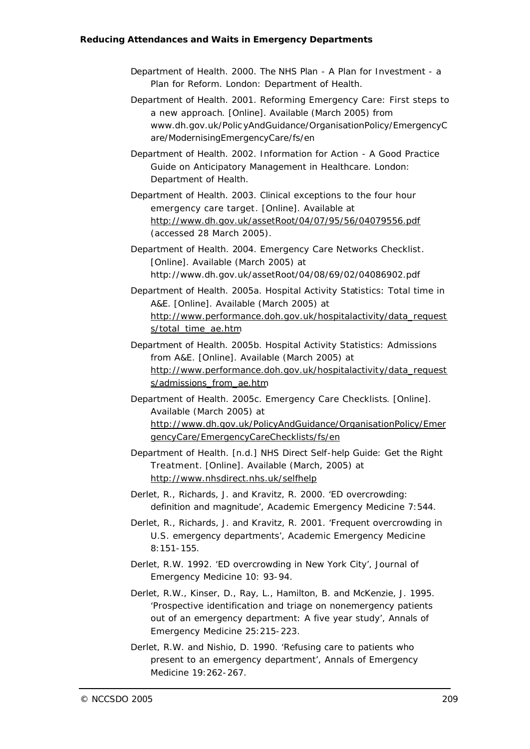- Department of Health. 2000. *The NHS Plan A Plan for Investment a Plan for Reform*. London: Department of Health.
- Department of Health. 2001. *Reforming Emergency Care: First steps to a new approach*. [Online]. Available (March 2005) from www.dh.gov.uk/Polic yAndGuidance/OrganisationPolicy/EmergencyC are/ModernisingEmergencyCare/fs/en
- Department of Health. 2002. *Information for Action A Good Practice Guide on Anticipatory Management in Healthcare*. London: Department of Health.
- Department of Health. 2003. *Clinical exceptions to the four hour emergency care target*. [Online]. Available at http://www.dh.gov.uk/assetRoot/04/07/95/56/04079556.pdf (accessed 28 March 2005).
- Department of Health. 2004. *Emergency Care Networks Checklist*. [Online]. Available (March 2005) at http://www.dh.gov.uk/assetRoot/04/08/69/02/04086902.pdf
- Department of Health. 2005a. *Hospital Activity Statistics: Total time in A&E.* [Online]. Available (March 2005) at http://www.performance.doh.gov.uk/hospitalactivity/data\_request s/total\_time\_ae.htm
- Department of Health. 2005b. *Hospital Activity Statistics: Admissions from A&E*. [Online]. Available (March 2005) at http://www.performance.doh.gov.uk/hospitalactivity/data\_request s/admissions from ae.htm
- Department of Health. 2005c. *Emergency Care Checklists*. [Online]. Available (March 2005) at http://www.dh.gov.uk/PolicyAndGuidance/OrganisationPolicy/Emer gencyCare/EmergencyCareChecklists/fs/en
- Department of Health. [n.d.] *NHS Direct Self-help Guide: Get the Right Treatment.* [Online]. Available (March, 2005) at http://www.nhsdirect.nhs.uk/selfhelp
- Derlet, R., Richards, J. and Kravitz, R. 2000. 'ED overcrowding: definition and magnitude', *Academic Emergency Medicine* 7:544.
- Derlet, R., Richards, J. and Kravitz, R. 2001. 'Frequent overcrowding in U.S. emergency departments', *Academic Emergency Medicine* 8:151-155.
- Derlet, R.W. 1992. 'ED overcrowding in New York City', *Journal of Emergency Medicine* 10: 93-94.
- Derlet, R.W., Kinser, D., Ray, L., Hamilton, B. and McKenzie, J. 1995. 'Prospective identification and triage on nonemergency patients out of an emergency department: A five year study', *Annals of Emergency Medicine* 25:215-223.
- Derlet, R.W. and Nishio, D. 1990. 'Refusing care to patients who present to an emergency department', *Annals of Emergency Medicine* 19:262-267.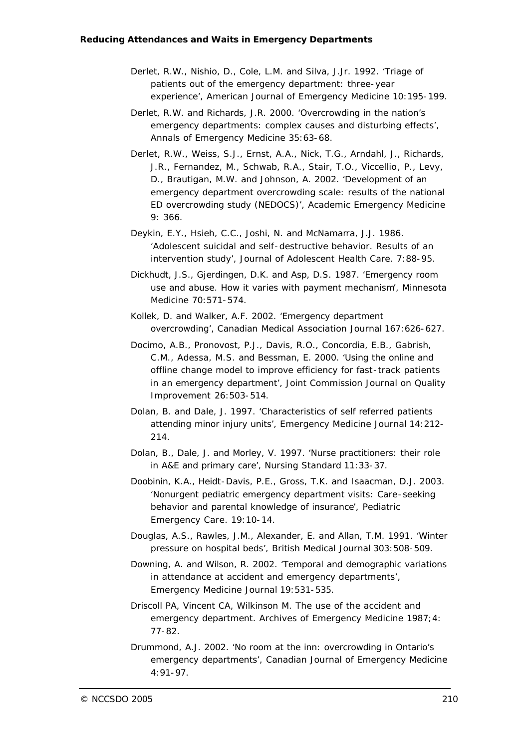- Derlet, R.W., Nishio, D., Cole, L.M. and Silva, J.Jr. 1992. 'Triage of patients out of the emergency department: three-year experience', *American Journal of Emergency Medicine* 10:195-199.
- Derlet, R.W. and Richards, J.R. 2000. 'Overcrowding in the nation's emergency departments: complex causes and disturbing effects', *Annals of Emergency Medicine* 35:63-68.
- Derlet, R.W., Weiss, S.J., Ernst, A.A., Nick, T.G., Arndahl, J., Richards, J.R., Fernandez, M., Schwab, R.A., Stair, T.O., Viccellio, P., Levy, D., Brautigan, M.W. and Johnson, A. 2002. 'Development of an emergency department overcrowding scale: results of the national ED overcrowding study (NEDOCS)', *Academic Emergency Medicine* 9: 366.
- Deykin, E.Y., Hsieh, C.C., Joshi, N. and McNamarra, J.J. 1986. 'Adolescent suicidal and self-destructive behavior. Results of an intervention study', *Journal of Adolescent Health Care.* 7:88-95.
- Dickhudt, J.S., Gjerdingen, D.K. and Asp, D.S. 1987. 'Emergency room use and abuse. How it varies with payment mechanism*', Minnesota Medicine* 70:571-574.
- Kollek, D. and Walker, A.F. 2002. 'Emergency department overcrowding', Canadian *Medical Association Journal* 167:626-627.
- Docimo, A.B., Pronovost, P.J., Davis, R.O., Concordia, E.B., Gabrish, C.M., Adessa, M.S. and Bessman, E. 2000. 'Using the online and offline change model to improve efficiency for fast-track patients in an emergency department', *Joint Commission Journal on Quality Improvement* 26:503-514.
- Dolan, B. and Dale, J. 1997. 'Characteristics of self referred patients attending minor injury units', *Emergency Medicine Journal* 14:212- 214.
- Dolan, B., Dale, J. and Morley, V. 1997. 'Nurse practitioners: their role in A&E and primary care', *Nursing Standard* 11:33-37.
- Doobinin, K.A., Heidt-Davis, P.E., Gross, T.K. and Isaacman, D.J. 2003. 'Nonurgent pediatric emergency department visits: Care-seeking behavior and parental knowledge of insurance*', Pediatric Emergency Care*. 19:10-14.
- Douglas, A.S., Rawles, J.M., Alexander, E. and Allan, T.M. 1991. 'Winter pressure on hospital beds', *British Medical Journal* 303:508-509.
- Downing, A. and Wilson, R. 2002. 'Temporal and demographic variations in attendance at accident and emergency departments', *Emergency Medicine Journal* 19:531-535.
- Driscoll PA, Vincent CA, Wilkinson M. The use of the accident and emergency department. *Archives of Emergency Medicine* 1987;4: 77-82.
- Drummond, A.J. 2002. 'No room at the inn: overcrowding in Ontario's emergency departments', *Canadian Journal of Emergency Medicine*  4:91-97.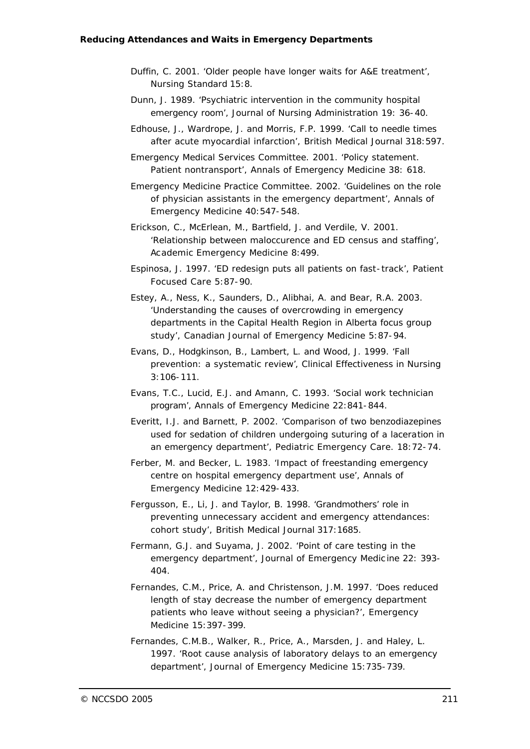- Duffin, C. 2001. 'Older people have longer waits for A&E treatment', *Nursing Standard* 15:8.
- Dunn, J. 1989. 'Psychiatric intervention in the community hospital emergency room', *Journal of Nursing Administration* 19: 36-40.
- Edhouse, J., Wardrope, J. and Morris, F.P. 1999. 'Call to needle times after acute myocardial infarction', *British Medical Journal* 318:597.
- Emergency Medical Services Committee. 2001. 'Policy statement. Patient nontransport', *Annals of Emergency Medicine* 38: 618.
- Emergency Medicine Practice Committee. 2002. 'Guidelines on the role of physician assistants in the emergency department', *Annals of Emergency Medicine* 40:547-548.
- Erickson, C., McErlean, M., Bartfield, J. and Verdile, V. 2001. 'Relationship between maloccurence and ED census and staffing'*, Academic Emergency Medicine* 8:499.
- Espinosa, J. 1997. 'ED redesign puts all patients on fast-track', *Patient Focused Care* 5:87-90.
- Estey, A., Ness, K., Saunders, D., Alibhai, A. and Bear, R.A. 2003. 'Understanding the causes of overcrowding in emergency departments in the Capital Health Region in Alberta focus group study', *Canadian Journal of Emergency Medicine* 5:87-94.
- Evans, D., Hodgkinson, B., Lambert, L. and Wood, J. 1999. 'Fall prevention: a systematic review'*, Clinical Effectiveness in Nursing*  3:106-111.
- Evans, T.C., Lucid, E.J. and Amann, C. 1993. 'Social work technician program', *Annals of Emergency Medicine* 22:841-844.
- Everitt, I.J. and Barnett, P. 2002. 'Comparison of two benzodiazepines used for sedation of children undergoing suturing of a laceration in an emergency department', *Pediatric Emergency Care*. 18:72-74.
- Ferber, M. and Becker, L. 1983. 'Impact of freestanding emergency centre on hospital emergency department use', *Annals of Emergency Medicine* 12:429-433.
- Fergusson, E., Li, J. and Taylor, B. 1998. 'Grandmothers' role in preventing unnecessary accident and emergency attendances: cohort study', *British Medical Journal* 317:1685.
- Fermann, G.J. and Suyama, J. 2002. 'Point of care testing in the emergency department', *Journal of Emergency Medic ine* 22: 393- 404.
- Fernandes, C.M., Price, A. and Christenson, J.M. 1997. 'Does reduced length of stay decrease the number of emergency department patients who leave without seeing a physician?', *Emergency Medicine* 15:397-399.
- Fernandes, C.M.B., Walker, R., Price, A., Marsden, J. and Haley, L. 1997. 'Root cause analysis of laboratory delays to an emergency department', *Journal of Emergency Medicine* 15:735-739.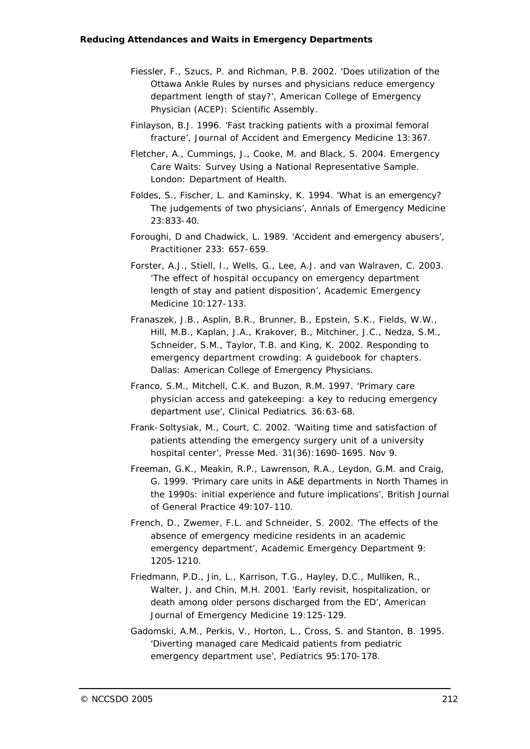- Fiessler, F., Szucs, P. and Richman, P.B. 2002. 'Does utilization of the Ottawa Ankle Rules by nurses and physicians reduce emergency department length of stay?', *American College of Emergency Physician (ACEP): Scientific Assembly*.
- Finlayson, B.J. 1996. 'Fast tracking patients with a proximal femoral fracture', *Journal of Accident and Emergency Medicine* 13:367.
- Fletcher, A., Cummings, J., Cooke, M. and Black, S. 2004. *Emergency Care Waits: Survey Using a National Representative Sample.* London: Department of Health.
- Foldes, S., Fischer, L. and Kaminsky, K. 1994. 'What is an emergency? The judgements of two physicians', *Annals of Emergency Medicine* 23:833-40.
- Foroughi, D and Chadwick, L. 1989. 'Accident and emergency abusers', *Practitioner* 233: 657-659.
- Forster, A.J., Stiell, I., Wells, G., Lee, A.J. and van Walraven, C. 2003. 'The effect of hospital occupancy on emergency department length of stay and patient disposition', *Academic Emergency Medicine* 10:127-133.
- Franaszek, J.B., Asplin, B.R., Brunner, B., Epstein, S.K., Fields, W.W., Hill, M.B., Kaplan, J.A., Krakover, B., Mitchiner, J.C., Nedza, S.M., Schneider, S.M., Taylor, T.B. and King, K. 2002. *Responding to emergency department crowding: A guidebook for chapters*. Dallas: American College of Emergency Physicians.
- Franco, S.M., Mitchell, C.K. and Buzon, R.M. 1997. 'Primary care physician access and gatekeeping: a key to reducing emergency department use', *Clinical Pediatrics*. 36:63-68.
- Frank-Soltysiak, M., Court, C. 2002. 'Waiting time and satisfaction of patients attending the emergency surgery unit of a university hospital center', *Presse Med*. 31(36):1690-1695. Nov 9.
- Freeman, G.K., Meakin, R.P., Lawrenson, R.A., Leydon, G.M. and Craig, G. 1999. 'Primary care units in A&E departments in North Thames in the 1990s: initial experience and future implications', *British Journal of General Practice* 49:107-110.
- French, D., Zwemer, F.L. and Schneider, S. 2002. 'The effects of the absence of emergency medicine residents in an academic emergency department', *Academic Emergency Department* 9: 1205-1210.
- Friedmann, P.D., Jin, L., Karrison, T.G., Hayley, D.C., Mulliken, R., Walter, J. and Chin, M.H. 2001. 'Early revisit, hospitalization, or death among older persons discharged from the ED', *American Journal of Emergency Medicine* 19:125-129.
- Gadomski, A.M., Perkis, V., Horton, L., Cross, S. and Stanton, B. 1995. 'Diverting managed care Medicaid patients from pediatric emergency department use', *Pediatrics* 95:170-178.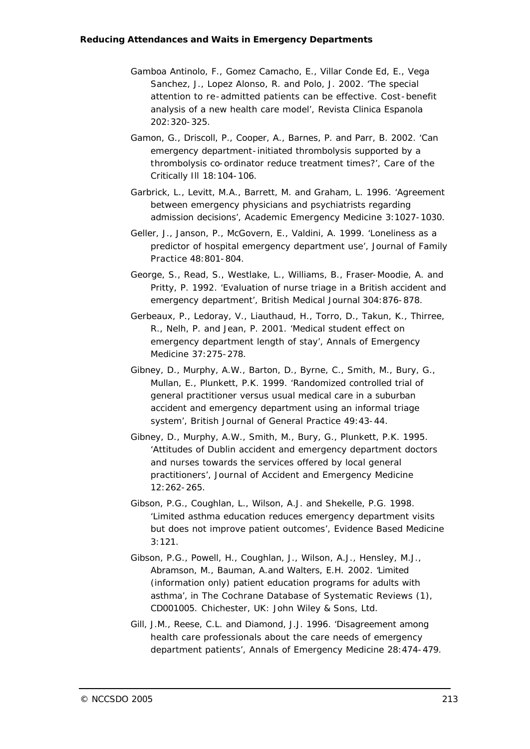- Gamboa Antinolo, F., Gomez Camacho, E., Villar Conde Ed, E., Vega Sanchez, J., Lopez Alonso, R. and Polo, J. 2002. 'The special attention to re-admitted patients can be effective. Cost-benefit analysis of a new health care model', *Revista Clinica Espanola* 202:320-325.
- Gamon, G., Driscoll, P., Cooper, A., Barnes, P. and Parr, B. 2002. 'Can emergency department-initiated thrombolysis supported by a thrombolysis co-ordinator reduce treatment times?', *Care of the Critically Ill* 18:104-106.
- Garbrick, L., Levitt, M.A., Barrett, M. and Graham, L. 1996. 'Agreement between emergency physicians and psychiatrists regarding admission decisions', *Academic Emergency Medicine* 3:1027-1030.
- Geller, J., Janson, P., McGovern, E., Valdini, A. 1999. 'Loneliness as a predictor of hospital emergency department use', *Journal of Family Practice* 48:801-804.
- George, S., Read, S., Westlake, L., Williams, B., Fraser-Moodie, A. and Pritty, P. 1992. 'Evaluation of nurse triage in a British accident and emergency department', *British Medical Journal* 304:876-878.
- Gerbeaux, P., Ledoray, V., Liauthaud, H., Torro, D., Takun, K., Thirree, R., Nelh, P. and Jean, P. 2001. 'Medical student effect on emergency department length of stay', *Annals of Emergency Medicine* 37:275-278.
- Gibney, D., Murphy, A.W., Barton, D., Byrne, C., Smith, M., Bury, G., Mullan, E., Plunkett, P.K. 1999. 'Randomized controlled trial of general practitioner versus usual medical care in a suburban accident and emergency department using an informal triage system', *British Journal of General Practice* 49:43-44.
- Gibney, D., Murphy, A.W., Smith, M., Bury, G., Plunkett, P.K. 1995. 'Attitudes of Dublin accident and emergency department doctors and nurses towards the services offered by local general practitioners', *Journal of Accident and Emergency Medicine* 12:262-265.
- Gibson, P.G., Coughlan, L., Wilson, A.J. and Shekelle, P.G. 1998. 'Limited asthma education reduces emergency department visits but does not improve patient outcomes', *Evidence Based Medicine* 3:121.
- Gibson, P.G., Powell, H., Coughlan, J., Wilson, A.J., Hensley, M.J., Abramson, M., Bauman, A.and Walters, E.H. 2002. 'Limited (information only) patient education programs for adults with asthma', in *The Cochrane Database of Systematic Reviews* (1), CD001005. Chichester, UK: John Wiley & Sons, Ltd.
- Gill, J.M., Reese, C.L. and Diamond, J.J. 1996. 'Disagreement among health care professionals about the care needs of emergency department patients', *Annals of Emergency Medicine* 28:474-479.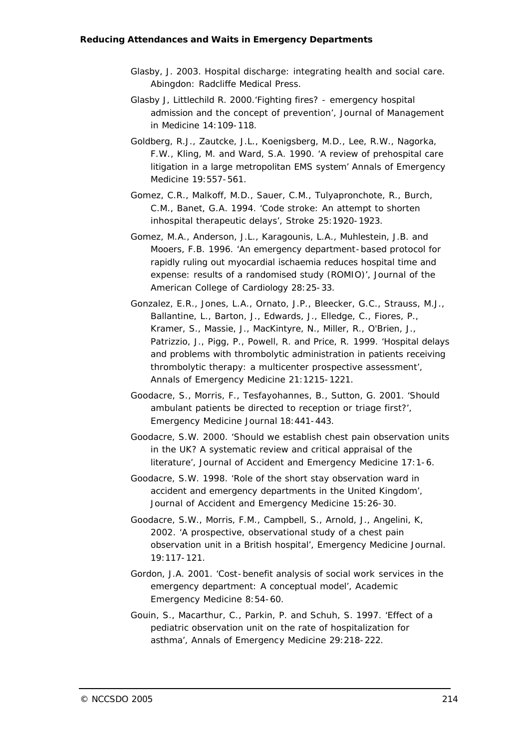- Glasby, J. 2003. *Hospital discharge: integrating health and social care*. Abingdon: Radcliffe Medical Press.
- Glasby J, Littlechild R. 2000.'Fighting fires? emergency hospital admission and the concept of prevention', *Journal of Management in Medicine* 14:109-118.
- Goldberg, R.J., Zautcke, J.L., Koenigsberg, M.D., Lee, R.W., Nagorka, F.W., Kling, M. and Ward, S.A. 1990. 'A review of prehospital care litigation in a large metropolitan EMS system' *Annals of Emergency Medicine* 19:557-561.
- Gomez, C.R., Malkoff, M.D., Sauer, C.M., Tulyapronchote, R., Burch, C.M., Banet, G.A. 1994. 'Code stroke: An attempt to shorten inhospital therapeutic delays', *Stroke* 25:1920-1923.
- Gomez, M.A., Anderson, J.L., Karagounis, L.A., Muhlestein, J.B. and Mooers, F.B. 1996. 'An emergency department-based protocol for rapidly ruling out myocardial ischaemia reduces hospital time and expense: results of a randomised study (ROMIO)', *Journal of the American College of Cardiology* 28:25-33.
- Gonzalez, E.R., Jones, L.A., Ornato, J.P., Bleecker, G.C., Strauss, M.J., Ballantine, L., Barton, J., Edwards, J., Elledge, C., Fiores, P., Kramer, S., Massie, J., MacKintyre, N., Miller, R., O'Brien, J., Patrizzio, J., Pigg, P., Powell, R. and Price, R. 1999. 'Hospital delays and problems with thrombolytic administration in patients receiving thrombolytic therapy: a multicenter prospective assessment', *Annals of Emergency Medicine* 21:1215-1221.
- Goodacre, S., Morris, F., Tesfayohannes, B., Sutton, G. 2001. 'Should ambulant patients be directed to reception or triage first?', *Emergency Medicine Journal* 18:441-443.
- Goodacre, S.W. 2000. 'Should we establish chest pain observation units in the UK? A systematic review and critical appraisal of the literature', *Journal of Accident and Emergency Medicine* 17:1-6.
- Goodacre, S.W. 1998. 'Role of the short stay observation ward in accident and emergency departments in the United Kingdom', *Journal of Accident and Emergency Medicine* 15:26-30.
- Goodacre, S.W., Morris, F.M., Campbell, S., Arnold, J., Angelini, K, 2002. 'A prospective, observational study of a chest pain observation unit in a British hospital', *Emergency Medicine Journal.* 19:117-121.
- Gordon, J.A. 2001. 'Cost-benefit analysis of social work services in the emergency department: A conceptual model', *Academic Emergency Medicine* 8:54-60.
- Gouin, S., Macarthur, C., Parkin, P. and Schuh, S. 1997. 'Effect of a pediatric observation unit on the rate of hospitalization for asthma', *Annals of Emergency Medicine* 29:218-222.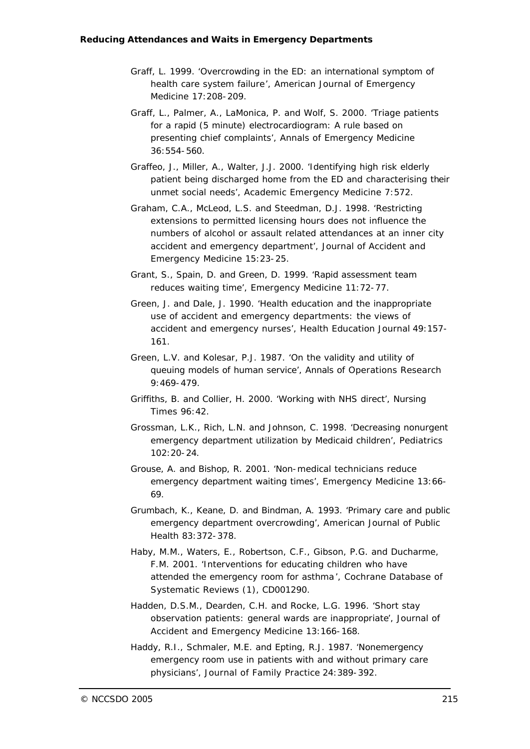- Graff, L. 1999. 'Overcrowding in the ED: an international symptom of health care system failure*', American Journal of Emergency Medicine* 17:208-209.
- Graff, L., Palmer, A., LaMonica, P. and Wolf, S. 2000. 'Triage patients for a rapid (5 minute) electrocardiogram: A rule based on presenting chief complaints', *Annals of Emergency Medicine* 36:554-560.
- Graffeo, J., Miller, A., Walter, J.J. 2000. 'Identifying high risk elderly patient being discharged home from the ED and characterising their unmet social needs', *Academic Emergency Medicine* 7:572.
- Graham, C.A., McLeod, L.S. and Steedman, D.J. 1998. 'Restricting extensions to permitted licensing hours does not influence the numbers of alcohol or assault related attendances at an inner city accident and emergency department', *Journal of Accident and Emergency Medicine* 15:23-25.
- Grant, S., Spain, D. and Green, D. 1999. 'Rapid assessment team reduces waiting time', *Emergency Medicine* 11:72-77.
- Green, J. and Dale, J. 1990. 'Health education and the inappropriate use of accident and emergency departments: the views of accident and emergency nurses', *Health Education Journal* 49:157- 161.
- Green, L.V. and Kolesar, P.J. 1987. 'On the validity and utility of queuing models of human service', *Annals of Operations Research* 9:469-479.
- Griffiths, B. and Collier, H. 2000. 'Working with NHS direct', *Nursing Times* 96:42.
- Grossman, L.K., Rich, L.N. and Johnson, C. 1998. 'Decreasing nonurgent emergency department utilization by Medicaid children', *Pediatrics*  $102:20-24$
- Grouse, A. and Bishop, R. 2001. 'Non-medical technicians reduce emergency department waiting times', *Emergency Medicine* 13:66- 69.
- Grumbach, K., Keane, D. and Bindman, A. 1993. 'Primary care and public emergency department overcrowding', *American Journal of Public Health* 83:372-378.
- Haby, M.M., Waters, E., Robertson, C.F., Gibson, P.G. and Ducharme, F.M. 2001. 'Interventions for educating children who have attended the emergency room for asthma*', Cochrane Database of Systematic Reviews (1)*, CD001290.
- Hadden, D.S.M., Dearden, C.H. and Rocke, L.G. 1996. 'Short stay observation patients: general wards are inappropriate*', Journal of Accident and Emergency Medicine* 13:166-168.
- Haddy, R.I., Schmaler, M.E. and Epting, R.J. 1987. 'Nonemergency emergency room use in patients with and without primary care physicians', *Journal of Family Practice* 24:389-392.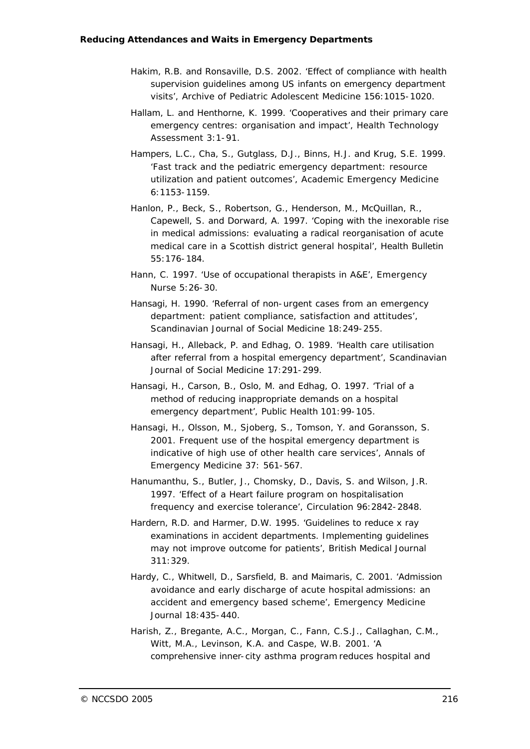- Hakim, R.B. and Ronsaville, D.S. 2002. 'Effect of compliance with health supervision guidelines among US infants on emergency department visits', *Archive of Pediatric Adolescent Medicine* 156:1015-1020.
- Hallam, L. and Henthorne, K. 1999. 'Cooperatives and their primary care emergency centres: organisation and impact', *Health Technology Assessment* 3:1-91.
- Hampers, L.C., Cha, S., Gutglass, D.J., Binns, H.J. and Krug, S.E. 1999. 'Fast track and the pediatric emergency department: resource utilization and patient outcomes', *Academic Emergency Medicine* 6:1153-1159.
- Hanlon, P., Beck, S., Robertson, G., Henderson, M., McQuillan, R., Capewell, S. and Dorward, A. 1997. 'Coping with the inexorable rise in medical admissions: evaluating a radical reorganisation of acute medical care in a Scottish district general hospital', *Health Bulletin* 55:176-184.
- Hann, C. 1997. 'Use of occupational therapists in A&E', *Emergency Nurse* 5:26-30.
- Hansagi, H. 1990. 'Referral of non-urgent cases from an emergency department: patient compliance, satisfaction and attitudes', *Scandinavian Journal of Social Medicine* 18:249-255.
- Hansagi, H., Alleback, P. and Edhag, O. 1989. 'Health care utilisation after referral from a hospital emergency department', *Scandinavian Journal of Social Medicine* 17:291-299.
- Hansagi, H., Carson, B., Oslo, M. and Edhag, O. 1997. 'Trial of a method of reducing inappropriate demands on a hospital emergency department', *Public Health* 101:99-105.
- Hansagi, H., Olsson, M., Sjoberg, S., Tomson, Y. and Goransson, S. 2001. Frequent use of the hospital emergency department is indicative of high use of other health care services', *Annals of Emergency Medicine* 37: 561-567.
- Hanumanthu, S., Butler, J., Chomsky, D., Davis, S. and Wilson, J.R. 1997. 'Effect of a Heart failure program on hospitalisation frequency and exercise tolerance', *Circulation* 96:2842-2848.
- Hardern, R.D. and Harmer, D.W. 1995. 'Guidelines to reduce x ray examinations in accident departments. Implementing guidelines may not improve outcome for patients', *British Medical Journal*  311:329.
- Hardy, C., Whitwell, D., Sarsfield, B. and Maimaris, C. 2001. 'Admission avoidance and early discharge of acute hospital admissions: an accident and emergency based scheme', *Emergency Medicine Journal* 18:435-440.
- Harish, Z., Bregante, A.C., Morgan, C., Fann, C.S.J., Callaghan, C.M., Witt, M.A., Levinson, K.A. and Caspe, W.B. 2001. 'A comprehensive inner-city asthma program reduces hospital and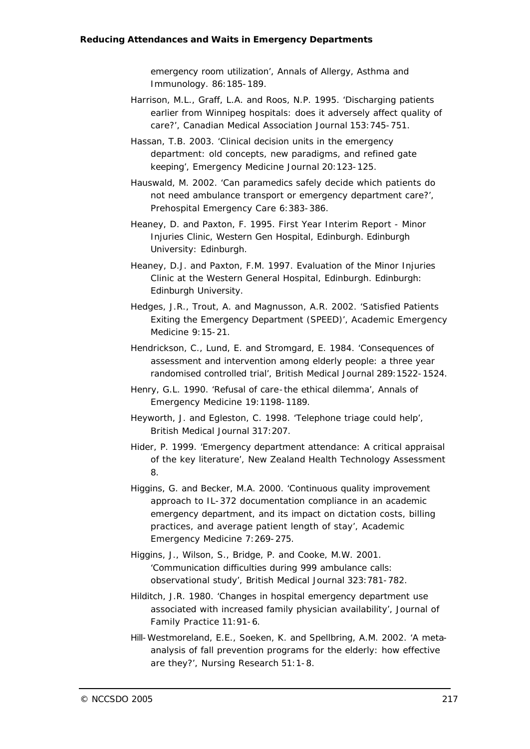emergency room utilization', *Annals of Allergy, Asthma and Immunology.* 86:185-189.

- Harrison, M.L., Graff, L.A. and Roos, N.P. 1995. 'Discharging patients earlier from Winnipeg hospitals: does it adversely affect quality of care?', *Canadian Medical Association Journal* 153:745-751.
- Hassan, T.B. 2003. 'Clinical decision units in the emergency department: old concepts, new paradigms, and refined gate keeping', *Emergency Medicine Journal* 20:123-125.
- Hauswald, M. 2002. 'Can paramedics safely decide which patients do not need ambulance transport or emergency department care?', *Prehospital Emergency Care* 6:383-386.
- Heaney, D. and Paxton, F. 1995. *First Year Interim Report Minor Injuries Clinic, Western Gen Hospital, Edinburgh*. Edinburgh University: Edinburgh.
- Heaney, D.J. and Paxton, F.M. 1997. *Evaluation of the Minor Injuries Clinic at the Western General Hospital, Edinburgh*. Edinburgh: Edinburgh University.
- Hedges, J.R., Trout, A. and Magnusson, A.R. 2002. 'Satisfied Patients Exiting the Emergency Department (SPEED)', *Academic Emergency Medicine* 9:15-21.
- Hendrickson, C., Lund, E. and Stromgard, E. 1984. 'Consequences of assessment and intervention among elderly people: a three year randomised controlled trial', *British Medical Journal* 289:1522-1524.
- Henry, G.L. 1990. 'Refusal of care-the ethical dilemma', *Annals of Emergency Medicine* 19:1198-1189.
- Heyworth, J. and Egleston, C. 1998. 'Telephone triage could help', *British Medical Journal* 317:207.
- Hider, P. 1999. 'Emergency department attendance: A critical appraisal of the key literature', *New Zealand Health Technology Assessment* 8.
- Higgins, G. and Becker, M.A. 2000. 'Continuous quality improvement approach to IL-372 documentation compliance in an academic emergency department, and its impact on dictation costs, billing practices, and average patient length of stay*', Academic Emergency Medicine* 7:269-275.
- Higgins, J., Wilson, S., Bridge, P. and Cooke, M.W. 2001. 'Communication difficulties during 999 ambulance calls: observational study', *British Medical Journal* 323:781-782.
- Hilditch, J.R. 1980. 'Changes in hospital emergency department use associated with increased family physician availability', *Journal of Family Practice* 11:91-6.
- Hill-Westmoreland, E.E., Soeken, K. and Spellbring, A.M. 2002. 'A metaanalysis of fall prevention programs for the elderly: how effective are they?', *Nursing Research* 51:1-8.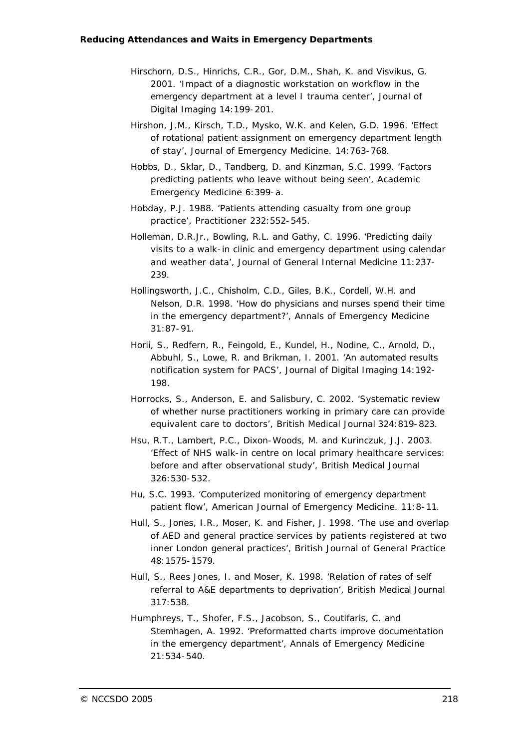- Hirschorn, D.S., Hinrichs, C.R., Gor, D.M., Shah, K. and Visvikus, G. 2001. 'Impact of a diagnostic workstation on workflow in the emergency department at a level I trauma center', *Journal of Digital Imaging* 14:199-201.
- Hirshon, J.M., Kirsch, T.D., Mysko, W.K. and Kelen, G.D. 1996. 'Effect of rotational patient assignment on emergency department length of stay', *Journal of Emergency Medicine.* 14:763-768.
- Hobbs, D., Sklar, D., Tandberg, D. and Kinzman, S.C. 1999. 'Factors predicting patients who leave without being seen', *Academic Emergency Medicine* 6:399-a.
- Hobday, P.J. 1988. 'Patients attending casualty from one group practice', *Practitioner* 232:552-545.
- Holleman, D.R.Jr., Bowling, R.L. and Gathy, C. 1996. 'Predicting daily visits to a walk-in clinic and emergency department using calendar and weather data', *Journal of General Internal Medicine* 11:237- 239.
- Hollingsworth, J.C., Chisholm, C.D., Giles, B.K., Cordell, W.H. and Nelson, D.R. 1998. 'How do physicians and nurses spend their time in the emergency department?', *Annals of Emergency Medicine* 31:87-91.
- Horii, S., Redfern, R., Feingold, E., Kundel, H., Nodine, C., Arnold, D., Abbuhl, S., Lowe, R. and Brikman, I. 2001. 'An automated results notification system for PACS', *Journal of Digital Imaging* 14:192- 198.
- Horrocks, S., Anderson, E. and Salisbury, C. 2002. 'Systematic review of whether nurse practitioners working in primary care can provide equivalent care to doctors', *British Medical Journal* 324:819-823.
- Hsu, R.T., Lambert, P.C., Dixon-Woods, M. and Kurinczuk, J.J. 2003. 'Effect of NHS walk-in centre on local primary healthcare services: before and after observational study', *British Medical Journal* 326:530-532.
- Hu, S.C. 1993. 'Computerized monitoring of emergency department patient flow', *American Journal of Emergency Medicine*. 11:8-11.
- Hull, S., Jones, I.R., Moser, K. and Fisher, J. 1998. 'The use and overlap of AED and general practice services by patients registered at two inner London general practices', *British Journal of General Practice* 48:1575-1579.
- Hull, S., Rees Jones, I. and Moser, K. 1998. 'Relation of rates of self referral to A&E departments to deprivation', *British Medical Journal*  317:538.
- Humphreys, T., Shofer, F.S., Jacobson, S., Coutifaris, C. and Stemhagen, A. 1992. 'Preformatted charts improve documentation in the emergency department', *Annals of Emergency Medicine* 21:534-540.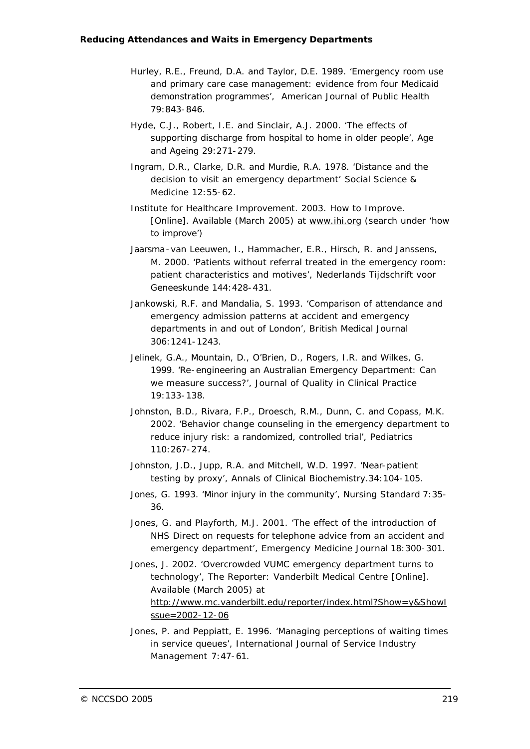- Hurley, R.E., Freund, D.A. and Taylor, D.E. 1989. 'Emergency room use and primary care case management: evidence from four Medicaid demonstration programmes', *American Journal of Public Health* 79:843-846.
- Hyde, C.J., Robert, I.E. and Sinclair, A.J. 2000. 'The effects of supporting discharge from hospital to home in older people', *Age and Ageing* 29:271-279.
- Ingram, D.R., Clarke, D.R. and Murdie, R.A. 1978. 'Distance and the decision to visit an emergency department' *Social Science & Medicine* 12:55-62.
- Institute for Healthcare Improvement. 2003*. How to Improve*. [Online]. Available (March 2005) at www.ihi.org (search under 'how to improve')
- Jaarsma-van Leeuwen, I., Hammacher, E.R., Hirsch, R. and Janssens, M. 2000. 'Patients without referral treated in the emergency room: patient characteristics and motives', *Nederlands Tijdschrift voor Geneeskunde* 144:428-431.
- Jankowski, R.F. and Mandalia, S. 1993. 'Comparison of attendance and emergency admission patterns at accident and emergency departments in and out of London', *British Medical Journal* 306:1241-1243.
- Jelinek, G.A., Mountain, D., O'Brien, D., Rogers, I.R. and Wilkes, G. 1999. 'Re-engineering an Australian Emergency Department: Can we measure success?', *Journal of Quality in Clinical Practice* 19:133-138.
- Johnston, B.D., Rivara, F.P., Droesch, R.M., Dunn, C. and Copass, M.K. 2002. 'Behavior change counseling in the emergency department to reduce injury risk: a randomized, controlled trial', *Pediatrics*  110:267-274.
- Johnston, J.D., Jupp, R.A. and Mitchell, W.D. 1997. 'Near-patient testing by proxy', *Annals of Clinical Biochemistry*.34:104-105.
- Jones, G. 1993. 'Minor injury in the community', *Nursing Standard* 7:35- 36.
- Jones, G. and Playforth, M.J. 2001. 'The effect of the introduction of NHS Direct on requests for telephone advice from an accident and emergency department', *Emergency Medicine Journal* 18:300-301.
- Jones, J. 2002. 'Overcrowded VUMC emergency department turns to technology', *The Reporter: Vanderbilt Medical Centre* [Online]. Available (March 2005) at http://www.mc.vanderbilt.edu/reporter/index.html?Show=y&ShowI ssue=2002-12-06
- Jones, P. and Peppiatt, E. 1996. 'Managing perceptions of waiting times in service queues', *International Journal of Service Industry Management* 7:47-61.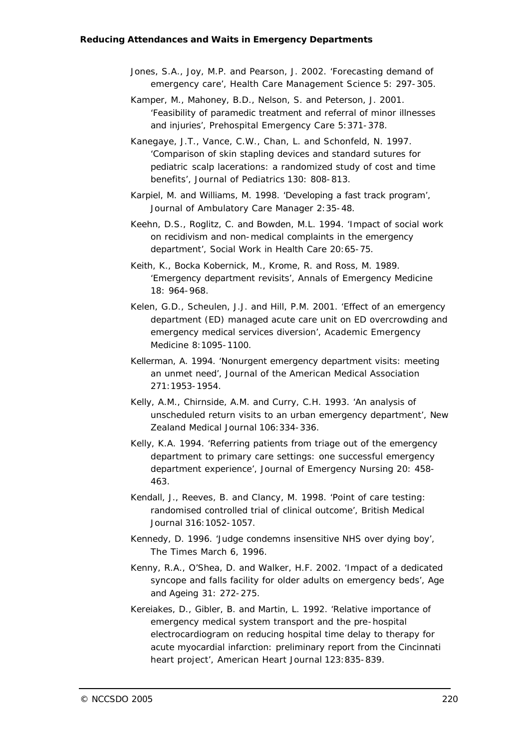- Jones, S.A., Joy, M.P. and Pearson, J. 2002. 'Forecasting demand of emergency care', *Health Care Management Science* 5: 297-305.
- Kamper, M., Mahoney, B.D., Nelson, S. and Peterson, J. 2001. 'Feasibility of paramedic treatment and referral of minor illnesses and injuries', *Prehospital Emergency Care* 5:371-378.
- Kanegaye, J.T., Vance, C.W., Chan, L. and Schonfeld, N. 1997. 'Comparison of skin stapling devices and standard sutures for pediatric scalp lacerations: a randomized study of cost and time benefits', *Journal of Pediatrics* 130: 808-813.
- Karpiel, M. and Williams, M. 1998. 'Developing a fast track program', *Journal of Ambulatory Care Manager* 2:35-48.
- Keehn, D.S., Roglitz, C. and Bowden, M.L. 1994. 'Impact of social work on recidivism and non-medical complaints in the emergency department', *Social Work in Health Care* 20:65-75.
- Keith, K., Bocka Kobernick, M., Krome, R. and Ross, M. 1989. 'Emergency department revisits', *Annals of Emergency Medicine* 18: 964-968.
- Kelen, G.D., Scheulen, J.J. and Hill, P.M. 2001. 'Effect of an emergency department (ED) managed acute care unit on ED overcrowding and emergency medical services diversion', *Academic Emergency Medicine* 8:1095-1100.
- Kellerman, A. 1994. 'Nonurgent emergency department visits: meeting an unmet need', *Journal of the American Medical Association*  271:1953-1954.
- Kelly, A.M., Chirnside, A.M. and Curry, C.H. 1993. 'An analysis of unscheduled return visits to an urban emergency department', *New Zealand Medical Journal* 106:334-336.
- Kelly, K.A. 1994. 'Referring patients from triage out of the emergency department to primary care settings: one successful emergency department experience', *Journal of Emergency Nursing* 20: 458- 463.
- Kendall, J., Reeves, B. and Clancy, M. 1998. 'Point of care testing: randomised controlled trial of clinical outcome', *British Medical Journal* 316:1052-1057.
- Kennedy, D. 1996. 'Judge condemns insensitive NHS over dying boy', *The Times* March 6, 1996.
- Kenny, R.A., O'Shea, D. and Walker, H.F. 2002. 'Impact of a dedicated syncope and falls facility for older adults on emergency beds*', Age and Ageing* 31: 272-275.
- Kereiakes, D., Gibler, B. and Martin, L. 1992. 'Relative importance of emergency medical system transport and the pre-hospital electrocardiogram on reducing hospital time delay to therapy for acute myocardial infarction: preliminary report from the Cincinnati heart project', *American Heart Journal* 123:835-839.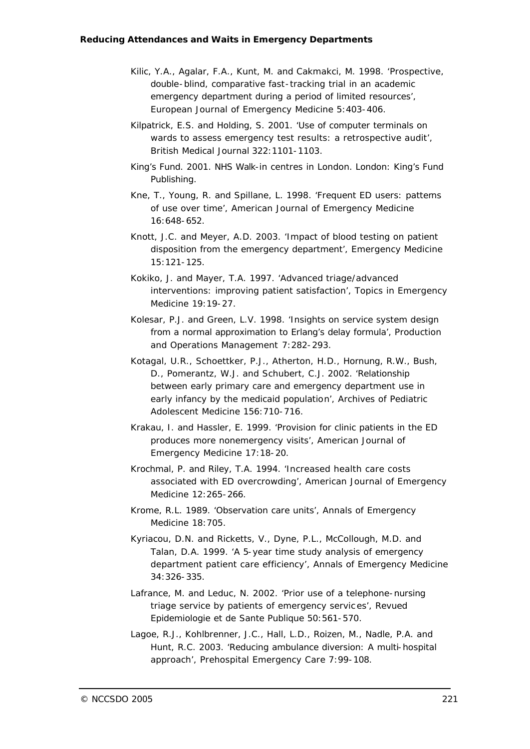- Kilic, Y.A., Agalar, F.A., Kunt, M. and Cakmakci, M. 1998. 'Prospective, double-blind, comparative fast-tracking trial in an academic emergency department during a period of limited resources', *European Journal of Emergency Medicine* 5:403-406.
- Kilpatrick, E.S. and Holding, S. 2001. 'Use of computer terminals on wards to assess emergency test results: a retrospective audit', *British Medical Journal* 322:1101-1103.
- King's Fund. 2001. *NHS Walk-in centres in London*. London: King's Fund Publishing.
- Kne, T., Young, R. and Spillane, L. 1998. 'Frequent ED users: patterns of use over time', *American Journal of Emergency Medicine* 16:648-652.
- Knott, J.C. and Meyer, A.D. 2003. 'Impact of blood testing on patient disposition from the emergency department', *Emergency Medicine* 15:121-125.
- Kokiko, J. and Mayer, T.A. 1997. 'Advanced triage/advanced interventions: improving patient satisfaction', *Topics in Emergency Medicine* 19:19-27.
- Kolesar, P.J. and Green, L.V. 1998. 'Insights on service system design from a normal approximation to Erlang's delay formula', *Production and Operations Management* 7:282-293.
- Kotagal, U.R., Schoettker, P.J., Atherton, H.D., Hornung, R.W., Bush, D., Pomerantz, W.J. and Schubert, C.J. 2002. 'Relationship between early primary care and emergency department use in early infancy by the medicaid population', *Archives of Pediatric Adolescent Medicine* 156:710-716.
- Krakau, I. and Hassler, E. 1999. 'Provision for clinic patients in the ED produces more nonemergency visits', *American Journal of Emergency Medicine* 17:18-20.
- Krochmal, P. and Riley, T.A. 1994. 'Increased health care costs associated with ED overcrowding', *American Journal of Emergency Medicine* 12:265-266.
- Krome, R.L. 1989. 'Observation care units', *Annals of Emergency Medicine* 18:705.
- Kyriacou, D.N. and Ricketts, V., Dyne, P.L., McCollough, M.D. and Talan, D.A. 1999. 'A 5-year time study analysis of emergency department patient care efficiency', *Annals of Emergency Medicine* 34:326-335.
- Lafrance, M. and Leduc, N. 2002. 'Prior use of a telephone-nursing triage service by patients of emergency servic es', *Revued Epidemiologie et de Sante Publique* 50:561-570.
- Lagoe, R.J., Kohlbrenner, J.C., Hall, L.D., Roizen, M., Nadle, P.A. and Hunt, R.C. 2003. 'Reducing ambulance diversion: A multi-hospital approach', *Prehospital Emergency Care* 7:99-108.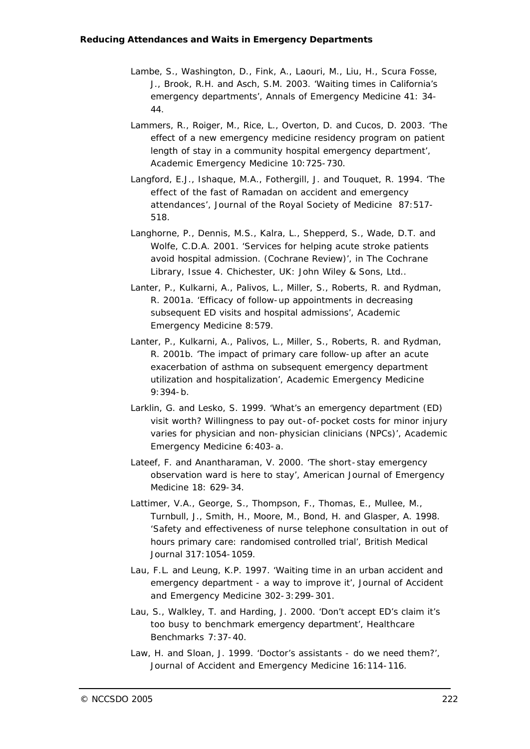- Lambe, S., Washington, D., Fink, A., Laouri, M., Liu, H., Scura Fosse, J., Brook, R.H. and Asch, S.M. 2003. 'Waiting times in California's emergency departments', *Annals of Emergency Medicine* 41: 34- 44.
- Lammers, R., Roiger, M., Rice, L., Overton, D. and Cucos, D. 2003. 'The effect of a new emergency medicine residency program on patient length of stay in a community hospital emergency department', *Academic Emergency Medicine* 10:725-730.
- Langford, E.J., Ishaque, M.A., Fothergill, J. and Touquet, R. 1994. 'The effect of the fast of Ramadan on accident and emergency attendances', *Journal of the Royal Society of Medicine* 87:517- 518.
- Langhorne, P., Dennis, M.S., Kalra, L., Shepperd, S., Wade, D.T. and Wolfe, C.D.A. 2001. 'Services for helping acute stroke patients avoid hospital admission. (Cochrane Review)', *in The Cochrane Library,* Issue 4. Chichester, UK: John Wiley & Sons, Ltd..
- Lanter, P., Kulkarni, A., Palivos, L., Miller, S., Roberts, R. and Rydman, R. 2001a. 'Efficacy of follow-up appointments in decreasing subsequent ED visits and hospital admissions', *Academic Emergency Medicine* 8:579.
- Lanter, P., Kulkarni, A., Palivos, L., Miller, S., Roberts, R. and Rydman, R. 2001b. 'The impact of primary care follow-up after an acute exacerbation of asthma on subsequent emergency department utilization and hospitalization', *Academic Emergency Medicine* 9:394-b.
- Larklin, G. and Lesko, S. 1999. 'What's an emergency department (ED) visit worth? Willingness to pay out-of-pocket costs for minor injury varies for physician and non-physician clinicians (NPCs)', *Academic Emergency Medicine* 6:403-a.
- Lateef, F. and Anantharaman, V. 2000. 'The short-stay emergency observation ward is here to stay', *American Journal of Emergency Medicine* 18: 629-34.
- Lattimer, V.A., George, S., Thompson, F., Thomas, E., Mullee, M., Turnbull, J., Smith, H., Moore, M., Bond, H. and Glasper, A. 1998. 'Safety and effectiveness of nurse telephone consultation in out of hours primary care: randomised controlled trial', *British Medical Journal* 317:1054-1059.
- Lau, F.L. and Leung, K.P. 1997. 'Waiting time in an urban accident and emergency department - a way to improve it', *Journal of Accident and Emergency Medicine* 302-3:299-301.
- Lau, S., Walkley, T. and Harding, J. 2000. 'Don't accept ED's claim it's too busy to benchmark emergency department', *Healthcare Benchmarks* 7:37-40.
- Law, H. and Sloan, J. 1999. 'Doctor's assistants do we need them?', *Journal of Accident and Emergency Medicine* 16:114-116.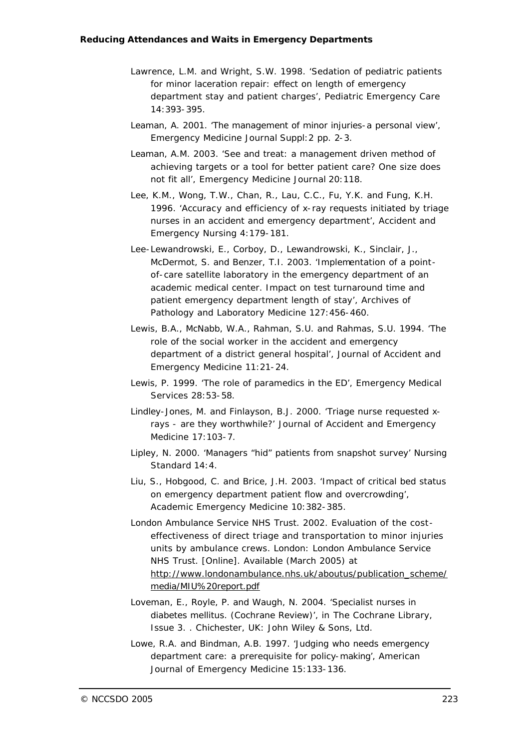- Lawrence, L.M. and Wright, S.W. 1998. 'Sedation of pediatric patients for minor laceration repair: effect on length of emergency department stay and patient charges', *Pediatric Emergency Care* 14:393-395.
- Leaman, A. 2001. 'The management of minor injuries-a personal view', *Emergency Medicine Journal* Suppl:2 pp. 2-3.
- Leaman, A.M. 2003. 'See and treat: a management driven method of achieving targets or a tool for better patient care? One size does not fit all', *Emergency Medicine Journal* 20:118.
- Lee, K.M., Wong, T.W., Chan, R., Lau, C.C., Fu, Y.K. and Fung, K.H. 1996. 'Accuracy and efficiency of x-ray requests initiated by triage nurses in an accident and emergency department', *Accident and Emergency Nursing* 4:179-181.
- Lee-Lewandrowski, E., Corboy, D., Lewandrowski, K., Sinclair, J., McDermot, S. and Benzer, T.I. 2003. 'Implementation of a pointof-care satellite laboratory in the emergency department of an academic medical center. Impact on test turnaround time and patient emergency department length of stay', *Archives of Pathology and Laboratory Medicine* 127:456-460.
- Lewis, B.A., McNabb, W.A., Rahman, S.U. and Rahmas, S.U. 1994. 'The role of the social worker in the accident and emergency department of a district general hospital', *Journal of Accident and Emergency Medicine* 11:21-24.
- Lewis, P. 1999. 'The role of paramedics in the ED', *Emergency Medical Services* 28:53-58.
- Lindley-Jones, M. and Finlayson, B.J. 2000. 'Triage nurse requested xrays - are they worthwhile?' *Journal of Accident and Emergency Medicine* 17:103-7.
- Lipley, N. 2000. 'Managers "hid" patients from snapshot survey' *Nursing Standard* 14:4.
- Liu, S., Hobgood, C. and Brice, J.H. 2003. 'Impact of critical bed status on emergency department patient flow and overcrowding', *Academic Emergency Medicine* 10:382-385.
- London Ambulance Service NHS Trust. 2002. *Evaluation of the costeffectiveness of direct triage and transportation to minor injuries units by ambulance crews*. London: London Ambulance Service NHS Trust. [Online]. Available (March 2005) at http://www.londonambulance.nhs.uk/aboutus/publication\_scheme/ media/MIU%20report.pdf
- Loveman, E., Royle, P. and Waugh, N. 2004. 'Specialist nurses in diabetes mellitus. (Cochrane Review)', in *The Cochrane Library*, Issue 3. . Chichester, UK: John Wiley & Sons, Ltd.
- Lowe, R.A. and Bindman, A.B. 1997. 'Judging who needs emergency department care: a prerequisite for policy-making', *American Journal of Emergency Medicine* 15:133-136.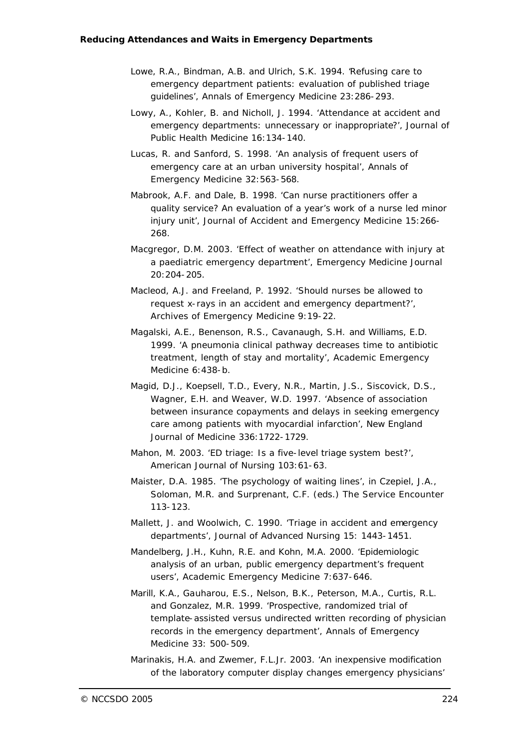- Lowe, R.A., Bindman, A.B. and Ulrich, S.K. 1994. 'Refusing care to emergency department patients: evaluation of published triage guidelines', *Annals of Emergency Medicine* 23:286-293.
- Lowy, A., Kohler, B. and Nicholl, J. 1994. 'Attendance at accident and emergency departments: unnecessary or inappropriate?', *Journal of Public Health Medicine* 16:134-140.
- Lucas, R. and Sanford, S. 1998. 'An analysis of frequent users of emergency care at an urban university hospital', *Annals of Emergency Medicine* 32:563-568.
- Mabrook, A.F. and Dale, B. 1998. 'Can nurse practitioners offer a quality service? An evaluation of a year's work of a nurse led minor injury unit', *Journal of Accident and Emergency Medicine* 15:266- 268.
- Macgregor, D.M. 2003. 'Effect of weather on attendance with injury at a paediatric emergency department', *Emergency Medicine Journal*  20:204-205.
- Macleod, A.J. and Freeland, P. 1992. 'Should nurses be allowed to request x-rays in an accident and emergency department?', *Archives of Emergency Medicine* 9:19-22.
- Magalski, A.E., Benenson, R.S., Cavanaugh, S.H. and Williams, E.D. 1999. 'A pneumonia clinical pathway decreases time to antibiotic treatment, length of stay and mortality', *Academic Emergency Medicine* 6:438-b.
- Magid, D.J., Koepsell, T.D., Every, N.R., Martin, J.S., Siscovick, D.S., Wagner, E.H. and Weaver, W.D. 1997. 'Absence of association between insurance copayments and delays in seeking emergency care among patients with myocardial infarction*', New England Journal of Medicine* 336:1722-1729.
- Mahon, M. 2003. 'ED triage: Is a five-level triage system best?', *American Journal of Nursing* 103:61-63.
- Maister, D.A. 1985. 'The psychology of waiting lines', in Czepiel, J.A., Soloman, M.R. and Surprenant, C.F. (eds.) *The Service Encounter* 113-123.
- Mallett, J. and Woolwich, C. 1990. 'Triage in accident and emergency departments', *Journal of Advanced Nursing* 15: 1443-1451.
- Mandelberg, J.H., Kuhn, R.E. and Kohn, M.A. 2000. 'Epidemiologic analysis of an urban, public emergency department's frequent users', *Academic Emergency Medicine* 7:637-646.
- Marill, K.A., Gauharou, E.S., Nelson, B.K., Peterson, M.A., Curtis, R.L. and Gonzalez, M.R. 1999. 'Prospective, randomized trial of template-assisted versus undirected written recording of physician records in the emergency department', *Annals of Emergency Medicine* 33: 500-509.
- Marinakis, H.A. and Zwemer, F.L.Jr. 2003. 'An inexpensive modification of the laboratory computer display changes emergency physicians'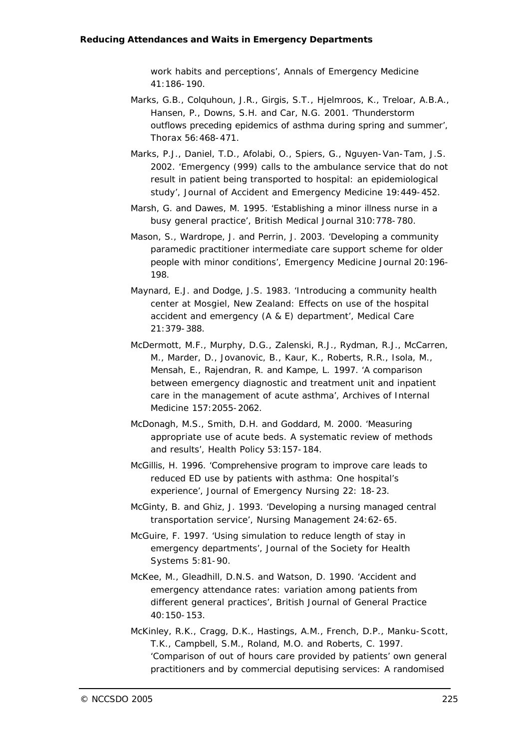work habits and perceptions', *Annals of Emergency Medicine* 41:186-190.

- Marks, G.B., Colquhoun, J.R., Girgis, S.T., Hjelmroos, K., Treloar, A.B.A., Hansen, P., Downs, S.H. and Car, N.G. 2001. 'Thunderstorm outflows preceding epidemics of asthma during spring and summer', *Thorax* 56:468-471.
- Marks, P.J., Daniel, T.D., Afolabi, O., Spiers, G., Nguyen-Van-Tam, J.S. 2002. 'Emergency (999) calls to the ambulance service that do not result in patient being transported to hospital: an epidemiological study', *Journal of Accident and Emergency Medicine* 19:449-452.
- Marsh, G. and Dawes, M. 1995. 'Establishing a minor illness nurse in a busy general practice', *British Medical Journal* 310:778-780.
- Mason, S., Wardrope, J. and Perrin, J. 2003. 'Developing a community paramedic practitioner intermediate care support scheme for older people with minor conditions', *Emergency Medicine Journal* 20:196- 198.
- Maynard, E.J. and Dodge, J.S. 1983. 'Introducing a community health center at Mosgiel, New Zealand: Effects on use of the hospital accident and emergency (A & E) department', *Medical Care* 21:379-388.
- McDermott, M.F., Murphy, D.G., Zalenski, R.J., Rydman, R.J., McCarren, M., Marder, D., Jovanovic, B., Kaur, K., Roberts, R.R., Isola, M., Mensah, E., Rajendran, R. and Kampe, L. 1997. 'A comparison between emergency diagnostic and treatment unit and inpatient care in the management of acute asthma', *Archives of Internal Medicine* 157:2055-2062.
- McDonagh, M.S., Smith, D.H. and Goddard, M. 2000. 'Measuring appropriate use of acute beds. A systematic review of methods and results', *Health Policy* 53:157-184.
- McGillis, H. 1996. 'Comprehensive program to improve care leads to reduced ED use by patients with asthma: One hospital's experience', *Journal of Emergency Nursing* 22: 18-23.
- McGinty, B. and Ghiz, J. 1993. 'Developing a nursing managed central transportation service', *Nursing Management* 24:62-65.
- McGuire, F. 1997. 'Using simulation to reduce length of stay in emergency departments', *Journal of the Society for Health Systems* 5:81-90.
- McKee, M., Gleadhill, D.N.S. and Watson, D. 1990. 'Accident and emergency attendance rates: variation among patients from different general practices', *British Journal of General Practice* 40:150-153.
- McKinley, R.K., Cragg, D.K., Hastings, A.M., French, D.P., Manku-Scott, T.K., Campbell, S.M., Roland, M.O. and Roberts, C. 1997. 'Comparison of out of hours care provided by patients' own general practitioners and by commercial deputising services: A randomised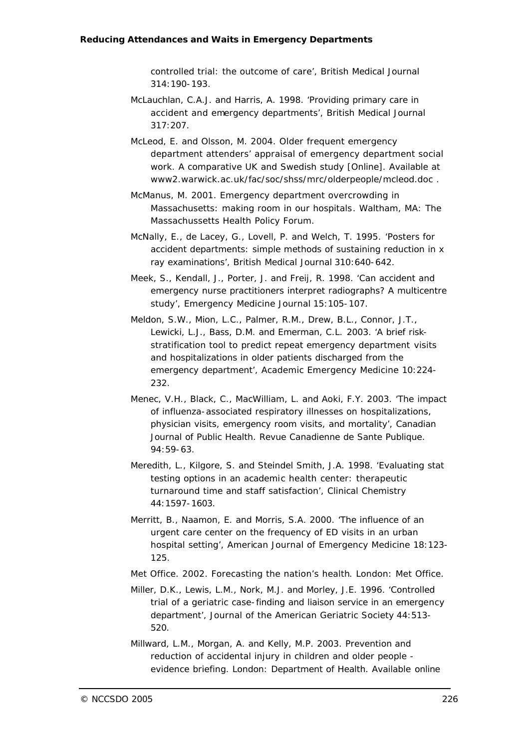controlled trial: the outcome of care', *British Medical Journal* 314:190-193.

McLauchlan, C.A.J. and Harris, A. 1998. 'Providing primary care in accident and emergency departments', *British Medical Journal* 317:207.

McLeod, E. and Olsson, M. 2004. *Older frequent emergency department attenders' appraisal of emergency department social work. A comparative UK and Swedish study* [Online]. Available at www2.warwick.ac.uk/fac/soc/shss/mrc/olderpeople/mcleod.doc .

McManus, M. 2001. *Emergency department overcrowding in Massachusetts: making room in our hospitals*. Waltham, MA: The Massachussetts Health Policy Forum.

McNally, E., de Lacey, G., Lovell, P. and Welch, T. 1995. 'Posters for accident departments: simple methods of sustaining reduction in x ray examinations', *British Medical Journal* 310:640-642.

Meek, S., Kendall, J., Porter, J. and Freij, R. 1998. 'Can accident and emergency nurse practitioners interpret radiographs? A multicentre study', *Emergency Medicine Journal* 15:105-107.

Meldon, S.W., Mion, L.C., Palmer, R.M., Drew, B.L., Connor, J.T., Lewicki, L.J., Bass, D.M. and Emerman, C.L. 2003. 'A brief riskstratification tool to predict repeat emergency department visits and hospitalizations in older patients discharged from the emergency department', *Academic Emergency Medicine* 10:224- 232.

Menec, V.H., Black, C., MacWilliam, L. and Aoki, F.Y. 2003. 'The impact of influenza-associated respiratory illnesses on hospitalizations, physician visits, emergency room visits, and mortality', *Canadian Journal of Public Health. Revue Canadienne de Sante Publique*. 94:59-63.

Meredith, L., Kilgore, S. and Steindel Smith, J.A. 1998. 'Evaluating stat testing options in an academic health center: therapeutic turnaround time and staff satisfaction', *Clinical Chemistry* 44:1597-1603.

Merritt, B., Naamon, E. and Morris, S.A. 2000. 'The influence of an urgent care center on the frequency of ED visits in an urban hospital setting', *American Journal of Emergency Medicine* 18:123- 125.

Met Office. 2002. *Forecasting the nation's health*. London: Met Office.

Miller, D.K., Lewis, L.M., Nork, M.J. and Morley, J.E. 1996. 'Controlled trial of a geriatric case-finding and liaison service in an emergency department', *Journal of the American Geriatric Society* 44:513- 520.

Millward, L.M., Morgan, A. and Kelly, M.P. 2003. *Prevention and reduction of accidental injury in children and older people evidence briefing*. London: Department of Health. Available online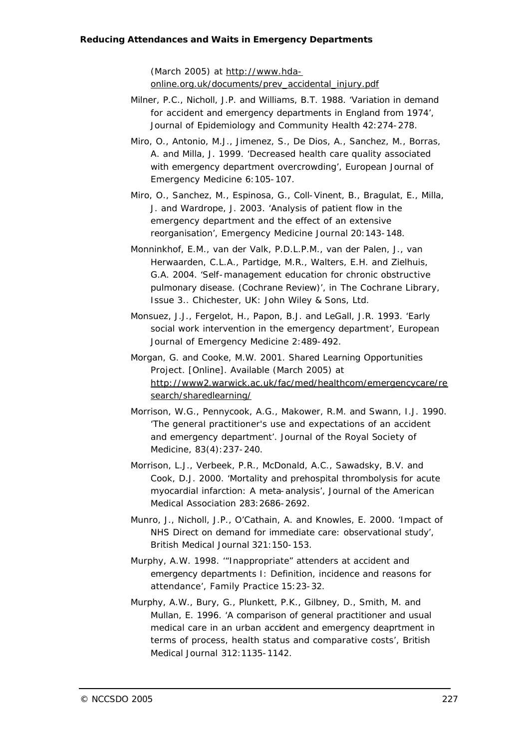(March 2005) at http://www.hdaonline.org.uk/documents/prev\_accidental\_injury.pdf

- Milner, P.C., Nicholl, J.P. and Williams, B.T. 1988. 'Variation in demand for accident and emergency departments in England from 1974', *Journal of Epidemiology and Community Health* 42:274-278.
- Miro, O., Antonio, M.J., Jimenez, S., De Dios, A., Sanchez, M., Borras, A. and Milla, J. 1999. 'Decreased health care quality associated with emergency department overcrowding', *European Journal of Emergency Medicine* 6:105-107.
- Miro, O., Sanchez, M., Espinosa, G., Coll-Vinent, B., Bragulat, E., Milla, J. and Wardrope, J. 2003. 'Analysis of patient flow in the emergency department and the effect of an extensive reorganisation', *Emergency Medicine Journal* 20:143-148.
- Monninkhof, E.M., van der Valk, P.D.L.P.M., van der Palen, J., van Herwaarden, C.L.A., Partidge, M.R., Walters, E.H. and Zielhuis, G.A. 2004. 'Self-management education for chronic obstructive pulmonary disease. (Cochrane Review)', in *The Cochrane Library*, Issue 3.. Chichester, UK: John Wiley & Sons, Ltd.
- Monsuez, J.J., Fergelot, H., Papon, B.J. and LeGall, J.R. 1993. 'Early social work intervention in the emergency department', *European Journal of Emergency Medicine* 2:489-492.
- Morgan, G. and Cooke, M.W. 2001. *Shared Learning Opportunities Project*. [Online]. Available (March 2005) at http://www2.warwick.ac.uk/fac/med/healthcom/emergencycare/re search/sharedlearning/
- Morrison, W.G., Pennycook, A.G., Makower, R.M. and Swann, I.J. 1990. 'The general practitioner's use and expectations of an accident and emergency department'. *Journal of the Royal Society of Medicine*, 83(4):237-240.
- Morrison, L.J., Verbeek, P.R., McDonald, A.C., Sawadsky, B.V. and Cook, D.J. 2000. 'Mortality and prehospital thrombolysis for acute myocardial infarction: A meta-analysis', *Journal of the American Medical Association* 283:2686-2692.
- Munro, J., Nicholl, J.P., O'Cathain, A. and Knowles, E. 2000. 'Impact of NHS Direct on demand for immediate care: observational study', *British Medical Journal* 321:150-153.
- Murphy, A.W. 1998. '"Inappropriate" attenders at accident and emergency departments I: Definition, incidence and reasons for attendance', *Family Practice* 15:23-32.
- Murphy, A.W., Bury, G., Plunkett, P.K., Gilbney, D., Smith, M. and Mullan, E. 1996. 'A comparison of general practitioner and usual medical care in an urban accident and emergency deaprtment in terms of process, health status and comparative costs', *British Medical Journal* 312:1135-1142.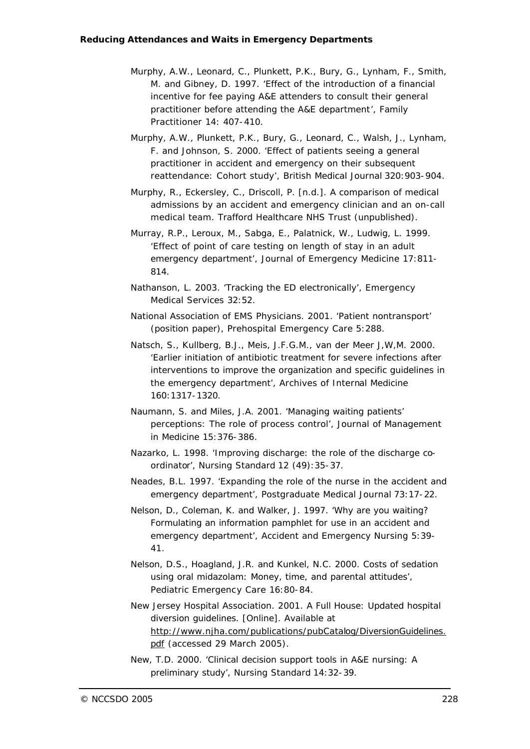- Murphy, A.W., Leonard, C., Plunkett, P.K., Bury, G., Lynham, F., Smith, M. and Gibney, D. 1997. 'Effect of the introduction of a financial incentive for fee paying A&E attenders to consult their general practitioner before attending the A&E department*', Family Practitioner* 14: 407-410.
- Murphy, A.W., Plunkett, P.K., Bury, G., Leonard, C., Walsh, J., Lynham, F. and Johnson, S. 2000. 'Effect of patients seeing a general practitioner in accident and emergency on their subsequent reattendance: Cohort study', *British Medical Journal* 320:903-904.
- Murphy, R., Eckersley, C., Driscoll, P. [n.d.]. *A comparison of medical admissions by an accident and emergency clinician and an on-call medical team*. Trafford Healthcare NHS Trust (unpublished).
- Murray, R.P., Leroux, M., Sabga, E., Palatnick, W., Ludwig, L. 1999. 'Effect of point of care testing on length of stay in an adult emergency department', *Journal of Emergency Medicine* 17:811- 814.
- Nathanson, L. 2003. 'Tracking the ED electronically', *Emergency Medical Services* 32:52.
- National Association of EMS Physicians. 2001. 'Patient nontransport' (position paper), *Prehospital Emergency Care* 5:288.
- Natsch, S., Kullberg, B.J., Meis, J.F.G.M., van der Meer J,W,M. 2000. 'Earlier initiation of antibiotic treatment for severe infections after interventions to improve the organization and specific guidelines in the emergency department', *Archives of Internal Medicine* 160:1317-1320.
- Naumann, S. and Miles, J.A. 2001. 'Managing waiting patients' perceptions: The role of process control', *Journal of Management in Medicine* 15:376-386.
- Nazarko, L. 1998. 'Improving discharge: the role of the discharge coordinator', *Nursing Standard* 12 (49):35-37.
- Neades, B.L. 1997. 'Expanding the role of the nurse in the accident and emergency department', *Postgraduate Medical Journal* 73:17-22.
- Nelson, D., Coleman, K. and Walker, J. 1997. 'Why are you waiting? Formulating an information pamphlet for use in an accident and emergency department', *Accident and Emergency Nursing* 5:39- 41.
- Nelson, D.S., Hoagland, J.R. and Kunkel, N.C. 2000. Costs of sedation using oral midazolam: Money, time, and parental attitudes', *Pediatric Emergency Care* 16:80-84.
- New Jersey Hospital Association. 2001. *A Full House: Updated hospital diversion guidelines*. [Online]. Available at http://www.njha.com/publications/pubCatalog/DiversionGuidelines. pdf (accessed 29 March 2005).
- New, T.D. 2000. 'Clinical decision support tools in A&E nursing: A preliminary study', *Nursing Standard* 14:32-39.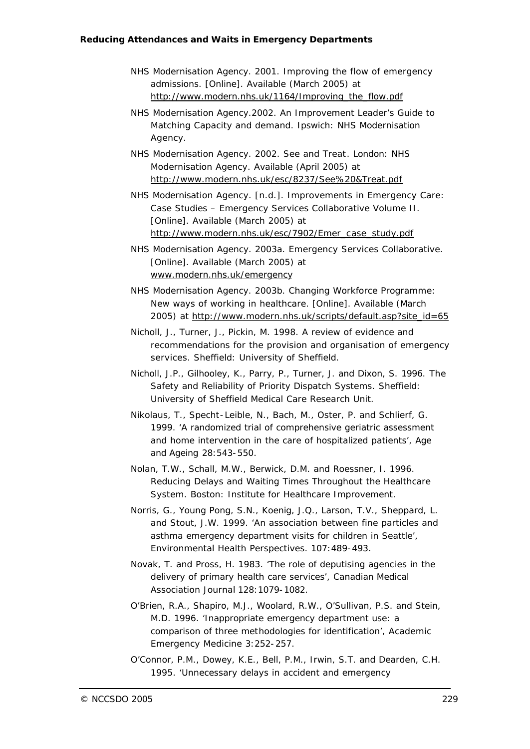- NHS Modernisation Agency. 2001*. Improving the flow of emergency admissions*. [Online]. Available (March 2005) at http://www.modern.nhs.uk/1164/Improving\_the\_flow.pdf
- NHS Modernisation Agency.2002. *An Improvement Leader's Guide to Matching Capacity and demand.* Ipswich: NHS Modernisation Agency.
- NHS Modernisation Agency. 2002. *See and Treat*. London: NHS Modernisation Agency. Available (April 2005) at http://www.modern.nhs.uk/esc/8237/See%20&Treat.pdf

NHS Modernisation Agency. [n.d.]. *Improvements in Emergency Care: Case Studies – Emergency Services Collaborative Volume II*. [Online]. Available (March 2005) at http://www.modern.nhs.uk/esc/7902/Emer\_case\_study.pdf

- NHS Modernisation Agency. 2003a. *Emergency Services Collaborative*. [Online]. Available (March 2005) at www.modern.nhs.uk/emergency
- NHS Modernisation Agency. 2003b. *Changing Workforce Programme: New ways of working in healthcare*. [Online]. Available (March 2005) at http://www.modern.nhs.uk/scripts/default.asp?site\_id=65
- Nicholl, J., Turner, J., Pickin, M. 1998. *A review of evidence and recommendations for the provision and organisation of emergency services*. Sheffield: University of Sheffield.
- Nicholl, J.P., Gilhooley, K., Parry, P., Turner, J. and Dixon, S*.* 1996. *The Safety and Reliability of Priority Dispatch Systems*. Sheffield: University of Sheffield Medical Care Research Unit.
- Nikolaus, T., Specht-Leible, N., Bach, M., Oster, P. and Schlierf, G. 1999. 'A randomized trial of comprehensive geriatric assessment and home intervention in the care of hospitalized patients', *Age and Ageing* 28:543-550.
- Nolan, T.W., Schall, M.W., Berwick, D.M. and Roessner, I. 1996. *Reducing Delays and Waiting Times Throughout the Healthcare System*. Boston: Institute for Healthcare Improvement.
- Norris, G., Young Pong, S.N., Koenig, J.Q., Larson, T.V., Sheppard, L. and Stout, J.W. 1999. 'An association between fine particles and asthma emergency department visits for children in Seattle', *Environmental Health Perspectives*. 107:489-493.
- Novak, T. and Pross, H. 1983. 'The role of deputising agencies in the delivery of primary health care services', *Canadian Medical Association Journal* 128:1079-1082.
- O'Brien, R.A., Shapiro, M.J., Woolard, R.W., O'Sullivan, P.S. and Stein, M.D. 1996. 'Inappropriate emergency department use: a comparison of three methodologies for identification', *Academic Emergency Medicine* 3:252-257.
- O'Connor, P.M., Dowey, K.E., Bell, P.M., Irwin, S.T. and Dearden, C.H. 1995. 'Unnecessary delays in accident and emergency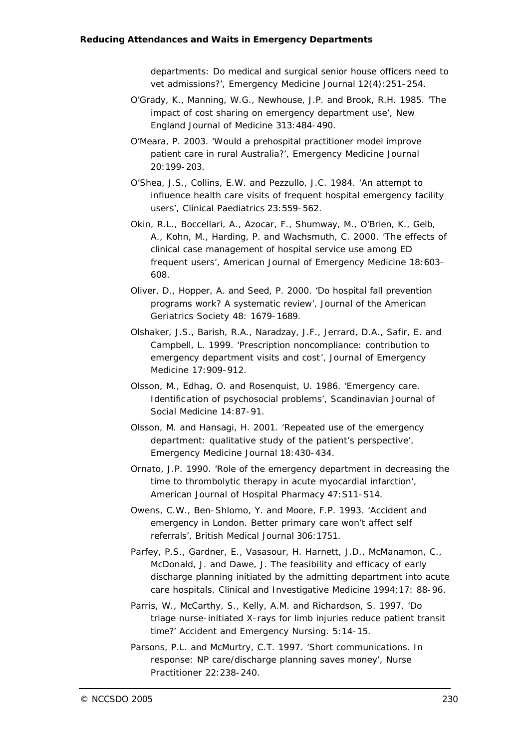departments: Do medical and surgical senior house officers need to vet admissions?', *Emergency Medicine Journal* 12(4):251-254.

- O'Grady, K., Manning, W.G., Newhouse, J.P. and Brook, R.H. 1985. 'The impact of cost sharing on emergency department use', *New England Journal of Medicine* 313:484-490.
- O'Meara, P. 2003. 'Would a prehospital practitioner model improve patient care in rural Australia?', *Emergency Medicine Journal* 20:199-203.
- O'Shea, J.S., Collins, E.W. and Pezzullo, J.C. 1984. 'An attempt to influence health care visits of frequent hospital emergency facility users', *Clinical Paediatrics* 23:559-562.
- Okin, R.L., Boccellari, A., Azocar, F., Shumway, M., O'Brien, K., Gelb, A., Kohn, M., Harding, P. and Wachsmuth, C. 2000. 'The effects of clinical case management of hospital service use among ED frequent users', *American Journal of Emergency Medicine* 18:603- 608.
- Oliver, D., Hopper, A. and Seed, P. 2000. 'Do hospital fall prevention programs work? A systematic review', *Journal of the American Geriatrics Society* 48: 1679-1689.
- Olshaker, J.S., Barish, R.A., Naradzay, J.F., Jerrard, D.A., Safir, E. and Campbell, L. 1999. 'Prescription noncompliance: contribution to emergency department visits and cost*', Journal of Emergency Medicine* 17:909-912.
- Olsson, M., Edhag, O. and Rosenquist, U. 1986. 'Emergency care. Identification of psychosocial problems', *Scandinavian Journal of Social Medicine* 14:87-91.
- Olsson, M. and Hansagi, H. 2001. 'Repeated use of the emergency department: qualitative study of the patient's perspective', *Emergency Medicine Journal* 18:430-434.
- Ornato, J.P. 1990. 'Role of the emergency department in decreasing the time to thrombolytic therapy in acute myocardial infarction', *American Journal of Hospital Pharmacy* 47:S11-S14.
- Owens, C.W., Ben-Shlomo, Y. and Moore, F.P. 1993. 'Accident and emergency in London. Better primary care won't affect self referrals', *British Medical Journal* 306:1751.
- Parfey, P.S., Gardner, E., Vasasour, H. Harnett, J.D., McManamon, C., McDonald, J. and Dawe, J. The feasibility and efficacy of early discharge planning initiated by the admitting department into acute care hospitals. *Clinical and Investigative Medicine* 1994;17: 88-96.
- Parris, W., McCarthy, S., Kelly, A.M. and Richardson, S. 1997. 'Do triage nurse-initiated X-rays for limb injuries reduce patient transit time?' *Accident and Emergency Nursing*. 5:14-15.
- Parsons, P.L. and McMurtry, C.T. 1997. 'Short communications. In response: NP care/discharge planning saves money*', Nurse Practitioner* 22:238-240.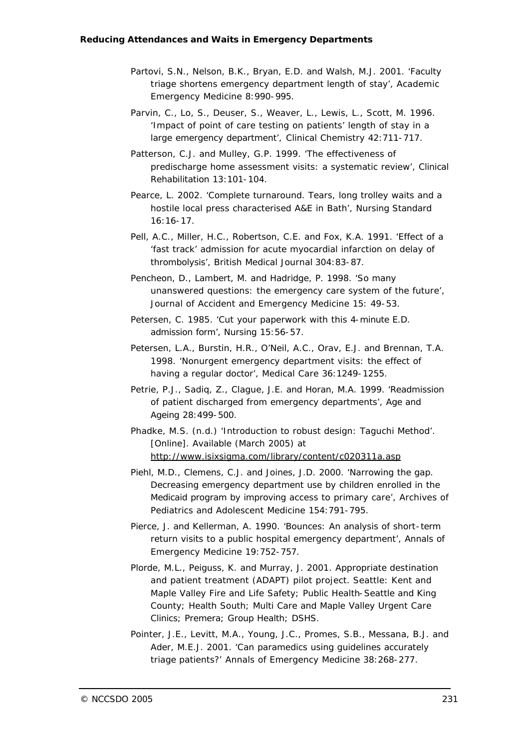- Partovi, S.N., Nelson, B.K., Bryan, E.D. and Walsh, M.J. 2001. 'Faculty triage shortens emergency department length of stay', *Academic Emergency Medicine* 8:990-995.
- Parvin, C., Lo, S., Deuser, S., Weaver, L., Lewis, L., Scott, M. 1996. 'Impact of point of care testing on patients' length of stay in a large emergency department', *Clinical Chemistry* 42:711-717.
- Patterson, C.J. and Mulley, G.P. 1999. 'The effectiveness of predischarge home assessment visits: a systematic review', *Clinical Rehabilitation* 13:101-104.
- Pearce, L. 2002. 'Complete turnaround. Tears, long trolley waits and a hostile local press characterised A&E in Bath', *Nursing Standard*  16:16-17.
- Pell, A.C., Miller, H.C., Robertson, C.E. and Fox, K.A. 1991. 'Effect of a 'fast track' admission for acute myocardial infarction on delay of thrombolysis', *British Medical Journal* 304:83-87.
- Pencheon, D., Lambert, M. and Hadridge, P. 1998. 'So many unanswered questions: the emergency care system of the future', *Journal of Accident and Emergency Medicine* 15: 49-53.
- Petersen, C. 1985. 'Cut your paperwork with this 4-minute E.D. admission form', *Nursing* 15:56-57.
- Petersen, L.A., Burstin, H.R., O'Neil, A.C., Orav, E.J. and Brennan, T.A. 1998. 'Nonurgent emergency department visits: the effect of having a regular doctor', *Medical Care* 36:1249-1255.
- Petrie, P.J., Sadiq, Z., Clague, J.E. and Horan, M.A. 1999. 'Readmission of patient discharged from emergency departments', *Age and Ageing* 28:499-500.
- Phadke, M.S. (n.d.) 'Introduction to robust design: Taguchi Method'. [Online]. Available (March 2005) at http://www.isixsigma.com/library/content/c020311a.asp
- Piehl, M.D., Clemens, C.J. and Joines, J.D. 2000. 'Narrowing the gap. Decreasing emergency department use by children enrolled in the Medicaid program by improving access to primary care', *Archives of Pediatrics and Adolescent Medicine* 154:791-795.
- Pierce, J. and Kellerman, A. 1990. 'Bounces: An analysis of short-term return visits to a public hospital emergency department', *Annals of Emergency Medicine* 19:752-757.
- Plorde, M.L., Peiguss, K. and Murray, J. 2001. *Appropriate destination and patient treatment (ADAPT) pilot project*. Seattle: Kent and Maple Valley Fire and Life Safety; Public Health-Seattle and King County; Health South; Multi Care and Maple Valley Urgent Care Clinics; Premera; Group Health; DSHS.
- Pointer, J.E., Levitt, M.A., Young, J.C., Promes, S.B., Messana, B.J. and Ader, M.E.J. 2001. 'Can paramedics using guidelines accurately triage patients?' *Annals of Emergency Medicine* 38:268-277.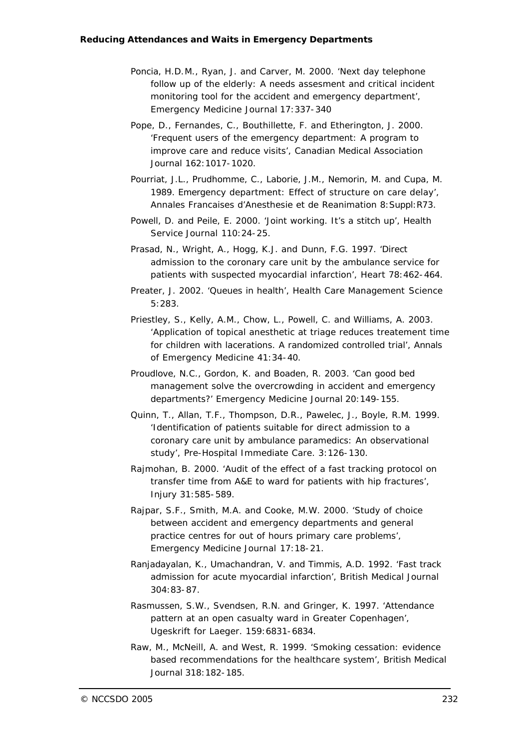- Poncia, H.D.M., Ryan, J. and Carver, M. 2000. 'Next day telephone follow up of the elderly: A needs assesment and critical incident monitoring tool for the accident and emergency department', *Emergency Medicine Journal* 17:337-340
- Pope, D., Fernandes, C., Bouthillette, F. and Etherington, J. 2000. 'Frequent users of the emergency department: A program to improve care and reduce visits', *Canadian Medical Association Journal* 162:1017-1020.
- Pourriat, J.L., Prudhomme, C., Laborie, J.M., Nemorin, M. and Cupa, M. 1989. Emergency department: Effect of structure on care delay', *Annales Francaises d'Anesthesie et de Reanimation* 8:Suppl:R73.
- Powell, D. and Peile, E. 2000. 'Joint working. It's a stitch up', *Health Service Journal* 110:24-25.
- Prasad, N., Wright, A., Hogg, K.J. and Dunn, F.G. 1997. 'Direct admission to the coronary care unit by the ambulance service for patients with suspected myocardial infarction', *Heart* 78:462-464.
- Preater, J. 2002. 'Queues in health', *Health Care Management Science*  5:283.
- Priestley, S., Kelly, A.M., Chow, L., Powell, C. and Williams, A. 2003. 'Application of topical anesthetic at triage reduces treatement time for children with lacerations. A randomized controlled trial', *Annals of Emergency Medicine* 41:34-40.
- Proudlove, N.C., Gordon, K. and Boaden, R. 2003. 'Can good bed management solve the overcrowding in accident and emergency departments?' *Emergency Medicine Journal* 20:149-155.
- Quinn, T., Allan, T.F., Thompson, D.R., Pawelec, J., Boyle, R.M. 1999. 'Identification of patients suitable for direct admission to a coronary care unit by ambulance paramedics: An observational study', *Pre-Hospital Immediate Care*. 3:126-130.
- Rajmohan, B. 2000. 'Audit of the effect of a fast tracking protocol on transfer time from A&E to ward for patients with hip fractures', *Injury* 31:585-589.
- Rajpar, S.F., Smith, M.A. and Cooke, M.W. 2000. 'Study of choice between accident and emergency departments and general practice centres for out of hours primary care problems', *Emergency Medicine Journal* 17:18-21.
- Ranjadayalan, K., Umachandran, V. and Timmis, A.D. 1992. 'Fast track admission for acute myocardial infarction', *British Medical Journal* 304:83-87.
- Rasmussen, S.W., Svendsen, R.N. and Gringer, K. 1997. 'Attendance pattern at an open casualty ward in Greater Copenhagen', *Ugeskrift for Laeger*. 159:6831-6834.
- Raw, M., McNeill, A. and West, R. 1999. 'Smoking cessation: evidence based recommendations for the healthcare system', *British Medical Journal* 318:182-185.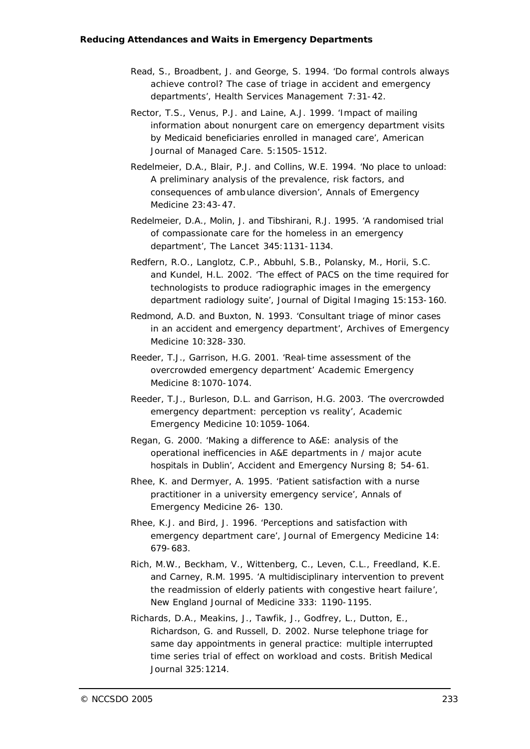- Read, S., Broadbent, J. and George, S. 1994. 'Do formal controls always achieve control? The case of triage in accident and emergency departments', *Health Services Management* 7:31-42.
- Rector, T.S., Venus, P.J. and Laine, A.J. 1999. 'Impact of mailing information about nonurgent care on emergency department visits by Medicaid beneficiaries enrolled in managed care', *American Journal of Managed Care*. 5:1505-1512.
- Redelmeier, D.A., Blair, P.J. and Collins, W.E. 1994. 'No place to unload: A preliminary analysis of the prevalence, risk factors, and consequences of ambulance diversion', *Annals of Emergency Medicine* 23:43-47.
- Redelmeier, D.A., Molin, J. and Tibshirani, R.J. 1995. 'A randomised trial of compassionate care for the homeless in an emergency department', *The Lancet* 345:1131-1134.
- Redfern, R.O., Langlotz, C.P., Abbuhl, S.B., Polansky, M., Horii, S.C. and Kundel, H.L. 2002. 'The effect of PACS on the time required for technologists to produce radiographic images in the emergency department radiology suite', *Journal of Digital Imaging* 15:153-160.
- Redmond, A.D. and Buxton, N. 1993. 'Consultant triage of minor cases in an accident and emergency department', *Archives of Emergency Medicine* 10:328-330.
- Reeder, T.J., Garrison, H.G. 2001. 'Real-time assessment of the overcrowded emergency department' *Academic Emergency Medicine* 8:1070-1074.
- Reeder, T.J., Burleson, D.L. and Garrison, H.G. 2003. 'The overcrowded emergency department: perception vs reality', *Academic Emergency Medicine* 10:1059-1064.
- Regan, G. 2000. 'Making a difference to A&E: analysis of the operational inefficencies in A&E departments in / major acute hospitals in Dublin', *Accident and Emergency Nursing* 8; 54-61.
- Rhee, K. and Dermyer, A. 1995. 'Patient satisfaction with a nurse practitioner in a university emergency service', *Annals of Emergency Medicine* 26- 130.
- Rhee, K.J. and Bird, J. 1996. 'Perceptions and satisfaction with emergency department care', *Journal of Emergency Medicine* 14: 679-683.
- Rich, M.W., Beckham, V., Wittenberg, C., Leven, C.L., Freedland, K.E. and Carney, R.M. 1995. 'A multidisciplinary intervention to prevent the readmission of elderly patients with congestive heart failure*', New England Journal of Medicine* 333: 1190-1195.
- Richards, D.A., Meakins, J., Tawfik, J., Godfrey, L., Dutton, E., Richardson, G. and Russell, D. 2002. Nurse telephone triage for same day appointments in general practice: multiple interrupted time series trial of effect on workload and costs. *British Medical Journal* 325:1214.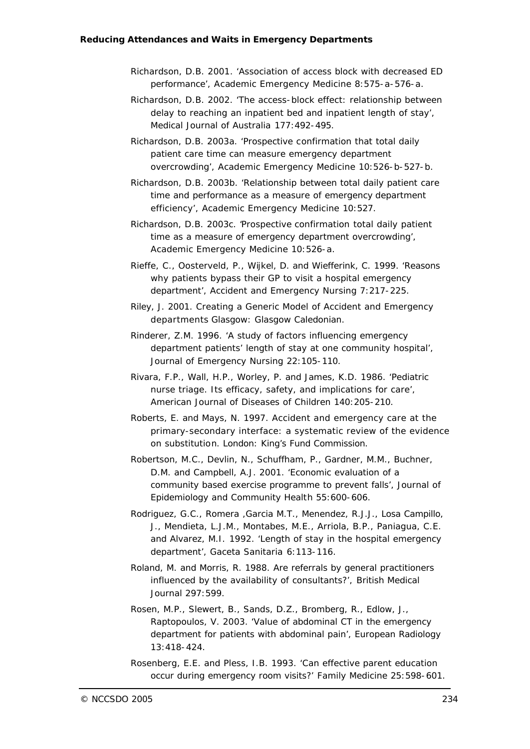- Richardson, D.B. 2001. 'Association of access block with decreased ED performance', *Academic Emergency Medicine* 8:575-a-576-a.
- Richardson, D.B. 2002. 'The access-block effect: relationship between delay to reaching an inpatient bed and inpatient length of stay', *Medical Journal of Australia* 177:492-495.
- Richardson, D.B. 2003a. 'Prospective confirmation that total daily patient care time can measure emergency department overcrowding', *Academic Emergency Medicine* 10:526-b-527-b.
- Richardson, D.B. 2003b. 'Relationship between total daily patient care time and performance as a measure of emergency department efficiency', *Academic Emergency Medicine* 10:527.
- Richardson, D.B. 2003c. 'Prospective confirmation total daily patient time as a measure of emergency department overcrowding', *Academic Emergency Medicine* 10:526-a.
- Rieffe, C., Oosterveld, P., Wijkel, D. and Wiefferink, C. 1999. 'Reasons why patients bypass their GP to visit a hospital emergency department', *Accident and Emergency Nursing* 7:217-225.
- Riley, J. 2001. *Creating a Generic Model of Accident and Emergency departments* Glasgow: Glasgow Caledonian.
- Rinderer, Z.M. 1996. 'A study of factors influencing emergency department patients' length of stay at one community hospital', *Journal of Emergency Nursing* 22:105-110.
- Rivara, F.P., Wall, H.P., Worley, P. and James, K.D. 1986. 'Pediatric nurse triage. Its efficacy, safety, and implications for care', *American Journal of Diseases of Children* 140:205-210.
- Roberts, E. and Mays, N. 1997. *Accident and emergency care at the primary-secondary interface: a systematic review of the evidence on substitution*. London: King's Fund Commission.
- Robertson, M.C., Devlin, N., Schuffham, P., Gardner, M.M., Buchner, D.M. and Campbell, A.J. 2001. 'Economic evaluation of a community based exercise programme to prevent falls', *Journal of Epidemiology and Community Health* 55:600-606.
- Rodriguez, G.C., Romera ,Garcia M.T., Menendez, R.J.J., Losa Campillo, J., Mendieta, L.J.M., Montabes, M.E., Arriola, B.P., Paniagua, C.E. and Alvarez, M.I. 1992. 'Length of stay in the hospital emergency department', *Gaceta Sanitaria* 6:113-116.
- Roland, M. and Morris, R. 1988. Are referrals by general practitioners influenced by the availability of consultants?', *British Medical Journal* 297:599.
- Rosen, M.P., Slewert, B., Sands, D.Z., Bromberg, R., Edlow, J., Raptopoulos, V. 2003. 'Value of abdominal CT in the emergency department for patients with abdominal pain', *European Radiology* 13:418-424.
- Rosenberg, E.E. and Pless, I.B. 1993. 'Can effective parent education occur during emergency room visits?' *Family Medicine* 25:598-601.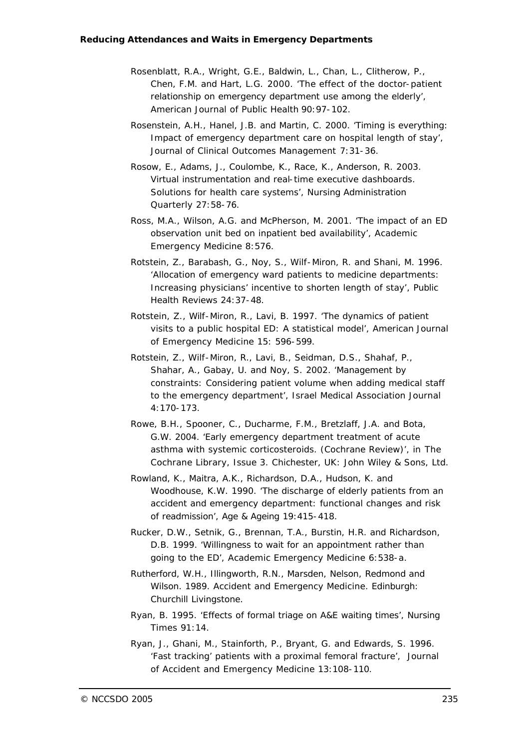- Rosenblatt, R.A., Wright, G.E., Baldwin, L., Chan, L., Clitherow, P., Chen, F.M. and Hart, L.G. 2000. 'The effect of the doctor-patient relationship on emergency department use among the elderly', *American Journal of Public Health* 90:97-102.
- Rosenstein, A.H., Hanel, J.B. and Martin, C. 2000. 'Timing is everything: Impact of emergency department care on hospital length of stay', *Journal of Clinical Outcomes Management* 7:31-36.
- Rosow, E., Adams, J., Coulombe, K., Race, K., Anderson, R. 2003. Virtual instrumentation and real-time executive dashboards. Solutions for health care systems', *Nursing Administration Quarterly* 27:58-76.
- Ross, M.A., Wilson, A.G. and McPherson, M. 2001. 'The impact of an ED observation unit bed on inpatient bed availability', *Academic Emergency Medicine* 8:576.
- Rotstein, Z., Barabash, G., Noy, S., Wilf-Miron, R. and Shani, M. 1996. 'Allocation of emergency ward patients to medicine departments: Increasing physicians' incentive to shorten length of stay', *Public Health Reviews* 24:37-48.
- Rotstein, Z., Wilf-Miron, R., Lavi, B. 1997. 'The dynamics of patient visits to a public hospital ED: A statistical model', *American Journal of Emergency Medicine* 15: 596-599.
- Rotstein, Z., Wilf-Miron, R., Lavi, B., Seidman, D.S., Shahaf, P., Shahar, A., Gabay, U. and Noy, S. 2002. 'Management by constraints: Considering patient volume when adding medical staff to the emergency department', *Israel Medical Association Journal* 4:170-173.
- Rowe, B.H., Spooner, C., Ducharme, F.M., Bretzlaff, J.A. and Bota, G.W. 2004. 'Early emergency department treatment of acute asthma with systemic corticosteroids. (Cochrane Review)', in *The Cochrane Library*, Issue 3. Chichester, UK: John Wiley & Sons, Ltd.
- Rowland, K., Maitra, A.K., Richardson, D.A., Hudson, K. and Woodhouse, K.W. 1990. 'The discharge of elderly patients from an accident and emergency department: functional changes and risk of readmission', *Age & Ageing* 19:415-418.
- Rucker, D.W., Setnik, G., Brennan, T.A., Burstin, H.R. and Richardson, D.B. 1999. 'Willingness to wait for an appointment rather than going to the ED', *Academic Emergency Medicine* 6:538-a.
- Rutherford, W.H., Illingworth, R.N., Marsden, Nelson, Redmond and Wilson. 1989. *Accident and Emergency Medicine*. Edinburgh: Churchill Livingstone.
- Ryan, B. 1995. 'Effects of formal triage on A&E waiting times', *Nursing Times* 91:14.
- Ryan, J., Ghani, M., Stainforth, P., Bryant, G. and Edwards, S. 1996. 'Fast tracking' patients with a proximal femoral fracture', *Journal of Accident and Emergency Medicine* 13:108-110.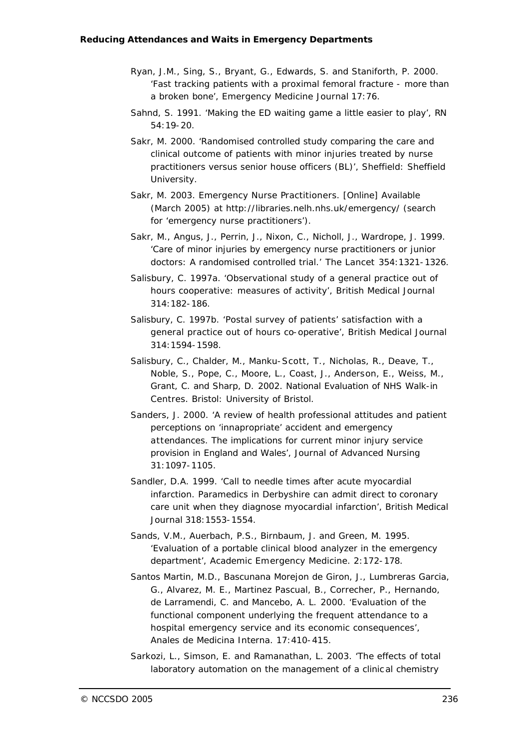- Ryan, J.M., Sing, S., Bryant, G., Edwards, S. and Staniforth, P. 2000. 'Fast tracking patients with a proximal femoral fracture - more than a broken bone', *Emergency Medicine Journal* 17:76.
- Sahnd, S. 1991. 'Making the ED waiting game a little easier to play', *RN* 54:19-20.
- Sakr, M. 2000. 'Randomised controlled study comparing the care and clinical outcome of patients with minor injuries treated by nurse practitioners versus senior house officers (BL)', Sheffield: Sheffield University.
- Sakr, M. 2003. *Emergency Nurse Practitioners*. [Online] Available (March 2005) at http://libraries.nelh.nhs.uk/emergency/ (search for 'emergency nurse practitioners').
- Sakr, M., Angus, J., Perrin, J., Nixon, C., Nicholl, J., Wardrope, J. 1999. 'Care of minor injuries by emergency nurse practitioners or junior doctors: A randomised controlled trial.' *The Lancet* 354:1321-1326.
- Salisbury, C. 1997a. 'Observational study of a general practice out of hours cooperative: measures of activity', *British Medical Journal* 314:182-186.
- Salisbury, C. 1997b. 'Postal survey of patients' satisfaction with a general practice out of hours co-operative', *British Medical Journal* 314:1594-1598.
- Salisbury, C., Chalder, M., Manku-Scott, T., Nicholas, R., Deave, T., Noble, S., Pope, C., Moore, L., Coast, J., Anderson, E., Weiss, M., Grant, C. and Sharp, D. 2002. *National Evaluation of NHS Walk-in Centres*. Bristol: University of Bristol.
- Sanders, J. 2000. 'A review of health professional attitudes and patient perceptions on 'innapropriate' accident and emergency attendances. The implications for current minor injury service provision in England and Wales', *Journal of Advanced Nursing* 31:1097-1105.
- Sandler, D.A. 1999. 'Call to needle times after acute myocardial infarction. Paramedics in Derbyshire can admit direct to coronary care unit when they diagnose myocardial infarction*', British Medical Journal* 318:1553-1554.
- Sands, V.M., Auerbach, P.S., Birnbaum, J. and Green, M. 1995. 'Evaluation of a portable clinical blood analyzer in the emergency department', *Academic Emergency Medicine*. 2:172-178.
- Santos Martin, M.D., Bascunana Morejon de Giron, J., Lumbreras Garcia, G., Alvarez, M. E., Martinez Pascual, B., Correcher, P., Hernando, de Larramendi, C. and Mancebo, A. L. 2000. 'Evaluation of the functional component underlying the frequent attendance to a hospital emergency service and its economic consequences', *Anales de Medicina Interna*. 17:410-415.
- Sarkozi, L., Simson, E. and Ramanathan, L. 2003. 'The effects of total laboratory automation on the management of a clinical chemistry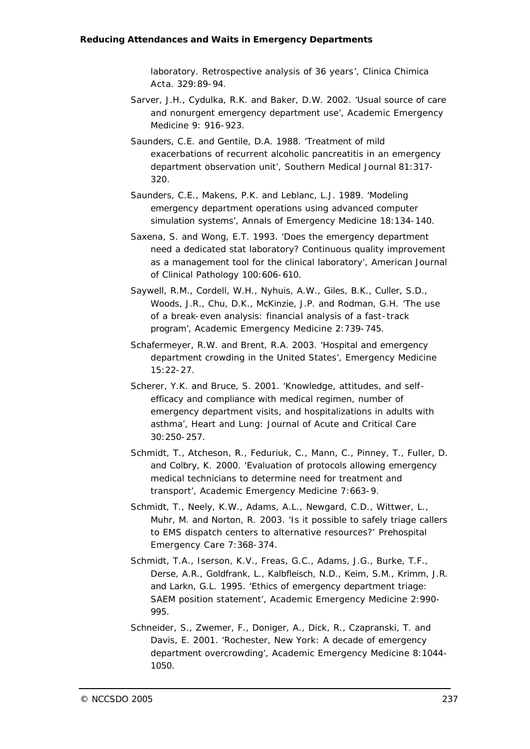laboratory. Retrospective analysis of 36 years*', Clinica Chimica Acta*. 329:89-94.

- Sarver, J.H., Cydulka, R.K. and Baker, D.W. 2002. 'Usual source of care and nonurgent emergency department use', *Academic Emergency Medicine* 9: 916-923.
- Saunders, C.E. and Gentile, D.A. 1988. 'Treatment of mild exacerbations of recurrent alcoholic pancreatitis in an emergency department observation unit', *Southern Medical Journal* 81:317- 320.
- Saunders, C.E., Makens, P.K. and Leblanc, L.J. 1989. 'Modeling emergency department operations using advanced computer simulation systems', *Annals of Emergency Medicine* 18:134-140.
- Saxena, S. and Wong, E.T. 1993. 'Does the emergency department need a dedicated stat laboratory? Continuous quality improvement as a management tool for the clinical laboratory', *American Journal of Clinical Pathology* 100:606-610.
- Saywell, R.M., Cordell, W.H., Nyhuis, A.W., Giles, B.K., Culler, S.D., Woods, J.R., Chu, D.K., McKinzie, J.P. and Rodman, G.H. 'The use of a break-even analysis: financial analysis of a fast-track program', *Academic Emergency Medicine* 2:739-745.
- Schafermeyer, R.W. and Brent, R.A. 2003. 'Hospital and emergency department crowding in the United States', *Emergency Medicine* 15:22-27.
- Scherer, Y.K. and Bruce, S. 2001. 'Knowledge, attitudes, and selfefficacy and compliance with medical regimen, number of emergency department visits, and hospitalizations in adults with asthma', *Heart and Lung: Journal of Acute and Critical Care* 30:250-257.
- Schmidt, T., Atcheson, R., Feduriuk, C., Mann, C., Pinney, T., Fuller, D. and Colbry, K. 2000. 'Evaluation of protocols allowing emergency medical technicians to determine need for treatment and transport', *Academic Emergency Medicine* 7:663-9.
- Schmidt, T., Neely, K.W., Adams, A.L., Newgard, C.D., Wittwer, L., Muhr, M. and Norton, R. 2003. 'Is it possible to safely triage callers to EMS dispatch centers to alternative resources?' *Prehospital Emergency Care* 7:368-374.
- Schmidt, T.A., Iserson, K.V., Freas, G.C., Adams, J.G., Burke, T.F., Derse, A.R., Goldfrank, L., Kalbfleisch, N.D., Keim, S.M., Krimm, J.R. and Larkn, G.L. 1995. 'Ethics of emergency department triage: SAEM position statement', *Academic Emergency Medicine* 2:990- 995.
- Schneider, S., Zwemer, F., Doniger, A., Dick, R., Czapranski, T. and Davis, E. 2001. 'Rochester, New York: A decade of emergency department overcrowding', *Academic Emergency Medicine* 8:1044- 1050.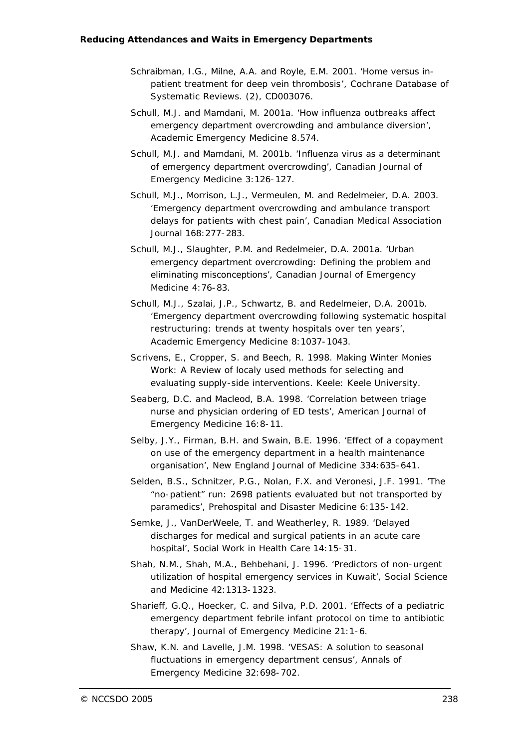- Schraibman, I.G., Milne, A.A. and Royle, E.M. 2001. 'Home versus inpatient treatment for deep vein thrombosis*', Cochrane Database of Systematic Reviews*. (2), CD003076.
- Schull, M.J. and Mamdani, M. 2001a. 'How influenza outbreaks affect emergency department overcrowding and ambulance diversion', *Academic Emergency Medicine* 8.574.
- Schull, M.J. and Mamdani, M. 2001b. 'Influenza virus as a determinant of emergency department overcrowding', *Canadian Journal of Emergency Medicine* 3:126-127.
- Schull, M.J., Morrison, L.J., Vermeulen, M. and Redelmeier, D.A. 2003. 'Emergency department overcrowding and ambulance transport delays for patients with chest pain*', Canadian Medical Association Journal* 168:277-283.
- Schull, M.J., Slaughter, P.M. and Redelmeier, D.A. 2001a. 'Urban emergency department overcrowding: Defining the problem and eliminating misconceptions', *Canadian Journal of Emergency Medicine* 4:76-83.
- Schull, M.J., Szalai, J.P., Schwartz, B. and Redelmeier, D.A. 2001b. 'Emergency department overcrowding following systematic hospital restructuring: trends at twenty hospitals over ten years', *Academic Emergency Medicine* 8:1037-1043.
- Scrivens, E., Cropper, S. and Beech, R. 1998. *Making Winter Monies Work: A Review of localy used methods for selecting and evaluating supply-side interventions*. Keele: Keele University.
- Seaberg, D.C. and Macleod, B.A. 1998. 'Correlation between triage nurse and physician ordering of ED tests', *American Journal of Emergency Medicine* 16:8-11.
- Selby, J.Y., Firman, B.H. and Swain, B.E. 1996. 'Effect of a copayment on use of the emergency department in a health maintenance organisation', *New England Journal of Medicine* 334:635-641.
- Selden, B.S., Schnitzer, P.G., Nolan, F.X. and Veronesi, J.F. 1991. 'The "no-patient" run: 2698 patients evaluated but not transported by paramedics', *Prehospital and Disaster Medicine* 6:135-142.
- Semke, J., VanDerWeele, T. and Weatherley, R. 1989. 'Delayed discharges for medical and surgical patients in an acute care hospital', *Social Work in Health Care* 14:15-31.
- Shah, N.M., Shah, M.A., Behbehani, J. 1996. 'Predictors of non-urgent utilization of hospital emergency services in Kuwait', *Social Science and Medicine* 42:1313-1323.
- Sharieff, G.Q., Hoecker, C. and Silva, P.D. 2001. 'Effects of a pediatric emergency department febrile infant protocol on time to antibiotic therapy', *Journal of Emergency Medicine* 21:1-6.
- Shaw, K.N. and Lavelle, J.M. 1998. 'VESAS: A solution to seasonal fluctuations in emergency department census', *Annals of Emergency Medicine* 32:698-702.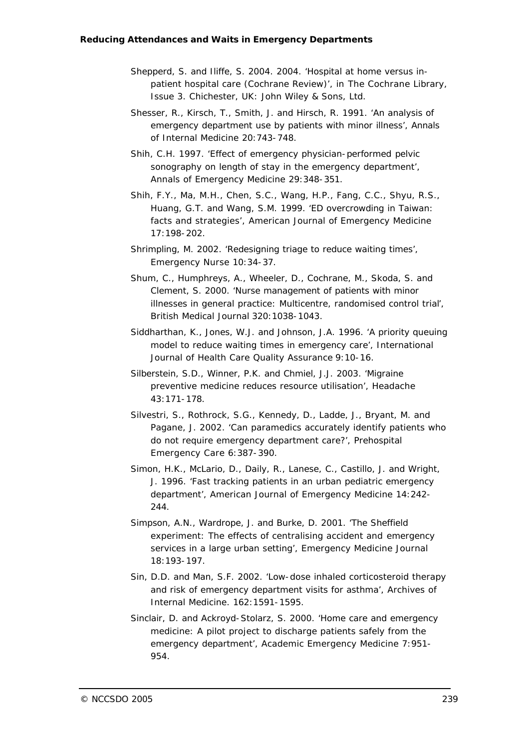- Shepperd, S. and Iliffe, S. 2004. 2004. 'Hospital at home versus inpatient hospital care (Cochrane Review)', in *The Cochrane Library*, Issue 3. Chichester, UK: John Wiley & Sons, Ltd.
- Shesser, R., Kirsch, T., Smith, J. and Hirsch, R. 1991. 'An analysis of emergency department use by patients with minor illness', *Annals of Internal Medicine* 20:743-748.
- Shih, C.H. 1997. 'Effect of emergency physician-performed pelvic sonography on length of stay in the emergency department', *Annals of Emergency Medicine* 29:348-351.
- Shih, F.Y., Ma, M.H., Chen, S.C., Wang, H.P., Fang, C.C., Shyu, R.S., Huang, G.T. and Wang, S.M. 1999. 'ED overcrowding in Taiwan: facts and strategies', *American Journal of Emergency Medicine* 17:198-202.
- Shrimpling, M. 2002. 'Redesigning triage to reduce waiting times', *Emergency Nurse* 10:34-37.
- Shum, C., Humphreys, A., Wheeler, D., Cochrane, M., Skoda, S. and Clement, S. 2000. 'Nurse management of patients with minor illnesses in general practice: Multicentre, randomised control trial*', British Medical Journal* 320:1038-1043.
- Siddharthan, K., Jones, W.J. and Johnson, J.A. 1996. 'A priority queuing model to reduce waiting times in emergency care', *International Journal of Health Care Quality Assurance* 9:10-16.
- Silberstein, S.D., Winner, P.K. and Chmiel, J.J. 2003. 'Migraine preventive medicine reduces resource utilisation', *Headache* 43:171-178.
- Silvestri, S., Rothrock, S.G., Kennedy, D., Ladde, J., Bryant, M. and Pagane, J. 2002. 'Can paramedics accurately identify patients who do not require emergency department care?', *Prehospital Emergency Care* 6:387-390.
- Simon, H.K., McLario, D., Daily, R., Lanese, C., Castillo, J. and Wright, J. 1996. 'Fast tracking patients in an urban pediatric emergency department', *American Journal of Emergency Medicine* 14:242- 244.
- Simpson, A.N., Wardrope, J. and Burke, D. 2001. 'The Sheffield experiment: The effects of centralising accident and emergency services in a large urban setting', *Emergency Medicine Journal* 18:193-197.
- Sin, D.D. and Man, S.F. 2002. 'Low-dose inhaled corticosteroid therapy and risk of emergency department visits for asthma', *Archives of Internal Medicine*. 162:1591-1595.
- Sinclair, D. and Ackroyd-Stolarz, S. 2000. 'Home care and emergency medicine: A pilot project to discharge patients safely from the emergency department', *Academic Emergency Medicine* 7:951- 954.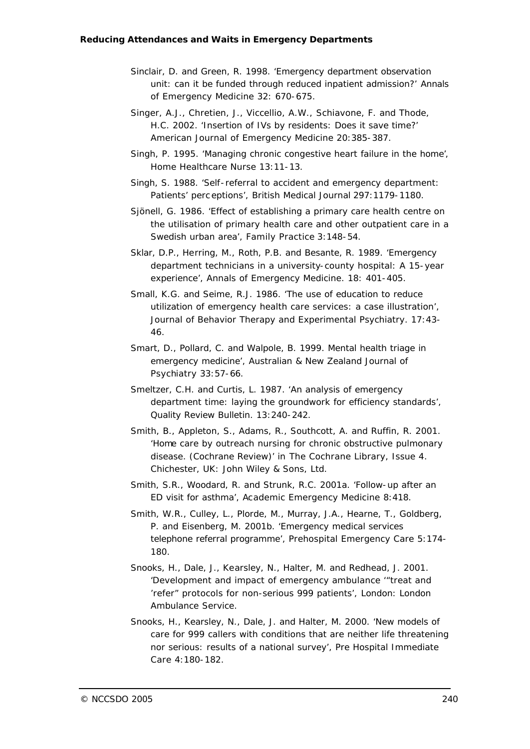- Sinclair, D. and Green, R. 1998. 'Emergency department observation unit: can it be funded through reduced inpatient admission?' *Annals of Emergency Medicine* 32: 670-675.
- Singer, A.J., Chretien, J., Viccellio, A.W., Schiavone, F. and Thode, H.C. 2002. 'Insertion of IVs by residents: Does it save time?' *American Journal of Emergency Medicine* 20:385-387.
- Singh, P. 1995. 'Managing chronic congestive heart failure in the home', *Home Healthcare Nurse* 13:11-13.
- Singh, S. 1988. 'Self-referral to accident and emergency department: Patients' perc eptions', *British Medical Journal* 297:1179-1180.
- Sjönell, G. 1986. 'Effect of establishing a primary care health centre on the utilisation of primary health care and other outpatient care in a Swedish urban area', *Family Practice* 3:148-54.
- Sklar, D.P., Herring, M., Roth, P.B. and Besante, R. 1989. 'Emergency department technicians in a university-county hospital: A 15-year experience', *Annals of Emergency Medicine*. 18: 401-405.
- Small, K.G. and Seime, R.J. 1986. 'The use of education to reduce utilization of emergency health care services: a case illustration', *Journal of Behavior Therapy and Experimental Psychiatry*. 17:43- 46.
- Smart, D., Pollard, C. and Walpole, B. 1999. Mental health triage in emergency medicine*', Australian & New Zealand Journal of Psychiatry* 33:57-66.
- Smeltzer, C.H. and Curtis, L. 1987. 'An analysis of emergency department time: laying the groundwork for efficiency standards', *Quality Review Bulletin*. 13:240-242.
- Smith, B., Appleton, S., Adams, R., Southcott, A. and Ruffin, R. 2001. 'Home care by outreach nursing for chronic obstructive pulmonary disease. (Cochrane Review)' in *The Cochrane Library*, Issue 4. Chichester, UK: John Wiley & Sons, Ltd.
- Smith, S.R., Woodard, R. and Strunk, R.C. 2001a. 'Follow-up after an ED visit for asthma', *Academic Emergency Medicine* 8:418.
- Smith, W.R., Culley, L., Plorde, M., Murray, J.A., Hearne, T., Goldberg, P. and Eisenberg, M. 2001b. 'Emergency medical services telephone referral programme', *Prehospital Emergency Care* 5:174- 180.
- Snooks, H., Dale, J., Kearsley, N., Halter, M. and Redhead, J. 2001. '*Development and impact of emergency ambulance '"treat and 'refer" protocols for non-serious 999 patients',* London: London Ambulance Service.
- Snooks, H., Kearsley, N., Dale, J. and Halter, M. 2000. 'New models of care for 999 callers with conditions that are neither life threatening nor serious: results of a national survey', *Pre Hospital Immediate Care* 4:180-182.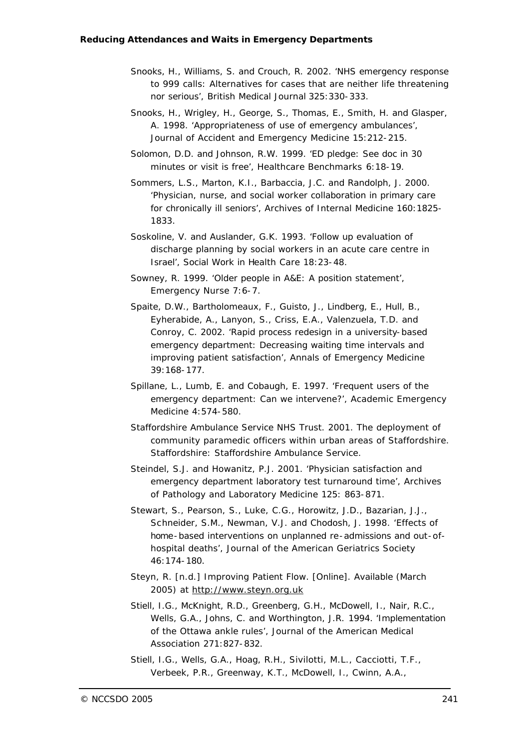- Snooks, H., Williams, S. and Crouch, R. 2002. 'NHS emergency response to 999 calls: Alternatives for cases that are neither life threatening nor serious', *British Medical Journal* 325:330-333.
- Snooks, H., Wrigley, H., George, S., Thomas, E., Smith, H. and Glasper, A. 1998. 'Appropriateness of use of emergency ambulances', *Journal of Accident and Emergency Medicine* 15:212-215.
- Solomon, D.D. and Johnson, R.W. 1999. 'ED pledge: See doc in 30 minutes or visit is free', *Healthcare Benchmarks* 6:18-19.
- Sommers, L.S., Marton, K.I., Barbaccia, J.C. and Randolph, J. 2000. 'Physician, nurse, and social worker collaboration in primary care for chronically ill seniors', *Archives of Internal Medicine* 160:1825- 1833.
- Soskoline, V. and Auslander, G.K. 1993. 'Follow up evaluation of discharge planning by social workers in an acute care centre in Israel', *Social Work in Health Care* 18:23-48.
- Sowney, R. 1999. 'Older people in A&E: A position statement', *Emergency Nurse* 7:6-7.
- Spaite, D.W., Bartholomeaux, F., Guisto, J., Lindberg, E., Hull, B., Eyherabide, A., Lanyon, S., Criss, E.A., Valenzuela, T.D. and Conroy, C. 2002. 'Rapid process redesign in a university-based emergency department: Decreasing waiting time intervals and improving patient satisfaction', *Annals of Emergency Medicine* 39:168-177.
- Spillane, L., Lumb, E. and Cobaugh, E. 1997. 'Frequent users of the emergency department: Can we intervene?', *Academic Emergency Medicine* 4:574-580.
- Staffordshire Ambulance Service NHS Trust. 2001. *The deployment of community paramedic officers within urban areas of Staffordshire*. Staffordshire: Staffordshire Ambulance Service.
- Steindel, S.J. and Howanitz, P.J. 2001. 'Physician satisfaction and emergency department laboratory test turnaround time', *Archives of Pathology and Laboratory Medicine* 125: 863-871.
- Stewart, S., Pearson, S., Luke, C.G., Horowitz, J.D., Bazarian, J.J., Schneider, S.M., Newman, V.J. and Chodosh, J. 1998. 'Effects of home-based interventions on unplanned re-admissions and out-ofhospital deaths', *Journal of the American Geriatrics Society* 46:174-180.
- Steyn, R. [n.d.] *Improving Patient Flow*. [Online]. Available (March 2005) at http://www.steyn.org.uk
- Stiell, I.G., McKnight, R.D., Greenberg, G.H., McDowell, I., Nair, R.C., Wells, G.A., Johns, C. and Worthington, J.R. 1994. 'Implementation of the Ottawa ankle rules', *Journal of the American Medical Association* 271:827-832.
- Stiell, I.G., Wells, G.A., Hoag, R.H., Sivilotti, M.L., Cacciotti, T.F., Verbeek, P.R., Greenway, K.T., McDowell, I., Cwinn, A.A.,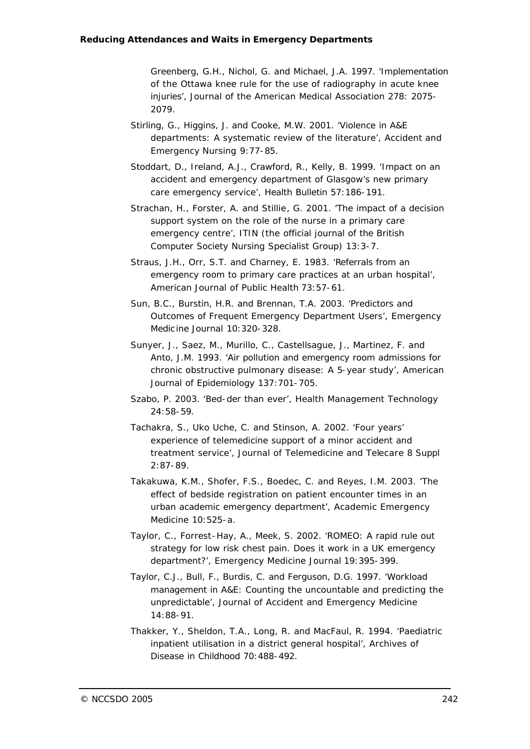Greenberg, G.H., Nichol, G. and Michael, J.A. 1997. 'Implementation of the Ottawa knee rule for the use of radiography in acute knee injuries', *Journal of the American Medical Association* 278: 2075- 2079.

- Stirling, G., Higgins, J. and Cooke, M.W. 2001. 'Violence in A&E departments: A systematic review of the literature', *Accident and Emergency Nursing* 9:77-85.
- Stoddart, D., Ireland, A.J., Crawford, R., Kelly, B. 1999. 'Impact on an accident and emergency department of Glasgow's new primary care emergency service', *Health Bulletin* 57:186-191.
- Strachan, H., Forster, A. and Stillie, G. 2001. 'The impact of a decision support system on the role of the nurse in a primary care emergency centre', *ITIN* (the official journal of the British Computer Society Nursing Specialist Group) 13:3-7.
- Straus, J.H., Orr, S.T. and Charney, E. 1983. 'Referrals from an emergency room to primary care practices at an urban hospital', *American Journal of Public Health* 73:57-61.
- Sun, B.C., Burstin, H.R. and Brennan, T.A. 2003. 'Predictors and Outcomes of Frequent Emergency Department Users', *Emergency Medic ine Journal* 10:320-328.
- Sunyer, J., Saez, M., Murillo, C., Castellsague, J., Martinez, F. and Anto, J.M. 1993. 'Air pollution and emergency room admissions for chronic obstructive pulmonary disease: A 5-year study', *American Journal of Epidemiology* 137:701-705.
- Szabo, P. 2003. 'Bed-der than ever', *Health Management Technology* 24:58-59.
- Tachakra, S., Uko Uche, C. and Stinson, A. 2002. 'Four years' experience of telemedicine support of a minor accident and treatment service', *Journal of Telemedicine and Telecare* 8 Suppl 2:87-89.
- Takakuwa, K.M., Shofer, F.S., Boedec, C. and Reyes, I.M. 2003. 'The effect of bedside registration on patient encounter times in an urban academic emergency department', *Academic Emergency Medicine* 10:525-a.
- Taylor, C., Forrest-Hay, A., Meek, S. 2002. 'ROMEO: A rapid rule out strategy for low risk chest pain. Does it work in a UK emergency department?', *Emergency Medicine Journal* 19:395-399.
- Taylor, C.J., Bull, F., Burdis, C. and Ferguson, D.G. 1997. 'Workload management in A&E: Counting the uncountable and predicting the unpredictable', *Journal of Accident and Emergency Medicine* 14:88-91.
- Thakker, Y., Sheldon, T.A., Long, R. and MacFaul, R. 1994. 'Paediatric inpatient utilisation in a district general hospital', *Archives of Disease in Childhood* 70:488-492.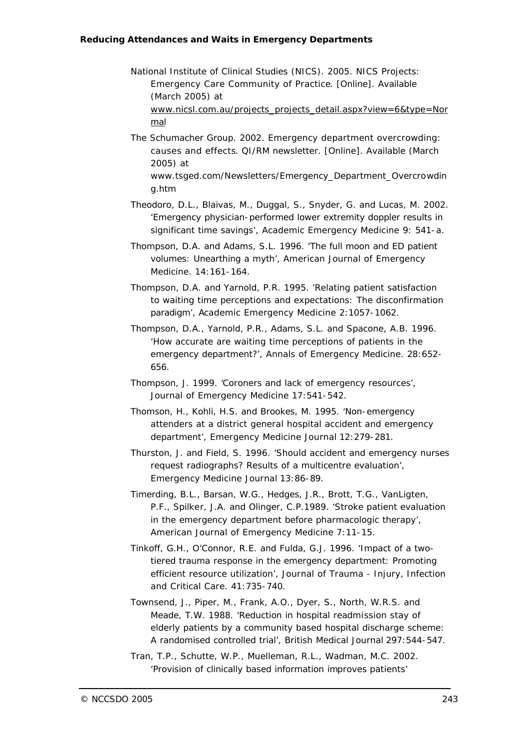National Institute of Clinical Studies (NICS). 2005. *NICS Projects: Emergency Care Community of Practice*. [Online]. Available (March 2005) at www.nicsl.com.au/projects\_projects\_detail.aspx?view=6&type=Nor mal

The Schumacher Group. 2002. *Emergency department overcrowding: causes and effects*. QI/RM newsletter. [Online]. Available (March 2005) at www.tsged.com/Newsletters/Emergency\_Department\_Overcrowdin g.htm

- Theodoro, D.L., Blaivas, M., Duggal, S., Snyder, G. and Lucas, M. 2002. 'Emergency physician-performed lower extremity doppler results in significant time savings', *Academic Emergency Medicine* 9: 541-a.
- Thompson, D.A. and Adams, S.L. 1996. 'The full moon and ED patient volumes: Unearthing a myth', *American Journal of Emergency Medicine*. 14:161-164.

Thompson, D.A. and Yarnold, P.R. 1995. 'Relating patient satisfaction to waiting time perceptions and expectations: The disconfirmation paradigm', *Academic Emergency Medicine* 2:1057-1062.

Thompson, D.A., Yarnold, P.R., Adams, S.L. and Spacone, A.B. 1996. 'How accurate are waiting time perceptions of patients in the emergency department?', *Annals of Emergency Medicine*. 28:652- 656.

Thompson, J. 1999. 'Coroners and lack of emergency resources', *Journal of Emergency Medicine* 17:541-542.

Thomson, H., Kohli, H.S. and Brookes, M. 1995. 'Non-emergency attenders at a district general hospital accident and emergency department', *Emergency Medicine Journal* 12:279-281.

Thurston, J. and Field, S. 1996. 'Should accident and emergency nurses request radiographs? Results of a multicentre evaluation', *Emergency Medicine Journal* 13:86-89.

Timerding, B.L., Barsan, W.G., Hedges, J.R., Brott, T.G., VanLigten, P.F., Spilker, J.A. and Olinger, C.P.1989. 'Stroke patient evaluation in the emergency department before pharmacologic therapy', *American Journal of Emergency Medicine* 7:11-15.

Tinkoff, G.H., O'Connor, R.E. and Fulda, G.J. 1996. 'Impact of a twotiered trauma response in the emergency department: Promoting efficient resource utilization', *Journal of Trauma - Injury, Infection and Critical Care*. 41:735-740.

Townsend, J., Piper, M., Frank, A.O., Dyer, S., North, W.R.S. and Meade, T.W. 1988. 'Reduction in hospital readmission stay of elderly patients by a community based hospital discharge scheme: A randomised controlled trial', *British Medical Journal* 297:544-547.

Tran, T.P., Schutte, W.P., Muelleman, R.L., Wadman, M.C. 2002. 'Provision of clinically based information improves patients'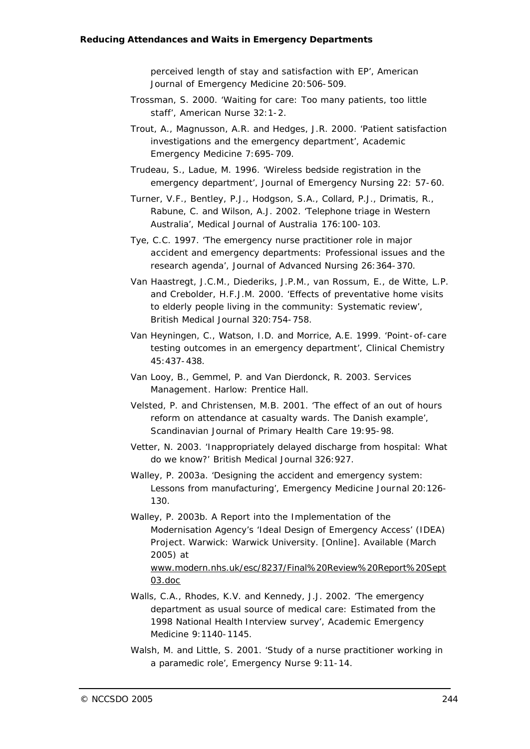perceived length of stay and satisfaction with EP*', American Journal of Emergency Medicine* 20:506-509.

- Trossman, S. 2000. 'Waiting for care: Too many patients, too little staff', *American Nurse* 32:1-2.
- Trout, A., Magnusson, A.R. and Hedges, J.R. 2000. 'Patient satisfaction investigations and the emergency department', *Academic Emergency Medicine* 7:695-709.
- Trudeau, S., Ladue, M. 1996. 'Wireless bedside registration in the emergency department', *Journal of Emergency Nursing* 22: 57-60.
- Turner, V.F., Bentley, P.J., Hodgson, S.A., Collard, P.J., Drimatis, R., Rabune, C. and Wilson, A.J. 2002. 'Telephone triage in Western Australia', *Medical Journal of Australia* 176:100-103.
- Tye, C.C. 1997. 'The emergency nurse practitioner role in major accident and emergency departments: Professional issues and the research agenda', *Journal of Advanced Nursing* 26:364-370.
- Van Haastregt, J.C.M., Diederiks, J.P.M., van Rossum, E., de Witte, L.P. and Crebolder, H.F.J.M. 2000. 'Effects of preventative home visits to elderly people living in the community: Systematic review', *British Medical Journal* 320:754-758.
- Van Heyningen, C., Watson, I.D. and Morrice, A.E. 1999. 'Point-of-care testing outcomes in an emergency department', *Clinical Chemistry*  45:437-438.
- Van Looy, B., Gemmel, P. and Van Dierdonck, R. 2003. *Services Management*. Harlow: Prentice Hall.
- Velsted, P. and Christensen, M.B. 2001. 'The effect of an out of hours reform on attendance at casualty wards. The Danish example', *Scandinavian Journal of Primary Health Care* 19:95-98.
- Vetter, N. 2003. 'Inappropriately delayed discharge from hospital: What do we know?' *British Medical Journal* 326:927.
- Walley, P. 2003a. 'Designing the accident and emergency system: Lessons from manufacturing', *Emergency Medicine Journal* 20:126- 130.
- Walley, P. 2003b. *A Report into the Implementation of the Modernisation Agency's 'Ideal Design of Emergency Access' (IDEA) Project.* Warwick: Warwick University. [Online]. Available (March 2005) at www.modern.nhs.uk/esc/8237/Final%20Review%20Report%20Sept

03.doc

- Walls, C.A., Rhodes, K.V. and Kennedy, J.J. 2002. 'The emergency department as usual source of medical care: Estimated from the 1998 National Health Interview survey', *Academic Emergency Medicine* 9:1140-1145.
- Walsh, M. and Little, S. 2001. 'Study of a nurse practitioner working in a paramedic role', *Emergency Nurse* 9:11-14.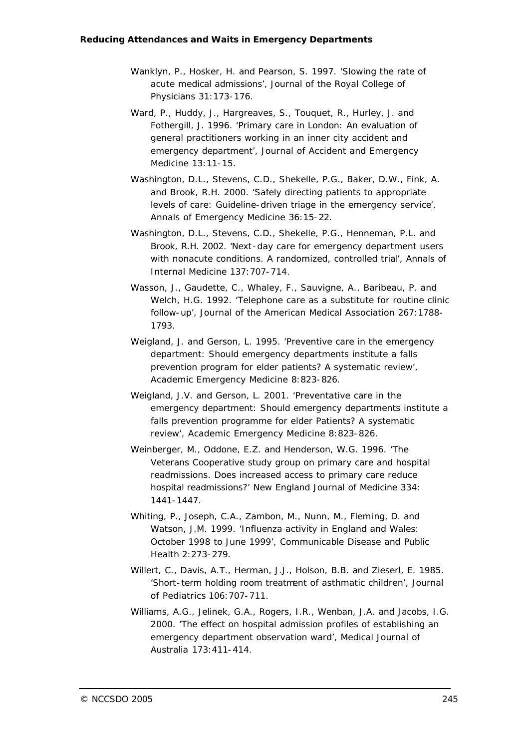- Wanklyn, P., Hosker, H. and Pearson, S. 1997. 'Slowing the rate of acute medical admissions', *Journal of the Royal College of Physicians* 31:173-176.
- Ward, P., Huddy, J., Hargreaves, S., Touquet, R., Hurley, J. and Fothergill, J. 1996. 'Primary care in London: An evaluation of general practitioners working in an inner city accident and emergency department', *Journal of Accident and Emergency Medicine* 13:11-15.
- Washington, D.L., Stevens, C.D., Shekelle, P.G., Baker, D.W., Fink, A. and Brook, R.H. 2000. 'Safely directing patients to appropriate levels of care: Guideline-driven triage in the emergency service*', Annals of Emergency Medicine* 36:15-22.
- Washington, D.L., Stevens, C.D., Shekelle, P.G., Henneman, P.L. and Brook, R.H. 2002. 'Next -day care for emergency department users with nonacute conditions. A randomized, controlled trial', *Annals of Internal Medicine* 137:707-714.
- Wasson, J., Gaudette, C., Whaley, F., Sauvigne, A., Baribeau, P. and Welch, H.G. 1992. 'Telephone care as a substitute for routine clinic follow-up', *Journal of the American Medical Association* 267:1788- 1793.
- Weigland, J. and Gerson, L. 1995. 'Preventive care in the emergency department: Should emergency departments institute a falls prevention program for elder patients? A systematic review', *Academic Emergency Medicine* 8:823-826.
- Weigland, J.V. and Gerson, L. 2001. 'Preventative care in the emergency department: Should emergency departments institute a falls prevention programme for elder Patients? A systematic review', *Academic Emergency Medicine* 8:823-826.
- Weinberger, M., Oddone, E.Z. and Henderson, W.G. 1996. 'The Veterans Cooperative study group on primary care and hospital readmissions. Does increased access to primary care reduce hospital readmissions?' *New England Journal of Medicine* 334: 1441-1447.
- Whiting, P., Joseph, C.A., Zambon, M., Nunn, M., Fleming, D. and Watson, J.M. 1999. 'Influenza activity in England and Wales: October 1998 to June 1999', *Communicable Disease and Public Health* 2:273-279.
- Willert, C., Davis, A.T., Herman, J.J., Holson, B.B. and Zieserl, E. 1985. 'Short-term holding room treatment of asthmatic children', *Journal of Pediatrics* 106:707-711.
- Williams, A.G., Jelinek, G.A., Rogers, I.R., Wenban, J.A. and Jacobs, I.G. 2000. 'The effect on hospital admission profiles of establishing an emergency department observation ward', *Medical Journal of Australia* 173:411-414.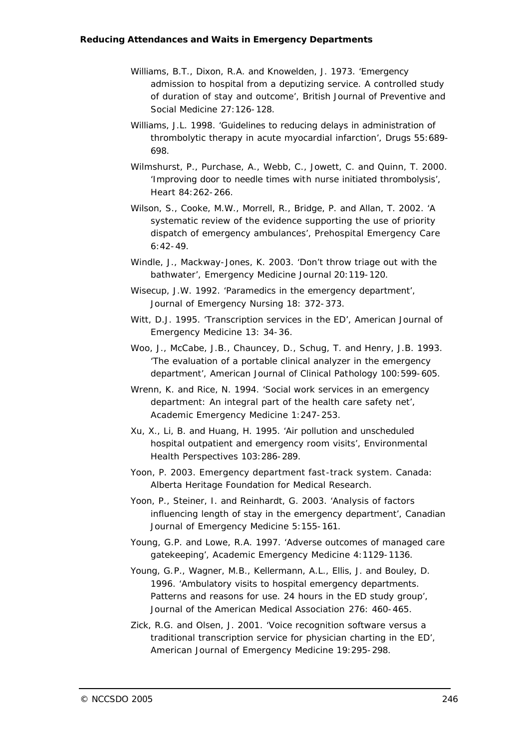- Williams, B.T., Dixon, R.A. and Knowelden, J. 1973. 'Emergency admission to hospital from a deputizing service. A controlled study of duration of stay and outcome', *British Journal of Preventive and Social Medicine* 27:126-128.
- Williams, J.L. 1998. 'Guidelines to reducing delays in administration of thrombolytic therapy in acute myocardial infarction', *Drugs* 55:689- 698.
- Wilmshurst, P., Purchase, A., Webb, C., Jowett, C. and Quinn, T. 2000. 'Improving door to needle times with nurse initiated thrombolysis', *Heart* 84:262-266.
- Wilson, S., Cooke, M.W., Morrell, R., Bridge, P. and Allan, T. 2002. 'A systematic review of the evidence supporting the use of priority dispatch of emergency ambulances', *Prehospital Emergency Care* 6:42-49.
- Windle, J., Mackway-Jones, K. 2003. 'Don't throw triage out with the bathwater', *Emergency Medicine Journal* 20:119-120.
- Wisecup, J.W. 1992. 'Paramedics in the emergency department', *Journal of Emergency Nursing* 18: 372-373.
- Witt, D.J. 1995. 'Transcription services in the ED', *American Journal of Emergency Medicine* 13: 34-36.
- Woo, J., McCabe, J.B., Chauncey, D., Schug, T. and Henry, J.B. 1993. 'The evaluation of a portable clinical analyzer in the emergency department', *American Journal of Clinical Pathology* 100:599-605.
- Wrenn, K. and Rice, N. 1994. 'Social work services in an emergency department: An integral part of the health care safety net', *Academic Emergency Medicine* 1:247-253.
- Xu, X., Li, B. and Huang, H. 1995. 'Air pollution and unscheduled hospital outpatient and emergency room visits', *Environmental Health Perspectives* 103:286-289.
- Yoon, P. 2003. *Emergency department fast-track system*. Canada: Alberta Heritage Foundation for Medical Research.
- Yoon, P., Steiner, I. and Reinhardt, G. 2003. 'Analysis of factors influencing length of stay in the emergency department', *Canadian Journal of Emergency Medicine* 5:155-161.
- Young, G.P. and Lowe, R.A. 1997. 'Adverse outcomes of managed care gatekeeping', *Academic Emergency Medicine* 4:1129-1136.
- Young, G.P., Wagner, M.B., Kellermann, A.L., Ellis, J. and Bouley, D. 1996. 'Ambulatory visits to hospital emergency departments. Patterns and reasons for use. 24 hours in the ED study group', *Journal of the American Medical Association* 276: 460-465.
- Zick, R.G. and Olsen, J. 2001. 'Voice recognition software versus a traditional transcription service for physician charting in the ED', *American Journal of Emergency Medicine* 19:295-298.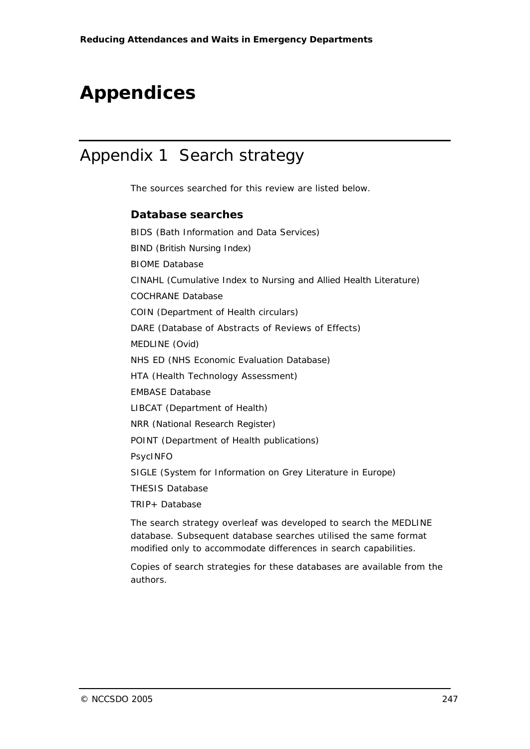# *Appendices*

## Appendix 1 Search strategy

The sources searched for this review are listed below.

## **Database searches**

BIDS (Bath Information and Data Services) BIND (British Nursing Index) BIOME Database CINAHL (Cumulative Index to Nursing and Allied Health Literature) COCHRANE Database COIN (Department of Health circulars) DARE (Database of Abstracts of Reviews of Effects) MEDLINE (Ovid) NHS ED (NHS Economic Evaluation Database) HTA (Health Technology Assessment) EMBASE Database LIBCAT (Department of Health) NRR (National Research Register) POINT (Department of Health publications) PsycINFO SIGLE (System for Information on Grey Literature in Europe) THESIS Database TRIP+ Database The search strategy overleaf was developed to search the MEDLINE

database. Subsequent database searches utilised the same format modified only to accommodate differences in search capabilities.

Copies of search strategies for these databases are available from the authors.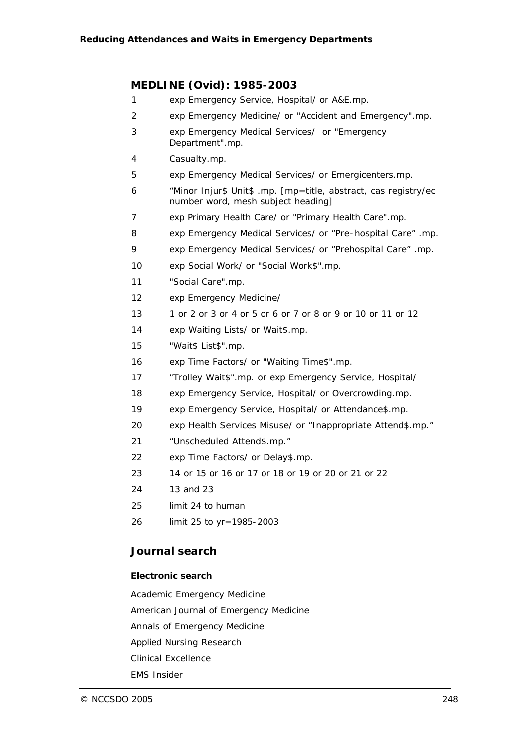## **MEDLINE (Ovid): 1985-2003**

- exp Emergency Service, Hospital/ or A&E.mp.
- exp Emergency Medicine/ or "Accident and Emergency".mp.
- exp Emergency Medical Services/ or "Emergency Department".mp.
- Casualty.mp.
- exp Emergency Medical Services/ or Emergicenters.mp.
- "Minor Injur\$ Unit\$ .mp. [mp=title, abstract, cas registry/ec number word, mesh subject heading]
- exp Primary Health Care/ or "Primary Health Care".mp.
- exp Emergency Medical Services/ or "Pre-hospital Care" .mp.
- exp Emergency Medical Services/ or "Prehospital Care" .mp.
- exp Social Work/ or "Social Work\$".mp.
- "Social Care".mp.
- exp Emergency Medicine/
- 1 or 2 or 3 or 4 or 5 or 6 or 7 or 8 or 9 or 10 or 11 or 12
- 14 exp Waiting Lists/ or Wait\$.mp.
- "Wait\$ List\$".mp.
- exp Time Factors/ or "Waiting Time\$".mp.
- "Trolley Wait\$".mp. or exp Emergency Service, Hospital/
- exp Emergency Service, Hospital/ or Overcrowding.mp.
- exp Emergency Service, Hospital/ or Attendance\$.mp.
- exp Health Services Misuse/ or "Inappropriate Attend\$.mp."
- "Unscheduled Attend\$.mp."
- exp Time Factors/ or Delay\$.mp.
- 14 or 15 or 16 or 17 or 18 or 19 or 20 or 21 or 22
- 13 and 23
- limit 24 to human
- limit 25 to yr=1985-2003

## **Journal search**

## *Electronic search*

Academic Emergency Medicine American Journal of Emergency Medicine Annals of Emergency Medicine Applied Nursing Research Clinical Excellence EMS Insider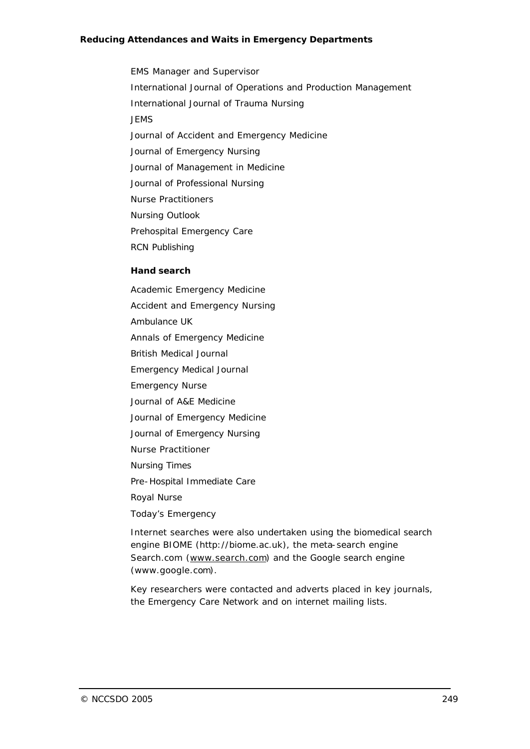EMS Manager and Supervisor International Journal of Operations and Production Management International Journal of Trauma Nursing JEMS Journal of Accident and Emergency Medicine Journal of Emergency Nursing Journal of Management in Medicine Journal of Professional Nursing Nurse Practitioners Nursing Outlook Prehospital Emergency Care RCN Publishing

## *Hand search*

Academic Emergency Medicine Accident and Emergency Nursing Ambulance UK Annals of Emergency Medicine British Medical Journal Emergency Medical Journal Emergency Nurse Journal of A&E Medicine Journal of Emergency Medicine Journal of Emergency Nursing Nurse Practitioner Nursing Times Pre-Hospital Immediate Care Royal Nurse Today's Emergency

Internet searches were also undertaken using the biomedical search engine BIOME (http://biome.ac.uk), the meta-search engine Search.com (www.search.com) and the Google search engine (www.google.com).

Key researchers were contacted and adverts placed in key journals, the Emergency Care Network and on internet mailing lists.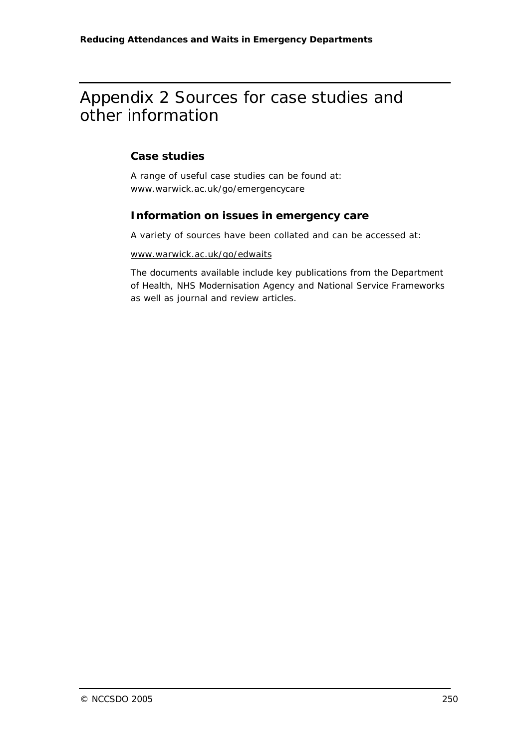## Appendix 2 Sources for case studies and other information

## **Case studies**

A range of useful case studies can be found at: www.warwick.ac.uk/go/emergencycare

## **Information on issues in emergency care**

A variety of sources have been collated and can be accessed at:

## www.warwick.ac.uk/go/edwaits

The documents available include key publications from the Department of Health, NHS Modernisation Agency and National Service Frameworks as well as journal and review articles.